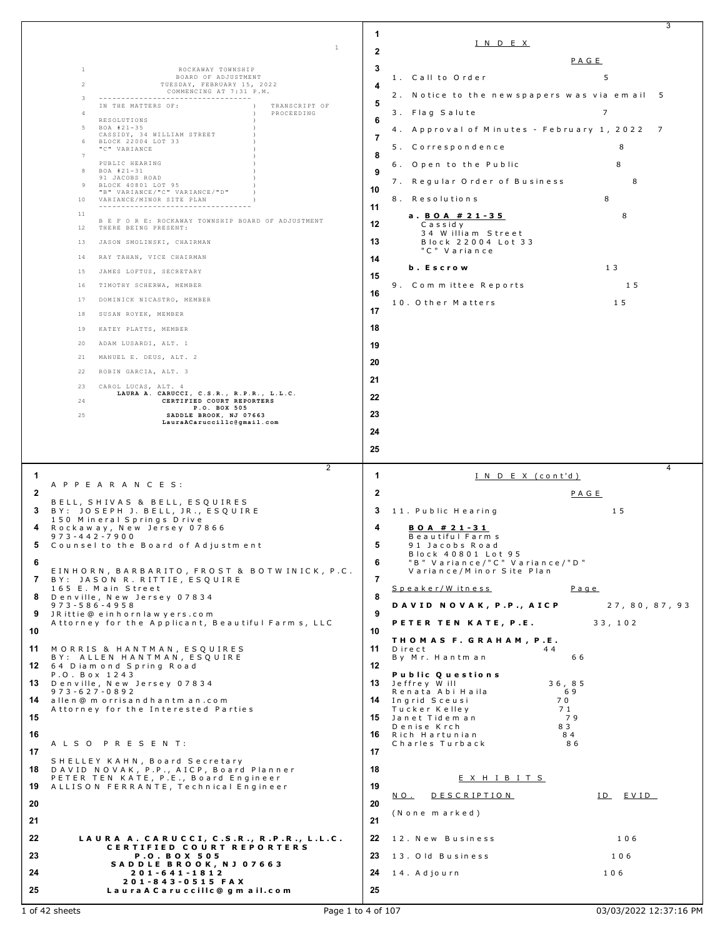|              |                                                                                  |              |                                                     | 3              |
|--------------|----------------------------------------------------------------------------------|--------------|-----------------------------------------------------|----------------|
|              | 1                                                                                | 1            | IND EX                                              |                |
|              |                                                                                  | $\mathbf{2}$ |                                                     | PAGE           |
|              | $\mathbf{1}$<br>ROCKAWAY TOWNSHIP                                                | 3            |                                                     |                |
|              | BOARD OF ADJUSTMENT<br>$\overline{2}$<br>TUESDAY, FEBRUARY 15, 2022              | 4            | 1. Call to Order                                    | 5              |
|              | COMMENCING AT 7:31 P.M.<br>3<br>-----------------------------------              | 5            | 2. Notice to the new spapers was via email 5        |                |
|              | TRANSCRIPT OF<br>IN THE MATTERS OF:<br>PROCEEDING<br>$\overline{4}$              |              | 3. Flag Salute                                      | $\overline{7}$ |
|              | RESOLUTIONS<br>BOA #21-35<br>5                                                   | 6            | 4. Approval of Minutes - February 1, 2022 7         |                |
|              | CASSIDY, 34 WILLIAM STREET<br>BLOCK 22004 LOT 33<br>6                            | 7            |                                                     |                |
|              | "C" VARIANCE<br>$\overline{7}$                                                   | 8            | 5. Correspondence                                   | 8              |
|              | PUBLIC HEARING<br>BOA #21-31<br>8                                                | 9            | 6. Open to the Public                               | 8              |
|              | 91 JACOBS ROAD<br>BLOCK 40801 LOT 95<br>-9                                       |              | 7. Regular Order of Business                        | 8              |
|              | "B" VARIANCE/"C" VARIANCE/"D"<br>VARIANCE/MINOR SITE PLAN<br>10                  | 10           | 8. Resolutions                                      | 8              |
|              | -----------------------------------<br>11                                        | 11           |                                                     | 8              |
|              | B E F O R E: ROCKAWAY TOWNSHIP BOARD OF ADJUSTMENT<br>12<br>THERE BEING PRESENT: | 12           | a. <u>BOA #21-35</u><br>Cassidy                     |                |
|              | JASON SMOLINSKI, CHAIRMAN<br>13                                                  | 13           | 34 William Street<br>Block 22004 Lot 33             |                |
|              | RAY TAHAN, VICE CHAIRMAN<br>14                                                   |              | "C" Variance                                        |                |
|              | JAMES LOFTUS, SECRETARY<br>15                                                    | 14           | b. Escrow                                           | 1 3            |
|              | TIMOTHY SCHERWA, MEMBER<br>16                                                    | 15           | 9. Committee Reports                                | 15             |
|              |                                                                                  | 16           |                                                     |                |
|              | DOMINICK NICASTRO, MEMBER<br>17                                                  | 17           | 10. Other Matters                                   | 15             |
|              | 18<br>SUSAN ROYEK, MEMBER                                                        |              |                                                     |                |
|              | KATEY PLATTS, MEMBER<br>19                                                       | 18           |                                                     |                |
|              | ADAM LUSARDI, ALT. 1<br>20                                                       | 19           |                                                     |                |
|              | MANUEL E. DEUS, ALT. 2<br>21                                                     | 20           |                                                     |                |
|              | ROBIN GARCIA, ALT. 3<br>22                                                       | 21           |                                                     |                |
|              | CAROL LUCAS, ALT. 4<br>23<br>LAURA A. CARUCCI, C.S.R., R.P.R., L.L.C.            | 22           |                                                     |                |
|              | 24<br>CERTIFIED COURT REPORTERS<br>P.O. BOX 505                                  |              |                                                     |                |
|              | 25<br>SADDLE BROOK, NJ 07663<br>LauraACaruccillc@gmail.com                       | 23           |                                                     |                |
|              |                                                                                  | 24           |                                                     |                |
|              |                                                                                  |              |                                                     |                |
|              |                                                                                  | 25           |                                                     |                |
|              |                                                                                  |              |                                                     | 4              |
| -1           | $\overline{2}$                                                                   | -1           | INDEX (cont'd)                                      |                |
| $\mathbf{2}$ | A P P E A R A N C E S :                                                          | $\mathbf{2}$ |                                                     | PAGE           |
| 3.           | BELL, SHIVAS & BELL, ESQUIRES                                                    | 3            | 11. Public Hearing                                  | 15             |
|              | BY: JOSEPH J. BELL, JR., ESQUIRE<br>150 Mineral Springs Drive                    |              |                                                     |                |
| 4            | Rockaway, New Jersey 07866<br>$973 - 442 - 7900$                                 | 4            | <u>BOA #21-31</u><br>Beautiful Farm s               |                |
| 5            | Counsel to the Board of Adjustment                                               | 5            | 91 Jacobs Road                                      |                |
| 6            |                                                                                  | 6            | Block 40801 Lot 95<br>"B" Variance/"C" Variance/"D" |                |
|              | EINHORN, BARBARITO, FROST & BOTWINICK, P.C.<br>7 BY: JASON R. RITTIE, ESQUIRE    | 7            | Variance/Minor Site Plan                            |                |
|              | 165 E. Main Street                                                               |              | Speaker/Witness                                     | $P$ a q e      |
| 8            | Denville, New Jersey 07834<br>$973 - 586 - 4958$                                 | 8            | DAVID NOVAK, P.P., AICP                             | 27,80,87,93    |
|              | 9 JRittie@einhornlawyers.com<br>Attorney for the Applicant, Beautiful Farms, LLC | 9            | PETER TEN KATE, P.E.                                | 33, 102        |
| 10           |                                                                                  | 10           |                                                     |                |
|              | 11 MORRIS & HANTMAN, ESQUIRES                                                    | 11           | THOMAS F. GRAHAM , P.E.<br>Direct<br>44             |                |
|              | BY: ALLEN HANTMAN, ESQUIRE<br>12 64 Diamond Spring Road                          | $12 \,$      | 66<br>By Mr. Hantman                                |                |
|              | P.O. Box 1243                                                                    |              | <b>Public Questions</b>                             |                |
|              | 13 Denville, New Jersey 07834<br>$973 - 627 - 0892$                              | 13           | 36, 85<br>Jeffrey Will<br>Renata Abi Haila<br>69    |                |
|              | <b>14</b> allen@morrisandhantman.com                                             |              | 14 Ingrid Sceusi<br>70<br>71                        |                |
|              | Attorney for the Interested Parties                                              | 15           | Tucker Kelley<br>Janet Tidem an<br>79               |                |
| 15<br>16     |                                                                                  | 16           | Denise Krch<br>83<br>Rich Hartunian<br>84           |                |
|              | A L S O P R E S E N T:                                                           | 17           | Charles Turback<br>86                               |                |
| 17           | SHELLEY KAHN, Board Secretary                                                    |              |                                                     |                |
| 18           | DAVID NOVAK, P.P., AICP, Board Planner<br>PETER TEN KATE, P.E., Board Engineer   | 18           | <u>EXHIBITS</u>                                     |                |
| 19           | ALLISON FERRANTE, Technical Engineer                                             | 19           |                                                     |                |
| 20           |                                                                                  | 20           | <b>DESCRIPTION</b><br>NO.                           | ID EVID        |
| 21           |                                                                                  | 21           | (None marked)                                       |                |
|              |                                                                                  |              |                                                     |                |
| 22           | LAURA A. CARUCCI, C.S.R., R.P.R., L.L.C.<br>CERTIFIED COURT REPORTERS            | 22           | 12. New Business                                    | 106            |
|              | <b>P.O. BOX 505</b>                                                              | 23           | 13. Old Business                                    | 106            |
| 23<br>24     | SADDLE BROOK, NJ 07663<br>$201 - 641 - 1812$<br>201-843-0515 FAX                 | 24           | 14. Adjourn                                         | 106            |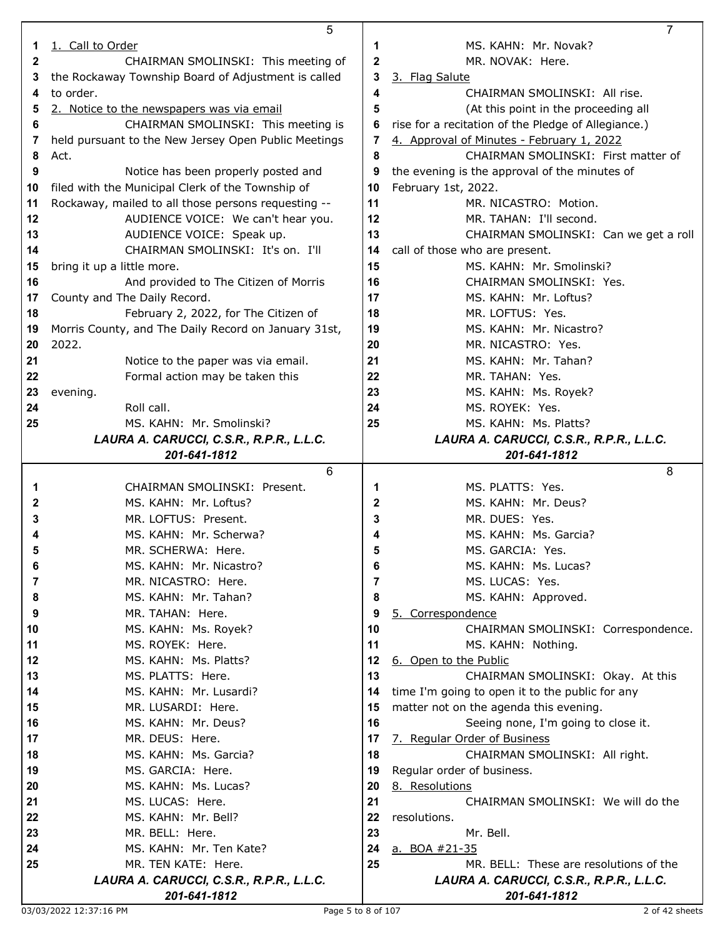|    | 5                                                    |    | 7                                                   |
|----|------------------------------------------------------|----|-----------------------------------------------------|
| 1. | 1. Call to Order                                     | 1  | MS. KAHN: Mr. Novak?                                |
| 2  | CHAIRMAN SMOLINSKI: This meeting of                  | 2  | MR. NOVAK: Here.                                    |
|    |                                                      | 3  |                                                     |
| 3  | the Rockaway Township Board of Adjustment is called  |    | 3. Flag Salute                                      |
| 4  | to order.                                            | 4  | CHAIRMAN SMOLINSKI: All rise.                       |
| 5  | 2. Notice to the newspapers was via email            | 5  | (At this point in the proceeding all                |
| 6  | CHAIRMAN SMOLINSKI: This meeting is                  | 6  | rise for a recitation of the Pledge of Allegiance.) |
| 7  | held pursuant to the New Jersey Open Public Meetings | 7  | 4. Approval of Minutes - February 1, 2022           |
| 8  | Act.                                                 | 8  | CHAIRMAN SMOLINSKI: First matter of                 |
| 9  | Notice has been properly posted and                  |    |                                                     |
|    |                                                      | 9  | the evening is the approval of the minutes of       |
| 10 | filed with the Municipal Clerk of the Township of    | 10 | February 1st, 2022.                                 |
| 11 | Rockaway, mailed to all those persons requesting --  | 11 | MR. NICASTRO: Motion.                               |
| 12 | AUDIENCE VOICE: We can't hear you.                   | 12 | MR. TAHAN: I'll second.                             |
| 13 | AUDIENCE VOICE: Speak up.                            | 13 | CHAIRMAN SMOLINSKI: Can we get a roll               |
| 14 | CHAIRMAN SMOLINSKI: It's on. I'll                    | 14 | call of those who are present.                      |
| 15 | bring it up a little more.                           | 15 | MS. KAHN: Mr. Smolinski?                            |
|    |                                                      |    |                                                     |
| 16 | And provided to The Citizen of Morris                | 16 | CHAIRMAN SMOLINSKI: Yes.                            |
| 17 | County and The Daily Record.                         | 17 | MS. KAHN: Mr. Loftus?                               |
| 18 | February 2, 2022, for The Citizen of                 | 18 | MR. LOFTUS: Yes.                                    |
| 19 | Morris County, and The Daily Record on January 31st, | 19 | MS. KAHN: Mr. Nicastro?                             |
| 20 | 2022.                                                | 20 | MR. NICASTRO: Yes.                                  |
| 21 | Notice to the paper was via email.                   | 21 | MS. KAHN: Mr. Tahan?                                |
|    |                                                      |    | MR. TAHAN: Yes.                                     |
| 22 | Formal action may be taken this                      | 22 |                                                     |
| 23 | evening.                                             | 23 | MS. KAHN: Ms. Royek?                                |
| 24 | Roll call.                                           | 24 | MS. ROYEK: Yes.                                     |
| 25 | MS. KAHN: Mr. Smolinski?                             | 25 | MS. KAHN: Ms. Platts?                               |
|    | LAURA A. CARUCCI, C.S.R., R.P.R., L.L.C.             |    | LAURA A. CARUCCI, C.S.R., R.P.R., L.L.C.            |
|    | 201-641-1812                                         |    | 201-641-1812                                        |
|    |                                                      |    |                                                     |
|    |                                                      |    |                                                     |
|    | 6                                                    |    | 8                                                   |
| 1  | CHAIRMAN SMOLINSKI: Present.                         | 1  | MS. PLATTS: Yes.                                    |
| 2  | MS. KAHN: Mr. Loftus?                                | 2  | MS. KAHN: Mr. Deus?                                 |
| 3  | MR. LOFTUS: Present.                                 | 3  | MR. DUES: Yes.                                      |
|    | MS. KAHN: Mr. Scherwa?                               | 4  | MS. KAHN: Ms. Garcia?                               |
|    | MR. SCHERWA: Here.                                   | ູວ | MS. GARCIA: Yes.                                    |
| 6  | MS. KAHN: Mr. Nicastro?                              | 6  |                                                     |
|    |                                                      |    | MS. KAHN: Ms. Lucas?                                |
| 7  | MR. NICASTRO: Here.                                  | 7  | MS. LUCAS: Yes.                                     |
| 8  | MS. KAHN: Mr. Tahan?                                 | 8  | MS. KAHN: Approved.                                 |
| 9  | MR. TAHAN: Here.                                     | 9  | 5. Correspondence                                   |
| 10 | MS. KAHN: Ms. Royek?                                 | 10 | CHAIRMAN SMOLINSKI: Correspondence.                 |
| 11 | MS. ROYEK: Here.                                     | 11 | MS. KAHN: Nothing.                                  |
| 12 | MS. KAHN: Ms. Platts?                                | 12 | 6. Open to the Public                               |
| 13 | MS. PLATTS: Here.                                    | 13 | CHAIRMAN SMOLINSKI: Okay. At this                   |
|    |                                                      |    |                                                     |
| 14 | MS. KAHN: Mr. Lusardi?                               | 14 | time I'm going to open it to the public for any     |
| 15 | MR. LUSARDI: Here.                                   | 15 | matter not on the agenda this evening.              |
| 16 | MS. KAHN: Mr. Deus?                                  | 16 | Seeing none, I'm going to close it.                 |
| 17 | MR. DEUS: Here.                                      | 17 | 7. Regular Order of Business                        |
| 18 | MS. KAHN: Ms. Garcia?                                | 18 | CHAIRMAN SMOLINSKI: All right.                      |
| 19 | MS. GARCIA: Here.                                    | 19 | Regular order of business.                          |
| 20 | MS. KAHN: Ms. Lucas?                                 | 20 | 8. Resolutions                                      |
| 21 |                                                      |    |                                                     |
|    | MS. LUCAS: Here.                                     | 21 | CHAIRMAN SMOLINSKI: We will do the                  |
| 22 | MS. KAHN: Mr. Bell?                                  | 22 | resolutions.                                        |
| 23 | MR. BELL: Here.                                      | 23 | Mr. Bell.                                           |
| 24 | MS. KAHN: Mr. Ten Kate?                              | 24 | a. BOA #21-35                                       |
| 25 | MR. TEN KATE: Here.                                  | 25 | MR. BELL: These are resolutions of the              |
|    | LAURA A. CARUCCI, C.S.R., R.P.R., L.L.C.             |    | LAURA A. CARUCCI, C.S.R., R.P.R., L.L.C.            |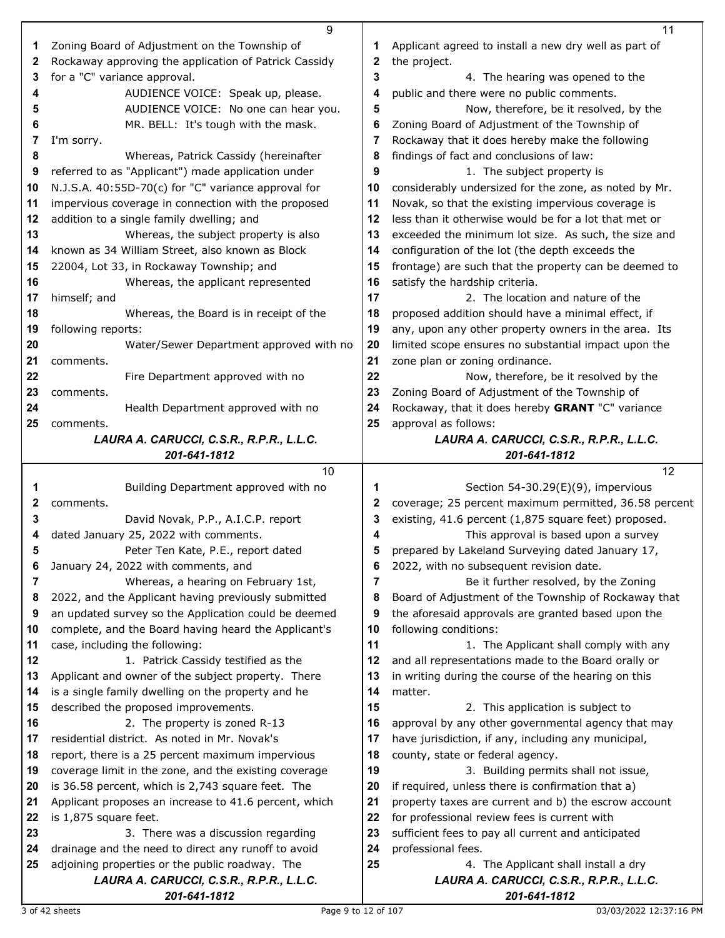|    | 9                                                        |    | 11                                                       |
|----|----------------------------------------------------------|----|----------------------------------------------------------|
| 1  | Zoning Board of Adjustment on the Township of            | 1  | Applicant agreed to install a new dry well as part of    |
| 2  | Rockaway approving the application of Patrick Cassidy    | 2  | the project.                                             |
| 3  | for a "C" variance approval.                             | 3  | 4. The hearing was opened to the                         |
| 4  | AUDIENCE VOICE: Speak up, please.                        | 4  | public and there were no public comments.                |
| 5  | AUDIENCE VOICE: No one can hear you.                     | 5  | Now, therefore, be it resolved, by the                   |
|    |                                                          | 6  |                                                          |
| 6  | MR. BELL: It's tough with the mask.                      |    | Zoning Board of Adjustment of the Township of            |
| 7  | I'm sorry.                                               | 7  | Rockaway that it does hereby make the following          |
| 8  | Whereas, Patrick Cassidy (hereinafter                    | 8  | findings of fact and conclusions of law:                 |
| 9  | referred to as "Applicant") made application under       | 9  | 1. The subject property is                               |
| 10 | N.J.S.A. 40:55D-70(c) for "C" variance approval for      | 10 | considerably undersized for the zone, as noted by Mr.    |
| 11 | impervious coverage in connection with the proposed      | 11 | Novak, so that the existing impervious coverage is       |
| 12 | addition to a single family dwelling; and                | 12 | less than it otherwise would be for a lot that met or    |
| 13 | Whereas, the subject property is also                    | 13 | exceeded the minimum lot size. As such, the size and     |
| 14 | known as 34 William Street, also known as Block          | 14 | configuration of the lot (the depth exceeds the          |
| 15 | 22004, Lot 33, in Rockaway Township; and                 | 15 | frontage) are such that the property can be deemed to    |
| 16 | Whereas, the applicant represented                       | 16 | satisfy the hardship criteria.                           |
| 17 | himself; and                                             | 17 | 2. The location and nature of the                        |
| 18 | Whereas, the Board is in receipt of the                  | 18 | proposed addition should have a minimal effect, if       |
| 19 | following reports:                                       | 19 | any, upon any other property owners in the area. Its     |
| 20 | Water/Sewer Department approved with no                  | 20 | limited scope ensures no substantial impact upon the     |
| 21 | comments.                                                | 21 | zone plan or zoning ordinance.                           |
| 22 | Fire Department approved with no                         | 22 | Now, therefore, be it resolved by the                    |
| 23 |                                                          | 23 | Zoning Board of Adjustment of the Township of            |
|    | comments.                                                |    |                                                          |
| 24 | Health Department approved with no                       | 24 | Rockaway, that it does hereby GRANT "C" variance         |
| 25 | comments.                                                | 25 | approval as follows:                                     |
|    | LAURA A. CARUCCI, C.S.R., R.P.R., L.L.C.                 |    | LAURA A. CARUCCI, C.S.R., R.P.R., L.L.C.                 |
|    | 201-641-1812                                             |    | 201-641-1812                                             |
|    |                                                          |    |                                                          |
|    | 10                                                       |    | 12                                                       |
| 1  | Building Department approved with no                     | 1  | Section 54-30.29(E)(9), impervious                       |
| 2  | comments.                                                | 2  | coverage; 25 percent maximum permitted, 36.58 percent    |
| 3  | David Novak, P.P., A.I.C.P. report                       | 3  | existing, 41.6 percent (1,875 square feet) proposed.     |
| 4  | dated January 25, 2022 with comments.                    | 4  | This approval is based upon a survey                     |
| 5  | Peter Ten Kate, P.E., report dated                       | 5  | prepared by Lakeland Surveying dated January 17,         |
| 6  | January 24, 2022 with comments, and                      | 6  | 2022, with no subsequent revision date.                  |
| 7  | Whereas, a hearing on February 1st,                      | 7  | Be it further resolved, by the Zoning                    |
| 8  | 2022, and the Applicant having previously submitted      | 8  | Board of Adjustment of the Township of Rockaway that     |
| 9  | an updated survey so the Application could be deemed     | 9  | the aforesaid approvals are granted based upon the       |
| 10 |                                                          | 10 |                                                          |
| 11 | complete, and the Board having heard the Applicant's     | 11 | following conditions:                                    |
| 12 | case, including the following:                           | 12 | 1. The Applicant shall comply with any                   |
| 13 | 1. Patrick Cassidy testified as the                      |    | and all representations made to the Board orally or      |
|    | Applicant and owner of the subject property. There       | 13 | in writing during the course of the hearing on this      |
| 14 | is a single family dwelling on the property and he       | 14 | matter.                                                  |
| 15 | described the proposed improvements.                     | 15 | 2. This application is subject to                        |
| 16 | 2. The property is zoned R-13                            | 16 | approval by any other governmental agency that may       |
| 17 | residential district. As noted in Mr. Novak's            | 17 | have jurisdiction, if any, including any municipal,      |
| 18 | report, there is a 25 percent maximum impervious         | 18 | county, state or federal agency.                         |
| 19 | coverage limit in the zone, and the existing coverage    | 19 | 3. Building permits shall not issue,                     |
| 20 | is 36.58 percent, which is 2,743 square feet. The        | 20 | if required, unless there is confirmation that a)        |
| 21 | Applicant proposes an increase to 41.6 percent, which    | 21 | property taxes are current and b) the escrow account     |
| 22 | is 1,875 square feet.                                    | 22 | for professional review fees is current with             |
| 23 | 3. There was a discussion regarding                      | 23 | sufficient fees to pay all current and anticipated       |
| 24 | drainage and the need to direct any runoff to avoid      | 24 | professional fees.                                       |
| 25 | adjoining properties or the public roadway. The          | 25 | 4. The Applicant shall install a dry                     |
|    | LAURA A. CARUCCI, C.S.R., R.P.R., L.L.C.<br>201-641-1812 |    | LAURA A. CARUCCI, C.S.R., R.P.R., L.L.C.<br>201-641-1812 |

3 of 42 sheets Page 9 to 12 of 107 03/03/2022 12:37:16 PM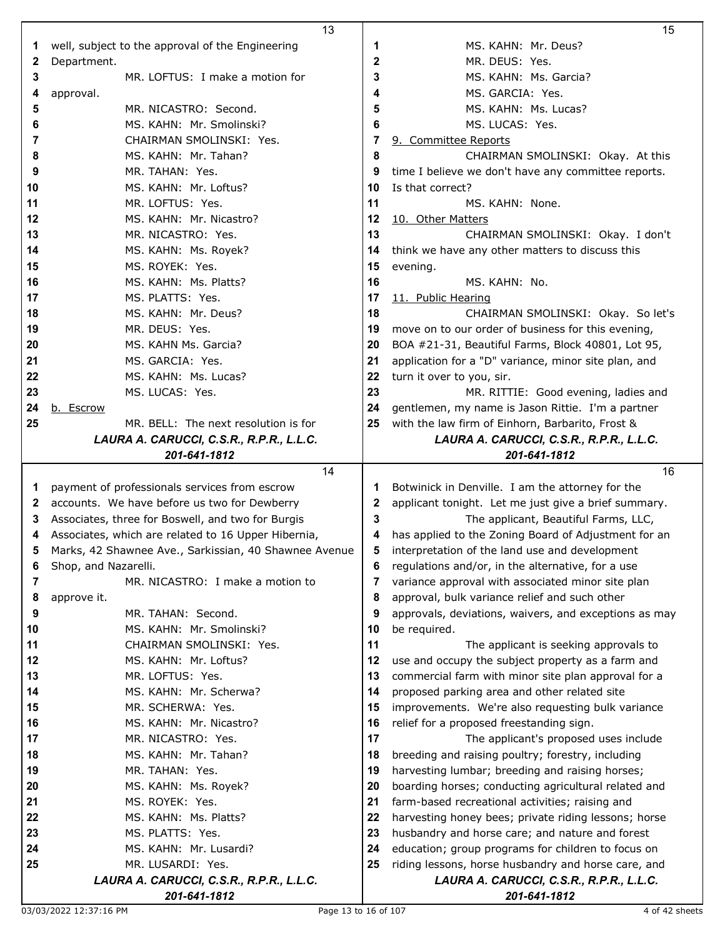|          | 13                                                    |          | 15                                                                                              |
|----------|-------------------------------------------------------|----------|-------------------------------------------------------------------------------------------------|
| 1        | well, subject to the approval of the Engineering      | 1        | MS. KAHN: Mr. Deus?                                                                             |
| 2        | Department.                                           | 2        | MR. DEUS: Yes.                                                                                  |
| 3        | MR. LOFTUS: I make a motion for                       | 3        | MS. KAHN: Ms. Garcia?                                                                           |
| 4        | approval.                                             | 4        | MS. GARCIA: Yes.                                                                                |
| 5        | MR. NICASTRO: Second.                                 | 5        | MS. KAHN: Ms. Lucas?                                                                            |
| 6        | MS. KAHN: Mr. Smolinski?                              | 6        | MS. LUCAS: Yes.                                                                                 |
| 7        | CHAIRMAN SMOLINSKI: Yes.                              | 7        | 9. Committee Reports                                                                            |
| 8        | MS. KAHN: Mr. Tahan?                                  | 8        | CHAIRMAN SMOLINSKI: Okay. At this                                                               |
| 9        | MR. TAHAN: Yes.                                       | 9        | time I believe we don't have any committee reports.                                             |
| 10       | MS. KAHN: Mr. Loftus?                                 | 10       | Is that correct?                                                                                |
| 11       | MR. LOFTUS: Yes.                                      | 11       | MS. KAHN: None.                                                                                 |
| 12       | MS. KAHN: Mr. Nicastro?                               | 12       | 10. Other Matters                                                                               |
| 13       | MR. NICASTRO: Yes.                                    | 13       |                                                                                                 |
| 14       | MS. KAHN: Ms. Royek?                                  | 14       | CHAIRMAN SMOLINSKI: Okay. I don't                                                               |
|          |                                                       |          | think we have any other matters to discuss this                                                 |
| 15       | MS. ROYEK: Yes.                                       | 15       | evening.                                                                                        |
| 16       | MS. KAHN: Ms. Platts?                                 | 16       | MS. KAHN: No.                                                                                   |
| 17       | MS. PLATTS: Yes.                                      | 17       | 11. Public Hearing                                                                              |
| 18       | MS. KAHN: Mr. Deus?                                   | 18       | CHAIRMAN SMOLINSKI: Okay. So let's                                                              |
| 19       | MR. DEUS: Yes.                                        | 19       | move on to our order of business for this evening,                                              |
| 20       | MS. KAHN Ms. Garcia?                                  | 20       | BOA #21-31, Beautiful Farms, Block 40801, Lot 95,                                               |
| 21       | MS. GARCIA: Yes.                                      | 21       | application for a "D" variance, minor site plan, and                                            |
| 22       | MS. KAHN: Ms. Lucas?                                  | 22       | turn it over to you, sir.                                                                       |
| 23       | MS. LUCAS: Yes.                                       | 23       | MR. RITTIE: Good evening, ladies and                                                            |
| 24       | b. Escrow                                             | 24       | gentlemen, my name is Jason Rittie. I'm a partner                                               |
| 25       | MR. BELL: The next resolution is for                  | 25       | with the law firm of Einhorn, Barbarito, Frost &                                                |
|          | LAURA A. CARUCCI, C.S.R., R.P.R., L.L.C.              |          | LAURA A. CARUCCI, C.S.R., R.P.R., L.L.C.                                                        |
|          | 201-641-1812                                          |          | 201-641-1812                                                                                    |
|          |                                                       |          |                                                                                                 |
|          | 14                                                    |          | 16                                                                                              |
| 1        | payment of professionals services from escrow         | 1        | Botwinick in Denville. I am the attorney for the                                                |
| 2        | accounts. We have before us two for Dewberry          | 2        | applicant tonight. Let me just give a brief summary.                                            |
| 3        | Associates, three for Boswell, and two for Burgis     | 3        | The applicant, Beautiful Farms, LLC,                                                            |
| 4        | Associates, which are related to 16 Upper Hibernia,   | 4        | has applied to the Zoning Board of Adjustment for an                                            |
| 5        | Marks, 42 Shawnee Ave., Sarkissian, 40 Shawnee Avenue | 5        | interpretation of the land use and development                                                  |
| 6        | Shop, and Nazarelli.                                  | 6        | regulations and/or, in the alternative, for a use                                               |
| 7        | MR. NICASTRO: I make a motion to                      | 7        | variance approval with associated minor site plan                                               |
| 8        | approve it.                                           | 8        | approval, bulk variance relief and such other                                                   |
| 9        | MR. TAHAN: Second.                                    | 9        | approvals, deviations, waivers, and exceptions as may                                           |
| 10       | MS. KAHN: Mr. Smolinski?                              | 10       | be required.                                                                                    |
| 11       | CHAIRMAN SMOLINSKI: Yes.                              | 11       | The applicant is seeking approvals to                                                           |
| 12       | MS. KAHN: Mr. Loftus?                                 | 12       | use and occupy the subject property as a farm and                                               |
| 13       | MR. LOFTUS: Yes.                                      | 13       | commercial farm with minor site plan approval for a                                             |
| 14       | MS. KAHN: Mr. Scherwa?                                | 14       | proposed parking area and other related site                                                    |
| 15       | MR. SCHERWA: Yes.                                     | 15       | improvements. We're also requesting bulk variance                                               |
| 16       | MS. KAHN: Mr. Nicastro?                               | 16       | relief for a proposed freestanding sign.                                                        |
| 17<br>18 | MR. NICASTRO: Yes.                                    | 17<br>18 | The applicant's proposed uses include                                                           |
|          | MS. KAHN: Mr. Tahan?                                  | 19       | breeding and raising poultry; forestry, including                                               |
| 19       | MR. TAHAN: Yes.                                       | 20       | harvesting lumbar; breeding and raising horses;                                                 |
| 20       | MS. KAHN: Ms. Royek?                                  | 21       | boarding horses; conducting agricultural related and                                            |
| 21<br>22 | MS. ROYEK: Yes.                                       |          | farm-based recreational activities; raising and                                                 |
| 23       | MS. KAHN: Ms. Platts?<br>MS. PLATTS: Yes.             | 22<br>23 | harvesting honey bees; private riding lessons; horse                                            |
| 24       | MS. KAHN: Mr. Lusardi?                                | 24       | husbandry and horse care; and nature and forest                                                 |
| 25       | MR. LUSARDI: Yes.                                     | 25       | education; group programs for children to focus on                                              |
|          | LAURA A. CARUCCI, C.S.R., R.P.R., L.L.C.              |          | riding lessons, horse husbandry and horse care, and<br>LAURA A. CARUCCI, C.S.R., R.P.R., L.L.C. |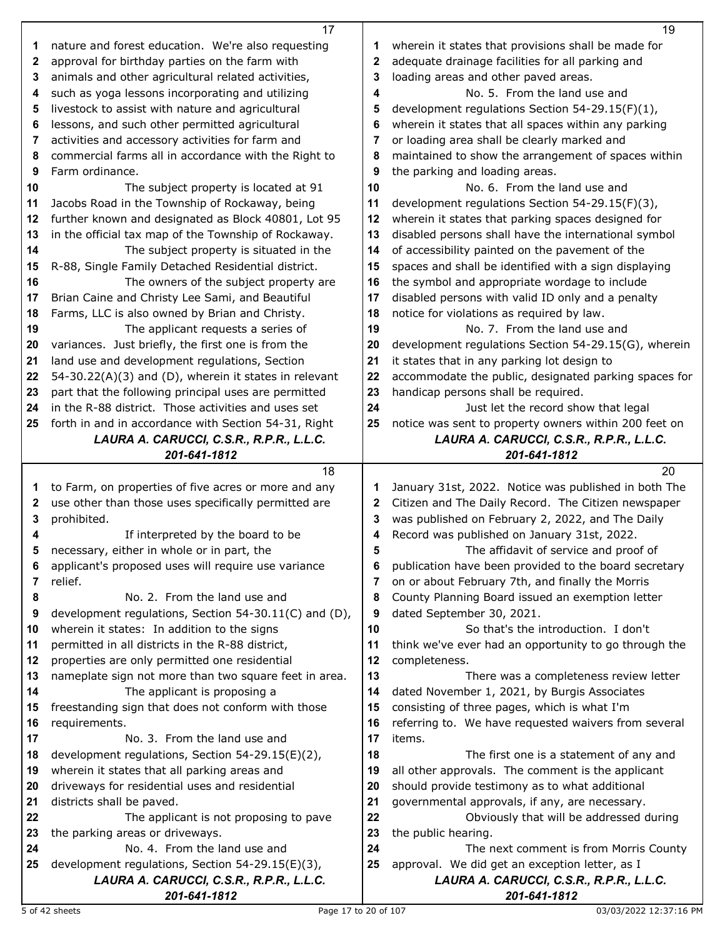|              | 17                                                                                               |          | 19                                                                                           |
|--------------|--------------------------------------------------------------------------------------------------|----------|----------------------------------------------------------------------------------------------|
| 1            | nature and forest education. We're also requesting                                               | 1        | wherein it states that provisions shall be made for                                          |
| $\mathbf{2}$ | approval for birthday parties on the farm with                                                   | 2        | adequate drainage facilities for all parking and                                             |
| 3            | animals and other agricultural related activities,                                               | 3        | loading areas and other paved areas.                                                         |
| 4            | such as yoga lessons incorporating and utilizing                                                 | 4        | No. 5. From the land use and                                                                 |
| 5            | livestock to assist with nature and agricultural                                                 | 5        | development regulations Section 54-29.15(F)(1),                                              |
| 6            | lessons, and such other permitted agricultural                                                   | 6        | wherein it states that all spaces within any parking                                         |
| 7            | activities and accessory activities for farm and                                                 | 7        | or loading area shall be clearly marked and                                                  |
| 8            | commercial farms all in accordance with the Right to                                             | 8        | maintained to show the arrangement of spaces within                                          |
| 9            | Farm ordinance.                                                                                  | 9        | the parking and loading areas.                                                               |
| 10           | The subject property is located at 91                                                            | 10       | No. 6. From the land use and                                                                 |
| 11           | Jacobs Road in the Township of Rockaway, being                                                   | 11       | development regulations Section 54-29.15(F)(3),                                              |
| 12           | further known and designated as Block 40801, Lot 95                                              | 12       | wherein it states that parking spaces designed for                                           |
|              | in the official tax map of the Township of Rockaway.                                             | 13       |                                                                                              |
| 13           |                                                                                                  |          | disabled persons shall have the international symbol                                         |
| 14           | The subject property is situated in the                                                          | 14       | of accessibility painted on the pavement of the                                              |
| 15           | R-88, Single Family Detached Residential district.                                               | 15       | spaces and shall be identified with a sign displaying                                        |
| 16           | The owners of the subject property are                                                           | 16       | the symbol and appropriate wordage to include                                                |
| 17           | Brian Caine and Christy Lee Sami, and Beautiful                                                  | 17       | disabled persons with valid ID only and a penalty                                            |
| 18           | Farms, LLC is also owned by Brian and Christy.                                                   | 18       | notice for violations as required by law.                                                    |
| 19           | The applicant requests a series of                                                               | 19       | No. 7. From the land use and                                                                 |
| 20           | variances. Just briefly, the first one is from the                                               | 20       | development regulations Section 54-29.15(G), wherein                                         |
| 21           | land use and development regulations, Section                                                    | 21       | it states that in any parking lot design to                                                  |
| 22           | 54-30.22(A)(3) and (D), wherein it states in relevant                                            | 22       | accommodate the public, designated parking spaces for                                        |
| 23           | part that the following principal uses are permitted                                             | 23       | handicap persons shall be required.                                                          |
| 24           | in the R-88 district. Those activities and uses set                                              | 24       | Just let the record show that legal                                                          |
| 25           | forth in and in accordance with Section 54-31, Right                                             | 25       | notice was sent to property owners within 200 feet on                                        |
|              | LAURA A. CARUCCI, C.S.R., R.P.R., L.L.C.                                                         |          | LAURA A. CARUCCI, C.S.R., R.P.R., L.L.C.                                                     |
|              | 201-641-1812                                                                                     |          | 201-641-1812                                                                                 |
|              | 18                                                                                               |          | 20                                                                                           |
| 1            | to Farm, on properties of five acres or more and any                                             | 1        | January 31st, 2022. Notice was published in both The                                         |
| 2            | use other than those uses specifically permitted are                                             | 2        | Citizen and The Daily Record. The Citizen newspaper                                          |
| 3            | prohibited.                                                                                      | 3        | was published on February 2, 2022, and The Daily                                             |
| 4            | If interpreted by the board to be                                                                | 4        | Record was published on January 31st, 2022.                                                  |
|              | necessary, either in whole or in part, the                                                       | 5        | The affidavit of service and proof of                                                        |
| 6            | applicant's proposed uses will require use variance                                              | 6        | publication have been provided to the board secretary                                        |
| 7            | relief.                                                                                          | 7        | on or about February 7th, and finally the Morris                                             |
| 8            | No. 2. From the land use and                                                                     | 8        | County Planning Board issued an exemption letter                                             |
| 9            | development regulations, Section 54-30.11(C) and (D),                                            | 9        | dated September 30, 2021.                                                                    |
| 10           | wherein it states: In addition to the signs                                                      | 10       | So that's the introduction. I don't                                                          |
| 11           | permitted in all districts in the R-88 district,                                                 | 11       | think we've ever had an opportunity to go through the                                        |
| 12           | properties are only permitted one residential                                                    | 12       | completeness.                                                                                |
| 13           | nameplate sign not more than two square feet in area.                                            | 13       | There was a completeness review letter                                                       |
| 14           | The applicant is proposing a                                                                     | 14       | dated November 1, 2021, by Burgis Associates                                                 |
| 15           | freestanding sign that does not conform with those                                               | 15       | consisting of three pages, which is what I'm                                                 |
| 16           | requirements.                                                                                    | 16       | referring to. We have requested waivers from several                                         |
| 17           | No. 3. From the land use and                                                                     | 17       | items.                                                                                       |
| 18<br>19     | development regulations, Section 54-29.15(E)(2),<br>wherein it states that all parking areas and | 18<br>19 | The first one is a statement of any and<br>all other approvals. The comment is the applicant |
| 20           | driveways for residential uses and residential                                                   | 20       | should provide testimony as to what additional                                               |
| 21           | districts shall be paved.                                                                        | 21       | governmental approvals, if any, are necessary.                                               |
| 22           | The applicant is not proposing to pave                                                           | 22       | Obviously that will be addressed during                                                      |
| 23           | the parking areas or driveways.                                                                  | 23       | the public hearing.                                                                          |
| 24           | No. 4. From the land use and                                                                     | 24       | The next comment is from Morris County                                                       |
| 25           |                                                                                                  |          |                                                                                              |
|              |                                                                                                  |          |                                                                                              |
|              | development regulations, Section 54-29.15(E)(3),<br>LAURA A. CARUCCI, C.S.R., R.P.R., L.L.C.     | 25       | approval. We did get an exception letter, as I<br>LAURA A. CARUCCI, C.S.R., R.P.R., L.L.C.   |

Г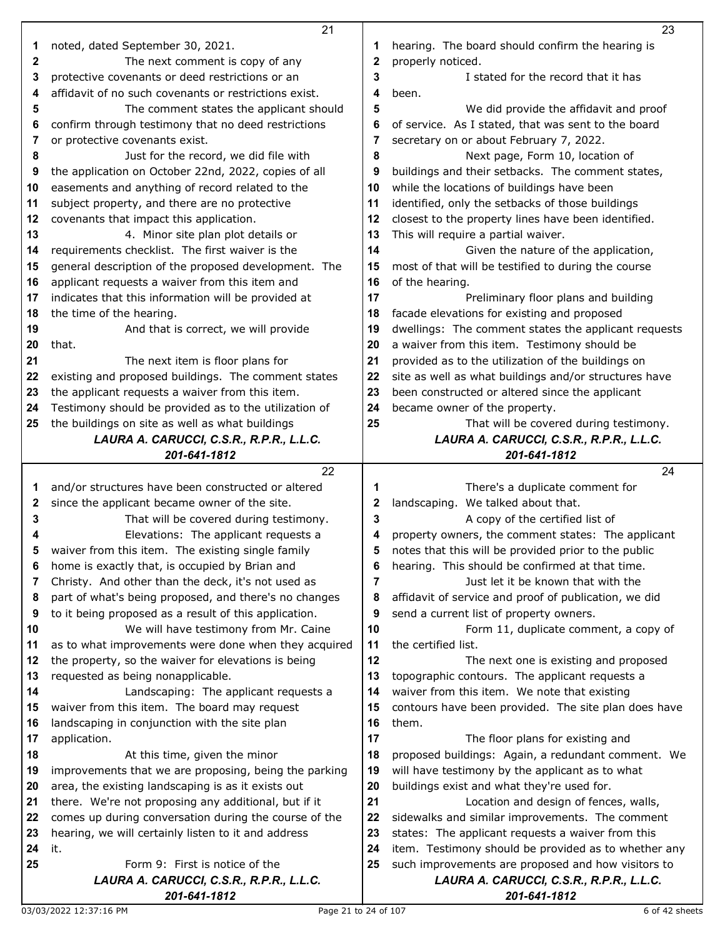|    | 21                                                                         |                | 23                                                                                             |
|----|----------------------------------------------------------------------------|----------------|------------------------------------------------------------------------------------------------|
| 1  | noted, dated September 30, 2021.                                           | 1              | hearing. The board should confirm the hearing is                                               |
| 2  | The next comment is copy of any                                            | $\mathbf{2}$   | properly noticed.                                                                              |
| 3  | protective covenants or deed restrictions or an                            | 3              | I stated for the record that it has                                                            |
|    | affidavit of no such covenants or restrictions exist.                      | 4              | been.                                                                                          |
| 4  |                                                                            |                |                                                                                                |
| 5  | The comment states the applicant should                                    | 5              | We did provide the affidavit and proof                                                         |
| 6  | confirm through testimony that no deed restrictions                        | 6              | of service. As I stated, that was sent to the board                                            |
| 7  | or protective covenants exist.                                             | 7              | secretary on or about February 7, 2022.                                                        |
| 8  | Just for the record, we did file with                                      | 8              | Next page, Form 10, location of                                                                |
| 9  | the application on October 22nd, 2022, copies of all                       | 9              | buildings and their setbacks. The comment states,                                              |
| 10 | easements and anything of record related to the                            | 10             | while the locations of buildings have been                                                     |
| 11 | subject property, and there are no protective                              | 11             | identified, only the setbacks of those buildings                                               |
| 12 | covenants that impact this application.                                    | 12             | closest to the property lines have been identified.                                            |
| 13 | 4. Minor site plan plot details or                                         | 13             | This will require a partial waiver.                                                            |
| 14 | requirements checklist. The first waiver is the                            | 14             | Given the nature of the application,                                                           |
| 15 | general description of the proposed development. The                       | 15             | most of that will be testified to during the course                                            |
|    | applicant requests a waiver from this item and                             | 16             | of the hearing.                                                                                |
| 16 |                                                                            |                |                                                                                                |
| 17 | indicates that this information will be provided at                        | 17             | Preliminary floor plans and building                                                           |
| 18 | the time of the hearing.                                                   | 18             | facade elevations for existing and proposed                                                    |
| 19 | And that is correct, we will provide                                       | 19             | dwellings: The comment states the applicant requests                                           |
| 20 | that.                                                                      | 20             | a waiver from this item. Testimony should be                                                   |
| 21 | The next item is floor plans for                                           | 21             | provided as to the utilization of the buildings on                                             |
| 22 | existing and proposed buildings. The comment states                        | 22             | site as well as what buildings and/or structures have                                          |
| 23 | the applicant requests a waiver from this item.                            | 23             | been constructed or altered since the applicant                                                |
| 24 | Testimony should be provided as to the utilization of                      | 24             | became owner of the property.                                                                  |
| 25 | the buildings on site as well as what buildings                            | 25             | That will be covered during testimony.                                                         |
|    | LAURA A. CARUCCI, C.S.R., R.P.R., L.L.C.                                   |                | LAURA A. CARUCCI, C.S.R., R.P.R., L.L.C.                                                       |
|    | 201-641-1812                                                               |                | 201-641-1812                                                                                   |
|    |                                                                            |                |                                                                                                |
|    | 22                                                                         |                | 24                                                                                             |
|    |                                                                            |                |                                                                                                |
| 1  | and/or structures have been constructed or altered                         | 1              | There's a duplicate comment for                                                                |
| 2  | since the applicant became owner of the site.                              | $\mathbf{2}$   | landscaping. We talked about that.                                                             |
| 3  | That will be covered during testimony.                                     | 3              | A copy of the certified list of                                                                |
|    | Elevations: The applicant requests a                                       | 4              | property owners, the comment states: The applicant                                             |
| 5  | waiver from this item. The existing single family                          | 5              | notes that this will be provided prior to the public                                           |
| 6  | home is exactly that, is occupied by Brian and                             | 6              | hearing. This should be confirmed at that time.                                                |
| 7  | Christy. And other than the deck, it's not used as                         | $\overline{7}$ | Just let it be known that with the                                                             |
| 8  | part of what's being proposed, and there's no changes                      | 8              | affidavit of service and proof of publication, we did                                          |
| 9  | to it being proposed as a result of this application.                      | 9              | send a current list of property owners.                                                        |
| 10 | We will have testimony from Mr. Caine                                      | 10             | Form 11, duplicate comment, a copy of                                                          |
| 11 | as to what improvements were done when they acquired                       | 11             | the certified list.                                                                            |
| 12 | the property, so the waiver for elevations is being                        | 12             | The next one is existing and proposed                                                          |
| 13 | requested as being nonapplicable.                                          | 13             | topographic contours. The applicant requests a                                                 |
| 14 | Landscaping: The applicant requests a                                      | 14             | waiver from this item. We note that existing                                                   |
| 15 | waiver from this item. The board may request                               | 15             | contours have been provided. The site plan does have                                           |
| 16 | landscaping in conjunction with the site plan                              | 16             | them.                                                                                          |
| 17 | application.                                                               | 17             | The floor plans for existing and                                                               |
| 18 | At this time, given the minor                                              | 18             | proposed buildings: Again, a redundant comment. We                                             |
| 19 | improvements that we are proposing, being the parking                      | 19             | will have testimony by the applicant as to what                                                |
| 20 | area, the existing landscaping is as it exists out                         | 20             | buildings exist and what they're used for.                                                     |
| 21 | there. We're not proposing any additional, but if it                       | 21             | Location and design of fences, walls,                                                          |
| 22 |                                                                            | 22             | sidewalks and similar improvements. The comment                                                |
| 23 | comes up during conversation during the course of the                      |                |                                                                                                |
|    | hearing, we will certainly listen to it and address                        | 23             | states: The applicant requests a waiver from this                                              |
| 24 | it.                                                                        | 24             | item. Testimony should be provided as to whether any                                           |
| 25 | Form 9: First is notice of the<br>LAURA A. CARUCCI, C.S.R., R.P.R., L.L.C. | 25             | such improvements are proposed and how visitors to<br>LAURA A. CARUCCI, C.S.R., R.P.R., L.L.C. |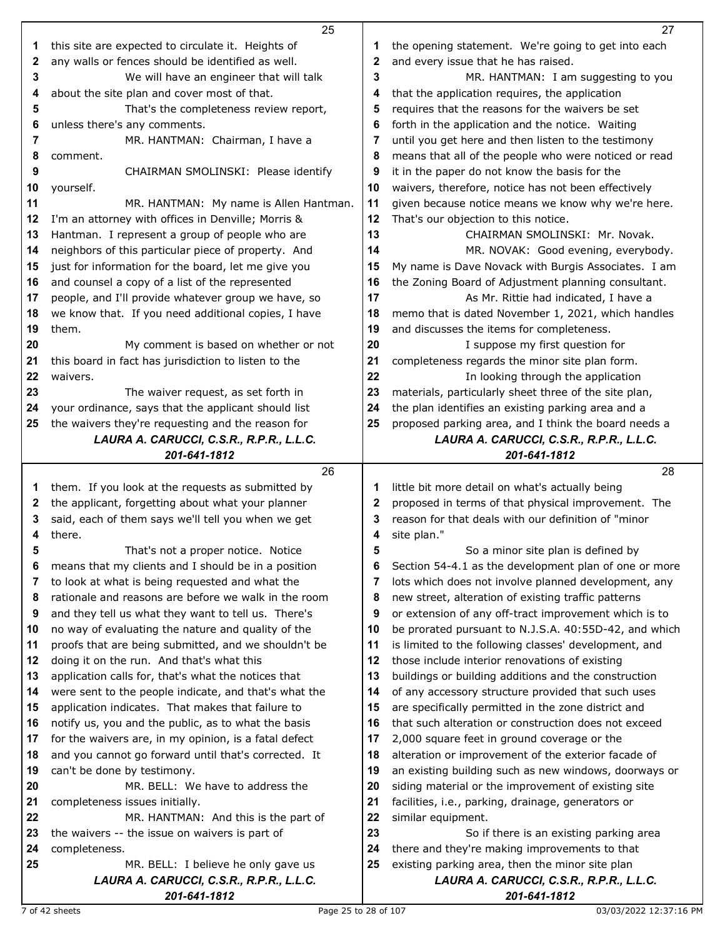|    | 25                                                       |             | 27                                                       |
|----|----------------------------------------------------------|-------------|----------------------------------------------------------|
| 1  | this site are expected to circulate it. Heights of       | 1           | the opening statement. We're going to get into each      |
| 2  | any walls or fences should be identified as well.        | 2           | and every issue that he has raised.                      |
| 3  | We will have an engineer that will talk                  | 3           | MR. HANTMAN: I am suggesting to you                      |
| 4  | about the site plan and cover most of that.              | 4           | that the application requires, the application           |
| 5  | That's the completeness review report,                   | 5           | requires that the reasons for the waivers be set         |
| 6  | unless there's any comments.                             | 6           | forth in the application and the notice. Waiting         |
| 7  | MR. HANTMAN: Chairman, I have a                          | 7           | until you get here and then listen to the testimony      |
| 8  | comment.                                                 | 8           | means that all of the people who were noticed or read    |
| 9  | CHAIRMAN SMOLINSKI: Please identify                      | 9           | it in the paper do not know the basis for the            |
| 10 | yourself.                                                | 10          | waivers, therefore, notice has not been effectively      |
| 11 | MR. HANTMAN: My name is Allen Hantman.                   | 11          | given because notice means we know why we're here.       |
| 12 | I'm an attorney with offices in Denville; Morris &       | 12          | That's our objection to this notice.                     |
| 13 | Hantman. I represent a group of people who are           | 13          | CHAIRMAN SMOLINSKI: Mr. Novak.                           |
| 14 | neighbors of this particular piece of property. And      | 14          | MR. NOVAK: Good evening, everybody.                      |
| 15 | just for information for the board, let me give you      | 15          | My name is Dave Novack with Burgis Associates. I am      |
| 16 |                                                          | 16          | the Zoning Board of Adjustment planning consultant.      |
|    | and counsel a copy of a list of the represented          | 17          |                                                          |
| 17 | people, and I'll provide whatever group we have, so      |             | As Mr. Rittie had indicated, I have a                    |
| 18 | we know that. If you need additional copies, I have      | 18          | memo that is dated November 1, 2021, which handles       |
| 19 | them.                                                    | 19          | and discusses the items for completeness.                |
| 20 | My comment is based on whether or not                    | 20          | I suppose my first question for                          |
| 21 | this board in fact has jurisdiction to listen to the     | 21          | completeness regards the minor site plan form.           |
| 22 | waivers.                                                 | 22          | In looking through the application                       |
| 23 | The waiver request, as set forth in                      | 23          | materials, particularly sheet three of the site plan,    |
| 24 | your ordinance, says that the applicant should list      | 24          | the plan identifies an existing parking area and a       |
| 25 | the waivers they're requesting and the reason for        | 25          | proposed parking area, and I think the board needs a     |
|    | LAURA A. CARUCCI, C.S.R., R.P.R., L.L.C.<br>201-641-1812 |             | LAURA A. CARUCCI, C.S.R., R.P.R., L.L.C.                 |
|    |                                                          |             | 201-641-1812                                             |
|    |                                                          |             |                                                          |
|    | 26                                                       |             | 28                                                       |
| 1  | them. If you look at the requests as submitted by        | 1           | little bit more detail on what's actually being          |
| 2  | the applicant, forgetting about what your planner        | $\mathbf 2$ | proposed in terms of that physical improvement. The      |
| 3  | said, each of them says we'll tell you when we get       | 3           | reason for that deals with our definition of "minor      |
| 4  | there.                                                   | 4           | site plan."                                              |
| 5  | That's not a proper notice. Notice                       | 5           | So a minor site plan is defined by                       |
| 6  | means that my clients and I should be in a position      | 6           | Section 54-4.1 as the development plan of one or more    |
| 7  | to look at what is being requested and what the          | 7           | lots which does not involve planned development, any     |
| 8  | rationale and reasons are before we walk in the room     | 8           | new street, alteration of existing traffic patterns      |
| 9  | and they tell us what they want to tell us. There's      | 9           | or extension of any off-tract improvement which is to    |
| 10 | no way of evaluating the nature and quality of the       | 10          | be prorated pursuant to N.J.S.A. 40:55D-42, and which    |
| 11 | proofs that are being submitted, and we shouldn't be     | 11          | is limited to the following classes' development, and    |
| 12 | doing it on the run. And that's what this                | 12          | those include interior renovations of existing           |
| 13 | application calls for, that's what the notices that      | 13          | buildings or building additions and the construction     |
| 14 | were sent to the people indicate, and that's what the    | 14          | of any accessory structure provided that such uses       |
| 15 | application indicates. That makes that failure to        | 15          | are specifically permitted in the zone district and      |
| 16 | notify us, you and the public, as to what the basis      | 16          | that such alteration or construction does not exceed     |
| 17 | for the waivers are, in my opinion, is a fatal defect    | 17          | 2,000 square feet in ground coverage or the              |
| 18 | and you cannot go forward until that's corrected. It     | 18          | alteration or improvement of the exterior facade of      |
| 19 | can't be done by testimony.                              | 19          | an existing building such as new windows, doorways or    |
| 20 | MR. BELL: We have to address the                         | 20          | siding material or the improvement of existing site      |
| 21 | completeness issues initially.                           | 21          | facilities, i.e., parking, drainage, generators or       |
| 22 | MR. HANTMAN: And this is the part of                     | 22          | similar equipment.                                       |
| 23 | the waivers -- the issue on waivers is part of           | 23          | So if there is an existing parking area                  |
| 24 | completeness.                                            | 24          | there and they're making improvements to that            |
| 25 | MR. BELL: I believe he only gave us                      | 25          | existing parking area, then the minor site plan          |
|    | LAURA A. CARUCCI, C.S.R., R.P.R., L.L.C.<br>201-641-1812 |             | LAURA A. CARUCCI, C.S.R., R.P.R., L.L.C.<br>201-641-1812 |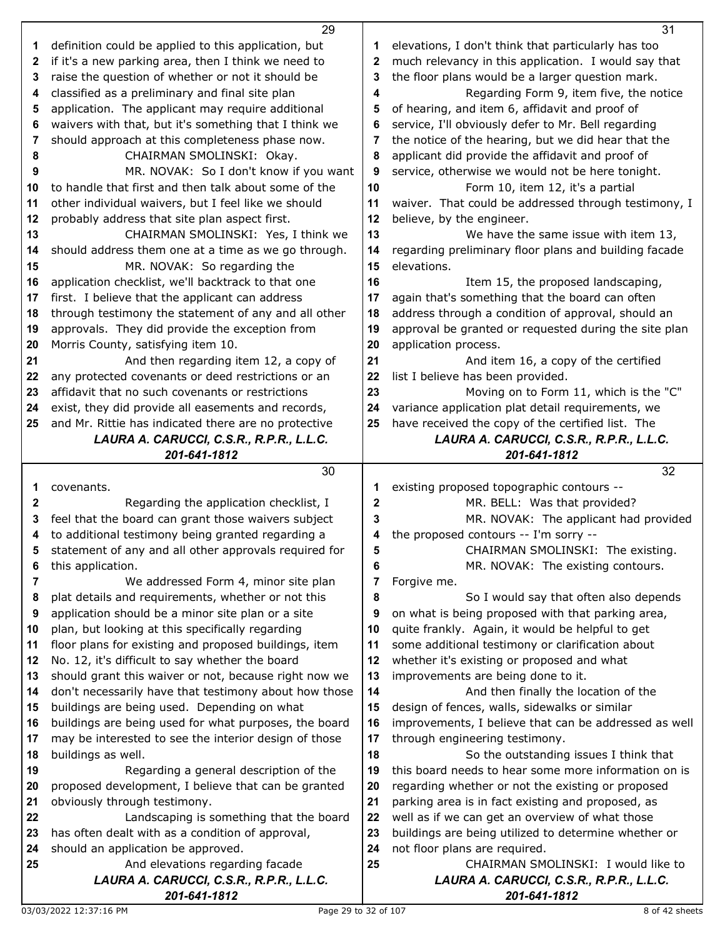|              | 29                                                                          |    | 31                                                                              |
|--------------|-----------------------------------------------------------------------------|----|---------------------------------------------------------------------------------|
| 1            | definition could be applied to this application, but                        | 1  | elevations, I don't think that particularly has too                             |
| $\mathbf{2}$ | if it's a new parking area, then I think we need to                         | 2  | much relevancy in this application. I would say that                            |
| 3            | raise the question of whether or not it should be                           | 3  | the floor plans would be a larger question mark.                                |
| 4            | classified as a preliminary and final site plan                             | 4  | Regarding Form 9, item five, the notice                                         |
| 5            | application. The applicant may require additional                           | 5  | of hearing, and item 6, affidavit and proof of                                  |
| 6            | waivers with that, but it's something that I think we                       | 6  | service, I'll obviously defer to Mr. Bell regarding                             |
| 7            | should approach at this completeness phase now.                             | 7  | the notice of the hearing, but we did hear that the                             |
| 8            | CHAIRMAN SMOLINSKI: Okay.                                                   | 8  | applicant did provide the affidavit and proof of                                |
| 9            | MR. NOVAK: So I don't know if you want                                      | 9  | service, otherwise we would not be here tonight.                                |
| 10           | to handle that first and then talk about some of the                        | 10 | Form 10, item 12, it's a partial                                                |
| 11           | other individual waivers, but I feel like we should                         | 11 | waiver. That could be addressed through testimony, I                            |
| 12           | probably address that site plan aspect first.                               | 12 | believe, by the engineer.                                                       |
| 13           | CHAIRMAN SMOLINSKI: Yes, I think we                                         | 13 | We have the same issue with item 13,                                            |
| 14           | should address them one at a time as we go through.                         | 14 | regarding preliminary floor plans and building facade                           |
| 15           | MR. NOVAK: So regarding the                                                 | 15 | elevations.                                                                     |
| 16           | application checklist, we'll backtrack to that one                          | 16 | Item 15, the proposed landscaping,                                              |
| 17           | first. I believe that the applicant can address                             | 17 | again that's something that the board can often                                 |
| 18           | through testimony the statement of any and all other                        | 18 | address through a condition of approval, should an                              |
| 19           | approvals. They did provide the exception from                              | 19 | approval be granted or requested during the site plan                           |
| 20           | Morris County, satisfying item 10.                                          | 20 | application process.                                                            |
| 21           | And then regarding item 12, a copy of                                       | 21 | And item 16, a copy of the certified                                            |
| 22           | any protected covenants or deed restrictions or an                          | 22 | list I believe has been provided.                                               |
| 23           | affidavit that no such covenants or restrictions                            | 23 | Moving on to Form 11, which is the "C"                                          |
| 24           | exist, they did provide all easements and records,                          | 24 | variance application plat detail requirements, we                               |
| 25           | and Mr. Rittie has indicated there are no protective                        | 25 | have received the copy of the certified list. The                               |
|              | LAURA A. CARUCCI, C.S.R., R.P.R., L.L.C.                                    |    | LAURA A. CARUCCI, C.S.R., R.P.R., L.L.C.                                        |
|              | 201-641-1812                                                                |    | 201-641-1812                                                                    |
|              |                                                                             |    |                                                                                 |
|              | 30                                                                          |    | 32                                                                              |
| 1            | covenants.                                                                  | 1  | existing proposed topographic contours --                                       |
| 2            | Regarding the application checklist, I                                      | 2  | MR. BELL: Was that provided?                                                    |
| 3            | feel that the board can grant those waivers subject                         | 3  | MR. NOVAK: The applicant had provided                                           |
| 4            | to additional testimony being granted regarding a                           | 4  | the proposed contours -- I'm sorry --                                           |
| 5            | statement of any and all other approvals required for                       | 5  | CHAIRMAN SMOLINSKI: The existing.                                               |
| 6            | this application.                                                           | 6  | MR. NOVAK: The existing contours.                                               |
| 7            | We addressed Form 4, minor site plan                                        | 7  | Forgive me.                                                                     |
| 8            | plat details and requirements, whether or not this                          | 8  | So I would say that often also depends                                          |
| 9            | application should be a minor site plan or a site                           | 9  | on what is being proposed with that parking area,                               |
| 10           | plan, but looking at this specifically regarding                            | 10 | quite frankly. Again, it would be helpful to get                                |
| 11           | floor plans for existing and proposed buildings, item                       | 11 | some additional testimony or clarification about                                |
| 12           | No. 12, it's difficult to say whether the board                             | 12 | whether it's existing or proposed and what                                      |
| 13           | should grant this waiver or not, because right now we                       | 13 | improvements are being done to it.                                              |
| 14           | don't necessarily have that testimony about how those                       | 14 | And then finally the location of the                                            |
| 15           | buildings are being used. Depending on what                                 | 15 | design of fences, walls, sidewalks or similar                                   |
| 16           | buildings are being used for what purposes, the board                       | 16 | improvements, I believe that can be addressed as well                           |
| 17           | may be interested to see the interior design of those                       | 17 | through engineering testimony.                                                  |
| 18           | buildings as well.                                                          | 18 | So the outstanding issues I think that                                          |
| 19           | Regarding a general description of the                                      | 19 | this board needs to hear some more information on is                            |
| 20           | proposed development, I believe that can be granted                         | 20 | regarding whether or not the existing or proposed                               |
| 21           | obviously through testimony.                                                | 21 | parking area is in fact existing and proposed, as                               |
| 22           | Landscaping is something that the board                                     | 22 | well as if we can get an overview of what those                                 |
| 23           | has often dealt with as a condition of approval,                            | 23 | buildings are being utilized to determine whether or                            |
| 24           | should an application be approved.                                          | 24 | not floor plans are required.                                                   |
| 25           | And elevations regarding facade<br>LAURA A. CARUCCI, C.S.R., R.P.R., L.L.C. | 25 | CHAIRMAN SMOLINSKI: I would like to<br>LAURA A. CARUCCI, C.S.R., R.P.R., L.L.C. |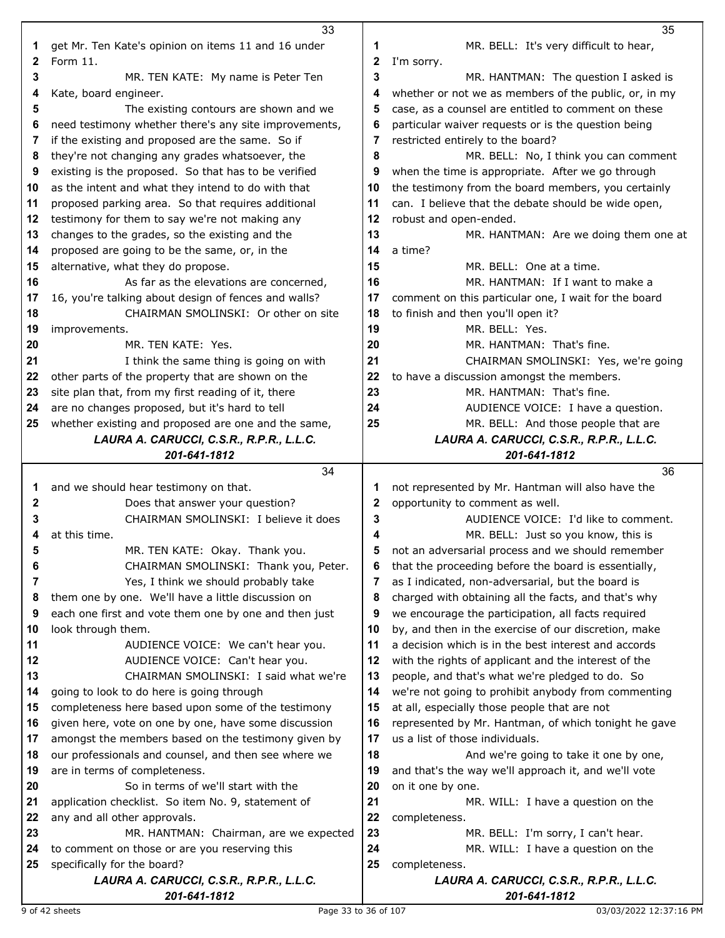|              | 33                                                                                    |              | 35                                                                                             |
|--------------|---------------------------------------------------------------------------------------|--------------|------------------------------------------------------------------------------------------------|
| 1            | get Mr. Ten Kate's opinion on items 11 and 16 under                                   | 1            | MR. BELL: It's very difficult to hear,                                                         |
| $\mathbf{2}$ | Form 11.                                                                              | 2            | I'm sorry.                                                                                     |
| 3            | MR. TEN KATE: My name is Peter Ten                                                    | 3            | MR. HANTMAN: The question I asked is                                                           |
| 4            | Kate, board engineer.                                                                 | 4            | whether or not we as members of the public, or, in my                                          |
| 5            | The existing contours are shown and we                                                | 5            | case, as a counsel are entitled to comment on these                                            |
| 6            | need testimony whether there's any site improvements,                                 | 6            | particular waiver requests or is the question being                                            |
| 7            | if the existing and proposed are the same. So if                                      | 7            | restricted entirely to the board?                                                              |
| 8            | they're not changing any grades whatsoever, the                                       | 8            | MR. BELL: No, I think you can comment                                                          |
| 9            | existing is the proposed. So that has to be verified                                  | 9            | when the time is appropriate. After we go through                                              |
| 10           | as the intent and what they intend to do with that                                    | 10           | the testimony from the board members, you certainly                                            |
| 11           | proposed parking area. So that requires additional                                    | 11           | can. I believe that the debate should be wide open,                                            |
| 12           | testimony for them to say we're not making any                                        | 12           | robust and open-ended.                                                                         |
| 13           | changes to the grades, so the existing and the                                        | 13           | MR. HANTMAN: Are we doing them one at                                                          |
| 14           | proposed are going to be the same, or, in the                                         | 14           | a time?                                                                                        |
| 15           | alternative, what they do propose.                                                    | 15           | MR. BELL: One at a time.                                                                       |
| 16           | As far as the elevations are concerned,                                               | 16           | MR. HANTMAN: If I want to make a                                                               |
| 17           | 16, you're talking about design of fences and walls?                                  | 17           | comment on this particular one, I wait for the board                                           |
| 18           | CHAIRMAN SMOLINSKI: Or other on site                                                  | 18           | to finish and then you'll open it?                                                             |
| 19           | improvements.                                                                         | 19           | MR. BELL: Yes.                                                                                 |
| 20           | MR. TEN KATE: Yes.                                                                    | 20           | MR. HANTMAN: That's fine.                                                                      |
| 21           | I think the same thing is going on with                                               | 21           | CHAIRMAN SMOLINSKI: Yes, we're going                                                           |
| 22           | other parts of the property that are shown on the                                     | 22           | to have a discussion amongst the members.                                                      |
| 23           | site plan that, from my first reading of it, there                                    | 23           | MR. HANTMAN: That's fine.                                                                      |
| 24           | are no changes proposed, but it's hard to tell                                        | 24           | AUDIENCE VOICE: I have a question.                                                             |
| 25           | whether existing and proposed are one and the same,                                   | 25           | MR. BELL: And those people that are                                                            |
|              | LAURA A. CARUCCI, C.S.R., R.P.R., L.L.C.                                              |              | LAURA A. CARUCCI, C.S.R., R.P.R., L.L.C.                                                       |
|              | 201-641-1812                                                                          |              | 201-641-1812                                                                                   |
|              |                                                                                       |              |                                                                                                |
|              |                                                                                       |              |                                                                                                |
|              | 34                                                                                    |              | 36                                                                                             |
| 1            | and we should hear testimony on that.                                                 | 1            | not represented by Mr. Hantman will also have the                                              |
| 2            | Does that answer your question?                                                       | $\mathbf{2}$ | opportunity to comment as well.                                                                |
| 3            | CHAIRMAN SMOLINSKI: I believe it does                                                 | 3            | AUDIENCE VOICE: I'd like to comment.                                                           |
| 4            | at this time.                                                                         | 4            | MR. BELL: Just so you know, this is                                                            |
| 5            | MR. TEN KATE: Okay. Thank you.                                                        | 5            | not an adversarial process and we should remember                                              |
| 6            | CHAIRMAN SMOLINSKI: Thank you, Peter.                                                 | 6            | that the proceeding before the board is essentially,                                           |
| 7            | Yes, I think we should probably take                                                  | 7            | as I indicated, non-adversarial, but the board is                                              |
| 8            | them one by one. We'll have a little discussion on                                    | 8            | charged with obtaining all the facts, and that's why                                           |
| 9            | each one first and vote them one by one and then just                                 | 9            | we encourage the participation, all facts required                                             |
| 10           | look through them.                                                                    | 10           | by, and then in the exercise of our discretion, make                                           |
| 11           | AUDIENCE VOICE: We can't hear you.                                                    | 11           | a decision which is in the best interest and accords                                           |
| 12<br>13     | AUDIENCE VOICE: Can't hear you.                                                       | 12<br>13     | with the rights of applicant and the interest of the                                           |
| 14           | CHAIRMAN SMOLINSKI: I said what we're                                                 | 14           | people, and that's what we're pledged to do. So                                                |
| 15           | going to look to do here is going through                                             | 15           | we're not going to prohibit anybody from commenting                                            |
| 16           | completeness here based upon some of the testimony                                    | 16           | at all, especially those people that are not                                                   |
| 17           | given here, vote on one by one, have some discussion                                  | 17           | represented by Mr. Hantman, of which tonight he gave<br>us a list of those individuals.        |
| 18           | amongst the members based on the testimony given by                                   | 18           |                                                                                                |
| 19           | our professionals and counsel, and then see where we<br>are in terms of completeness. | 19           | And we're going to take it one by one,<br>and that's the way we'll approach it, and we'll vote |
| 20           | So in terms of we'll start with the                                                   | 20           | on it one by one.                                                                              |
| 21           | application checklist. So item No. 9, statement of                                    | 21           | MR. WILL: I have a question on the                                                             |
| 22           | any and all other approvals.                                                          | 22           | completeness.                                                                                  |
| 23           | MR. HANTMAN: Chairman, are we expected                                                | 23           | MR. BELL: I'm sorry, I can't hear.                                                             |
| 24           | to comment on those or are you reserving this                                         | 24           | MR. WILL: I have a question on the                                                             |
| 25           | specifically for the board?                                                           | 25           | completeness.                                                                                  |
|              | LAURA A. CARUCCI, C.S.R., R.P.R., L.L.C.                                              |              | LAURA A. CARUCCI, C.S.R., R.P.R., L.L.C.                                                       |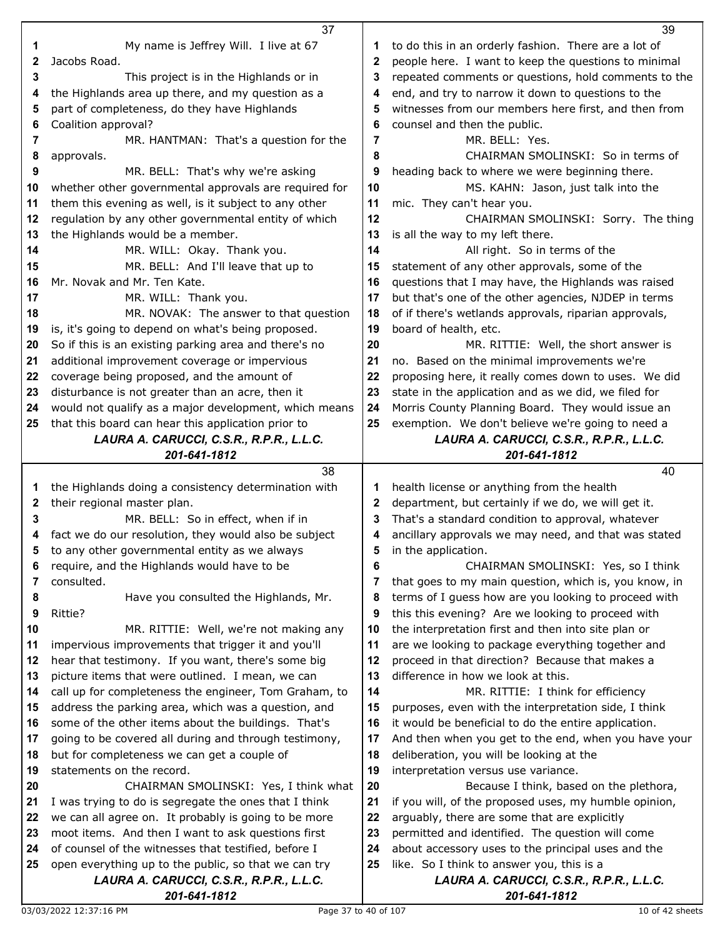|          | 37                                                                                               |              | 39                                                                                    |
|----------|--------------------------------------------------------------------------------------------------|--------------|---------------------------------------------------------------------------------------|
| 1        | My name is Jeffrey Will. I live at 67                                                            | 1            | to do this in an orderly fashion. There are a lot of                                  |
| 2        | Jacobs Road.                                                                                     | $\mathbf 2$  | people here. I want to keep the questions to minimal                                  |
| 3        | This project is in the Highlands or in                                                           | 3            | repeated comments or questions, hold comments to the                                  |
| 4        | the Highlands area up there, and my question as a                                                | 4            | end, and try to narrow it down to questions to the                                    |
| 5        | part of completeness, do they have Highlands                                                     | 5            | witnesses from our members here first, and then from                                  |
| 6        | Coalition approval?                                                                              | 6            | counsel and then the public.                                                          |
| 7        | MR. HANTMAN: That's a question for the                                                           | 7            | MR. BELL: Yes.                                                                        |
| 8        | approvals.                                                                                       | 8            | CHAIRMAN SMOLINSKI: So in terms of                                                    |
| 9        | MR. BELL: That's why we're asking                                                                | 9            | heading back to where we were beginning there.                                        |
| 10       | whether other governmental approvals are required for                                            | 10           | MS. KAHN: Jason, just talk into the                                                   |
| 11       | them this evening as well, is it subject to any other                                            | 11           | mic. They can't hear you.                                                             |
| 12       | regulation by any other governmental entity of which                                             | 12           | CHAIRMAN SMOLINSKI: Sorry. The thing                                                  |
| 13       | the Highlands would be a member.                                                                 | 13           | is all the way to my left there.                                                      |
| 14       | MR. WILL: Okay. Thank you.                                                                       | 14           | All right. So in terms of the                                                         |
| 15       | MR. BELL: And I'll leave that up to                                                              | 15           | statement of any other approvals, some of the                                         |
| 16       | Mr. Novak and Mr. Ten Kate.                                                                      | 16           | questions that I may have, the Highlands was raised                                   |
| 17       | MR. WILL: Thank you.                                                                             | 17           | but that's one of the other agencies, NJDEP in terms                                  |
| 18       | MR. NOVAK: The answer to that question                                                           | 18           | of if there's wetlands approvals, riparian approvals,                                 |
| 19       | is, it's going to depend on what's being proposed.                                               | 19           | board of health, etc.                                                                 |
| 20       | So if this is an existing parking area and there's no                                            | 20           | MR. RITTIE: Well, the short answer is                                                 |
| 21       | additional improvement coverage or impervious                                                    | 21           | no. Based on the minimal improvements we're                                           |
| 22       | coverage being proposed, and the amount of                                                       | 22           | proposing here, it really comes down to uses. We did                                  |
| 23       | disturbance is not greater than an acre, then it                                                 | 23           | state in the application and as we did, we filed for                                  |
| 24       | would not qualify as a major development, which means                                            | 24           | Morris County Planning Board. They would issue an                                     |
| 25       | that this board can hear this application prior to                                               | 25           | exemption. We don't believe we're going to need a                                     |
|          | LAURA A. CARUCCI, C.S.R., R.P.R., L.L.C.                                                         |              | LAURA A. CARUCCI, C.S.R., R.P.R., L.L.C.                                              |
|          | 201-641-1812                                                                                     |              | 201-641-1812                                                                          |
|          |                                                                                                  |              |                                                                                       |
|          | 38                                                                                               |              | 40                                                                                    |
| 1        | the Highlands doing a consistency determination with                                             | 1            | health license or anything from the health                                            |
| 2        | their regional master plan.                                                                      | $\mathbf{2}$ | department, but certainly if we do, we will get it.                                   |
| 3        | MR. BELL: So in effect, when if in                                                               | 3            | That's a standard condition to approval, whatever                                     |
| 4        | fact we do our resolution, they would also be subject                                            | 4            | ancillary approvals we may need, and that was stated                                  |
| 5        | to any other governmental entity as we always                                                    | 5            | in the application.                                                                   |
| 6        | require, and the Highlands would have to be                                                      | 6            | CHAIRMAN SMOLINSKI: Yes, so I think                                                   |
| 7        | consulted.                                                                                       | 7            | that goes to my main question, which is, you know, in                                 |
| 8        | Have you consulted the Highlands, Mr.                                                            | 8            | terms of I guess how are you looking to proceed with                                  |
| 9        | Rittie?                                                                                          | 9            | this this evening? Are we looking to proceed with                                     |
| 10       | MR. RITTIE: Well, we're not making any                                                           | 10           | the interpretation first and then into site plan or                                   |
| 11       | impervious improvements that trigger it and you'll                                               | 11           | are we looking to package everything together and                                     |
| 12       | hear that testimony. If you want, there's some big                                               | 12           | proceed in that direction? Because that makes a                                       |
| 13       | picture items that were outlined. I mean, we can                                                 | 13           | difference in how we look at this.                                                    |
| 14       | call up for completeness the engineer, Tom Graham, to                                            | 14           | MR. RITTIE: I think for efficiency                                                    |
| 15       | address the parking area, which was a question, and                                              | 15           | purposes, even with the interpretation side, I think                                  |
| 16       | some of the other items about the buildings. That's                                              | 16           | it would be beneficial to do the entire application.                                  |
| 17       | going to be covered all during and through testimony,                                            | 17           | And then when you get to the end, when you have your                                  |
| 18       | but for completeness we can get a couple of                                                      | 18           | deliberation, you will be looking at the                                              |
| 19       | statements on the record.                                                                        | 19           | interpretation versus use variance.                                                   |
| 20       | CHAIRMAN SMOLINSKI: Yes, I think what                                                            | 20           | Because I think, based on the plethora,                                               |
| 21       | I was trying to do is segregate the ones that I think                                            | 21           | if you will, of the proposed uses, my humble opinion,                                 |
| 22       | we can all agree on. It probably is going to be more                                             | 22           | arguably, there are some that are explicitly                                          |
| 23<br>24 | moot items. And then I want to ask questions first                                               | 23<br>24     | permitted and identified. The question will come                                      |
| 25       | of counsel of the witnesses that testified, before I                                             |              | about accessory uses to the principal uses and the                                    |
|          | open everything up to the public, so that we can try<br>LAURA A. CARUCCI, C.S.R., R.P.R., L.L.C. | 25           | like. So I think to answer you, this is a<br>LAURA A. CARUCCI, C.S.R., R.P.R., L.L.C. |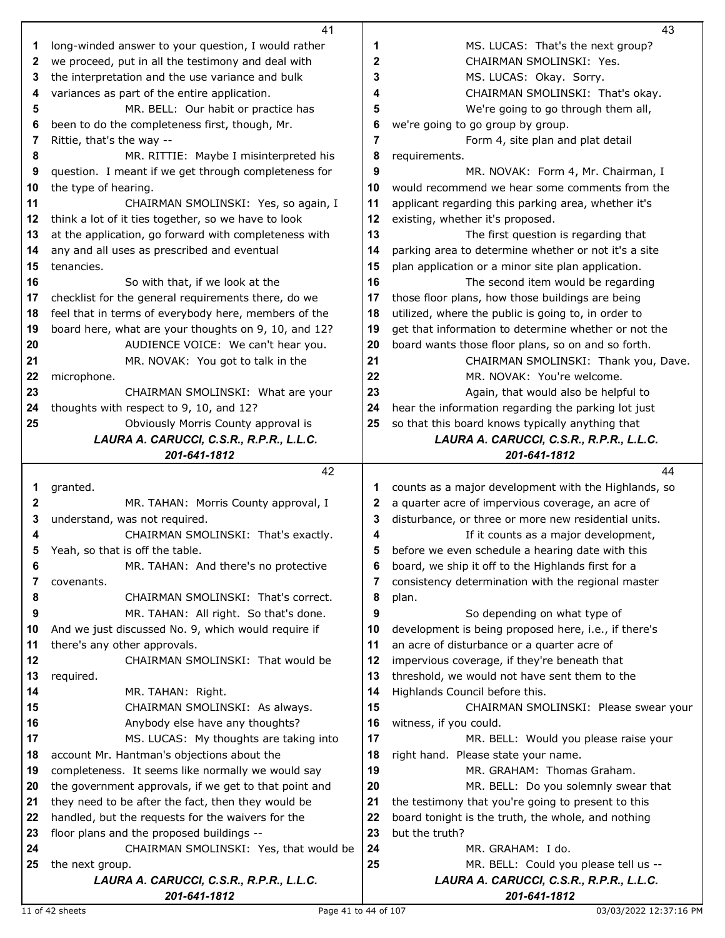|    | 41                                                          |    | 43                                                                                |
|----|-------------------------------------------------------------|----|-----------------------------------------------------------------------------------|
| 1  | long-winded answer to your question, I would rather         | 1  | MS. LUCAS: That's the next group?                                                 |
| 2  | we proceed, put in all the testimony and deal with          | 2  | CHAIRMAN SMOLINSKI: Yes.                                                          |
| 3  | the interpretation and the use variance and bulk            | 3  | MS. LUCAS: Okay. Sorry.                                                           |
| 4  | variances as part of the entire application.                | 4  | CHAIRMAN SMOLINSKI: That's okay.                                                  |
| 5  | MR. BELL: Our habit or practice has                         | 5  | We're going to go through them all,                                               |
| 6  | been to do the completeness first, though, Mr.              | 6  | we're going to go group by group.                                                 |
| 7  | Rittie, that's the way --                                   | 7  | Form 4, site plan and plat detail                                                 |
| 8  | MR. RITTIE: Maybe I misinterpreted his                      | 8  | requirements.                                                                     |
| 9  | question. I meant if we get through completeness for        | 9  | MR. NOVAK: Form 4, Mr. Chairman, I                                                |
| 10 | the type of hearing.                                        | 10 | would recommend we hear some comments from the                                    |
| 11 | CHAIRMAN SMOLINSKI: Yes, so again, I                        | 11 | applicant regarding this parking area, whether it's                               |
| 12 | think a lot of it ties together, so we have to look         | 12 | existing, whether it's proposed.                                                  |
| 13 | at the application, go forward with completeness with       | 13 | The first question is regarding that                                              |
| 14 | any and all uses as prescribed and eventual                 | 14 | parking area to determine whether or not it's a site                              |
| 15 | tenancies.                                                  | 15 | plan application or a minor site plan application.                                |
| 16 | So with that, if we look at the                             | 16 | The second item would be regarding                                                |
| 17 | checklist for the general requirements there, do we         | 17 | those floor plans, how those buildings are being                                  |
| 18 | feel that in terms of everybody here, members of the        | 18 | utilized, where the public is going to, in order to                               |
| 19 | board here, what are your thoughts on 9, 10, and 12?        | 19 | get that information to determine whether or not the                              |
| 20 | AUDIENCE VOICE: We can't hear you.                          | 20 | board wants those floor plans, so on and so forth.                                |
| 21 | MR. NOVAK: You got to talk in the                           | 21 | CHAIRMAN SMOLINSKI: Thank you, Dave.                                              |
| 22 | microphone.                                                 | 22 | MR. NOVAK: You're welcome.                                                        |
| 23 | CHAIRMAN SMOLINSKI: What are your                           | 23 | Again, that would also be helpful to                                              |
| 24 | thoughts with respect to 9, 10, and 12?                     | 24 | hear the information regarding the parking lot just                               |
| 25 | Obviously Morris County approval is                         | 25 | so that this board knows typically anything that                                  |
|    | LAURA A. CARUCCI, C.S.R., R.P.R., L.L.C.                    |    | LAURA A. CARUCCI, C.S.R., R.P.R., L.L.C.                                          |
|    | 201-641-1812                                                |    | 201-641-1812                                                                      |
|    |                                                             |    |                                                                                   |
|    | 42                                                          |    | 44                                                                                |
| 1  | granted.                                                    | 1  | counts as a major development with the Highlands, so                              |
| 2  | MR. TAHAN: Morris County approval, I                        | 2  | a quarter acre of impervious coverage, an acre of                                 |
| 3  | understand, was not required.                               | 3  | disturbance, or three or more new residential units.                              |
|    | CHAIRMAN SMOLINSKI: That's exactly.                         | 4  | If it counts as a major development,                                              |
|    | Yeah, so that is off the table.                             | 5  | before we even schedule a hearing date with this                                  |
| 6  | MR. TAHAN: And there's no protective                        | 6  | board, we ship it off to the Highlands first for a                                |
| 7  | covenants.                                                  | 7  | consistency determination with the regional master                                |
| 8  | CHAIRMAN SMOLINSKI: That's correct.                         | 8  | plan.                                                                             |
| 9  | MR. TAHAN: All right. So that's done.                       | 9  | So depending on what type of                                                      |
| 10 | And we just discussed No. 9, which would require if         | 10 | development is being proposed here, i.e., if there's                              |
| 11 | there's any other approvals.                                | 11 | an acre of disturbance or a quarter acre of                                       |
| 12 | CHAIRMAN SMOLINSKI: That would be                           | 12 | impervious coverage, if they're beneath that                                      |
| 13 | required.                                                   | 13 | threshold, we would not have sent them to the                                     |
| 14 | MR. TAHAN: Right.                                           | 14 | Highlands Council before this.                                                    |
| 15 | CHAIRMAN SMOLINSKI: As always.                              | 15 | CHAIRMAN SMOLINSKI: Please swear your                                             |
| 16 | Anybody else have any thoughts?                             | 16 | witness, if you could.                                                            |
| 17 | MS. LUCAS: My thoughts are taking into                      | 17 | MR. BELL: Would you please raise your                                             |
| 18 | account Mr. Hantman's objections about the                  | 18 | right hand. Please state your name.                                               |
| 19 | completeness. It seems like normally we would say           | 19 | MR. GRAHAM: Thomas Graham.                                                        |
| 20 | the government approvals, if we get to that point and       | 20 | MR. BELL: Do you solemnly swear that                                              |
| 21 | they need to be after the fact, then they would be          | 21 | the testimony that you're going to present to this                                |
| 22 | handled, but the requests for the waivers for the           | 22 | board tonight is the truth, the whole, and nothing                                |
| 23 | floor plans and the proposed buildings --                   | 23 | but the truth?                                                                    |
| 24 | CHAIRMAN SMOLINSKI: Yes, that would be                      | 24 | MR. GRAHAM: I do.                                                                 |
| 25 | the next group.<br>LAURA A. CARUCCI, C.S.R., R.P.R., L.L.C. | 25 | MR. BELL: Could you please tell us --<br>LAURA A. CARUCCI, C.S.R., R.P.R., L.L.C. |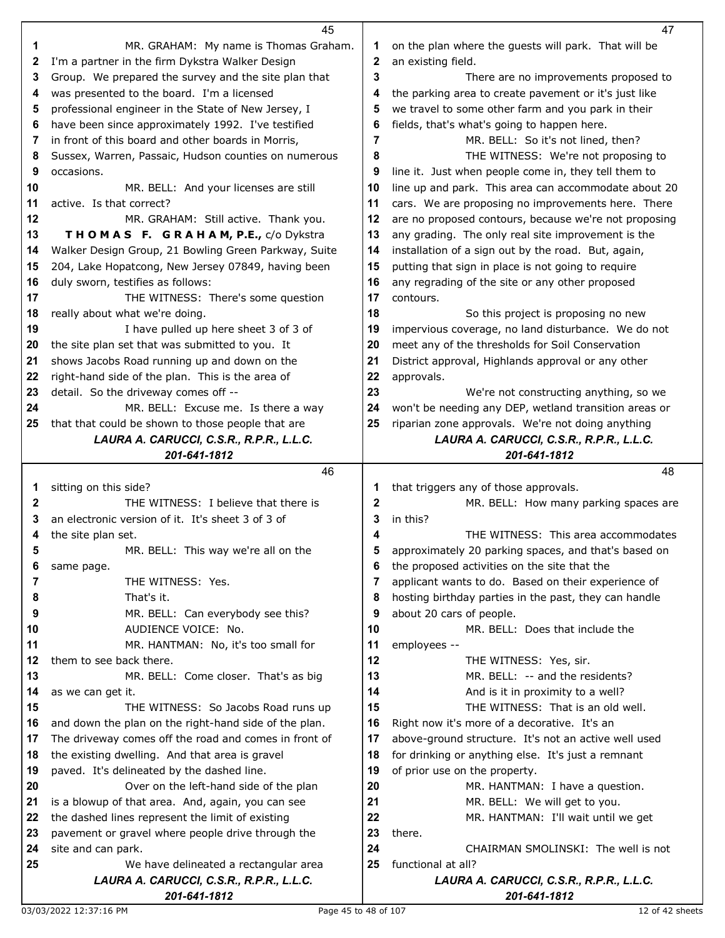|              | 45                                                                                |    | 47                                                             |
|--------------|-----------------------------------------------------------------------------------|----|----------------------------------------------------------------|
| 1            | MR. GRAHAM: My name is Thomas Graham.                                             | 1  | on the plan where the guests will park. That will be           |
| $\mathbf{2}$ | I'm a partner in the firm Dykstra Walker Design                                   | 2  | an existing field.                                             |
| 3            | Group. We prepared the survey and the site plan that                              | 3  | There are no improvements proposed to                          |
| 4            | was presented to the board. I'm a licensed                                        | 4  | the parking area to create pavement or it's just like          |
| 5            | professional engineer in the State of New Jersey, I                               | 5  | we travel to some other farm and you park in their             |
| 6            | have been since approximately 1992. I've testified                                | 6  | fields, that's what's going to happen here.                    |
| 7            | in front of this board and other boards in Morris,                                | 7  | MR. BELL: So it's not lined, then?                             |
| 8            | Sussex, Warren, Passaic, Hudson counties on numerous                              | 8  | THE WITNESS: We're not proposing to                            |
| 9            | occasions.                                                                        | 9  | line it. Just when people come in, they tell them to           |
| 10           | MR. BELL: And your licenses are still                                             | 10 | line up and park. This area can accommodate about 20           |
| 11           | active. Is that correct?                                                          | 11 | cars. We are proposing no improvements here. There             |
| 12           | MR. GRAHAM: Still active. Thank you.                                              | 12 | are no proposed contours, because we're not proposing          |
| 13           | THOMAS F. GRAHAM, P.E., c/o Dykstra                                               | 13 | any grading. The only real site improvement is the             |
| 14           |                                                                                   | 14 |                                                                |
| 15           | Walker Design Group, 21 Bowling Green Parkway, Suite                              | 15 | installation of a sign out by the road. But, again,            |
|              | 204, Lake Hopatcong, New Jersey 07849, having been                                | 16 | putting that sign in place is not going to require             |
| 16           | duly sworn, testifies as follows:                                                 | 17 | any regrading of the site or any other proposed<br>contours.   |
| 17           | THE WITNESS: There's some question                                                |    |                                                                |
| 18           | really about what we're doing.                                                    | 18 | So this project is proposing no new                            |
| 19           | I have pulled up here sheet 3 of 3 of                                             | 19 | impervious coverage, no land disturbance. We do not            |
| 20           | the site plan set that was submitted to you. It                                   | 20 | meet any of the thresholds for Soil Conservation               |
| 21           | shows Jacobs Road running up and down on the                                      | 21 | District approval, Highlands approval or any other             |
| 22           | right-hand side of the plan. This is the area of                                  | 22 | approvals.                                                     |
| 23           | detail. So the driveway comes off --                                              | 23 | We're not constructing anything, so we                         |
| 24           | MR. BELL: Excuse me. Is there a way                                               | 24 | won't be needing any DEP, wetland transition areas or          |
| 25           | that that could be shown to those people that are                                 | 25 | riparian zone approvals. We're not doing anything              |
|              | LAURA A. CARUCCI, C.S.R., R.P.R., L.L.C.                                          |    | LAURA A. CARUCCI, C.S.R., R.P.R., L.L.C.                       |
|              | 201-641-1812                                                                      |    | 201-641-1812                                                   |
|              |                                                                                   |    |                                                                |
|              | 46                                                                                |    | 48                                                             |
| 1            | sitting on this side?                                                             | 1  | that triggers any of those approvals.                          |
| $\mathbf{2}$ | THE WITNESS: I believe that there is                                              | 2  | MR. BELL: How many parking spaces are                          |
| 3            | an electronic version of it. It's sheet 3 of 3 of                                 | 3  | in this?                                                       |
| 4            | the site plan set.                                                                | 4  | THE WITNESS: This area accommodates                            |
| 5            | MR. BELL: This way we're all on the                                               |    | approximately 20 parking spaces, and that's based on           |
| 6            | same page.                                                                        | 6  | the proposed activities on the site that the                   |
| 7            | THE WITNESS: Yes.                                                                 | 7  | applicant wants to do. Based on their experience of            |
| 8            | That's it.                                                                        | 8  | hosting birthday parties in the past, they can handle          |
| 9            | MR. BELL: Can everybody see this?                                                 | 9  | about 20 cars of people.                                       |
| 10           | AUDIENCE VOICE: No.                                                               | 10 | MR. BELL: Does that include the                                |
| 11           | MR. HANTMAN: No, it's too small for                                               | 11 | employees --                                                   |
| 12           | them to see back there.                                                           | 12 | THE WITNESS: Yes, sir.                                         |
| 13           | MR. BELL: Come closer. That's as big                                              | 13 | MR. BELL: -- and the residents?                                |
| 14           | as we can get it.                                                                 | 14 | And is it in proximity to a well?                              |
| 15           | THE WITNESS: So Jacobs Road runs up                                               | 15 | THE WITNESS: That is an old well.                              |
| 16           | and down the plan on the right-hand side of the plan.                             | 16 | Right now it's more of a decorative. It's an                   |
| 17           | The driveway comes off the road and comes in front of                             | 17 | above-ground structure. It's not an active well used           |
| 18           | the existing dwelling. And that area is gravel                                    | 18 | for drinking or anything else. It's just a remnant             |
| 19           | paved. It's delineated by the dashed line.                                        | 19 | of prior use on the property.                                  |
| 20           | Over on the left-hand side of the plan                                            | 20 | MR. HANTMAN: I have a question.                                |
| 21           | is a blowup of that area. And, again, you can see                                 | 21 | MR. BELL: We will get to you.                                  |
| 22           | the dashed lines represent the limit of existing                                  | 22 | MR. HANTMAN: I'll wait until we get                            |
| 23           | pavement or gravel where people drive through the                                 | 23 | there.                                                         |
| 24           | site and can park.                                                                | 24 | CHAIRMAN SMOLINSKI: The well is not                            |
| 25           | We have delineated a rectangular area<br>LAURA A. CARUCCI, C.S.R., R.P.R., L.L.C. | 25 | functional at all?<br>LAURA A. CARUCCI, C.S.R., R.P.R., L.L.C. |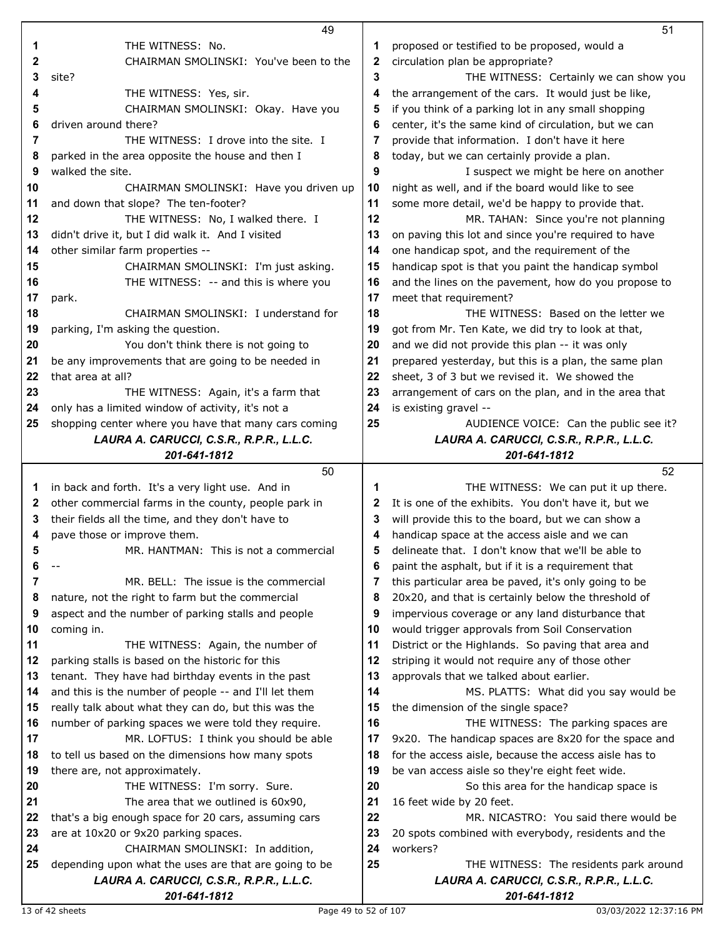|    | 49                                                       |          | 51                                                                                          |
|----|----------------------------------------------------------|----------|---------------------------------------------------------------------------------------------|
| 1  | THE WITNESS: No.                                         | 1        | proposed or testified to be proposed, would a                                               |
| 2  | CHAIRMAN SMOLINSKI: You've been to the                   | 2        | circulation plan be appropriate?                                                            |
| 3  | site?                                                    | 3        | THE WITNESS: Certainly we can show you                                                      |
| 4  | THE WITNESS: Yes, sir.                                   | 4        | the arrangement of the cars. It would just be like,                                         |
| 5  | CHAIRMAN SMOLINSKI: Okay. Have you                       | 5        | if you think of a parking lot in any small shopping                                         |
| 6  | driven around there?                                     | 6        | center, it's the same kind of circulation, but we can                                       |
| 7  | THE WITNESS: I drove into the site. I                    | 7        | provide that information. I don't have it here                                              |
| 8  | parked in the area opposite the house and then I         | 8        | today, but we can certainly provide a plan.                                                 |
| 9  | walked the site.                                         | 9        | I suspect we might be here on another                                                       |
| 10 | CHAIRMAN SMOLINSKI: Have you driven up                   | 10       | night as well, and if the board would like to see                                           |
|    | and down that slope? The ten-footer?                     |          |                                                                                             |
| 11 |                                                          | 11       | some more detail, we'd be happy to provide that.                                            |
| 12 | THE WITNESS: No, I walked there. I                       | 12       | MR. TAHAN: Since you're not planning                                                        |
| 13 | didn't drive it, but I did walk it. And I visited        | 13       | on paving this lot and since you're required to have                                        |
| 14 | other similar farm properties --                         | 14       | one handicap spot, and the requirement of the                                               |
| 15 | CHAIRMAN SMOLINSKI: I'm just asking.                     | 15       | handicap spot is that you paint the handicap symbol                                         |
| 16 | THE WITNESS: -- and this is where you                    | 16       | and the lines on the pavement, how do you propose to                                        |
| 17 | park.                                                    | 17       | meet that requirement?                                                                      |
| 18 | CHAIRMAN SMOLINSKI: I understand for                     | 18       | THE WITNESS: Based on the letter we                                                         |
| 19 | parking, I'm asking the question.                        | 19       | got from Mr. Ten Kate, we did try to look at that,                                          |
| 20 | You don't think there is not going to                    | 20       | and we did not provide this plan -- it was only                                             |
| 21 | be any improvements that are going to be needed in       | 21       | prepared yesterday, but this is a plan, the same plan                                       |
| 22 | that area at all?                                        | 22       | sheet, 3 of 3 but we revised it. We showed the                                              |
| 23 | THE WITNESS: Again, it's a farm that                     | 23       | arrangement of cars on the plan, and in the area that                                       |
| 24 | only has a limited window of activity, it's not a        | 24       | is existing gravel --                                                                       |
| 25 | shopping center where you have that many cars coming     | 25       | AUDIENCE VOICE: Can the public see it?                                                      |
|    | LAURA A. CARUCCI, C.S.R., R.P.R., L.L.C.                 |          | LAURA A. CARUCCI, C.S.R., R.P.R., L.L.C.                                                    |
|    | 201-641-1812                                             |          | 201-641-1812                                                                                |
|    |                                                          |          |                                                                                             |
|    | 50                                                       |          | 52                                                                                          |
| 1  | in back and forth. It's a very light use. And in         | 1        | THE WITNESS: We can put it up there.                                                        |
| 2  | other commercial farms in the county, people park in     | 2        | It is one of the exhibits. You don't have it, but we                                        |
| 3  | their fields all the time, and they don't have to        | 3        | will provide this to the board, but we can show a                                           |
| 4  | pave those or improve them.                              | 4        | handicap space at the access aisle and we can                                               |
| 5  | MR. HANTMAN: This is not a commercial                    | 5        | delineate that. I don't know that we'll be able to                                          |
| 6  | $-$                                                      | 6        | paint the asphalt, but if it is a requirement that                                          |
| 7  | MR. BELL: The issue is the commercial                    | 7        | this particular area be paved, it's only going to be                                        |
| 8  | nature, not the right to farm but the commercial         | 8        | 20x20, and that is certainly below the threshold of                                         |
| 9  | aspect and the number of parking stalls and people       | 9        | impervious coverage or any land disturbance that                                            |
| 10 | coming in.                                               | 10       | would trigger approvals from Soil Conservation                                              |
| 11 |                                                          | 11       | District or the Highlands. So paving that area and                                          |
| 12 | THE WITNESS: Again, the number of                        | 12       |                                                                                             |
| 13 | parking stalls is based on the historic for this         | 13       | striping it would not require any of those other<br>approvals that we talked about earlier. |
| 14 | tenant. They have had birthday events in the past        | 14       |                                                                                             |
| 15 | and this is the number of people -- and I'll let them    |          | MS. PLATTS: What did you say would be                                                       |
| 16 | really talk about what they can do, but this was the     | 15<br>16 | the dimension of the single space?                                                          |
|    | number of parking spaces we were told they require.      |          | THE WITNESS: The parking spaces are                                                         |
| 17 | MR. LOFTUS: I think you should be able                   | 17       | 9x20. The handicap spaces are 8x20 for the space and                                        |
| 18 | to tell us based on the dimensions how many spots        | 18       | for the access aisle, because the access aisle has to                                       |
| 19 | there are, not approximately.                            | 19       | be van access aisle so they're eight feet wide.                                             |
| 20 | THE WITNESS: I'm sorry. Sure.                            | 20       | So this area for the handicap space is                                                      |
| 21 | The area that we outlined is 60x90,                      | 21       | 16 feet wide by 20 feet.                                                                    |
| 22 | that's a big enough space for 20 cars, assuming cars     | 22       | MR. NICASTRO: You said there would be                                                       |
| 23 | are at 10x20 or 9x20 parking spaces.                     | 23       | 20 spots combined with everybody, residents and the                                         |
| 24 | CHAIRMAN SMOLINSKI: In addition,                         | 24       | workers?                                                                                    |
| 25 | depending upon what the uses are that are going to be    | 25       | THE WITNESS: The residents park around                                                      |
|    | LAURA A. CARUCCI, C.S.R., R.P.R., L.L.C.<br>201-641-1812 |          | LAURA A. CARUCCI, C.S.R., R.P.R., L.L.C.<br>201-641-1812                                    |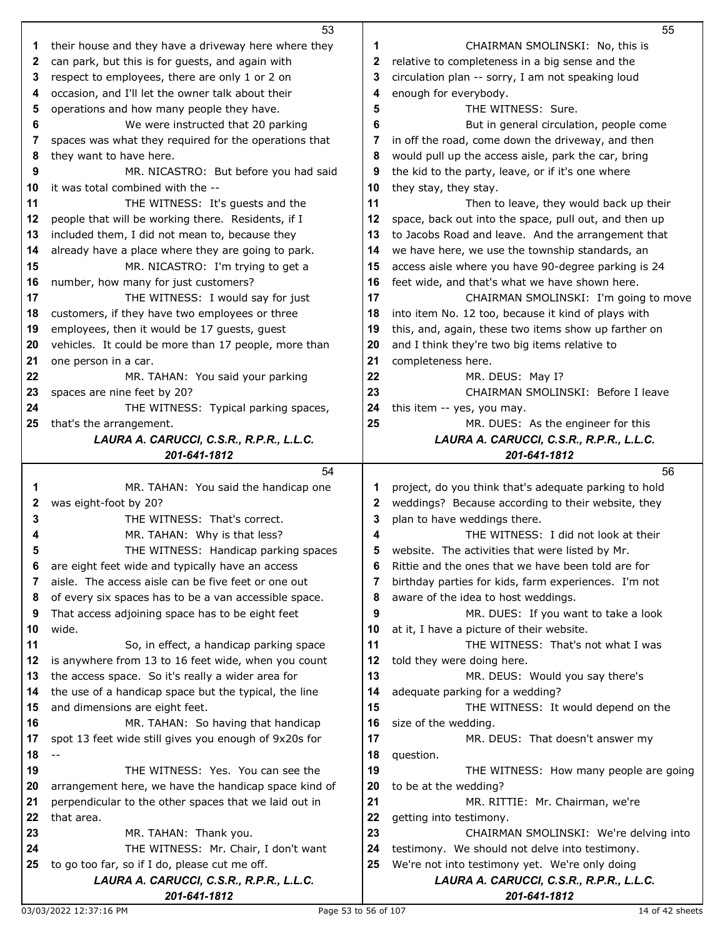|          | 53                                                                  |          | 55                                                                |
|----------|---------------------------------------------------------------------|----------|-------------------------------------------------------------------|
| 1        | their house and they have a driveway here where they                | 1        | CHAIRMAN SMOLINSKI: No, this is                                   |
| 2        | can park, but this is for guests, and again with                    | 2        | relative to completeness in a big sense and the                   |
| 3        | respect to employees, there are only 1 or 2 on                      | 3        | circulation plan -- sorry, I am not speaking loud                 |
| 4        | occasion, and I'll let the owner talk about their                   | 4        | enough for everybody.                                             |
| 5        | operations and how many people they have.                           | 5        | THE WITNESS: Sure.                                                |
| 6        | We were instructed that 20 parking                                  | 6        | But in general circulation, people come                           |
| 7        | spaces was what they required for the operations that               | 7        | in off the road, come down the driveway, and then                 |
| 8        | they want to have here.                                             | 8        | would pull up the access aisle, park the car, bring               |
| 9        | MR. NICASTRO: But before you had said                               | 9        | the kid to the party, leave, or if it's one where                 |
| 10       | it was total combined with the --                                   | 10       | they stay, they stay.                                             |
| 11       | THE WITNESS: It's guests and the                                    | 11       | Then to leave, they would back up their                           |
| 12       | people that will be working there. Residents, if I                  | 12       | space, back out into the space, pull out, and then up             |
| 13       | included them, I did not mean to, because they                      | 13       | to Jacobs Road and leave. And the arrangement that                |
| 14       | already have a place where they are going to park.                  | 14       | we have here, we use the township standards, an                   |
| 15       | MR. NICASTRO: I'm trying to get a                                   | 15       | access aisle where you have 90-degree parking is 24               |
| 16       | number, how many for just customers?                                | 16       | feet wide, and that's what we have shown here.                    |
| 17       | THE WITNESS: I would say for just                                   | 17       | CHAIRMAN SMOLINSKI: I'm going to move                             |
| 18       | customers, if they have two employees or three                      | 18       | into item No. 12 too, because it kind of plays with               |
| 19       | employees, then it would be 17 guests, guest                        | 19       | this, and, again, these two items show up farther on              |
| 20       | vehicles. It could be more than 17 people, more than                | 20       | and I think they're two big items relative to                     |
| 21       | one person in a car.                                                | 21       | completeness here.                                                |
| 22       | MR. TAHAN: You said your parking                                    | 22       | MR. DEUS: May I?                                                  |
| 23       | spaces are nine feet by 20?                                         | 23       | CHAIRMAN SMOLINSKI: Before I leave                                |
| 24       | THE WITNESS: Typical parking spaces,                                | 24       | this item -- yes, you may.                                        |
| 25       | that's the arrangement.                                             | 25       | MR. DUES: As the engineer for this                                |
|          | LAURA A. CARUCCI, C.S.R., R.P.R., L.L.C.                            |          | LAURA A. CARUCCI, C.S.R., R.P.R., L.L.C.                          |
|          | 201-641-1812                                                        |          | 201-641-1812                                                      |
|          |                                                                     |          |                                                                   |
|          | 54                                                                  |          | 56                                                                |
| 1        | MR. TAHAN: You said the handicap one                                | 1        | project, do you think that's adequate parking to hold             |
| 2        | was eight-foot by 20?                                               | 2        | weddings? Because according to their website, they                |
| 3        | THE WITNESS: That's correct.                                        | 3        | plan to have weddings there.                                      |
| 4        | MR. TAHAN: Why is that less?                                        | 4        | THE WITNESS: I did not look at their                              |
| 5        | THE WITNESS: Handicap parking spaces                                | 5        | website. The activities that were listed by Mr.                   |
| 6        | are eight feet wide and typically have an access                    | 6        | Rittie and the ones that we have been told are for                |
| 7        | aisle. The access aisle can be five feet or one out                 | 7        | birthday parties for kids, farm experiences. I'm not              |
| 8        | of every six spaces has to be a van accessible space.               | 8        | aware of the idea to host weddings.                               |
| 9        | That access adjoining space has to be eight feet                    | 9        | MR. DUES: If you want to take a look                              |
| 10       | wide.                                                               | 10       | at it, I have a picture of their website.                         |
| 11       | So, in effect, a handicap parking space                             | 11       | THE WITNESS: That's not what I was                                |
| 12       | is anywhere from 13 to 16 feet wide, when you count                 | 12       | told they were doing here.                                        |
| 13       | the access space. So it's really a wider area for                   | 13       | MR. DEUS: Would you say there's                                   |
| 14       | the use of a handicap space but the typical, the line               | 14       | adequate parking for a wedding?                                   |
| 15       | and dimensions are eight feet.                                      | 15       | THE WITNESS: It would depend on the                               |
| 16       | MR. TAHAN: So having that handicap                                  | 16       | size of the wedding.                                              |
| 17       | spot 13 feet wide still gives you enough of 9x20s for               | 17       | MR. DEUS: That doesn't answer my                                  |
| 18       |                                                                     | 18       | question.                                                         |
| 19       | THE WITNESS: Yes. You can see the                                   | 19       | THE WITNESS: How many people are going                            |
| 20<br>21 | arrangement here, we have the handicap space kind of                | 20<br>21 | to be at the wedding?                                             |
| 22       | perpendicular to the other spaces that we laid out in<br>that area. | 22       | MR. RITTIE: Mr. Chairman, we're                                   |
| 23       | MR. TAHAN: Thank you.                                               | 23       | getting into testimony.<br>CHAIRMAN SMOLINSKI: We're delving into |
| 24       | THE WITNESS: Mr. Chair, I don't want                                | 24       | testimony. We should not delve into testimony.                    |
| 25       | to go too far, so if I do, please cut me off.                       | 25       | We're not into testimony yet. We're only doing                    |
|          | LAURA A. CARUCCI, C.S.R., R.P.R., L.L.C.                            |          | LAURA A. CARUCCI, C.S.R., R.P.R., L.L.C.                          |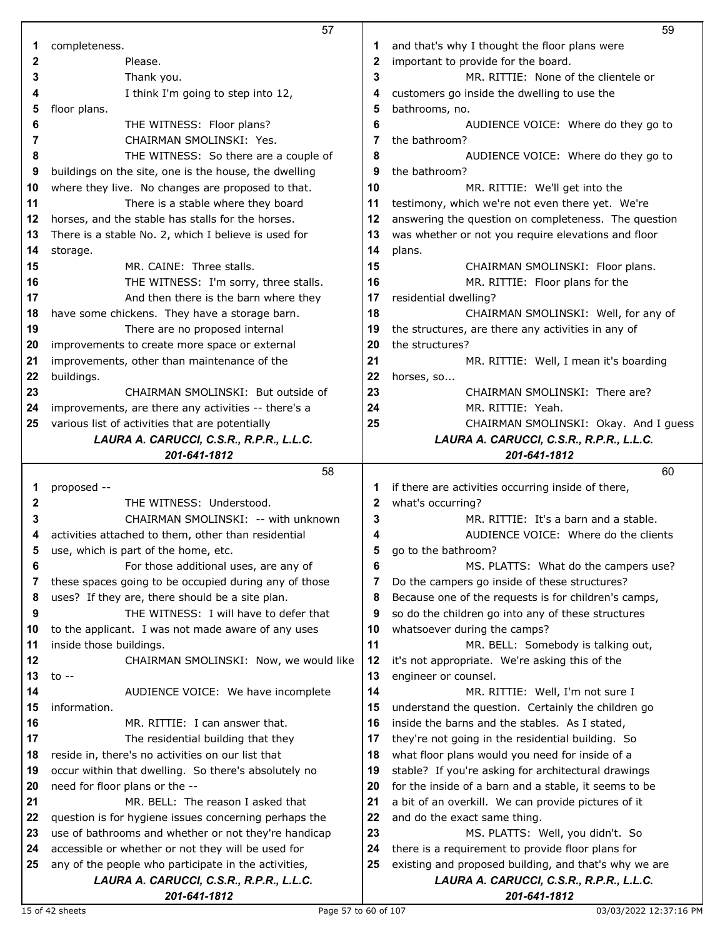|          | 57                                                       |    | 59                                                       |
|----------|----------------------------------------------------------|----|----------------------------------------------------------|
| 1        | completeness.                                            | 1  | and that's why I thought the floor plans were            |
| 2        | Please.                                                  | 2  | important to provide for the board.                      |
| 3        | Thank you.                                               | 3  | MR. RITTIE: None of the clientele or                     |
| 4        | I think I'm going to step into 12,                       | 4  | customers go inside the dwelling to use the              |
| 5        | floor plans.                                             | 5  | bathrooms, no.                                           |
| 6        | THE WITNESS: Floor plans?                                | 6  | AUDIENCE VOICE: Where do they go to                      |
| 7        | CHAIRMAN SMOLINSKI: Yes.                                 | 7  | the bathroom?                                            |
| 8        | THE WITNESS: So there are a couple of                    | 8  | AUDIENCE VOICE: Where do they go to                      |
| 9        | buildings on the site, one is the house, the dwelling    | 9  | the bathroom?                                            |
| 10       | where they live. No changes are proposed to that.        | 10 | MR. RITTIE: We'll get into the                           |
| 11       | There is a stable where they board                       | 11 | testimony, which we're not even there yet. We're         |
| 12       | horses, and the stable has stalls for the horses.        | 12 | answering the question on completeness. The question     |
| 13       | There is a stable No. 2, which I believe is used for     | 13 | was whether or not you require elevations and floor      |
| 14       | storage.                                                 | 14 | plans.                                                   |
| 15       | MR. CAINE: Three stalls.                                 | 15 | CHAIRMAN SMOLINSKI: Floor plans.                         |
| 16       | THE WITNESS: I'm sorry, three stalls.                    | 16 | MR. RITTIE: Floor plans for the                          |
| 17       | And then there is the barn where they                    | 17 | residential dwelling?                                    |
| 18       | have some chickens. They have a storage barn.            | 18 | CHAIRMAN SMOLINSKI: Well, for any of                     |
| 19       | There are no proposed internal                           | 19 | the structures, are there any activities in any of       |
| 20       | improvements to create more space or external            | 20 | the structures?                                          |
| 21       | improvements, other than maintenance of the              | 21 | MR. RITTIE: Well, I mean it's boarding                   |
| 22       | buildings.                                               | 22 | horses, so                                               |
| 23       | CHAIRMAN SMOLINSKI: But outside of                       | 23 | CHAIRMAN SMOLINSKI: There are?                           |
| 24       | improvements, are there any activities -- there's a      | 24 | MR. RITTIE: Yeah.                                        |
| 25       | various list of activities that are potentially          | 25 | CHAIRMAN SMOLINSKI: Okay. And I guess                    |
|          | LAURA A. CARUCCI, C.S.R., R.P.R., L.L.C.                 |    | LAURA A. CARUCCI, C.S.R., R.P.R., L.L.C.                 |
|          | 201-641-1812                                             |    | 201-641-1812                                             |
|          | 58                                                       |    | 60                                                       |
| 1        | proposed --                                              | 1  | if there are activities occurring inside of there,       |
| 2        | THE WITNESS: Understood.                                 | 2  | what's occurring?                                        |
| 3        | CHAIRMAN SMOLINSKI: -- with unknown                      | 3  | MR. RITTIE: It's a barn and a stable.                    |
| 4        | activities attached to them, other than residential      | 4  | AUDIENCE VOICE: Where do the clients                     |
|          | use, which is part of the home, etc.                     | 5  | go to the bathroom?                                      |
| 5        |                                                          |    |                                                          |
| 6        | For those additional uses, are any of                    | 6  | MS. PLATTS: What do the campers use?                     |
| 7        | these spaces going to be occupied during any of those    | 7  | Do the campers go inside of these structures?            |
| 8        | uses? If they are, there should be a site plan.          | 8  | Because one of the requests is for children's camps,     |
| 9        | THE WITNESS: I will have to defer that                   | 9  | so do the children go into any of these structures       |
| 10       | to the applicant. I was not made aware of any uses       | 10 | whatsoever during the camps?                             |
| 11       | inside those buildings.                                  | 11 | MR. BELL: Somebody is talking out,                       |
| 12       | CHAIRMAN SMOLINSKI: Now, we would like                   | 12 | it's not appropriate. We're asking this of the           |
| 13       | to $-$                                                   | 13 | engineer or counsel.                                     |
| 14       | AUDIENCE VOICE: We have incomplete                       | 14 | MR. RITTIE: Well, I'm not sure I                         |
| 15       | information.                                             | 15 | understand the question. Certainly the children go       |
| 16       | MR. RITTIE: I can answer that.                           | 16 | inside the barns and the stables. As I stated,           |
| 17       | The residential building that they                       | 17 | they're not going in the residential building. So        |
| 18       | reside in, there's no activities on our list that        | 18 | what floor plans would you need for inside of a          |
| 19       | occur within that dwelling. So there's absolutely no     | 19 | stable? If you're asking for architectural drawings      |
| 20       | need for floor plans or the --                           | 20 | for the inside of a barn and a stable, it seems to be    |
|          | MR. BELL: The reason I asked that                        | 21 | a bit of an overkill. We can provide pictures of it      |
| 21<br>22 | question is for hygiene issues concerning perhaps the    | 22 | and do the exact same thing.                             |
| 23       | use of bathrooms and whether or not they're handicap     | 23 | MS. PLATTS: Well, you didn't. So                         |
|          | accessible or whether or not they will be used for       | 24 | there is a requirement to provide floor plans for        |
| 24<br>25 | any of the people who participate in the activities,     | 25 | existing and proposed building, and that's why we are    |
|          | LAURA A. CARUCCI, C.S.R., R.P.R., L.L.C.<br>201-641-1812 |    | LAURA A. CARUCCI, C.S.R., R.P.R., L.L.C.<br>201-641-1812 |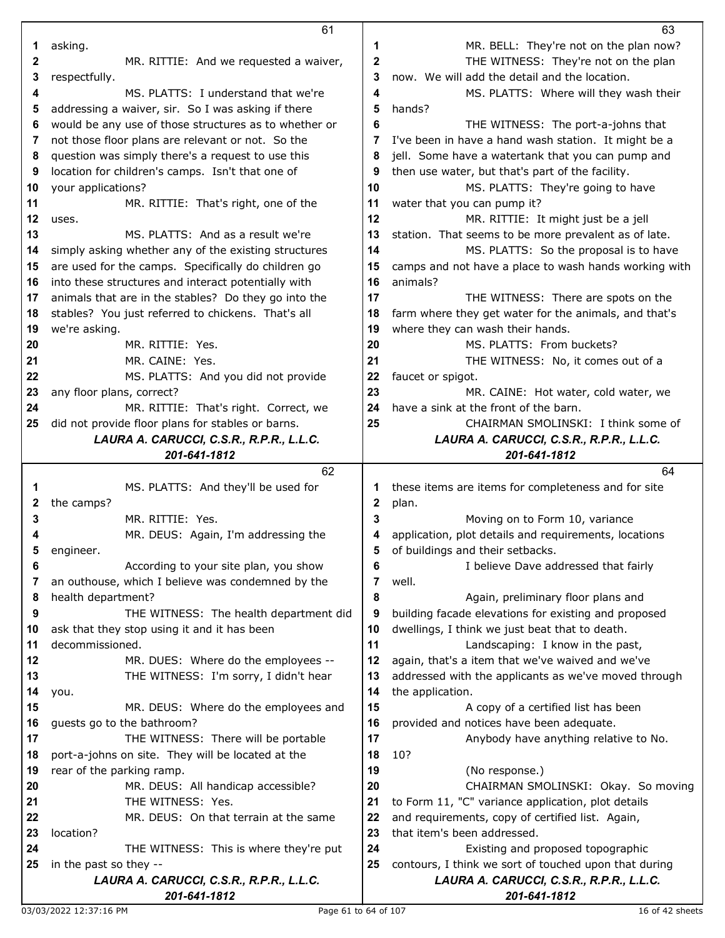|         | 61                                                    |    | 63                                                    |
|---------|-------------------------------------------------------|----|-------------------------------------------------------|
| 1       | asking.                                               | 1  | MR. BELL: They're not on the plan now?                |
| 2       | MR. RITTIE: And we requested a waiver,                | 2  | THE WITNESS: They're not on the plan                  |
| 3       | respectfully.                                         | 3  | now. We will add the detail and the location.         |
| 4       | MS. PLATTS: I understand that we're                   | 4  | MS. PLATTS: Where will they wash their                |
| 5       | addressing a waiver, sir. So I was asking if there    | 5  | hands?                                                |
| 6       | would be any use of those structures as to whether or | 6  | THE WITNESS: The port-a-johns that                    |
| 7       | not those floor plans are relevant or not. So the     | 7  | I've been in have a hand wash station. It might be a  |
| 8       | question was simply there's a request to use this     | 8  | jell. Some have a watertank that you can pump and     |
| 9       | location for children's camps. Isn't that one of      | 9  | then use water, but that's part of the facility.      |
| 10      | your applications?                                    | 10 | MS. PLATTS: They're going to have                     |
| 11      | MR. RITTIE: That's right, one of the                  | 11 | water that you can pump it?                           |
| $12 \,$ | uses.                                                 | 12 | MR. RITTIE: It might just be a jell                   |
| 13      | MS. PLATTS: And as a result we're                     |    |                                                       |
|         |                                                       | 13 | station. That seems to be more prevalent as of late.  |
| 14      | simply asking whether any of the existing structures  | 14 | MS. PLATTS: So the proposal is to have                |
| 15      | are used for the camps. Specifically do children go   | 15 | camps and not have a place to wash hands working with |
| 16      | into these structures and interact potentially with   | 16 | animals?                                              |
| 17      | animals that are in the stables? Do they go into the  | 17 | THE WITNESS: There are spots on the                   |
| 18      | stables? You just referred to chickens. That's all    | 18 | farm where they get water for the animals, and that's |
| 19      | we're asking.                                         | 19 | where they can wash their hands.                      |
| 20      | MR. RITTIE: Yes.                                      | 20 | MS. PLATTS: From buckets?                             |
| 21      | MR. CAINE: Yes.                                       | 21 | THE WITNESS: No, it comes out of a                    |
| 22      | MS. PLATTS: And you did not provide                   | 22 | faucet or spigot.                                     |
| 23      | any floor plans, correct?                             | 23 | MR. CAINE: Hot water, cold water, we                  |
| 24      | MR. RITTIE: That's right. Correct, we                 | 24 | have a sink at the front of the barn.                 |
| 25      | did not provide floor plans for stables or barns.     | 25 | CHAIRMAN SMOLINSKI: I think some of                   |
|         | LAURA A. CARUCCI, C.S.R., R.P.R., L.L.C.              |    | LAURA A. CARUCCI, C.S.R., R.P.R., L.L.C.              |
|         | 201-641-1812                                          |    | 201-641-1812                                          |
|         |                                                       |    |                                                       |
|         | 62                                                    |    | 64                                                    |
| 1       | MS. PLATTS: And they'll be used for                   | 1  | these items are items for completeness and for site   |
| 2       | the camps?                                            | 2  | plan.                                                 |
| 3       | MR. RITTIE: Yes.                                      | 3  | Moving on to Form 10, variance                        |
|         | MR. DEUS: Again, I'm addressing the                   | 4  | application, plot details and requirements, locations |
| 5       | engineer.                                             | 5  | of buildings and their setbacks.                      |
| 6       | According to your site plan, you show                 | 6  | I believe Dave addressed that fairly                  |
| 7       | an outhouse, which I believe was condemned by the     | 7  | well.                                                 |
| 8       | health department?                                    | 8  | Again, preliminary floor plans and                    |
| 9       | THE WITNESS: The health department did                | 9  | building facade elevations for existing and proposed  |
| 10      | ask that they stop using it and it has been           | 10 | dwellings, I think we just beat that to death.        |
| 11      | decommissioned.                                       | 11 | Landscaping: I know in the past,                      |
| 12      | MR. DUES: Where do the employees --                   | 12 | again, that's a item that we've waived and we've      |
| 13      | THE WITNESS: I'm sorry, I didn't hear                 | 13 | addressed with the applicants as we've moved through  |
| 14      | you.                                                  | 14 | the application.                                      |
| 15      | MR. DEUS: Where do the employees and                  | 15 | A copy of a certified list has been                   |
| 16      | guests go to the bathroom?                            | 16 | provided and notices have been adequate.              |
| 17      | THE WITNESS: There will be portable                   | 17 | Anybody have anything relative to No.                 |
| 18      | port-a-johns on site. They will be located at the     | 18 | 10?                                                   |
| 19      | rear of the parking ramp.                             | 19 | (No response.)                                        |
| 20      | MR. DEUS: All handicap accessible?                    | 20 | CHAIRMAN SMOLINSKI: Okay. So moving                   |
| 21      | THE WITNESS: Yes.                                     | 21 | to Form 11, "C" variance application, plot details    |
| 22      | MR. DEUS: On that terrain at the same                 | 22 | and requirements, copy of certified list. Again,      |
| 23      | location?                                             | 23 | that item's been addressed.                           |
| 24      | THE WITNESS: This is where they're put                | 24 | Existing and proposed topographic                     |
| 25      | in the past so they --                                | 25 | contours, I think we sort of touched upon that during |
|         | LAURA A. CARUCCI, C.S.R., R.P.R., L.L.C.              |    | LAURA A. CARUCCI, C.S.R., R.P.R., L.L.C.              |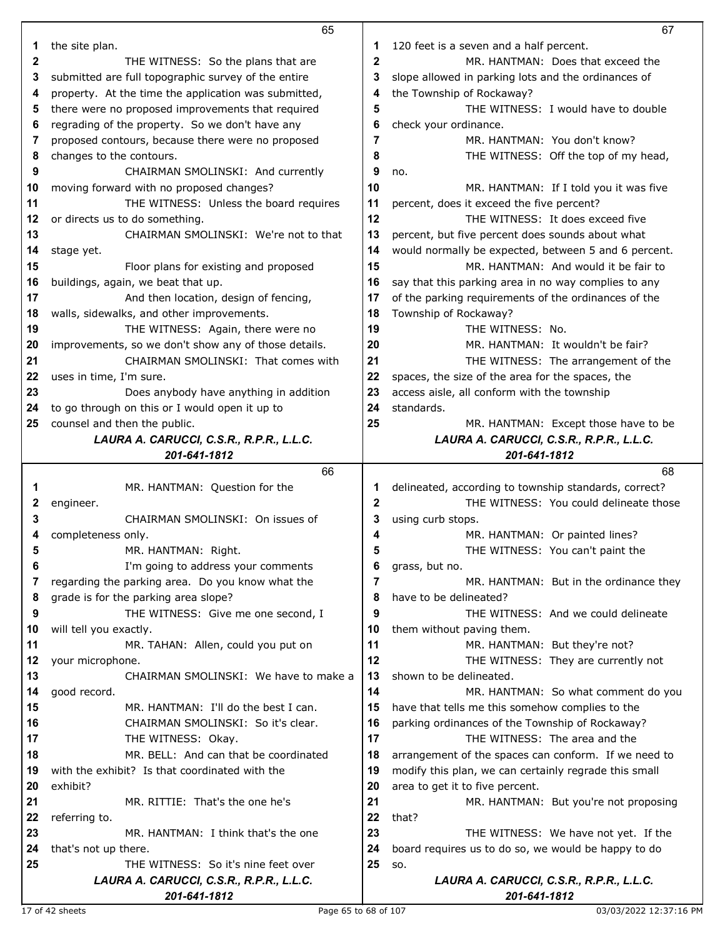|    | 65                                                                              |              | 67                                                    |
|----|---------------------------------------------------------------------------------|--------------|-------------------------------------------------------|
| 1  | the site plan.                                                                  | 1            | 120 feet is a seven and a half percent.               |
| 2  | THE WITNESS: So the plans that are                                              | $\mathbf 2$  | MR. HANTMAN: Does that exceed the                     |
| 3  | submitted are full topographic survey of the entire                             | 3            | slope allowed in parking lots and the ordinances of   |
| 4  | property. At the time the application was submitted,                            | 4            | the Township of Rockaway?                             |
| 5  | there were no proposed improvements that required                               | 5            | THE WITNESS: I would have to double                   |
| 6  | regrading of the property. So we don't have any                                 | 6            | check your ordinance.                                 |
| 7  | proposed contours, because there were no proposed                               | 7            | MR. HANTMAN: You don't know?                          |
| 8  | changes to the contours.                                                        | 8            | THE WITNESS: Off the top of my head,                  |
| 9  | CHAIRMAN SMOLINSKI: And currently                                               | 9            | no.                                                   |
| 10 | moving forward with no proposed changes?                                        | 10           | MR. HANTMAN: If I told you it was five                |
| 11 | THE WITNESS: Unless the board requires                                          | 11           | percent, does it exceed the five percent?             |
| 12 | or directs us to do something.                                                  | 12           | THE WITNESS: It does exceed five                      |
| 13 | CHAIRMAN SMOLINSKI: We're not to that                                           | 13           | percent, but five percent does sounds about what      |
| 14 | stage yet.                                                                      | 14           | would normally be expected, between 5 and 6 percent.  |
| 15 | Floor plans for existing and proposed                                           | 15           | MR. HANTMAN: And would it be fair to                  |
| 16 | buildings, again, we beat that up.                                              | 16           | say that this parking area in no way complies to any  |
| 17 | And then location, design of fencing,                                           | 17           | of the parking requirements of the ordinances of the  |
| 18 | walls, sidewalks, and other improvements.                                       | 18           | Township of Rockaway?                                 |
| 19 | THE WITNESS: Again, there were no                                               | 19           | THE WITNESS: No.                                      |
| 20 | improvements, so we don't show any of those details.                            | 20           | MR. HANTMAN: It wouldn't be fair?                     |
| 21 | CHAIRMAN SMOLINSKI: That comes with                                             | 21           | THE WITNESS: The arrangement of the                   |
| 22 | uses in time, I'm sure.                                                         | 22           | spaces, the size of the area for the spaces, the      |
| 23 | Does anybody have anything in addition                                          | 23           | access aisle, all conform with the township           |
| 24 | to go through on this or I would open it up to                                  | 24           | standards.                                            |
| 25 | counsel and then the public.                                                    | 25           | MR. HANTMAN: Except those have to be                  |
|    | LAURA A. CARUCCI, C.S.R., R.P.R., L.L.C.                                        |              | LAURA A. CARUCCI, C.S.R., R.P.R., L.L.C.              |
|    | 201-641-1812                                                                    |              | 201-641-1812                                          |
|    |                                                                                 |              |                                                       |
|    | 66                                                                              |              | 68                                                    |
| 1  | MR. HANTMAN: Question for the                                                   | 1            | delineated, according to township standards, correct? |
| 2  | engineer.                                                                       | $\mathbf{2}$ | THE WITNESS: You could delineate those                |
| 3  | CHAIRMAN SMOLINSKI: On issues of                                                | 3            | using curb stops.                                     |
| 4  | completeness only.                                                              | 4            | MR. HANTMAN: Or painted lines?                        |
| 5  | MR. HANTMAN: Right.                                                             |              | THE WITNESS: You can't paint the                      |
| 6  | I'm going to address your comments                                              | 6            | grass, but no.                                        |
| 7  | regarding the parking area. Do you know what the                                | 7            | MR. HANTMAN: But in the ordinance they                |
| 8  | grade is for the parking area slope?                                            | 8            | have to be delineated?                                |
| 9  | THE WITNESS: Give me one second, I                                              | 9            | THE WITNESS: And we could delineate                   |
| 10 | will tell you exactly.                                                          | 10           | them without paving them.                             |
| 11 | MR. TAHAN: Allen, could you put on                                              | 11           | MR. HANTMAN: But they're not?                         |
| 12 | your microphone.                                                                | 12           | THE WITNESS: They are currently not                   |
| 13 | CHAIRMAN SMOLINSKI: We have to make a                                           | 13           | shown to be delineated.                               |
| 14 | good record.                                                                    | 14           | MR. HANTMAN: So what comment do you                   |
| 15 | MR. HANTMAN: I'll do the best I can.                                            | 15           | have that tells me this somehow complies to the       |
| 16 | CHAIRMAN SMOLINSKI: So it's clear.                                              | 16           | parking ordinances of the Township of Rockaway?       |
| 17 | THE WITNESS: Okay.                                                              | 17           | THE WITNESS: The area and the                         |
| 18 | MR. BELL: And can that be coordinated                                           | 18           | arrangement of the spaces can conform. If we need to  |
| 19 | with the exhibit? Is that coordinated with the                                  | 19           | modify this plan, we can certainly regrade this small |
| 20 | exhibit?                                                                        | 20           | area to get it to five percent.                       |
| 21 | MR. RITTIE: That's the one he's                                                 | 21           | MR. HANTMAN: But you're not proposing                 |
| 22 | referring to.                                                                   | 22           | that?                                                 |
| 23 | MR. HANTMAN: I think that's the one                                             | 23           | THE WITNESS: We have not yet. If the                  |
| 24 | that's not up there.                                                            | 24           | board requires us to do so, we would be happy to do   |
| 25 | THE WITNESS: So it's nine feet over<br>LAURA A. CARUCCI, C.S.R., R.P.R., L.L.C. | 25           | SO.<br>LAURA A. CARUCCI, C.S.R., R.P.R., L.L.C.       |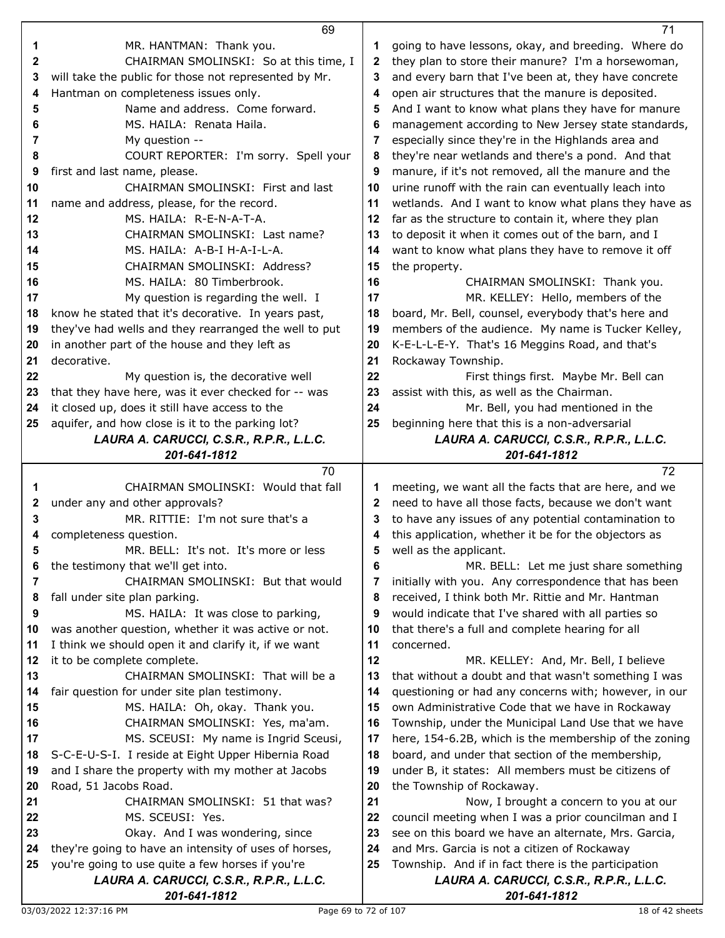|    | 69                                                    |    | 71                                                    |
|----|-------------------------------------------------------|----|-------------------------------------------------------|
| 1  | MR. HANTMAN: Thank you.                               | 1  | going to have lessons, okay, and breeding. Where do   |
| 2  | CHAIRMAN SMOLINSKI: So at this time, I                | 2  | they plan to store their manure? I'm a horsewoman,    |
| 3  | will take the public for those not represented by Mr. | 3  | and every barn that I've been at, they have concrete  |
| 4  | Hantman on completeness issues only.                  | 4  | open air structures that the manure is deposited.     |
| 5  | Name and address. Come forward.                       | 5  | And I want to know what plans they have for manure    |
| 6  | MS. HAILA: Renata Haila.                              | 6  | management according to New Jersey state standards,   |
| 7  | My question --                                        | 7  | especially since they're in the Highlands area and    |
| 8  | COURT REPORTER: I'm sorry. Spell your                 | 8  | they're near wetlands and there's a pond. And that    |
| 9  | first and last name, please.                          | 9  | manure, if it's not removed, all the manure and the   |
| 10 | CHAIRMAN SMOLINSKI: First and last                    | 10 | urine runoff with the rain can eventually leach into  |
| 11 | name and address, please, for the record.             | 11 | wetlands. And I want to know what plans they have as  |
| 12 | MS. HAILA: R-E-N-A-T-A.                               | 12 | far as the structure to contain it, where they plan   |
| 13 | CHAIRMAN SMOLINSKI: Last name?                        | 13 | to deposit it when it comes out of the barn, and I    |
| 14 | MS. HAILA: A-B-I H-A-I-L-A.                           |    |                                                       |
|    |                                                       | 14 | want to know what plans they have to remove it off    |
| 15 | CHAIRMAN SMOLINSKI: Address?                          | 15 | the property.                                         |
| 16 | MS. HAILA: 80 Timberbrook.                            | 16 | CHAIRMAN SMOLINSKI: Thank you.                        |
| 17 | My question is regarding the well. I                  | 17 | MR. KELLEY: Hello, members of the                     |
| 18 | know he stated that it's decorative. In years past,   | 18 | board, Mr. Bell, counsel, everybody that's here and   |
| 19 | they've had wells and they rearranged the well to put | 19 | members of the audience. My name is Tucker Kelley,    |
| 20 | in another part of the house and they left as         | 20 | K-E-L-L-E-Y. That's 16 Meggins Road, and that's       |
| 21 | decorative.                                           | 21 | Rockaway Township.                                    |
| 22 | My question is, the decorative well                   | 22 | First things first. Maybe Mr. Bell can                |
| 23 | that they have here, was it ever checked for -- was   | 23 | assist with this, as well as the Chairman.            |
| 24 | it closed up, does it still have access to the        | 24 | Mr. Bell, you had mentioned in the                    |
| 25 | aquifer, and how close is it to the parking lot?      | 25 | beginning here that this is a non-adversarial         |
|    | LAURA A. CARUCCI, C.S.R., R.P.R., L.L.C.              |    | LAURA A. CARUCCI, C.S.R., R.P.R., L.L.C.              |
|    | 201-641-1812                                          |    | 201-641-1812                                          |
|    |                                                       |    |                                                       |
|    | 70                                                    |    | 72                                                    |
| 1  | CHAIRMAN SMOLINSKI: Would that fall                   | 1  | meeting, we want all the facts that are here, and we  |
| 2  | under any and other approvals?                        | 2  | need to have all those facts, because we don't want   |
| 3  | MR. RITTIE: I'm not sure that's a                     | 3  | to have any issues of any potential contamination to  |
| 4  | completeness question.                                | 4  | this application, whether it be for the objectors as  |
| 5  | MR. BELL: It's not. It's more or less                 | 5  | well as the applicant.                                |
| 6  | the testimony that we'll get into.                    | 6  | MR. BELL: Let me just share something                 |
| 7  | CHAIRMAN SMOLINSKI: But that would                    | 7  | initially with you. Any correspondence that has been  |
| 8  | fall under site plan parking.                         | 8  | received, I think both Mr. Rittie and Mr. Hantman     |
| 9  | MS. HAILA: It was close to parking,                   | 9  | would indicate that I've shared with all parties so   |
| 10 | was another question, whether it was active or not.   | 10 | that there's a full and complete hearing for all      |
| 11 | I think we should open it and clarify it, if we want  | 11 | concerned.                                            |
| 12 | it to be complete complete.                           | 12 | MR. KELLEY: And, Mr. Bell, I believe                  |
| 13 | CHAIRMAN SMOLINSKI: That will be a                    | 13 | that without a doubt and that wasn't something I was  |
| 14 | fair question for under site plan testimony.          | 14 | questioning or had any concerns with; however, in our |
| 15 | MS. HAILA: Oh, okay. Thank you.                       | 15 | own Administrative Code that we have in Rockaway      |
| 16 | CHAIRMAN SMOLINSKI: Yes, ma'am.                       | 16 | Township, under the Municipal Land Use that we have   |
| 17 | MS. SCEUSI: My name is Ingrid Sceusi,                 | 17 | here, 154-6.2B, which is the membership of the zoning |
| 18 | S-C-E-U-S-I. I reside at Eight Upper Hibernia Road    | 18 | board, and under that section of the membership,      |
| 19 | and I share the property with my mother at Jacobs     | 19 | under B, it states: All members must be citizens of   |
| 20 | Road, 51 Jacobs Road.                                 | 20 | the Township of Rockaway.                             |
| 21 | CHAIRMAN SMOLINSKI: 51 that was?                      | 21 | Now, I brought a concern to you at our                |
| 22 | MS. SCEUSI: Yes.                                      | 22 | council meeting when I was a prior councilman and I   |
| 23 | Okay. And I was wondering, since                      | 23 | see on this board we have an alternate, Mrs. Garcia,  |
| 24 | they're going to have an intensity of uses of horses, | 24 | and Mrs. Garcia is not a citizen of Rockaway          |
| 25 | you're going to use quite a few horses if you're      | 25 | Township. And if in fact there is the participation   |
|    | LAURA A. CARUCCI, C.S.R., R.P.R., L.L.C.              |    | LAURA A. CARUCCI, C.S.R., R.P.R., L.L.C.              |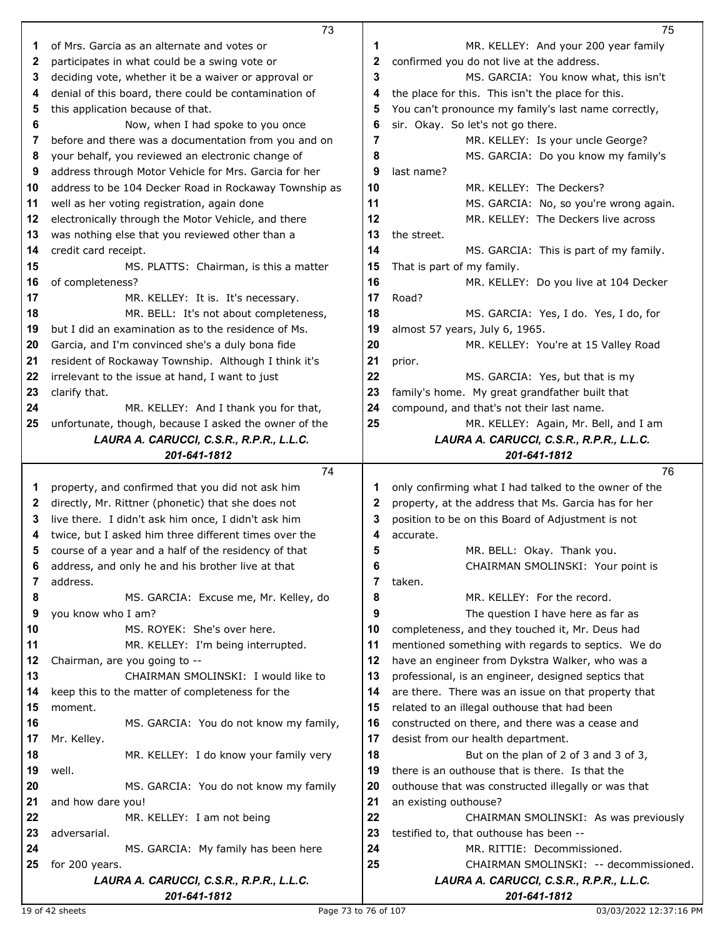|    | 73                                                       |    | 75                                                       |
|----|----------------------------------------------------------|----|----------------------------------------------------------|
| 1  | of Mrs. Garcia as an alternate and votes or              | 1  | MR. KELLEY: And your 200 year family                     |
| 2  | participates in what could be a swing vote or            | 2  | confirmed you do not live at the address.                |
| 3  | deciding vote, whether it be a waiver or approval or     | 3  | MS. GARCIA: You know what, this isn't                    |
| 4  | denial of this board, there could be contamination of    | 4  | the place for this. This isn't the place for this.       |
| 5  | this application because of that.                        | 5  | You can't pronounce my family's last name correctly,     |
| 6  | Now, when I had spoke to you once                        | 6  | sir. Okay. So let's not go there.                        |
| 7  | before and there was a documentation from you and on     | 7  | MR. KELLEY: Is your uncle George?                        |
| 8  | your behalf, you reviewed an electronic change of        | 8  | MS. GARCIA: Do you know my family's                      |
| 9  | address through Motor Vehicle for Mrs. Garcia for her    | 9  | last name?                                               |
| 10 | address to be 104 Decker Road in Rockaway Township as    | 10 | MR. KELLEY: The Deckers?                                 |
| 11 |                                                          | 11 |                                                          |
|    | well as her voting registration, again done              | 12 | MS. GARCIA: No, so you're wrong again.                   |
| 12 | electronically through the Motor Vehicle, and there      |    | MR. KELLEY: The Deckers live across                      |
| 13 | was nothing else that you reviewed other than a          | 13 | the street.                                              |
| 14 | credit card receipt.                                     | 14 | MS. GARCIA: This is part of my family.                   |
| 15 | MS. PLATTS: Chairman, is this a matter                   | 15 | That is part of my family.                               |
| 16 | of completeness?                                         | 16 | MR. KELLEY: Do you live at 104 Decker                    |
| 17 | MR. KELLEY: It is. It's necessary.                       | 17 | Road?                                                    |
| 18 | MR. BELL: It's not about completeness,                   | 18 | MS. GARCIA: Yes, I do. Yes, I do, for                    |
| 19 | but I did an examination as to the residence of Ms.      | 19 | almost 57 years, July 6, 1965.                           |
| 20 | Garcia, and I'm convinced she's a duly bona fide         | 20 | MR. KELLEY: You're at 15 Valley Road                     |
| 21 | resident of Rockaway Township. Although I think it's     | 21 | prior.                                                   |
| 22 | irrelevant to the issue at hand, I want to just          | 22 | MS. GARCIA: Yes, but that is my                          |
| 23 | clarify that.                                            | 23 | family's home. My great grandfather built that           |
| 24 | MR. KELLEY: And I thank you for that,                    | 24 | compound, and that's not their last name.                |
| 25 | unfortunate, though, because I asked the owner of the    | 25 | MR. KELLEY: Again, Mr. Bell, and I am                    |
|    | LAURA A. CARUCCI, C.S.R., R.P.R., L.L.C.                 |    | LAURA A. CARUCCI, C.S.R., R.P.R., L.L.C.                 |
|    | 201-641-1812                                             |    | 201-641-1812                                             |
|    |                                                          |    |                                                          |
|    | 74                                                       |    | 76                                                       |
| 1  | property, and confirmed that you did not ask him         | 1  | only confirming what I had talked to the owner of the    |
| 2  | directly, Mr. Rittner (phonetic) that she does not       | 2  | property, at the address that Ms. Garcia has for her     |
| 3  | live there. I didn't ask him once, I didn't ask him      | 3  | position to be on this Board of Adjustment is not        |
| 4  | twice, but I asked him three different times over the    | 4  | accurate.                                                |
| 5  | course of a year and a half of the residency of that     | 5  | MR. BELL: Okay. Thank you.                               |
| 6  | address, and only he and his brother live at that        | 6  | CHAIRMAN SMOLINSKI: Your point is                        |
| 7  | address.                                                 | 7  | taken.                                                   |
| 8  | MS. GARCIA: Excuse me, Mr. Kelley, do                    | 8  | MR. KELLEY: For the record.                              |
| 9  | you know who I am?                                       | 9  | The question I have here as far as                       |
| 10 | MS. ROYEK: She's over here.                              | 10 | completeness, and they touched it, Mr. Deus had          |
| 11 | MR. KELLEY: I'm being interrupted.                       | 11 | mentioned something with regards to septics. We do       |
| 12 | Chairman, are you going to --                            | 12 | have an engineer from Dykstra Walker, who was a          |
| 13 | CHAIRMAN SMOLINSKI: I would like to                      | 13 | professional, is an engineer, designed septics that      |
| 14 | keep this to the matter of completeness for the          | 14 | are there. There was an issue on that property that      |
| 15 | moment.                                                  | 15 | related to an illegal outhouse that had been             |
| 16 | MS. GARCIA: You do not know my family,                   | 16 | constructed on there, and there was a cease and          |
| 17 | Mr. Kelley.                                              | 17 | desist from our health department.                       |
| 18 | MR. KELLEY: I do know your family very                   | 18 | But on the plan of 2 of 3 and 3 of 3,                    |
| 19 | well.                                                    | 19 | there is an outhouse that is there. Is that the          |
| 20 | MS. GARCIA: You do not know my family                    | 20 | outhouse that was constructed illegally or was that      |
| 21 | and how dare you!                                        | 21 | an existing outhouse?                                    |
| 22 | MR. KELLEY: I am not being                               | 22 | CHAIRMAN SMOLINSKI: As was previously                    |
| 23 | adversarial.                                             | 23 | testified to, that outhouse has been --                  |
| 24 | MS. GARCIA: My family has been here                      | 24 | MR. RITTIE: Decommissioned.                              |
| 25 | for 200 years.                                           | 25 | CHAIRMAN SMOLINSKI: -- decommissioned.                   |
|    | LAURA A. CARUCCI, C.S.R., R.P.R., L.L.C.<br>201-641-1812 |    | LAURA A. CARUCCI, C.S.R., R.P.R., L.L.C.<br>201-641-1812 |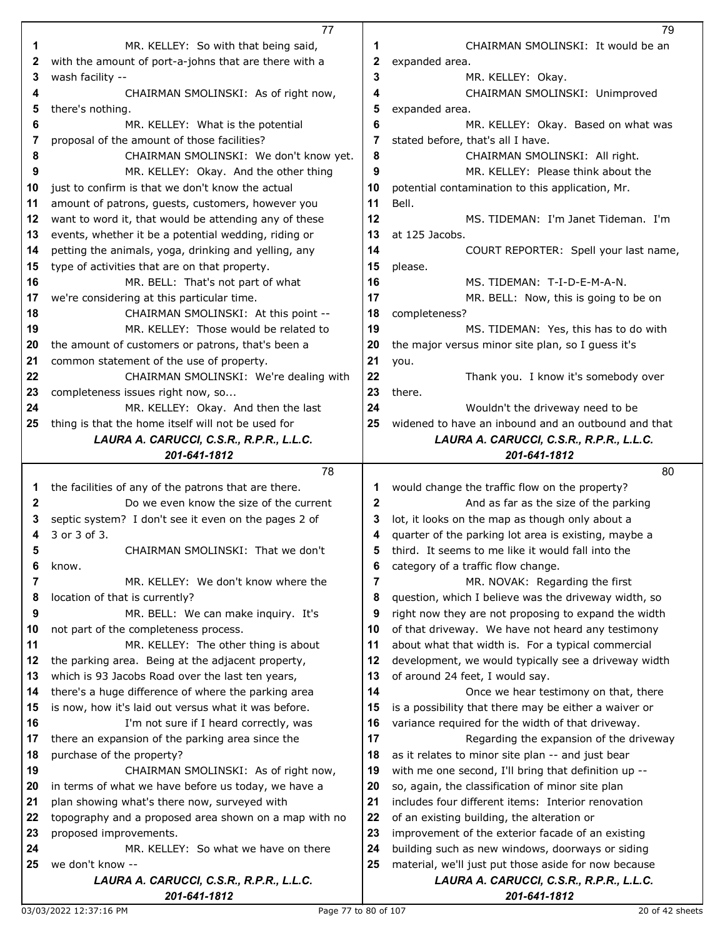|    | 77                                                       |             | 79                                                       |
|----|----------------------------------------------------------|-------------|----------------------------------------------------------|
| 1  | MR. KELLEY: So with that being said,                     | 1           | CHAIRMAN SMOLINSKI: It would be an                       |
| 2  | with the amount of port-a-johns that are there with a    | 2           | expanded area.                                           |
| 3  | wash facility --                                         | 3           | MR. KELLEY: Okay.                                        |
| 4  | CHAIRMAN SMOLINSKI: As of right now,                     | 4           | CHAIRMAN SMOLINSKI: Unimproved                           |
| 5  | there's nothing.                                         | 5           | expanded area.                                           |
| 6  | MR. KELLEY: What is the potential                        | 6           | MR. KELLEY: Okay. Based on what was                      |
| 7  | proposal of the amount of those facilities?              | 7           | stated before, that's all I have.                        |
| 8  | CHAIRMAN SMOLINSKI: We don't know yet.                   | 8           | CHAIRMAN SMOLINSKI: All right.                           |
| 9  | MR. KELLEY: Okay. And the other thing                    | 9           | MR. KELLEY: Please think about the                       |
| 10 | just to confirm is that we don't know the actual         | 10          | potential contamination to this application, Mr.         |
| 11 | amount of patrons, guests, customers, however you        | 11          | Bell.                                                    |
| 12 | want to word it, that would be attending any of these    | 12          | MS. TIDEMAN: I'm Janet Tideman. I'm                      |
| 13 | events, whether it be a potential wedding, riding or     | 13          | at 125 Jacobs.                                           |
| 14 | petting the animals, yoga, drinking and yelling, any     | 14          | COURT REPORTER: Spell your last name,                    |
| 15 | type of activities that are on that property.            | 15          | please.                                                  |
| 16 | MR. BELL: That's not part of what                        | 16          | MS. TIDEMAN: T-I-D-E-M-A-N.                              |
| 17 | we're considering at this particular time.               | 17          | MR. BELL: Now, this is going to be on                    |
| 18 | CHAIRMAN SMOLINSKI: At this point --                     | 18          | completeness?                                            |
| 19 | MR. KELLEY: Those would be related to                    | 19          | MS. TIDEMAN: Yes, this has to do with                    |
| 20 | the amount of customers or patrons, that's been a        | 20          | the major versus minor site plan, so I guess it's        |
| 21 | common statement of the use of property.                 | 21          | you.                                                     |
| 22 | CHAIRMAN SMOLINSKI: We're dealing with                   | 22          | Thank you. I know it's somebody over                     |
| 23 | completeness issues right now, so                        | 23          | there.                                                   |
| 24 | MR. KELLEY: Okay. And then the last                      | 24          | Wouldn't the driveway need to be                         |
| 25 | thing is that the home itself will not be used for       | 25          | widened to have an inbound and an outbound and that      |
|    | LAURA A. CARUCCI, C.S.R., R.P.R., L.L.C.                 |             | LAURA A. CARUCCI, C.S.R., R.P.R., L.L.C.                 |
|    | 201-641-1812                                             |             | 201-641-1812                                             |
|    |                                                          |             |                                                          |
|    | 78                                                       |             | 80                                                       |
| 1  | the facilities of any of the patrons that are there.     | 1           | would change the traffic flow on the property?           |
| 2  | Do we even know the size of the current                  | $\mathbf 2$ | And as far as the size of the parking                    |
| 3  | septic system? I don't see it even on the pages 2 of     | 3           | lot, it looks on the map as though only about a          |
| 4  | 3 or 3 of 3.                                             | 4           | quarter of the parking lot area is existing, maybe a     |
| 5  | CHAIRMAN SMOLINSKI: That we don't                        | 5           | third. It seems to me like it would fall into the        |
| 6  | know.                                                    | 6           | category of a traffic flow change.                       |
| 7  | MR. KELLEY: We don't know where the                      | 7           | MR. NOVAK: Regarding the first                           |
| 8  | location of that is currently?                           | 8           | question, which I believe was the driveway width, so     |
| 9  | MR. BELL: We can make inquiry. It's                      | 9           | right now they are not proposing to expand the width     |
| 10 | not part of the completeness process.                    | 10          | of that driveway. We have not heard any testimony        |
| 11 | MR. KELLEY: The other thing is about                     | 11          | about what that width is. For a typical commercial       |
| 12 | the parking area. Being at the adjacent property,        | 12          | development, we would typically see a driveway width     |
| 13 | which is 93 Jacobs Road over the last ten years,         | 13          | of around 24 feet, I would say.                          |
| 14 | there's a huge difference of where the parking area      | 14          | Once we hear testimony on that, there                    |
| 15 | is now, how it's laid out versus what it was before.     | 15          | is a possibility that there may be either a waiver or    |
| 16 | I'm not sure if I heard correctly, was                   | 16          | variance required for the width of that driveway.        |
| 17 | there an expansion of the parking area since the         | 17          | Regarding the expansion of the driveway                  |
| 18 | purchase of the property?                                | 18          | as it relates to minor site plan -- and just bear        |
| 19 | CHAIRMAN SMOLINSKI: As of right now,                     | 19          | with me one second, I'll bring that definition up --     |
| 20 | in terms of what we have before us today, we have a      | 20          | so, again, the classification of minor site plan         |
| 21 | plan showing what's there now, surveyed with             | 21          | includes four different items: Interior renovation       |
| 22 | topography and a proposed area shown on a map with no    | 22          | of an existing building, the alteration or               |
| 23 | proposed improvements.                                   | 23          | improvement of the exterior facade of an existing        |
| 24 | MR. KELLEY: So what we have on there                     | 24          | building such as new windows, doorways or siding         |
| 25 | we don't know --                                         | 25          | material, we'll just put those aside for now because     |
|    | LAURA A. CARUCCI, C.S.R., R.P.R., L.L.C.<br>201-641-1812 |             | LAURA A. CARUCCI, C.S.R., R.P.R., L.L.C.<br>201-641-1812 |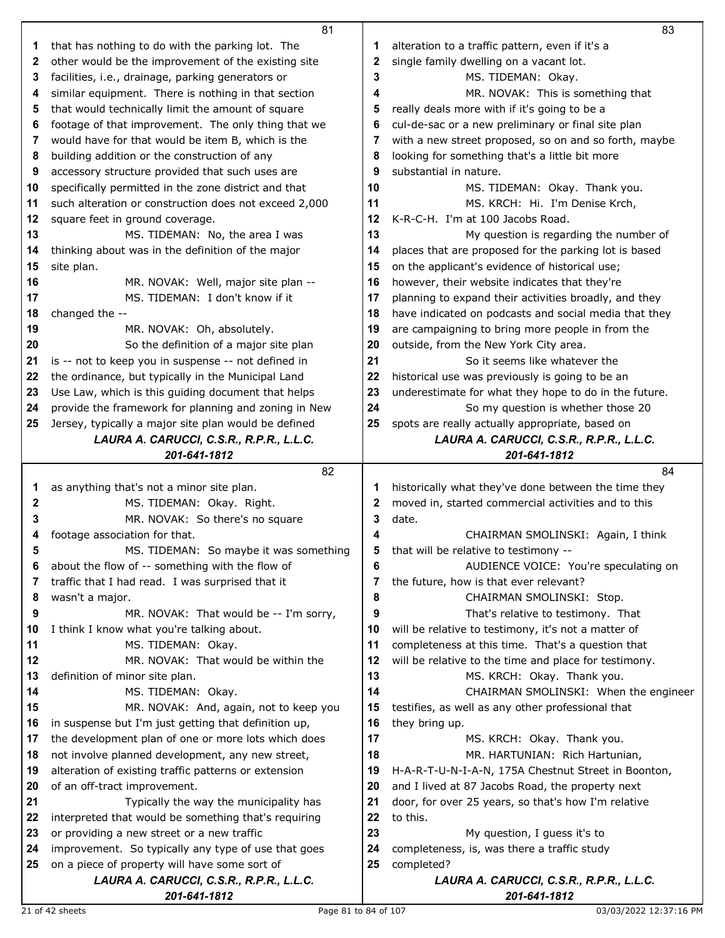|    | 81                                                                     |    | 83                                                    |
|----|------------------------------------------------------------------------|----|-------------------------------------------------------|
| 1  | that has nothing to do with the parking lot. The                       | 1  | alteration to a traffic pattern, even if it's a       |
| 2  | other would be the improvement of the existing site                    | 2  | single family dwelling on a vacant lot.               |
| 3  | facilities, i.e., drainage, parking generators or                      | 3  | MS. TIDEMAN: Okay.                                    |
| 4  | similar equipment. There is nothing in that section                    | 4  | MR. NOVAK: This is something that                     |
| 5  | that would technically limit the amount of square                      | 5  | really deals more with if it's going to be a          |
| 6  | footage of that improvement. The only thing that we                    | 6  | cul-de-sac or a new preliminary or final site plan    |
| 7  | would have for that would be item B, which is the                      | 7  | with a new street proposed, so on and so forth, maybe |
| 8  | building addition or the construction of any                           | 8  | looking for something that's a little bit more        |
| 9  | accessory structure provided that such uses are                        | 9  | substantial in nature.                                |
| 10 | specifically permitted in the zone district and that                   | 10 | MS. TIDEMAN: Okay. Thank you.                         |
| 11 | such alteration or construction does not exceed 2,000                  | 11 | MS. KRCH: Hi. I'm Denise Krch,                        |
| 12 | square feet in ground coverage.                                        | 12 | K-R-C-H. I'm at 100 Jacobs Road.                      |
| 13 | MS. TIDEMAN: No, the area I was                                        | 13 | My question is regarding the number of                |
| 14 | thinking about was in the definition of the major                      | 14 | places that are proposed for the parking lot is based |
| 15 | site plan.                                                             | 15 | on the applicant's evidence of historical use;        |
| 16 | MR. NOVAK: Well, major site plan --                                    | 16 | however, their website indicates that they're         |
| 17 | MS. TIDEMAN: I don't know if it                                        | 17 | planning to expand their activities broadly, and they |
| 18 | changed the --                                                         | 18 | have indicated on podcasts and social media that they |
| 19 | MR. NOVAK: Oh, absolutely.                                             | 19 | are campaigning to bring more people in from the      |
| 20 | So the definition of a major site plan                                 | 20 | outside, from the New York City area.                 |
| 21 | is -- not to keep you in suspense -- not defined in                    | 21 | So it seems like whatever the                         |
| 22 | the ordinance, but typically in the Municipal Land                     | 22 | historical use was previously is going to be an       |
| 23 | Use Law, which is this guiding document that helps                     | 23 | underestimate for what they hope to do in the future. |
| 24 | provide the framework for planning and zoning in New                   | 24 | So my question is whether those 20                    |
| 25 | Jersey, typically a major site plan would be defined                   | 25 | spots are really actually appropriate, based on       |
|    | LAURA A. CARUCCI, C.S.R., R.P.R., L.L.C.                               |    | LAURA A. CARUCCI, C.S.R., R.P.R., L.L.C.              |
|    | 201-641-1812                                                           |    | 201-641-1812                                          |
|    |                                                                        |    |                                                       |
|    | 82                                                                     |    | 84                                                    |
| 1  |                                                                        | 1  | historically what they've done between the time they  |
| 2  | as anything that's not a minor site plan.<br>MS. TIDEMAN: Okay. Right. | 2  | moved in, started commercial activities and to this   |
| 3  | MR. NOVAK: So there's no square                                        | 3  | date.                                                 |
| 4  | footage association for that.                                          | 4  | CHAIRMAN SMOLINSKI: Again, I think                    |
| Б  | MS. TIDEMAN: So maybe it was something                                 | 5  | that will be relative to testimony --                 |
| 6  | about the flow of -- something with the flow of                        | 6  | AUDIENCE VOICE: You're speculating on                 |
| 7  | traffic that I had read. I was surprised that it                       | 7  | the future, how is that ever relevant?                |
| 8  | wasn't a major.                                                        | 8  | CHAIRMAN SMOLINSKI: Stop.                             |
| 9  | MR. NOVAK: That would be -- I'm sorry,                                 | 9  | That's relative to testimony. That                    |
| 10 | I think I know what you're talking about.                              | 10 | will be relative to testimony, it's not a matter of   |
| 11 | MS. TIDEMAN: Okay.                                                     | 11 | completeness at this time. That's a question that     |
| 12 | MR. NOVAK: That would be within the                                    | 12 | will be relative to the time and place for testimony. |
| 13 | definition of minor site plan.                                         | 13 | MS. KRCH: Okay. Thank you.                            |
| 14 | MS. TIDEMAN: Okay.                                                     | 14 | CHAIRMAN SMOLINSKI: When the engineer                 |
| 15 | MR. NOVAK: And, again, not to keep you                                 | 15 | testifies, as well as any other professional that     |
| 16 | in suspense but I'm just getting that definition up,                   | 16 | they bring up.                                        |
| 17 | the development plan of one or more lots which does                    | 17 | MS. KRCH: Okay. Thank you.                            |
| 18 | not involve planned development, any new street,                       | 18 | MR. HARTUNIAN: Rich Hartunian,                        |
| 19 | alteration of existing traffic patterns or extension                   | 19 | H-A-R-T-U-N-I-A-N, 175A Chestnut Street in Boonton,   |
| 20 | of an off-tract improvement.                                           | 20 | and I lived at 87 Jacobs Road, the property next      |
| 21 | Typically the way the municipality has                                 | 21 | door, for over 25 years, so that's how I'm relative   |
| 22 | interpreted that would be something that's requiring                   | 22 | to this.                                              |
| 23 | or providing a new street or a new traffic                             | 23 | My question, I guess it's to                          |
| 24 | improvement. So typically any type of use that goes                    | 24 | completeness, is, was there a traffic study           |
| 25 | on a piece of property will have some sort of                          | 25 | completed?                                            |
|    | LAURA A. CARUCCI, C.S.R., R.P.R., L.L.C.                               |    | LAURA A. CARUCCI, C.S.R., R.P.R., L.L.C.              |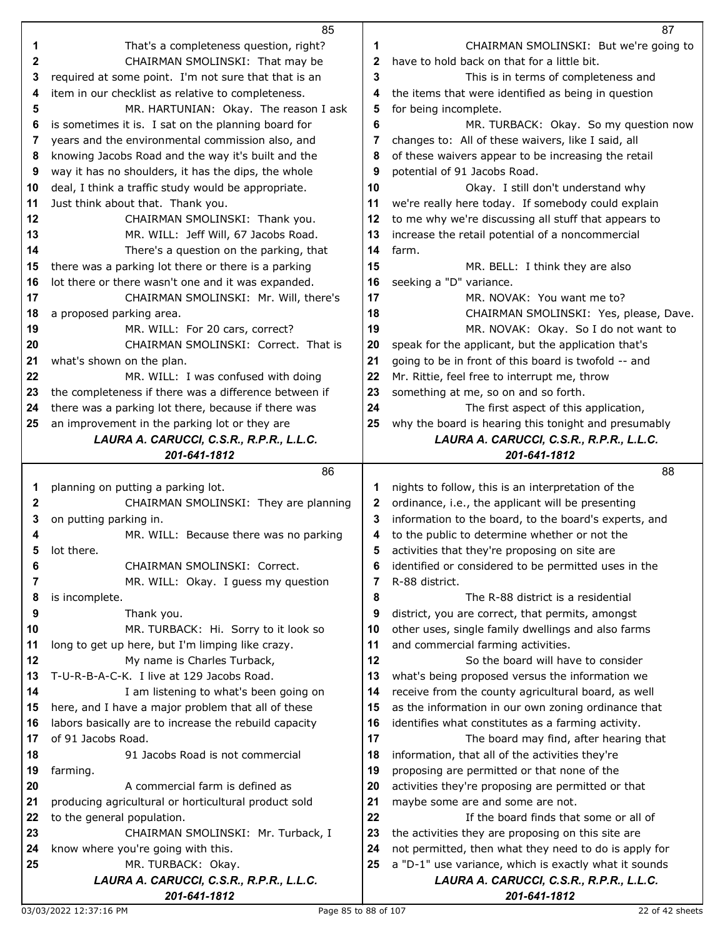|              | 85                                                                       |          | 87                                                                                                          |
|--------------|--------------------------------------------------------------------------|----------|-------------------------------------------------------------------------------------------------------------|
| 1            | That's a completeness question, right?                                   | 1        | CHAIRMAN SMOLINSKI: But we're going to                                                                      |
| $\mathbf{2}$ | CHAIRMAN SMOLINSKI: That may be                                          | 2        | have to hold back on that for a little bit.                                                                 |
| 3            | required at some point. I'm not sure that that is an                     | 3        | This is in terms of completeness and                                                                        |
| 4            | item in our checklist as relative to completeness.                       | 4        | the items that were identified as being in question                                                         |
| 5            | MR. HARTUNIAN: Okay. The reason I ask                                    | 5        | for being incomplete.                                                                                       |
| 6            | is sometimes it is. I sat on the planning board for                      | 6        | MR. TURBACK: Okay. So my question now                                                                       |
| 7            | years and the environmental commission also, and                         | 7        | changes to: All of these waivers, like I said, all                                                          |
| 8            | knowing Jacobs Road and the way it's built and the                       | 8        | of these waivers appear to be increasing the retail                                                         |
| 9            | way it has no shoulders, it has the dips, the whole                      | 9        | potential of 91 Jacobs Road.                                                                                |
| 10           | deal, I think a traffic study would be appropriate.                      | 10       | Okay. I still don't understand why                                                                          |
| 11           | Just think about that. Thank you.                                        | 11       | we're really here today. If somebody could explain                                                          |
| 12           | CHAIRMAN SMOLINSKI: Thank you.                                           | 12       | to me why we're discussing all stuff that appears to                                                        |
| 13           | MR. WILL: Jeff Will, 67 Jacobs Road.                                     | 13       | increase the retail potential of a noncommercial                                                            |
| 14           | There's a question on the parking, that                                  | 14       | farm.                                                                                                       |
| 15           | there was a parking lot there or there is a parking                      | 15       | MR. BELL: I think they are also                                                                             |
| 16           | lot there or there wasn't one and it was expanded.                       | 16       | seeking a "D" variance.                                                                                     |
| 17           | CHAIRMAN SMOLINSKI: Mr. Will, there's                                    | 17       | MR. NOVAK: You want me to?                                                                                  |
| 18           | a proposed parking area.                                                 | 18       | CHAIRMAN SMOLINSKI: Yes, please, Dave.                                                                      |
| 19           | MR. WILL: For 20 cars, correct?                                          | 19       | MR. NOVAK: Okay. So I do not want to                                                                        |
| 20           | CHAIRMAN SMOLINSKI: Correct. That is                                     | 20       | speak for the applicant, but the application that's                                                         |
| 21           | what's shown on the plan.                                                | 21       | going to be in front of this board is twofold -- and                                                        |
| 22           | MR. WILL: I was confused with doing                                      | 22       | Mr. Rittie, feel free to interrupt me, throw                                                                |
| 23           | the completeness if there was a difference between if                    | 23       | something at me, so on and so forth.                                                                        |
| 24           | there was a parking lot there, because if there was                      | 24       | The first aspect of this application,                                                                       |
| 25           | an improvement in the parking lot or they are                            | 25       | why the board is hearing this tonight and presumably                                                        |
|              | LAURA A. CARUCCI, C.S.R., R.P.R., L.L.C.                                 |          | LAURA A. CARUCCI, C.S.R., R.P.R., L.L.C.                                                                    |
|              | 201-641-1812                                                             |          | 201-641-1812                                                                                                |
|              |                                                                          |          |                                                                                                             |
|              | 86                                                                       |          | 88                                                                                                          |
| 1            | planning on putting a parking lot.                                       | 1        | nights to follow, this is an interpretation of the                                                          |
| 2            | CHAIRMAN SMOLINSKI: They are planning                                    | 2        | ordinance, i.e., the applicant will be presenting                                                           |
| 3            | on putting parking in.                                                   | 3        | information to the board, to the board's experts, and                                                       |
| 4            | MR. WILL: Because there was no parking                                   | 4        | to the public to determine whether or not the                                                               |
| 5            | lot there.                                                               | 5        | activities that they're proposing on site are                                                               |
| 6            | CHAIRMAN SMOLINSKI: Correct.                                             | 6        | identified or considered to be permitted uses in the                                                        |
| 7            | MR. WILL: Okay. I guess my question                                      | 7        | R-88 district.                                                                                              |
| 8            | is incomplete.                                                           | 8        | The R-88 district is a residential                                                                          |
| 9            | Thank you.                                                               | 9        | district, you are correct, that permits, amongst                                                            |
| 10           | MR. TURBACK: Hi. Sorry to it look so                                     | 10       | other uses, single family dwellings and also farms                                                          |
| 11           | long to get up here, but I'm limping like crazy.                         | 11       | and commercial farming activities.                                                                          |
| 12           | My name is Charles Turback,                                              | 12       | So the board will have to consider                                                                          |
| 13           | T-U-R-B-A-C-K. I live at 129 Jacobs Road.                                | 13       | what's being proposed versus the information we                                                             |
| 14           | I am listening to what's been going on                                   | 14       | receive from the county agricultural board, as well                                                         |
| 15           | here, and I have a major problem that all of these                       | 15       | as the information in our own zoning ordinance that                                                         |
| 16           | labors basically are to increase the rebuild capacity                    | 16       | identifies what constitutes as a farming activity.                                                          |
| 17           | of 91 Jacobs Road.                                                       | 17       | The board may find, after hearing that                                                                      |
| 18           | 91 Jacobs Road is not commercial                                         | 18       | information, that all of the activities they're                                                             |
| 19           | farming.                                                                 | 19       | proposing are permitted or that none of the                                                                 |
| 20<br>21     | A commercial farm is defined as                                          | 20       | activities they're proposing are permitted or that                                                          |
|              | producing agricultural or horticultural product sold                     | 21       | maybe some are and some are not.                                                                            |
| 22<br>23     | to the general population.                                               | 22       | If the board finds that some or all of                                                                      |
| 24           | CHAIRMAN SMOLINSKI: Mr. Turback, I<br>know where you're going with this. | 23<br>24 | the activities they are proposing on this site are<br>not permitted, then what they need to do is apply for |
| 25           | MR. TURBACK: Okay.                                                       | 25       | a "D-1" use variance, which is exactly what it sounds                                                       |
|              | LAURA A. CARUCCI, C.S.R., R.P.R., L.L.C.                                 |          | LAURA A. CARUCCI, C.S.R., R.P.R., L.L.C.                                                                    |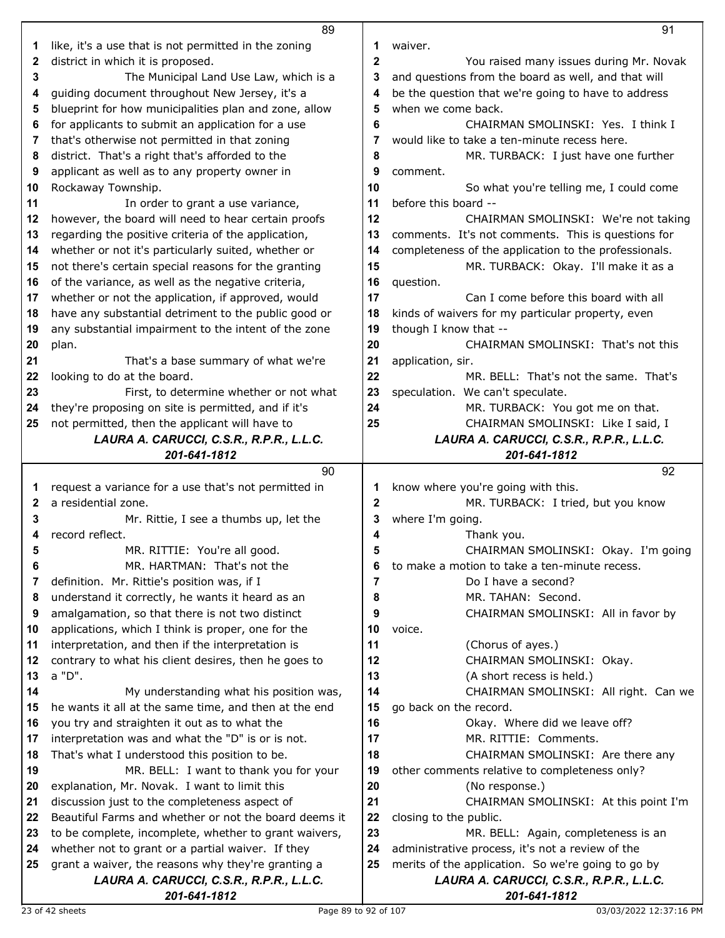|              | 89                                                       |             | 91                                                       |
|--------------|----------------------------------------------------------|-------------|----------------------------------------------------------|
| 1            | like, it's a use that is not permitted in the zoning     | 1           | waiver.                                                  |
| 2            | district in which it is proposed.                        | $\mathbf 2$ | You raised many issues during Mr. Novak                  |
| 3            | The Municipal Land Use Law, which is a                   | 3           | and questions from the board as well, and that will      |
|              |                                                          | 4           | be the question that we're going to have to address      |
| 4            | guiding document throughout New Jersey, it's a           |             |                                                          |
| 5            | blueprint for how municipalities plan and zone, allow    | 5           | when we come back.                                       |
| 6            | for applicants to submit an application for a use        | 6           | CHAIRMAN SMOLINSKI: Yes. I think I                       |
| 7            | that's otherwise not permitted in that zoning            | 7           | would like to take a ten-minute recess here.             |
| 8            | district. That's a right that's afforded to the          | 8           | MR. TURBACK: I just have one further                     |
| 9            | applicant as well as to any property owner in            | 9           | comment.                                                 |
| 10           | Rockaway Township.                                       | 10          | So what you're telling me, I could come                  |
| 11           | In order to grant a use variance,                        | 11          | before this board --                                     |
|              |                                                          | 12          |                                                          |
| 12           | however, the board will need to hear certain proofs      |             | CHAIRMAN SMOLINSKI: We're not taking                     |
| 13           | regarding the positive criteria of the application,      | 13          | comments. It's not comments. This is questions for       |
| 14           | whether or not it's particularly suited, whether or      | 14          | completeness of the application to the professionals.    |
| 15           | not there's certain special reasons for the granting     | 15          | MR. TURBACK: Okay. I'll make it as a                     |
| 16           | of the variance, as well as the negative criteria,       | 16          | question.                                                |
| 17           | whether or not the application, if approved, would       | 17          | Can I come before this board with all                    |
| 18           | have any substantial detriment to the public good or     | 18          | kinds of waivers for my particular property, even        |
| 19           | any substantial impairment to the intent of the zone     | 19          | though I know that --                                    |
| 20           | plan.                                                    | 20          | CHAIRMAN SMOLINSKI: That's not this                      |
| 21           | That's a base summary of what we're                      | 21          | application, sir.                                        |
|              |                                                          |             |                                                          |
| 22           | looking to do at the board.                              | 22          | MR. BELL: That's not the same. That's                    |
| 23           | First, to determine whether or not what                  | 23          | speculation. We can't speculate.                         |
| 24           | they're proposing on site is permitted, and if it's      | 24          | MR. TURBACK: You got me on that.                         |
| 25           | not permitted, then the applicant will have to           | 25          | CHAIRMAN SMOLINSKI: Like I said, I                       |
|              | LAURA A. CARUCCI, C.S.R., R.P.R., L.L.C.                 |             | LAURA A. CARUCCI, C.S.R., R.P.R., L.L.C.                 |
|              | 201-641-1812                                             |             | 201-641-1812                                             |
|              |                                                          |             |                                                          |
|              | 90                                                       |             | 92                                                       |
| 1            |                                                          |             |                                                          |
|              | request a variance for a use that's not permitted in     | 1           | know where you're going with this.                       |
| $\mathbf{2}$ | a residential zone.                                      | $\mathbf 2$ | MR. TURBACK: I tried, but you know                       |
| 3            | Mr. Rittie, I see a thumbs up, let the                   | 3           | where I'm going.                                         |
| 4            | record reflect.                                          | 4           | Thank you.                                               |
| 5            | MR. RITTIE: You're all good.                             | 5           | CHAIRMAN SMOLINSKI: Okay. I'm going                      |
| 6            | MR. HARTMAN: That's not the                              | 6           | to make a motion to take a ten-minute recess.            |
| 7            | definition. Mr. Rittie's position was, if I              | 7           | Do I have a second?                                      |
| 8            | understand it correctly, he wants it heard as an         | 8           | MR. TAHAN: Second.                                       |
| 9            | amalgamation, so that there is not two distinct          | 9           | CHAIRMAN SMOLINSKI: All in favor by                      |
| 10           | applications, which I think is proper, one for the       | 10          | voice.                                                   |
| 11           | interpretation, and then if the interpretation is        | 11          | (Chorus of ayes.)                                        |
| 12           |                                                          | 12          |                                                          |
|              | contrary to what his client desires, then he goes to     |             | CHAIRMAN SMOLINSKI: Okay.                                |
| 13           | a "D".                                                   | 13          | (A short recess is held.)                                |
| 14           | My understanding what his position was,                  | 14          | CHAIRMAN SMOLINSKI: All right. Can we                    |
| 15           | he wants it all at the same time, and then at the end    | 15          | go back on the record.                                   |
| 16           | you try and straighten it out as to what the             | 16          | Okay. Where did we leave off?                            |
| 17           | interpretation was and what the "D" is or is not.        | 17          | MR. RITTIE: Comments.                                    |
| 18           | That's what I understood this position to be.            | 18          | CHAIRMAN SMOLINSKI: Are there any                        |
| 19           | MR. BELL: I want to thank you for your                   | 19          | other comments relative to completeness only?            |
| 20           | explanation, Mr. Novak. I want to limit this             | 20          | (No response.)                                           |
| 21           | discussion just to the completeness aspect of            | 21          | CHAIRMAN SMOLINSKI: At this point I'm                    |
| 22           |                                                          |             |                                                          |
|              | Beautiful Farms and whether or not the board deems it    | 22          | closing to the public.                                   |
| 23           | to be complete, incomplete, whether to grant waivers,    | 23          | MR. BELL: Again, completeness is an                      |
| 24           | whether not to grant or a partial waiver. If they        | 24          | administrative process, it's not a review of the         |
| 25           | grant a waiver, the reasons why they're granting a       | 25          | merits of the application. So we're going to go by       |
|              | LAURA A. CARUCCI, C.S.R., R.P.R., L.L.C.<br>201-641-1812 |             | LAURA A. CARUCCI, C.S.R., R.P.R., L.L.C.<br>201-641-1812 |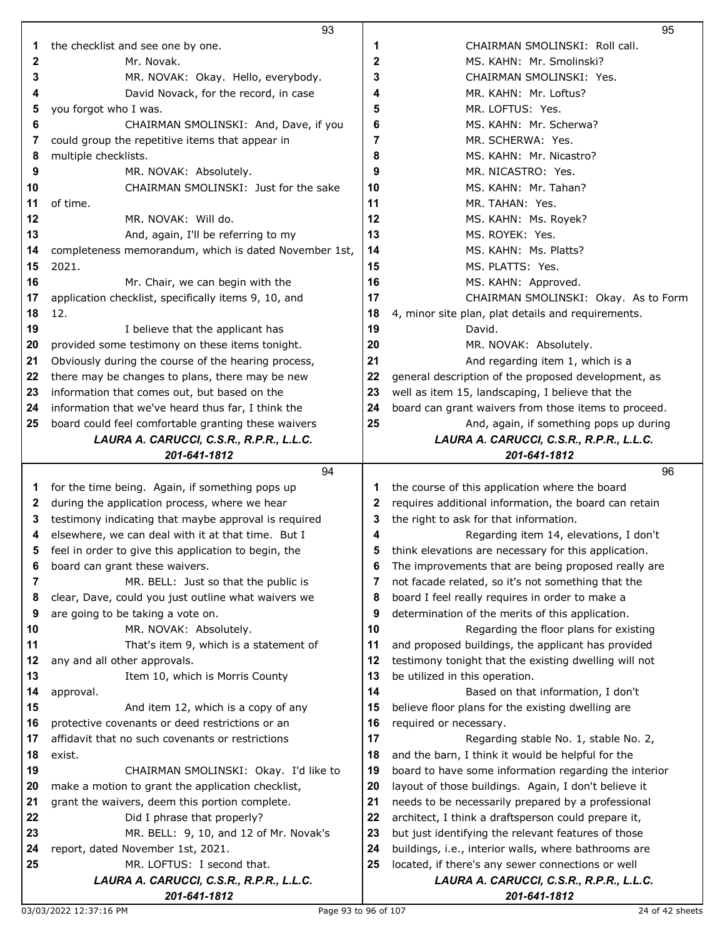|              | 93                                                    |    | 95                                                    |
|--------------|-------------------------------------------------------|----|-------------------------------------------------------|
| 1            | the checklist and see one by one.                     | 1  | CHAIRMAN SMOLINSKI: Roll call.                        |
| 2            | Mr. Novak.                                            | 2  | MS. KAHN: Mr. Smolinski?                              |
| 3            | MR. NOVAK: Okay. Hello, everybody.                    | 3  | CHAIRMAN SMOLINSKI: Yes.                              |
| 4            | David Novack, for the record, in case                 | 4  | MR. KAHN: Mr. Loftus?                                 |
| 5            | you forgot who I was.                                 | 5  | MR. LOFTUS: Yes.                                      |
| 6            | CHAIRMAN SMOLINSKI: And, Dave, if you                 | 6  | MS. KAHN: Mr. Scherwa?                                |
| 7            | could group the repetitive items that appear in       | 7  | MR. SCHERWA: Yes.                                     |
| 8            | multiple checklists.                                  | 8  | MS. KAHN: Mr. Nicastro?                               |
| 9            | MR. NOVAK: Absolutely.                                | 9  | MR. NICASTRO: Yes.                                    |
| 10           | CHAIRMAN SMOLINSKI: Just for the sake                 | 10 | MS. KAHN: Mr. Tahan?                                  |
| 11           | of time.                                              | 11 | MR. TAHAN: Yes.                                       |
| 12           | MR. NOVAK: Will do.                                   | 12 | MS. KAHN: Ms. Royek?                                  |
| 13           | And, again, I'll be referring to my                   | 13 | MS. ROYEK: Yes.                                       |
| 14           | completeness memorandum, which is dated November 1st, | 14 | MS. KAHN: Ms. Platts?                                 |
| 15           | 2021.                                                 | 15 | MS. PLATTS: Yes.                                      |
| 16           | Mr. Chair, we can begin with the                      | 16 | MS. KAHN: Approved.                                   |
| 17           | application checklist, specifically items 9, 10, and  | 17 | CHAIRMAN SMOLINSKI: Okay. As to Form                  |
| 18           | 12.                                                   | 18 | 4, minor site plan, plat details and requirements.    |
| 19           | I believe that the applicant has                      | 19 | David.                                                |
| 20           | provided some testimony on these items tonight.       | 20 | MR. NOVAK: Absolutely.                                |
| 21           | Obviously during the course of the hearing process,   | 21 | And regarding item 1, which is a                      |
| 22           | there may be changes to plans, there may be new       | 22 | general description of the proposed development, as   |
| 23           | information that comes out, but based on the          | 23 | well as item 15, landscaping, I believe that the      |
| 24           | information that we've heard thus far, I think the    | 24 | board can grant waivers from those items to proceed.  |
| 25           | board could feel comfortable granting these waivers   | 25 | And, again, if something pops up during               |
|              | LAURA A. CARUCCI, C.S.R., R.P.R., L.L.C.              |    | LAURA A. CARUCCI, C.S.R., R.P.R., L.L.C.              |
|              | 201-641-1812                                          |    | 201-641-1812                                          |
|              |                                                       |    |                                                       |
|              | 94                                                    |    | 96                                                    |
| 1            | for the time being. Again, if something pops up       | 1  | the course of this application where the board        |
| $\mathbf{2}$ | during the application process, where we hear         | 2  | requires additional information, the board can retain |
| 3            | testimony indicating that maybe approval is required  | 3  | the right to ask for that information.                |
| 4            | elsewhere, we can deal with it at that time. But I    | 4  | Regarding item 14, elevations, I don't                |
| 5            | feel in order to give this application to begin, the  | 5  | think elevations are necessary for this application.  |
| 6            | board can grant these waivers.                        | 6  | The improvements that are being proposed really are   |
| 7            | MR. BELL: Just so that the public is                  | 7  | not facade related, so it's not something that the    |
| 8            | clear, Dave, could you just outline what waivers we   | 8  | board I feel really requires in order to make a       |
| 9            | are going to be taking a vote on.                     | 9  | determination of the merits of this application.      |
| 10           | MR. NOVAK: Absolutely.                                | 10 | Regarding the floor plans for existing                |
| 11           | That's item 9, which is a statement of                | 11 | and proposed buildings, the applicant has provided    |
| 12           | any and all other approvals.                          | 12 | testimony tonight that the existing dwelling will not |
| 13           | Item 10, which is Morris County                       | 13 | be utilized in this operation.                        |
| 14           | approval.                                             | 14 | Based on that information, I don't                    |
| 15           | And item 12, which is a copy of any                   | 15 | believe floor plans for the existing dwelling are     |
| 16           | protective covenants or deed restrictions or an       | 16 | required or necessary.                                |
| 17           | affidavit that no such covenants or restrictions      | 17 | Regarding stable No. 1, stable No. 2,                 |
| 18           | exist.                                                | 18 | and the barn, I think it would be helpful for the     |
| 19           | CHAIRMAN SMOLINSKI: Okay. I'd like to                 | 19 | board to have some information regarding the interior |
| 20           | make a motion to grant the application checklist,     | 20 | layout of those buildings. Again, I don't believe it  |
|              | grant the waivers, deem this portion complete.        | 21 | needs to be necessarily prepared by a professional    |
| 21<br>22     | Did I phrase that properly?                           | 22 | architect, I think a draftsperson could prepare it,   |
| 23           | MR. BELL: 9, 10, and 12 of Mr. Novak's                | 23 | but just identifying the relevant features of those   |
| 24           | report, dated November 1st, 2021.                     | 24 | buildings, i.e., interior walls, where bathrooms are  |
|              | MR. LOFTUS: I second that.                            | 25 | located, if there's any sewer connections or well     |
| 25           | LAURA A. CARUCCI, C.S.R., R.P.R., L.L.C.              |    | LAURA A. CARUCCI, C.S.R., R.P.R., L.L.C.              |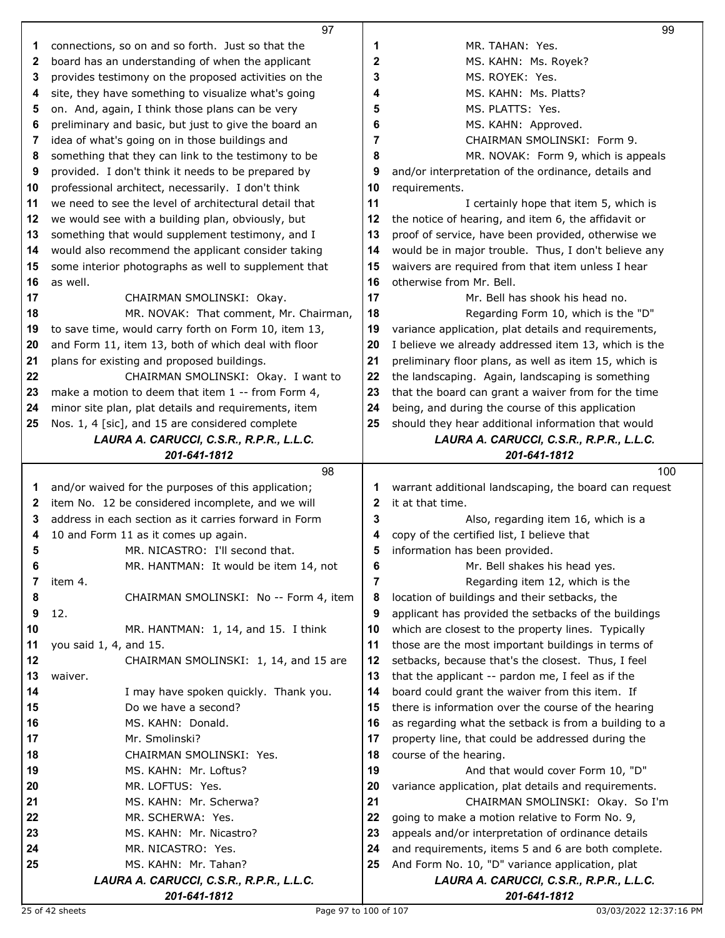|    | 97                                                       |              | 99                                                       |
|----|----------------------------------------------------------|--------------|----------------------------------------------------------|
| 1  | connections, so on and so forth. Just so that the        | 1            | MR. TAHAN: Yes.                                          |
| 2  | board has an understanding of when the applicant         | 2            | MS. KAHN: Ms. Royek?                                     |
| 3  | provides testimony on the proposed activities on the     | 3            | MS. ROYEK: Yes.                                          |
| 4  | site, they have something to visualize what's going      | 4            | MS. KAHN: Ms. Platts?                                    |
| 5  | on. And, again, I think those plans can be very          | 5            | MS. PLATTS: Yes.                                         |
| 6  | preliminary and basic, but just to give the board an     | 6            | MS. KAHN: Approved.                                      |
| 7  | idea of what's going on in those buildings and           | 7            | CHAIRMAN SMOLINSKI: Form 9.                              |
| 8  | something that they can link to the testimony to be      | 8            | MR. NOVAK: Form 9, which is appeals                      |
| 9  | provided. I don't think it needs to be prepared by       | 9            | and/or interpretation of the ordinance, details and      |
| 10 | professional architect, necessarily. I don't think       | 10           | requirements.                                            |
| 11 | we need to see the level of architectural detail that    | 11           | I certainly hope that item 5, which is                   |
| 12 | we would see with a building plan, obviously, but        | 12           | the notice of hearing, and item 6, the affidavit or      |
| 13 | something that would supplement testimony, and I         | 13           | proof of service, have been provided, otherwise we       |
| 14 | would also recommend the applicant consider taking       | 14           | would be in major trouble. Thus, I don't believe any     |
| 15 | some interior photographs as well to supplement that     | 15           | waivers are required from that item unless I hear        |
| 16 | as well.                                                 | 16           | otherwise from Mr. Bell.                                 |
| 17 | CHAIRMAN SMOLINSKI: Okay.                                | 17           | Mr. Bell has shook his head no.                          |
| 18 | MR. NOVAK: That comment, Mr. Chairman,                   | 18           | Regarding Form 10, which is the "D"                      |
| 19 | to save time, would carry forth on Form 10, item 13,     | 19           | variance application, plat details and requirements,     |
| 20 | and Form 11, item 13, both of which deal with floor      | 20           | I believe we already addressed item 13, which is the     |
| 21 | plans for existing and proposed buildings.               | 21           | preliminary floor plans, as well as item 15, which is    |
| 22 | CHAIRMAN SMOLINSKI: Okay. I want to                      | 22           | the landscaping. Again, landscaping is something         |
| 23 | make a motion to deem that item 1 -- from Form 4,        | 23           | that the board can grant a waiver from for the time      |
| 24 | minor site plan, plat details and requirements, item     | 24           | being, and during the course of this application         |
| 25 | Nos. 1, 4 [sic], and 15 are considered complete          | 25           | should they hear additional information that would       |
|    | LAURA A. CARUCCI, C.S.R., R.P.R., L.L.C.                 |              | LAURA A. CARUCCI, C.S.R., R.P.R., L.L.C.                 |
|    | 201-641-1812                                             |              | 201-641-1812                                             |
|    |                                                          |              |                                                          |
|    | 98                                                       |              | 100                                                      |
| 1  | and/or waived for the purposes of this application;      | 1            | warrant additional landscaping, the board can request    |
| 2  | item No. 12 be considered incomplete, and we will        | $\mathbf{2}$ | it at that time.                                         |
| 3  | address in each section as it carries forward in Form    | 3            | Also, regarding item 16, which is a                      |
| 4  | 10 and Form 11 as it comes up again.                     | 4            | copy of the certified list, I believe that               |
| 5  | MR. NICASTRO: I'll second that.                          | 5            | information has been provided.                           |
| 6  | MR. HANTMAN: It would be item 14, not                    | 6            | Mr. Bell shakes his head yes.                            |
| 7  | item 4.                                                  | 7            | Regarding item 12, which is the                          |
| 8  | CHAIRMAN SMOLINSKI: No -- Form 4, item                   | 8            | location of buildings and their setbacks, the            |
| 9  | 12.                                                      | 9            | applicant has provided the setbacks of the buildings     |
| 10 | MR. HANTMAN: 1, 14, and 15. I think                      | 10           | which are closest to the property lines. Typically       |
| 11 | you said 1, 4, and 15.                                   | 11           | those are the most important buildings in terms of       |
| 12 | CHAIRMAN SMOLINSKI: 1, 14, and 15 are                    | 12           | setbacks, because that's the closest. Thus, I feel       |
| 13 | waiver.                                                  | 13           | that the applicant -- pardon me, I feel as if the        |
| 14 | I may have spoken quickly. Thank you.                    | 14           | board could grant the waiver from this item. If          |
| 15 | Do we have a second?                                     | 15           | there is information over the course of the hearing      |
| 16 | MS. KAHN: Donald.                                        | 16           | as regarding what the setback is from a building to a    |
| 17 | Mr. Smolinski?                                           | 17           | property line, that could be addressed during the        |
| 18 | CHAIRMAN SMOLINSKI: Yes.                                 | 18           | course of the hearing.                                   |
| 19 | MS. KAHN: Mr. Loftus?                                    | 19           | And that would cover Form 10, "D"                        |
| 20 | MR. LOFTUS: Yes.                                         | 20           | variance application, plat details and requirements.     |
| 21 | MS. KAHN: Mr. Scherwa?                                   | 21           | CHAIRMAN SMOLINSKI: Okay. So I'm                         |
| 22 | MR. SCHERWA: Yes.                                        | 22           | going to make a motion relative to Form No. 9,           |
| 23 | MS. KAHN: Mr. Nicastro?                                  | 23           | appeals and/or interpretation of ordinance details       |
| 24 | MR. NICASTRO: Yes.                                       | 24           | and requirements, items 5 and 6 are both complete.       |
| 25 | MS. KAHN: Mr. Tahan?                                     | 25           | And Form No. 10, "D" variance application, plat          |
|    | LAURA A. CARUCCI, C.S.R., R.P.R., L.L.C.<br>201-641-1812 |              | LAURA A. CARUCCI, C.S.R., R.P.R., L.L.C.<br>201-641-1812 |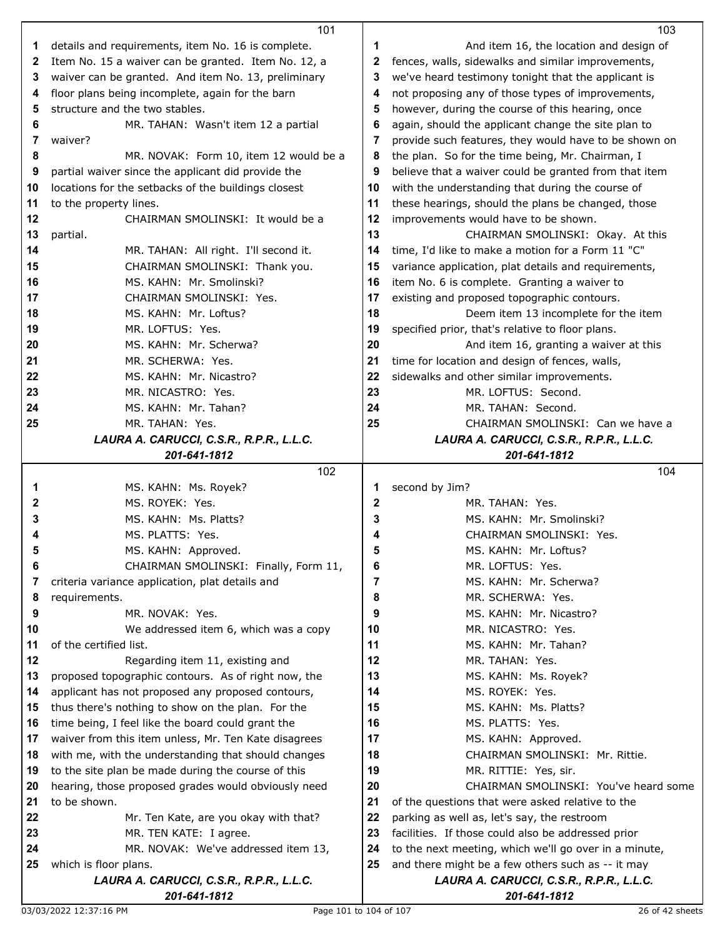|    | 101                                                      |             | 103                                                      |
|----|----------------------------------------------------------|-------------|----------------------------------------------------------|
| 1  | details and requirements, item No. 16 is complete.       | 1           | And item 16, the location and design of                  |
| 2  | Item No. 15 a waiver can be granted. Item No. 12, a      | 2           | fences, walls, sidewalks and similar improvements,       |
| 3  | waiver can be granted. And item No. 13, preliminary      | 3           | we've heard testimony tonight that the applicant is      |
| 4  | floor plans being incomplete, again for the barn         | 4           | not proposing any of those types of improvements,        |
| 5  | structure and the two stables.                           | 5           | however, during the course of this hearing, once         |
| 6  | MR. TAHAN: Wasn't item 12 a partial                      | 6           | again, should the applicant change the site plan to      |
| 7  | waiver?                                                  | 7           | provide such features, they would have to be shown on    |
| 8  | MR. NOVAK: Form 10, item 12 would be a                   | 8           | the plan. So for the time being, Mr. Chairman, I         |
| 9  | partial waiver since the applicant did provide the       | 9           | believe that a waiver could be granted from that item    |
| 10 | locations for the setbacks of the buildings closest      | 10          | with the understanding that during the course of         |
| 11 | to the property lines.                                   | 11          | these hearings, should the plans be changed, those       |
| 12 | CHAIRMAN SMOLINSKI: It would be a                        | 12          | improvements would have to be shown.                     |
| 13 | partial.                                                 | 13          | CHAIRMAN SMOLINSKI: Okay. At this                        |
| 14 | MR. TAHAN: All right. I'll second it.                    | 14          | time, I'd like to make a motion for a Form 11 "C"        |
| 15 | CHAIRMAN SMOLINSKI: Thank you.                           | 15          | variance application, plat details and requirements,     |
| 16 | MS. KAHN: Mr. Smolinski?                                 | 16          | item No. 6 is complete. Granting a waiver to             |
| 17 | CHAIRMAN SMOLINSKI: Yes.                                 | 17          | existing and proposed topographic contours.              |
| 18 | MS. KAHN: Mr. Loftus?                                    | 18          | Deem item 13 incomplete for the item                     |
| 19 | MR. LOFTUS: Yes.                                         | 19          | specified prior, that's relative to floor plans.         |
| 20 | MS. KAHN: Mr. Scherwa?                                   | 20          | And item 16, granting a waiver at this                   |
| 21 | MR. SCHERWA: Yes.                                        | 21          | time for location and design of fences, walls,           |
| 22 | MS. KAHN: Mr. Nicastro?                                  | 22          | sidewalks and other similar improvements.                |
| 23 | MR. NICASTRO: Yes.                                       | 23          | MR. LOFTUS: Second.                                      |
| 24 | MS. KAHN: Mr. Tahan?                                     | 24          | MR. TAHAN: Second.                                       |
| 25 | MR. TAHAN: Yes.                                          | 25          | CHAIRMAN SMOLINSKI: Can we have a                        |
|    | LAURA A. CARUCCI, C.S.R., R.P.R., L.L.C.                 |             | LAURA A. CARUCCI, C.S.R., R.P.R., L.L.C.                 |
|    | 201-641-1812                                             |             | 201-641-1812                                             |
|    |                                                          |             |                                                          |
|    | 102                                                      |             | 104                                                      |
| 1  | MS. KAHN: Ms. Royek?                                     | 1           | second by Jim?                                           |
| 2  | MS. ROYEK: Yes.                                          | $\mathbf 2$ | MR. TAHAN: Yes.                                          |
| 3  | MS. KAHN: Ms. Platts?                                    | 3           | MS. KAHN: Mr. Smolinski?                                 |
| 4  | MS. PLATTS: Yes.                                         | 4           | CHAIRMAN SMOLINSKI: Yes.                                 |
| 5  | MS. KAHN: Approved.                                      | 5           | MS. KAHN: Mr. Loftus?                                    |
| 6  | CHAIRMAN SMOLINSKI: Finally, Form 11,                    | 6           | MR. LOFTUS: Yes.                                         |
| 7  | criteria variance application, plat details and          | 7           | MS. KAHN: Mr. Scherwa?                                   |
| 8  | requirements.                                            | 8           | MR. SCHERWA: Yes.                                        |
| 9  | MR. NOVAK: Yes.                                          | 9           | MS. KAHN: Mr. Nicastro?                                  |
| 10 | We addressed item 6, which was a copy                    | 10          | MR. NICASTRO: Yes.                                       |
| 11 | of the certified list.                                   | 11          | MS. KAHN: Mr. Tahan?                                     |
| 12 | Regarding item 11, existing and                          | 12          | MR. TAHAN: Yes.                                          |
| 13 | proposed topographic contours. As of right now, the      | 13          | MS. KAHN: Ms. Royek?                                     |
| 14 | applicant has not proposed any proposed contours,        | 14          | MS. ROYEK: Yes.                                          |
| 15 | thus there's nothing to show on the plan. For the        | 15          | MS. KAHN: Ms. Platts?                                    |
| 16 | time being, I feel like the board could grant the        | 16          | MS. PLATTS: Yes.                                         |
| 17 | waiver from this item unless, Mr. Ten Kate disagrees     | 17          | MS. KAHN: Approved.                                      |
| 18 | with me, with the understanding that should changes      | 18          | CHAIRMAN SMOLINSKI: Mr. Rittie.                          |
| 19 | to the site plan be made during the course of this       | 19          | MR. RITTIE: Yes, sir.                                    |
| 20 | hearing, those proposed grades would obviously need      | 20          | CHAIRMAN SMOLINSKI: You've heard some                    |
| 21 | to be shown.                                             | 21          | of the questions that were asked relative to the         |
| 22 | Mr. Ten Kate, are you okay with that?                    | 22          | parking as well as, let's say, the restroom              |
| 23 | MR. TEN KATE: I agree.                                   | 23          | facilities. If those could also be addressed prior       |
| 24 | MR. NOVAK: We've addressed item 13,                      | 24          | to the next meeting, which we'll go over in a minute,    |
| 25 | which is floor plans.                                    | 25          | and there might be a few others such as -- it may        |
|    | LAURA A. CARUCCI, C.S.R., R.P.R., L.L.C.<br>201-641-1812 |             | LAURA A. CARUCCI, C.S.R., R.P.R., L.L.C.<br>201-641-1812 |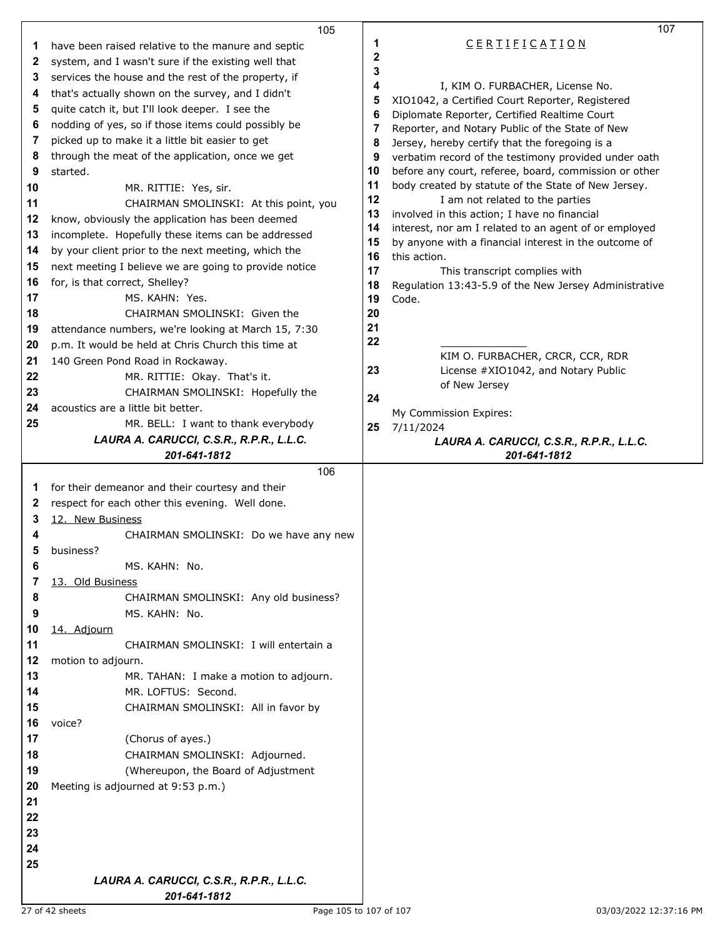|              | 105                                                   |             | 107                                                   |  |
|--------------|-------------------------------------------------------|-------------|-------------------------------------------------------|--|
| 1            | have been raised relative to the manure and septic    | 1           | CERTIFICATION                                         |  |
| $\mathbf{2}$ | system, and I wasn't sure if the existing well that   | $\mathbf 2$ |                                                       |  |
| 3            | services the house and the rest of the property, if   | 3           |                                                       |  |
| 4            | that's actually shown on the survey, and I didn't     | 4           | I, KIM O. FURBACHER, License No.                      |  |
|              |                                                       | 5           | XIO1042, a Certified Court Reporter, Registered       |  |
| 5            | quite catch it, but I'll look deeper. I see the       | 6           | Diplomate Reporter, Certified Realtime Court          |  |
| 6            | nodding of yes, so if those items could possibly be   | 7           | Reporter, and Notary Public of the State of New       |  |
| 7            | picked up to make it a little bit easier to get       | 8           | Jersey, hereby certify that the foregoing is a        |  |
| 8            | through the meat of the application, once we get      | 9           | verbatim record of the testimony provided under oath  |  |
| 9            | started.                                              | 10          | before any court, referee, board, commission or other |  |
| 10           | MR. RITTIE: Yes, sir.                                 | 11          | body created by statute of the State of New Jersey.   |  |
| 11           | CHAIRMAN SMOLINSKI: At this point, you                | 12          | I am not related to the parties                       |  |
| 12           | know, obviously the application has been deemed       | 13          | involved in this action; I have no financial          |  |
| 13           | incomplete. Hopefully these items can be addressed    | 14          | interest, nor am I related to an agent of or employed |  |
| 14           | by your client prior to the next meeting, which the   | 15          | by anyone with a financial interest in the outcome of |  |
| 15           |                                                       | 16          | this action.                                          |  |
|              | next meeting I believe we are going to provide notice | 17          | This transcript complies with                         |  |
| 16           | for, is that correct, Shelley?                        | 18          | Regulation 13:43-5.9 of the New Jersey Administrative |  |
| 17           | MS. KAHN: Yes.                                        | 19          | Code.                                                 |  |
| 18           | CHAIRMAN SMOLINSKI: Given the                         | 20          |                                                       |  |
| 19           | attendance numbers, we're looking at March 15, 7:30   | 21          |                                                       |  |
| 20           | p.m. It would be held at Chris Church this time at    | 22          |                                                       |  |
| 21           | 140 Green Pond Road in Rockaway.                      |             | KIM O. FURBACHER, CRCR, CCR, RDR                      |  |
| 22           | MR. RITTIE: Okay. That's it.                          | 23          | License #XIO1042, and Notary Public                   |  |
| 23           | CHAIRMAN SMOLINSKI: Hopefully the                     | 24          | of New Jersey                                         |  |
| 24           | acoustics are a little bit better.                    |             |                                                       |  |
| 25           | MR. BELL: I want to thank everybody                   | 25          | My Commission Expires:<br>7/11/2024                   |  |
|              | LAURA A. CARUCCI, C.S.R., R.P.R., L.L.C.              |             | LAURA A. CARUCCI, C.S.R., R.P.R., L.L.C.              |  |
|              |                                                       |             |                                                       |  |
|              |                                                       |             |                                                       |  |
|              | 201-641-1812                                          |             | 201-641-1812                                          |  |
|              | 106                                                   |             |                                                       |  |
| 1            | for their demeanor and their courtesy and their       |             |                                                       |  |
| 2            | respect for each other this evening. Well done.       |             |                                                       |  |
| 3            | 12. New Business                                      |             |                                                       |  |
| 4            | CHAIRMAN SMOLINSKI: Do we have any new                |             |                                                       |  |
| 5            | business?                                             |             |                                                       |  |
| 6            | MS. KAHN: No.                                         |             |                                                       |  |
| 7            | 13. Old Business                                      |             |                                                       |  |
| 8            | CHAIRMAN SMOLINSKI: Any old business?                 |             |                                                       |  |
| 9            | MS. KAHN: No.                                         |             |                                                       |  |
| 10           | 14. Adjourn                                           |             |                                                       |  |
| 11           | CHAIRMAN SMOLINSKI: I will entertain a                |             |                                                       |  |
| 12           | motion to adjourn.                                    |             |                                                       |  |
| 13           | MR. TAHAN: I make a motion to adjourn.                |             |                                                       |  |
|              |                                                       |             |                                                       |  |
| 14           | MR. LOFTUS: Second.                                   |             |                                                       |  |
| 15           | CHAIRMAN SMOLINSKI: All in favor by                   |             |                                                       |  |
| 16           | voice?                                                |             |                                                       |  |
| 17           | (Chorus of ayes.)                                     |             |                                                       |  |
| 18           | CHAIRMAN SMOLINSKI: Adjourned.                        |             |                                                       |  |
| 19           | (Whereupon, the Board of Adjustment                   |             |                                                       |  |
| 20           | Meeting is adjourned at 9:53 p.m.)                    |             |                                                       |  |
| 21           |                                                       |             |                                                       |  |
| 22           |                                                       |             |                                                       |  |
| 23           |                                                       |             |                                                       |  |
| 24           |                                                       |             |                                                       |  |
| 25           |                                                       |             |                                                       |  |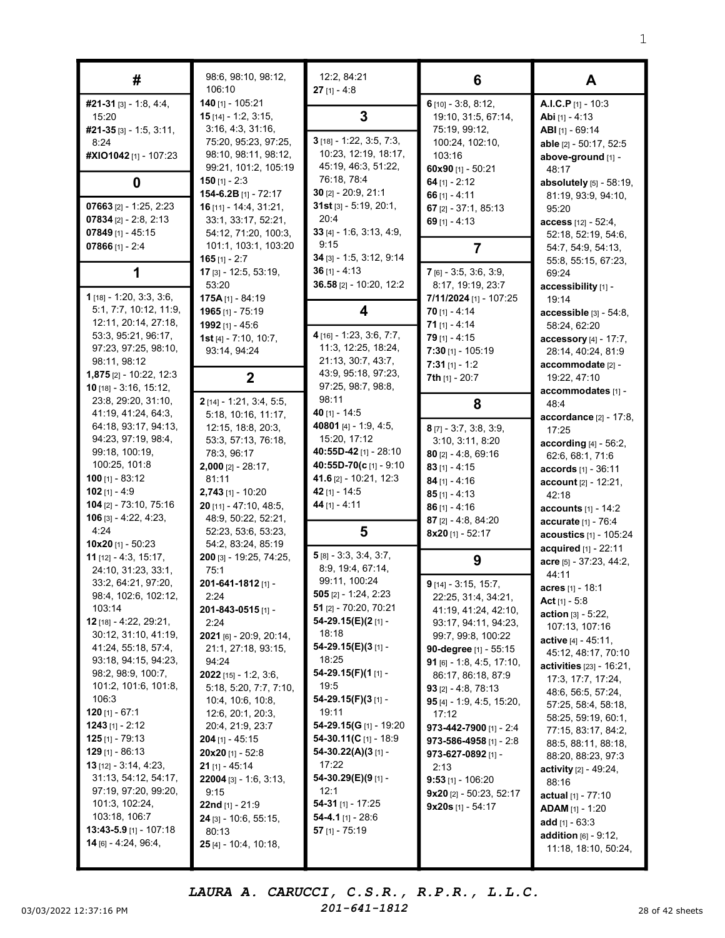| #                                                                                                                                                                                                                                                                                                                                                                                                                                                                                                         | 98:6, 98:10, 98:12,<br>106:10                                                                                                                                                                                                                                                                                                                                                                                                                                | 12:2, 84:21<br>$27$ [1] - 4:8                                                                                                                                                                                                                                                                                                                                                                                              | 6                                                                                                                                                                                                                                                                                                                                                                                                                                                     | A                                                                                                                                                                                                                                                                                                                                                                                                                                                                                                   |
|-----------------------------------------------------------------------------------------------------------------------------------------------------------------------------------------------------------------------------------------------------------------------------------------------------------------------------------------------------------------------------------------------------------------------------------------------------------------------------------------------------------|--------------------------------------------------------------------------------------------------------------------------------------------------------------------------------------------------------------------------------------------------------------------------------------------------------------------------------------------------------------------------------------------------------------------------------------------------------------|----------------------------------------------------------------------------------------------------------------------------------------------------------------------------------------------------------------------------------------------------------------------------------------------------------------------------------------------------------------------------------------------------------------------------|-------------------------------------------------------------------------------------------------------------------------------------------------------------------------------------------------------------------------------------------------------------------------------------------------------------------------------------------------------------------------------------------------------------------------------------------------------|-----------------------------------------------------------------------------------------------------------------------------------------------------------------------------------------------------------------------------------------------------------------------------------------------------------------------------------------------------------------------------------------------------------------------------------------------------------------------------------------------------|
| #21-31 [3] - 1:8, 4:4,<br>15:20<br>$#21-35$ [3] - 1:5, 3:11,<br>8:24<br>#XIO1042 [1] - 107:23                                                                                                                                                                                                                                                                                                                                                                                                             | 140 [1] - 105:21<br><b>15</b> $[14] - 1:2, 3:15,$<br>3:16, 4:3, 31:16,<br>75:20, 95:23, 97:25,<br>98:10, 98:11, 98:12,                                                                                                                                                                                                                                                                                                                                       | 3<br>$3$ [18] - 1:22, 3:5, 7:3,<br>10:23, 12:19, 18:17,                                                                                                                                                                                                                                                                                                                                                                    | $6$ [10] - 3:8, 8:12,<br>19:10, 31:5, 67:14,<br>75:19, 99:12,<br>100:24, 102:10,<br>103:16                                                                                                                                                                                                                                                                                                                                                            | A.I.C.P [1] - 10:3<br><b>Abi</b> $[1] - 4:13$<br>ABI [1] - 69:14<br>able [2] - 50:17, 52:5<br>above-ground [1] -                                                                                                                                                                                                                                                                                                                                                                                    |
| 0                                                                                                                                                                                                                                                                                                                                                                                                                                                                                                         | 99:21, 101:2, 105:19<br>150 $[1] - 2:3$                                                                                                                                                                                                                                                                                                                                                                                                                      | 45:19, 46:3, 51:22,<br>76:18, 78:4                                                                                                                                                                                                                                                                                                                                                                                         | 60x90 [1] - 50:21<br>64 $[1] - 2:12$                                                                                                                                                                                                                                                                                                                                                                                                                  | 48:17<br>absolutely [5] - 58:19,                                                                                                                                                                                                                                                                                                                                                                                                                                                                    |
| 07663 $[2] - 1:25, 2:23$<br>07834 $[2] - 2:8, 2:13$<br>07849 $[1] - 45:15$<br>07866 $[1] - 2:4$                                                                                                                                                                                                                                                                                                                                                                                                           | 154-6.2B [1] - 72:17<br>16 [11] - 14:4, 31:21,<br>33:1, 33:17, 52:21,<br>54:12, 71:20, 100:3,<br>101:1, 103:1, 103:20<br>165 $[1] - 2:7$                                                                                                                                                                                                                                                                                                                     | 30 [2] - 20:9, 21:1<br>$31st$ [3] - 5:19, 20:1,<br>20:4<br>33 $[4] - 1:6$ , 3:13, 4:9,<br>9:15<br>$34$ [3] - 1:5, 3:12, 9:14                                                                                                                                                                                                                                                                                               | 66 $[1] - 4:11$<br>67 $[2] - 37:1, 85:13$<br>69 $[1] - 4:13$<br>7                                                                                                                                                                                                                                                                                                                                                                                     | 81:19, 93:9, 94:10,<br>95:20<br>access [12] - 52:4,<br>52:18, 52:19, 54:6,<br>54:7, 54:9, 54:13,<br>55:8, 55:15, 67:23,                                                                                                                                                                                                                                                                                                                                                                             |
| 1                                                                                                                                                                                                                                                                                                                                                                                                                                                                                                         | 17 [3] - 12:5, 53:19,<br>53:20                                                                                                                                                                                                                                                                                                                                                                                                                               | $36$ [1] - 4:13<br>36.58 [2] - 10:20, 12:2                                                                                                                                                                                                                                                                                                                                                                                 | 7 [6] - 3:5, 3:6, 3:9,<br>8:17, 19:19, 23:7                                                                                                                                                                                                                                                                                                                                                                                                           | 69:24<br>accessibility [1] -                                                                                                                                                                                                                                                                                                                                                                                                                                                                        |
| 1 [18] - 1:20, 3:3, 3:6,<br>5:1, 7:7, 10:12, 11:9,<br>12:11, 20:14, 27:18,<br>53:3, 95:21, 96:17,                                                                                                                                                                                                                                                                                                                                                                                                         | 175A $[1]$ - 84:19<br>1965 [1] - 75:19<br>1992 [1] - 45:6                                                                                                                                                                                                                                                                                                                                                                                                    | 4<br>4 [16] - 1:23, 3:6, 7:7,                                                                                                                                                                                                                                                                                                                                                                                              | 7/11/2024 [1] - 107:25<br>$70$ [1] - 4:14<br>71 $[1] - 4:14$                                                                                                                                                                                                                                                                                                                                                                                          | 19:14<br>$accessible$ [3] - 54:8,<br>58:24, 62:20                                                                                                                                                                                                                                                                                                                                                                                                                                                   |
| 97:23, 97:25, 98:10,<br>98:11, 98:12<br>$1,875$ [2] - 10:22, 12:3                                                                                                                                                                                                                                                                                                                                                                                                                                         | 1st $[4] - 7:10, 10:7$ ,<br>93:14, 94:24<br>$\mathbf{2}$                                                                                                                                                                                                                                                                                                                                                                                                     | 11:3, 12:25, 18:24,<br>21:13, 30:7, 43:7,<br>43:9, 95:18, 97:23,                                                                                                                                                                                                                                                                                                                                                           | $79$ [1] - 4:15<br>$7:30$ [1] - 105:19<br>$7:31$ [1] - 1:2<br>7th [1] - 20:7                                                                                                                                                                                                                                                                                                                                                                          | accessory [4] - 17:7,<br>28:14, 40:24, 81:9<br>accommodate [2] -<br>19:22, 47:10                                                                                                                                                                                                                                                                                                                                                                                                                    |
| 10 [18] - 3:16, 15:12,<br>23:8, 29:20, 31:10,<br>41:19, 41:24, 64:3,                                                                                                                                                                                                                                                                                                                                                                                                                                      | 2 [14] - 1:21, 3:4, 5:5,<br>5:18, 10:16, 11:17,                                                                                                                                                                                                                                                                                                                                                                                                              | 97:25, 98:7, 98:8,<br>98:11<br>40 $[1] - 14:5$<br>40801 [4] - 1:9, 4:5,                                                                                                                                                                                                                                                                                                                                                    | 8                                                                                                                                                                                                                                                                                                                                                                                                                                                     | accommodates [1] -<br>48:4<br>accordance [2] - 17:8,                                                                                                                                                                                                                                                                                                                                                                                                                                                |
| 64:18, 93:17, 94:13,<br>94:23, 97:19, 98:4,<br>99:18, 100:19,<br>100:25, 101:8                                                                                                                                                                                                                                                                                                                                                                                                                            | 12:15, 18:8, 20:3,<br>53:3, 57:13, 76:18,<br>78:3, 96:17<br>$2,000$ [2] - 28:17,                                                                                                                                                                                                                                                                                                                                                                             | 15:20, 17:12<br>40:55D-42 [1] - 28:10<br>40:55D-70(c [1] - 9:10                                                                                                                                                                                                                                                                                                                                                            | $8$ [7] - 3:7, 3:8, 3:9,<br>3:10, 3:11, 8:20<br>$80$ [2] - 4:8, 69:16<br>$83$ [1] - 4:15                                                                                                                                                                                                                                                                                                                                                              | 17:25<br>according $[4] - 56:2$ ,<br>62:6, 68:1, 71:6<br>accords [1] - 36:11                                                                                                                                                                                                                                                                                                                                                                                                                        |
| $100$ [1] - 83:12<br>102 $[1] - 4:9$<br>104 [2] - 73:10, 75:16                                                                                                                                                                                                                                                                                                                                                                                                                                            | 81:11<br>$2,743$ [1] - 10:20<br>20 [11] - 47:10, 48:5,                                                                                                                                                                                                                                                                                                                                                                                                       | 41.6 [2] - 10:21, 12:3<br>42 [1] - 14:5<br>44 [1] - 4:11                                                                                                                                                                                                                                                                                                                                                                   | $84$ [1] - 4:16<br>$85$ [1] - 4:13<br>$86$ [1] - 4:16                                                                                                                                                                                                                                                                                                                                                                                                 | <b>account</b> $[2] - 12:21$ ,<br>42:18<br><b>accounts</b> $[1] - 14:2$                                                                                                                                                                                                                                                                                                                                                                                                                             |
| <b>106</b> [3] - 4:22, 4:23,<br>4:24                                                                                                                                                                                                                                                                                                                                                                                                                                                                      | 48:9, 50:22, 52:21,<br>52:23, 53:6, 53:23,                                                                                                                                                                                                                                                                                                                                                                                                                   | 5                                                                                                                                                                                                                                                                                                                                                                                                                          | 87 $[2] - 4:8, 84:20$<br>8x20 [1] - 52:17                                                                                                                                                                                                                                                                                                                                                                                                             | accurate [1] - 76:4<br>acoustics [1] - 105:24                                                                                                                                                                                                                                                                                                                                                                                                                                                       |
| 10x20 $[1] - 50:23$<br>11 $[12] - 4:3, 15:17$ ,<br>24:10, 31:23, 33:1,<br>33:2, 64:21, 97:20,<br>98:4, 102:6, 102:12,<br>103:14<br>12 [18] - 4:22, 29:21,<br>30:12, 31:10, 41:19,<br>41:24, 55:18, 57:4,<br>93:18, 94:15, 94:23,<br>98:2, 98:9, 100:7,<br>101:2, 101:6, 101:8,<br>106:3<br><b>120</b> [1] - 67:1<br><b>1243</b> [1] - 2:12<br>$125$ [1] - 79:13<br>$129$ [1] - 86:13<br><b>13</b> $[12] - 3:14, 4:23,$<br>31:13, 54:12, 54:17,<br>97:19, 97:20, 99:20,<br>101:3, 102:24,<br>103:18, 106:7 | 54:2, 83:24, 85:19<br>200 [3] - 19:25, 74:25,<br>75:1<br>201-641-1812 [1] -<br>2:24<br>201-843-0515 [1] -<br>2:24<br>2021 [6] - 20:9, 20:14,<br>21:1, 27:18, 93:15,<br>94:24<br>$2022$ [15] - 1:2, 3:6,<br>5:18, 5:20, 7:7, 7:10,<br>10:4, 10:6, 10:8,<br>12:6, 20:1, 20:3,<br>20:4, 21:9, 23:7<br><b>204</b> [1] - 45:15<br>$20x20$ [1] - 52:8<br>$21$ [1] - 45:14<br>$22004$ [3] - 1:6, 3:13,<br>9:15<br><b>22nd</b> [1] - 21:9<br>$24$ [3] - 10:6, 55:15, | $5[8] - 3:3, 3:4, 3:7,$<br>8:9, 19:4, 67:14,<br>99:11, 100:24<br><b>505</b> [2] - 1:24, 2:23<br>51 $[2] - 70:20, 70:21$<br>54-29.15(E)(2[1]-<br>18:18<br>54-29.15(E)(3[1]-<br>18:25<br>54-29.15(F)(1 <sub>[1]</sub> -<br>19:5<br>54-29.15(F)(3[1] -<br>19:11<br>54-29.15(G [1] - 19:20<br>54-30.11(C $[1]$ - 18:9<br>54-30.22(A)(3 $[1]$ -<br>17:22<br>54-30.29(E)(9[1]-<br>12:1<br>54-31 [1] - 17:25<br>54-4.1 [1] - 28:6 | 9<br>$9$ [14] - 3:15, 15:7,<br>22:25, 31:4, 34:21,<br>41:19, 41:24, 42:10,<br>93:17, 94:11, 94:23,<br>99:7, 99:8, 100:22<br>90-degree [1] - 55:15<br><b>91</b> [6] - 1:8, 4:5, 17:10,<br>86:17, 86:18, 87:9<br><b>93</b> [2] $- 4:8, 78:13$<br><b>95</b> [4] - 1:9, 4:5, 15:20,<br>17:12<br>973-442-7900 [1] - 2:4<br>973-586-4958 [1] - 2:8<br>973-627-0892 [1] -<br>2:13<br>$9:53$ [1] - 106:20<br>$9x20$ [2] - 50:23, 52:17<br>$9x20s$ [1] - 54:17 | acquired [1] - 22:11<br>acre [5] - 37:23, 44:2,<br>44:11<br>acres [1] - 18:1<br>Act $[1] - 5:8$<br><b>action</b> $[3] - 5:22$ ,<br>107:13, 107:16<br>active $[4] - 45:11$ ,<br>45:12, 48:17, 70:10<br>activities [23] - 16:21,<br>17:3, 17:7, 17:24,<br>48:6, 56:5, 57:24,<br>57:25, 58:4, 58:18,<br>58:25, 59:19, 60:1,<br>77:15, 83:17, 84:2,<br>88:5, 88:11, 88:18,<br>88:20, 88:23, 97:3<br><b>activity</b> $[2] - 49:24$ ,<br>88:16<br><b>actual</b> $[1]$ - 77:10<br><b>ADAM</b> $[1] - 1:20$ |
| 13:43-5.9 [1] - 107:18<br><b>14</b> [6] - 4:24, 96:4,                                                                                                                                                                                                                                                                                                                                                                                                                                                     | 80:13<br>$25$ [4] - 10:4, 10:18,                                                                                                                                                                                                                                                                                                                                                                                                                             | 57 [1] - $75:19$                                                                                                                                                                                                                                                                                                                                                                                                           |                                                                                                                                                                                                                                                                                                                                                                                                                                                       | add $[1] - 63:3$<br><b>addition</b> $[6] - 9:12$ ,<br>11:18, 18:10, 50:24,                                                                                                                                                                                                                                                                                                                                                                                                                          |

03/03/2022 12:37:16 PM  $201 - 641 - 1812$  28 of 42 sheets LAURA A. CARUCCI, C.S.R., R.P.R., L.L.C. 201-641-1812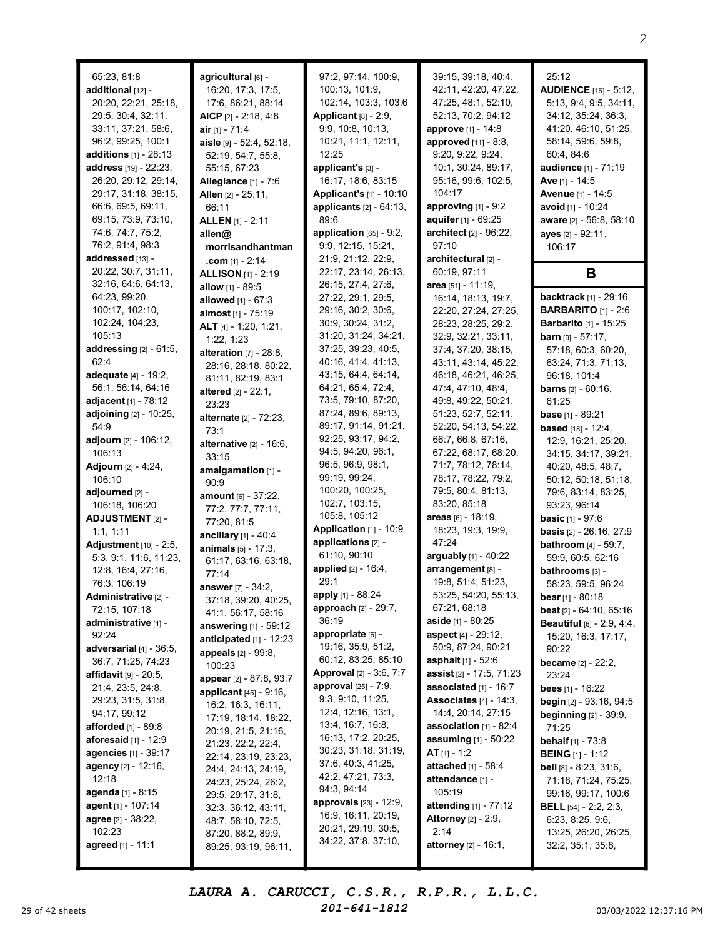| 65:23, 81:8                        |
|------------------------------------|
|                                    |
|                                    |
| additional [12] -                  |
| 20:20, 22:21, 25:18,               |
| 29:5, 30:4, 32:11,                 |
|                                    |
| 33:11, 37:21, 58:6,                |
| 96:2, 99:25, 100:1                 |
| additions [1] - 28:13              |
|                                    |
| address [19] - 22:23,              |
| 26:20, 29:12, 29:14,               |
|                                    |
| 29:17, 31:18, 38:15,               |
| 66:6, 69:5, 69:11,                 |
| 69:15, 73:9, 73:10,                |
|                                    |
| 74:6, 74:7, 75:2,                  |
| 76:2, 91:4, 98:3                   |
| addressed [13] -                   |
|                                    |
| 20:22, 30:7, 31:11,                |
| 32:16, 64:6, 64:13,                |
| 64:23, 99:20,                      |
|                                    |
| 100:17, 102:10,                    |
| 102:24, 104:23,                    |
| 105:13                             |
|                                    |
| addressing [2] - 61:5,             |
| 62:4                               |
|                                    |
| adequate [4] - 19:2,               |
| 56:1, 56:14, 64:16                 |
| adjacent [1] - 78:12               |
|                                    |
| adjoining [2] - 10:25,             |
| 54:9                               |
| adjourn [2] - 106:12,              |
|                                    |
| 106:13                             |
|                                    |
|                                    |
| Adjourn [2] - 4:24,                |
| 106:10                             |
| adjourned [2] -                    |
|                                    |
| 106:18, 106:20                     |
| ADJUSTMENT [2] -                   |
| 1:1, 1:11                          |
|                                    |
| Adjustment [10] - 2:5,             |
| 5:3, 9:1, 11:6, 11:23,             |
|                                    |
| 12:8, 16:4, 27:16,                 |
| 76:3, 106:19                       |
| ministrativ<br>dı<br>) [2] -       |
|                                    |
| 72:15, 107:18                      |
| administrative [1] -               |
| 92:24                              |
|                                    |
| adversarial [4] - 36:5,            |
| 36:7, 71:25, 74:23                 |
| affidavit [9] - 20:5,              |
|                                    |
| 21:4, 23:5, 24:8,                  |
| 29:23, 31:5, 31:8,                 |
| 94:17, 99:12                       |
|                                    |
| afforded [1] - 89:8                |
| aforesaid [1] - 12:9               |
|                                    |
| agencies [1] - 39:17               |
| agency [2] - 12:16,                |
| 12:18                              |
|                                    |
| agenda [1] - 8:15                  |
| agent [1] - 107:14                 |
| agree [2] - 38:22,                 |
|                                    |
| 102:23<br><b>agreed</b> [1] - 11:1 |

agricultural [6] -16:20, 17:3, 17:5, 17:6, 86:21, 88:14 AICP [2] - 2:18, 4:8  $air_{[1]} - 71:4$ aisle [9] - 52:4, 52:18, 52:19, 54:7, 55:8, 55:15, 67:23 Allegiance [1] - 7:6 Allen [2] - 25:11, 66:11 ALLEN [1] - 2:11 allen@ morrisandhantman .com [1] - 2:14 **ALLISON** [1] - 2:19 allow [1] - 89:5 allowed [1] - 67:3 almost [1] - 75:19 ALT [4] - 1:20, 1:21, 1:22, 1:23 alteration [7] - 28:8, 28:16, 28:18, 80:22, 81:11, 82:19, 83:1 altered [2] - 22:1, 23:23 alternate [2] - 72:23, 73:1 alternative [2] - 16:6, 33:15 amalgamation [1] -90:9 amount [6] - 37:22, 77:2, 77:7, 77:11, 77:20, 81:5 ancillary [1] - 40:4 animals [5] - 17:3, 61:17, 63:16, 63:18, 77:14 answer [7] - 34:2, 37:18, 39:20, 40:25, 41:1, 56:17, 58:16 answering [1] - 59:12 anticipated  $[1]$  - 12:23 appeals [2] - 99:8, 100:23 appear [2] - 87:8, 93:7 applicant  $[45]$  -  $9:16$ , 16:2, 16:3, 16:11, 17:19, 18:14, 18:22, 20:19, 21:5, 21:16, 21:23, 22:2, 22:4, 22:14, 23:19, 23:23, 24:4, 24:13, 24:19, 24:23, 25:24, 26:2, 29:5, 29:17, 31:8, 32:3, 36:12, 43:11, 48:7, 58:10, 72:5, 87:20, 88:2, 89:9, 89:25, 93:19, 96:11,

97:2, 97:14, 100:9, 100:13, 101:9, 102:14, 103:3, 103:6 Applicant  $[8]$  - 2:9, 9:9, 10:8, 10:13, 10:21, 11:1, 12:11, 12:25 applicant's [3] - 16:17, 18:6, 83:15 Applicant's [1] - 10:10 applicants [2] - 64:13, 89:6 application [65] - 9:2, 9:9, 12:15, 15:21, 21:9, 21:12, 22:9, 22:17, 23:14, 26:13, 26:15, 27:4, 27:6, 27:22, 29:1, 29:5, 29:16, 30:2, 30:6, 30:9, 30:24, 31:2, 31:20, 31:24, 34:21, 37:25, 39:23, 40:5, 40:16, 41:4, 41:13, 43:15, 64:4, 64:14, 64:21, 65:4, 72:4, 73:5, 79:10, 87:20, 87:24, 89:6, 89:13, 89:17, 91:14, 91:21, 92:25, 93:17, 94:2, 94:5, 94:20, 96:1, 96:5, 96:9, 98:1, 99:19, 99:24, 100:20, 100:25, 102:7, 103:15, 105:8, 105:12 **Application**  $[1]$  - 10:9 applications [2] - 61:10, 90:10 applied  $[2] - 16:4$ , 29:1 apply [1] - 88:24 approach [2] - 29:7, 36:19 appropriate [6] - 19:16, 35:9, 51:2, 60:12, 83:25, 85:10 Approval [2] - 3:6, 7:7 approval [25] - 7:9, 9:3, 9:10, 11:25, 12:4, 12:16, 13:1, 13:4, 16:7, 16:8, 16:13, 17:2, 20:25, 30:23, 31:18, 31:19, 37:6, 40:3, 41:25, 42:2, 47:21, 73:3, 94:3, 94:14 approvals [23] - 12:9, 16:9, 16:11, 20:19, 20:21, 29:19, 30:5, 34:22, 37:8, 37:10,

39:15, 39:18, 40:4, 42:11, 42:20, 47:22, 47:25, 48:1, 52:10, 52:13, 70:2, 94:12 approve [1] - 14:8 approved [11] - 8:8, 9:20, 9:22, 9:24, 10:1, 30:24, 89:17, 95:16, 99:6, 102:5, 104:17 approving  $[1]$  -  $9:2$ aquifer [1] - 69:25 architect [2] - 96:22, 97:10 architectural [2] - 60:19, 97:11 area [51] - 11:19, 16:14, 18:13, 19:7, 22:20, 27:24, 27:25, 28:23, 28:25, 29:2, 32:9, 32:21, 33:11, 37:4, 37:20, 38:15, 43:11, 43:14, 45:22, 46:18, 46:21, 46:25, 47:4, 47:10, 48:4, 49:8, 49:22, 50:21, 51:23, 52:7, 52:11, 52:20, 54:13, 54:22, 66:7, 66:8, 67:16, 67:22, 68:17, 68:20, 71:7, 78:12, 78:14, 78:17, 78:22, 79:2, 79:5, 80:4, 81:13, 83:20, 85:18 areas [6] - 18:19, 18:23, 19:3, 19:9, 47:24 arguably [1] - 40:22 arrangement [8] -19:8, 51:4, 51:23, 53:25, 54:20, 55:13, 67:21, 68:18 aside [1] - 80:25 aspect [4] - 29:12, 50:9, 87:24, 90:21 asphalt [1] - 52:6 assist [2] - 17:5, 71:23 associated [1] - 16:7 Associates  $[4]$  - 14:3, 14:4, 20:14, 27:15 association [1] - 82:4 assuming [1] - 50:22 AT  $[1] - 1:2$ attached [1] - 58:4 attendance [1] -105:19 attending [1] - 77:12 **Attorney** [2] - 2:9,  $2:14$ attorney [2] - 16:1,

25:12 AUDIENCE [16] - 5:12, 5:13, 9:4, 9:5, 34:11, 34:12, 35:24, 36:3, 41:20, 46:10, 51:25, 58:14, 59:6, 59:8, 60:4, 84:6 audience [1] - 71:19 Ave [1] - 14:5 Avenue [1] - 14:5 avoid [1] - 10:24 aware [2] - 56:8, 58:10 ayes [2] - 92:11, 106:17 B backtrack [1] - 29:16 BARBARITO [1] - 2:6 Barbarito [1] - 15:25 **barn**  $[9] - 57:17$ , 57:18, 60:3, 60:20, 63:24, 71:3, 71:13, 96:18, 101:4 barns [2] - 60:16, 61:25 base [1] - 89:21 **based** [18] - 12:4, 12:9, 16:21, 25:20, 34:15, 34:17, 39:21, 40:20, 48:5, 48:7, 50:12, 50:18, 51:18, 79:6, 83:14, 83:25, 93:23, 96:14 **basic**  $[1]$  - 97:6 basis [2] - 26:16, 27:9 bathroom [4] - 59:7, 59:9, 60:5, 62:16 bathrooms [3] - 58:23, 59:5, 96:24 **bear** [1] - 80:18 beat [2] - 64:10, 65:16 Beautiful [6] - 2:9, 4:4, 15:20, 16:3, 17:17, 90:22 became [2] - 22:2, 23:24 bees [1] - 16:22 begin [2] - 93:16, 94:5 beginning [2] - 39:9, 71:25 behalf [1] - 73:8 BEING [1] - 1:12 bell [8] - 8:23, 31:6, 71:18, 71:24, 75:25, 99:16, 99:17, 100:6 BELL [54] - 2:2, 2:3, 6:23, 8:25, 9:6, 13:25, 26:20, 26:25, 32:2, 35:1, 35:8,

29 of 42 sheets  $201 - 641 - 1812$   $201 - 641 - 1812$   $3/03/2022$  12:37:16 PM LAURA A. CARUCCI, C.S.R., R.P.R., L.L.C. 201-641-1812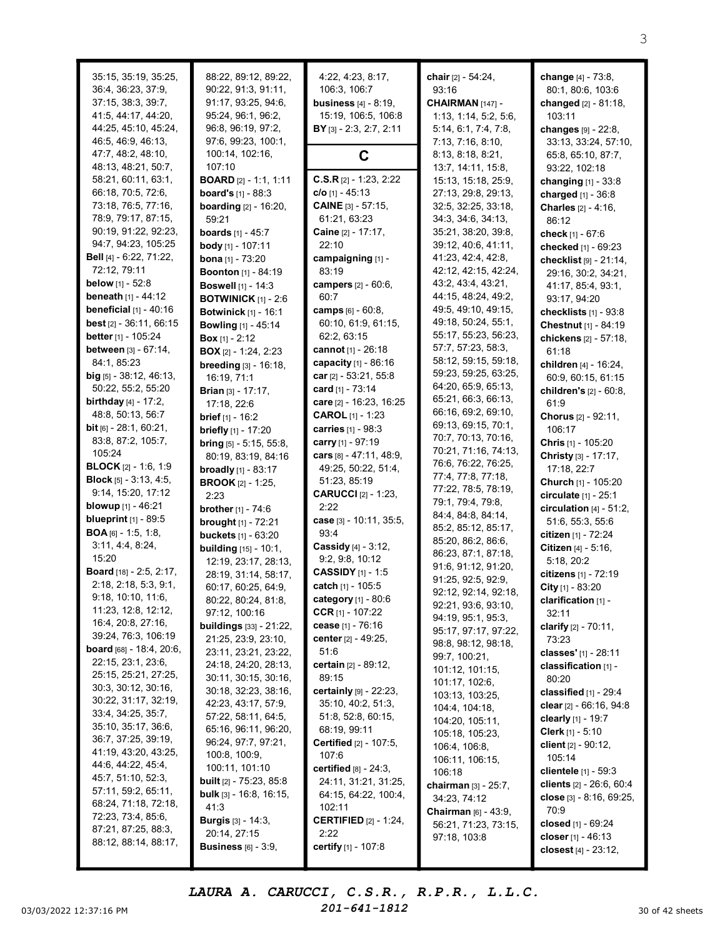| 35:15, 35:19, 35:25,<br>36:4, 36:23, 37:9,<br>37:15, 38:3, 39:7, | 88:22, 89:12, 89:22,<br>90:22, 91:3, 91:11,<br>91:17, 93:25, 94:6, | 4:22, 4:23, 8:17,<br>106:3, 106:7<br><b>business</b> $[4] - 8:19$ , | chair [2] - 54:24,<br>93:16<br>CHAIRMAN [147] -        | <b>change</b> [4] - 73:8,<br>80:1, 80:6, 103:6<br>changed [2] - 81:18, |
|------------------------------------------------------------------|--------------------------------------------------------------------|---------------------------------------------------------------------|--------------------------------------------------------|------------------------------------------------------------------------|
| 41:5, 44:17, 44:20,                                              | 95:24, 96:1, 96:2,                                                 | 15:19, 106:5, 106:8                                                 | 1:13, 1:14, 5:2, 5:6,                                  | 103:11                                                                 |
| 44:25, 45:10, 45:24,                                             | 96:8, 96:19, 97:2,                                                 | BY [3] - 2:3, 2:7, 2:11                                             | 5:14, 6:1, 7:4, 7:8,                                   | changes [9] - 22:8,                                                    |
| 46:5, 46:9, 46:13,                                               | 97:6, 99:23, 100:1,                                                |                                                                     | 7:13, 7:16, 8:10,                                      | 33:13, 33:24, 57:10,                                                   |
| 47:7, 48:2, 48:10,                                               | 100:14, 102:16,                                                    | C                                                                   | 8:13, 8:18, 8:21,                                      | 65:8, 65:10, 87:7,                                                     |
| 48:13, 48:21, 50:7,                                              | 107:10                                                             | $C.S.R$ [2] - 1:23, 2:22                                            | 13:7, 14:11, 15:8,                                     | 93:22, 102:18                                                          |
| 58:21, 60:11, 63:1,<br>66:18, 70:5, 72:6,                        | <b>BOARD</b> [2] - 1:1, 1:11<br><b>board's</b> $[1] - 88:3$        | $c/o$ [1] - 45:13                                                   | 15:13, 15:18, 25:9,<br>27:13, 29:8, 29:13,             | changing [1] - 33:8                                                    |
| 73:18, 76:5, 77:16,                                              | <b>boarding</b> $[2] - 16:20$ ,                                    | <b>CAINE</b> $[3] - 57:15$ ,                                        | 32:5, 32:25, 33:18,                                    | charged [1] - 36:8<br>Charles [2] - 4:16,                              |
| 78:9, 79:17, 87:15,                                              | 59:21                                                              | 61:21, 63:23                                                        | 34:3, 34:6, 34:13,                                     | 86:12                                                                  |
| 90:19, 91:22, 92:23,                                             | <b>boards</b> $[1] - 45:7$                                         | Caine [2] - 17:17,                                                  | 35:21, 38:20, 39:8,                                    | check [1] - 67:6                                                       |
| 94:7, 94:23, 105:25                                              | body [1] - 107:11                                                  | 22:10                                                               | 39:12, 40:6, 41:11,                                    | checked [1] - 69:23                                                    |
| Bell [4] - 6:22, 71:22,                                          | <b>bona</b> $[1]$ - 73:20                                          | campaigning [1] -                                                   | 41:23, 42:4, 42:8,                                     | checklist [9] - 21:14,                                                 |
| 72:12, 79:11                                                     | <b>Boonton</b> [1] - 84:19                                         | 83:19                                                               | 42:12, 42:15, 42:24,                                   | 29:16, 30:2, 34:21,                                                    |
| <b>below</b> [1] - 52:8                                          | <b>Boswell</b> [1] - 14:3                                          | campers [2] - 60:6,                                                 | 43:2, 43:4, 43:21,                                     | 41:17, 85:4, 93:1,                                                     |
| <b>beneath</b> $[1] - 44:12$                                     | <b>BOTWINICK</b> $[1] - 2:6$                                       | 60:7                                                                | 44:15, 48:24, 49:2,                                    | 93:17, 94:20                                                           |
| <b>beneficial</b> $[1] - 40:16$                                  | <b>Botwinick [1] - 16:1</b>                                        | camps [6] - 60:8,                                                   | 49:5, 49:10, 49:15,<br>49:18, 50:24, 55:1,             | checklists $[1]$ - $93:8$                                              |
| <b>best</b> $[2] - 36:11, 66:15$<br>better [1] - 105:24          | <b>Bowling</b> [1] - 45:14                                         | 60:10, 61:9, 61:15,<br>62:2, 63:15                                  | 55:17, 55:23, 56:23,                                   | Chestnut [1] - 84:19                                                   |
| between [3] - 67:14,                                             | <b>Box</b> $[1] - 2:12$                                            | cannot [1] - 26:18                                                  | 57:7, 57:23, 58:3,                                     | chickens [2] - 57:18,<br>61:18                                         |
| 84:1, 85:23                                                      | <b>BOX</b> [2] - 1:24, 2:23<br>breeding [3] - 16:18,               | capacity [1] - 86:16                                                | 58:12, 59:15, 59:18,                                   | children [4] - 16:24,                                                  |
| big $[5]$ - 38:12, 46:13,                                        | 16:19, 71:1                                                        | car $[2] - 53:21, 55:8$                                             | 59:23, 59:25, 63:25,                                   | 60:9, 60:15, 61:15                                                     |
| 50:22, 55:2, 55:20                                               | <b>Brian</b> [3] - 17:17,                                          | card $[1] - 73:14$                                                  | 64:20, 65:9, 65:13,                                    | children's [2] - 60:8,                                                 |
| <b>birthday</b> $[4] - 17:2$ ,                                   | 17:18, 22:6                                                        | care [2] - 16:23, 16:25                                             | 65:21, 66:3, 66:13,                                    | 61:9                                                                   |
| 48:8, 50:13, 56:7                                                | <b>brief</b> $[1] - 16:2$                                          | <b>CAROL</b> [1] - 1:23                                             | 66:16, 69:2, 69:10,                                    | Chorus [2] - 92:11,                                                    |
| bit [6] - 28:1, 60:21,                                           | briefly [1] - 17:20                                                | carries [1] - 98:3                                                  | 69:13, 69:15, 70:1,                                    | 106:17                                                                 |
| 83:8, 87:2, 105:7,                                               | bring [5] - 5:15, 55:8,                                            | carry [1] - 97:19                                                   | 70:7, 70:13, 70:16,                                    | Chris [1] - 105:20                                                     |
| 105:24                                                           | 80:19, 83:19, 84:16                                                | cars $[8] - 47:11, 48:9,$                                           | 70:21, 71:16, 74:13,<br>76:6, 76:22, 76:25,            | Christy [3] - 17:17,                                                   |
| <b>BLOCK</b> $[2] - 1:6, 1:9$                                    | <b>broadly</b> $[1]$ - 83:17                                       | 49:25, 50:22, 51:4,                                                 | 77:4, 77:8, 77:18,                                     | 17:18, 22:7                                                            |
| <b>Block</b> $[5] - 3:13, 4:5,$                                  | <b>BROOK</b> [2] - 1:25,                                           | 51:23, 85:19                                                        | 77:22, 78:5, 78:19,                                    | Church [1] - 105:20                                                    |
| 9:14, 15:20, 17:12<br><b>blowup</b> $[1] - 46:21$                | 2:23                                                               | <b>CARUCCI</b> [2] - 1:23,<br>2:22                                  | 79:1, 79:4, 79:8,                                      | circulate [1] - 25:1                                                   |
| blueprint [1] - 89:5                                             | <b>brother</b> $[1] - 74:6$<br><b>brought</b> [1] - 72:21          | case [3] - 10:11, 35:5,                                             | 84:4, 84:8, 84:14,                                     | circulation $[4]$ - 51:2,<br>51:6, 55:3, 55:6                          |
| <b>BOA</b> [6] - 1:5, 1:8,                                       | <b>buckets</b> [1] - 63:20                                         | 93:4                                                                | 85:2, 85:12, 85:17,                                    | citizen [1] - 72:24                                                    |
| 3:11, 4:4, 8:24,                                                 | <b>building</b> [15] - 10:1,                                       | Cassidy [4] - 3:12,                                                 | 85:20, 86:2, 86:6,                                     | Citizen [4] - 5:16,                                                    |
| 15:20                                                            | 12:19, 23:17, 28:13,                                               | 9:2, 9:8, 10:12                                                     | 86:23, 87:1, 87:18,                                    | 5:18, 20:2                                                             |
| <b>Board</b> [18] - 2:5, 2:17,                                   | 28:19, 31:14, 58:17,                                               | <b>CASSIDY</b> [1] - 1:5                                            | 91:6, 91:12, 91:20,<br>91:25, 92:5, 92:9,              | citizens [1] - 72:19                                                   |
| 2:18, 2:18, 5:3, 9:1,                                            | 60:17, 60:25, 64:9,                                                | catch [1] - 105:5                                                   | 92:12, 92:14, 92:18,                                   | City [1] - $83:20$                                                     |
| 9:18, 10:10, 11:6,                                               | 80:22, 80:24, 81:8,                                                | <b>category</b> $[1] - 80:6$                                        | 92:21, 93:6, 93:10,                                    | clarification [1] -                                                    |
| 11:23, 12:8, 12:12,                                              | 97:12, 100:16                                                      | CCR $[1]$ - 107:22                                                  | 94:19, 95:1, 95:3,                                     | 32:11                                                                  |
| 16:4, 20:8, 27:16,<br>39:24, 76:3, 106:19                        | <b>buildings</b> [33] - 21:22,                                     | cease [1] - 76:16                                                   | 95:17, 97:17, 97:22,                                   | clarify $[2] - 70:11$ ,                                                |
| <b>board</b> $[68] - 18:4, 20:6,$                                | 21:25, 23:9, 23:10,                                                | center [2] - 49:25,                                                 | 98:8, 98:12, 98:18,                                    | 73:23                                                                  |
| 22:15, 23:1, 23:6,                                               | 23:11, 23:21, 23:22,<br>24:18, 24:20, 28:13,                       | 51:6<br><b>certain</b> $[2] - 89:12$ ,                              | 99:7, 100:21,                                          | classes' [1] - 28:11<br>classification [1] -                           |
| 25:15, 25:21, 27:25,                                             | 30:11, 30:15, 30:16,                                               | 89:15                                                               | 101:12, 101:15,                                        | 80:20                                                                  |
| 30:3, 30:12, 30:16,                                              | 30:18, 32:23, 38:16,                                               | certainly [9] - 22:23,                                              | 101:17, 102:6,                                         | classified [1] - 29:4                                                  |
| 30:22, 31:17, 32:19,                                             | 42:23, 43:17, 57:9,                                                | 35:10, 40:2, 51:3,                                                  | 103:13, 103:25,<br>104:4, 104:18,                      | clear $[2] - 66:16, 94:8$                                              |
| 33:4, 34:25, 35:7,                                               | 57:22, 58:11, 64:5,                                                | 51:8, 52:8, 60:15,                                                  | 104:20, 105:11,                                        | clearly $[1] - 19:7$                                                   |
| 35:10, 35:17, 36:6,                                              | 65:16, 96:11, 96:20,                                               | 68:19, 99:11                                                        | 105:18, 105:23,                                        | <b>Clerk</b> $[1] - 5:10$                                              |
| 36:7, 37:25, 39:19,<br>41:19, 43:20, 43:25,                      | 96:24, 97:7, 97:21,                                                | <b>Certified</b> [2] - 107:5,                                       | 106:4, 106:8,                                          | client [2] - 90:12,                                                    |
| 44:6, 44:22, 45:4,                                               | 100:8, 100:9,                                                      | 107:6                                                               | 106:11, 106:15,                                        | 105:14                                                                 |
| 45:7, 51:10, 52:3,                                               | 100:11, 101:10<br><b>built</b> $[2]$ - 75:23, 85:8                 | certified $[8] - 24:3$ ,                                            | 106:18                                                 | <b>clientele</b> $[1] - 59:3$                                          |
| 57:11, 59:2, 65:11,                                              | <b>bulk</b> $[3] - 16:8$ , $16:15$ ,                               | 24:11, 31:21, 31:25,<br>64:15, 64:22, 100:4,                        | chairman [3] - 25:7,                                   | clients [2] - 26:6, 60:4                                               |
| 68:24, 71:18, 72:18,                                             | 41:3                                                               | 102:11                                                              | 34:23, 74:12                                           | close [3] - 8:16, 69:25,<br>70:9                                       |
| 72:23, 73:4, 85:6,                                               | <b>Burgis</b> [3] - 14:3,                                          | <b>CERTIFIED</b> $[2] - 1:24$ ,                                     | <b>Chairman</b> $[6] - 43:9$ ,<br>56:21, 71:23, 73:15, | closed [1] - 69:24                                                     |
| 87:21, 87:25, 88:3,                                              | 20:14, 27:15                                                       | 2:22                                                                | 97:18, 103:8                                           | closer $[1] - 46:13$                                                   |
| 88:12, 88:14, 88:17,                                             | <b>Business</b> $[6]$ - $3:9$ ,                                    | certify [1] - 107:8                                                 |                                                        | closest [4] - 23:12,                                                   |
|                                                                  |                                                                    |                                                                     |                                                        |                                                                        |

03/03/2022 12:37:16 PM  $201-641-1812$  30 of 42 sheets LAURA A. CARUCCI, C.S.R., R.P.R., L.L.C.

201-641-1812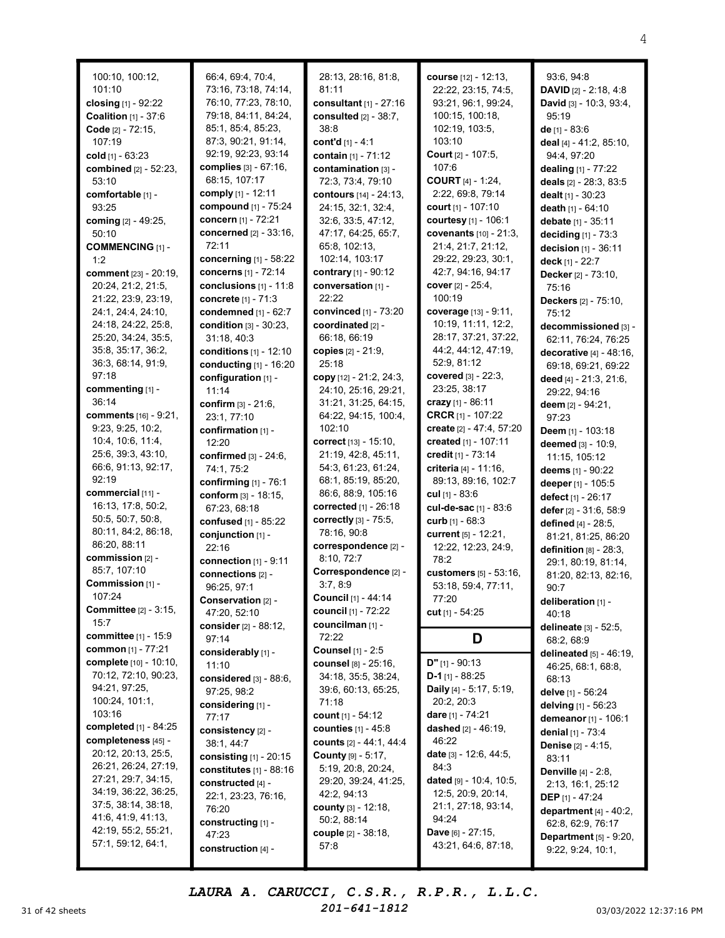| 100:10, 100:12,<br>101:10<br>closing $[1] - 92:22$<br><b>Coalition</b> $[1] - 37:6$<br>Code [2] - 72:15,<br>107:19<br>cold $_{[1]}$ - 63:23<br>combined [2] - 52:23,<br>53:10<br>comfortable [1] -<br>93:25<br>coming [2] - 49:25,<br>50:10<br><b>COMMENCING [1] -</b><br>1:2<br>comment [23] - 20:19,<br>20:24, 21:2, 21:5,<br>21:22, 23:9, 23:19,<br>24:1, 24:4, 24:10,<br>24:18, 24:22, 25:8,<br>25:20, 34:24, 35:5,<br>35:8, 35:17, 36:2,<br>36:3, 68:14, 91:9,<br>97:18<br>commenting [1] -<br>36:14 | 66:4, 69:4, 70:4,<br>73:16, 73:18, 74:14,<br>76:10, 77:23, 78:10,<br>79:18, 84:11, 84:24,<br>85:1, 85:4, 85:23,<br>87:3, 90:21, 91:14,<br>92:19, 92:23, 93:14<br>complies $[3] - 67:16$ ,<br>68:15, 107:17<br>comply [1] - 12:11<br>compound [1] - 75:24<br>concern [1] - 72:21<br>concerned [2] - 33:16,<br>72:11<br>concerning $[1]$ - 58:22<br>concerns [1] - 72:14<br>conclusions $[1]$ - 11:8<br>concrete [1] - 71:3<br>condemned [1] - 62:7<br>condition [3] - 30:23,<br>31:18,40:3<br>conditions [1] - 12:10<br>conducting [1] - 16:20<br>configuration [1] -<br>11:14<br>confirm [3] - 21:6, | 28:13, 28:16, 81:8,<br>81:11<br>consultant [1] - 27:16<br>consulted [2] - 38:7,<br>38:8<br>cont'd $[1] - 4:1$<br>contain [1] - 71:12<br>contamination [3] -<br>72:3, 73:4, 79:10<br>contours [14] - 24:13,<br>24:15, 32:1, 32:4,<br>32:6, 33:5, 47:12,<br>47:17, 64:25, 65:7,<br>65:8, 102:13,<br>102:14, 103:17<br>contrary [1] - 90:12<br>conversation [1] -<br>22:22<br>convinced [1] - 73:20<br>coordinated [2] -<br>66:18, 66:19<br>copies [2] - 21:9,<br>25:18<br>copy [12] - 21:2, 24:3,<br>24:10, 25:16, 29:21,<br>31:21, 31:25, 64:15, | course [12] - 12:13,<br>22:22, 23:15, 74:5,<br>93:21, 96:1, 99:24,<br>100:15, 100:18,<br>102:19, 103:5,<br>103:10<br>Court [2] - 107:5,<br>107:6<br><b>COURT</b> [4] - 1:24,<br>2:22, 69:8, 79:14<br>court [1] - 107:10<br>courtesy [1] - 106:1<br>covenants [10] - 21:3<br>21:4, 21:7, 21:12,<br>29:22, 29:23, 30:1,<br>42:7, 94:16, 94:17<br>cover $[2] - 25:4,$<br>100:19<br>coverage [13] - 9:11,<br>10:19, 11:11, 12:2,<br>28:17, 37:21, 37:22<br>44:2, 44:12, 47:19,<br>52:9, 81:12<br><b>covered</b> $[3] - 22:3$ ,<br>23:25, 38:17<br>crazy $[1]$ - 86:11 |
|-----------------------------------------------------------------------------------------------------------------------------------------------------------------------------------------------------------------------------------------------------------------------------------------------------------------------------------------------------------------------------------------------------------------------------------------------------------------------------------------------------------|------------------------------------------------------------------------------------------------------------------------------------------------------------------------------------------------------------------------------------------------------------------------------------------------------------------------------------------------------------------------------------------------------------------------------------------------------------------------------------------------------------------------------------------------------------------------------------------------------|-------------------------------------------------------------------------------------------------------------------------------------------------------------------------------------------------------------------------------------------------------------------------------------------------------------------------------------------------------------------------------------------------------------------------------------------------------------------------------------------------------------------------------------------------|-------------------------------------------------------------------------------------------------------------------------------------------------------------------------------------------------------------------------------------------------------------------------------------------------------------------------------------------------------------------------------------------------------------------------------------------------------------------------------------------------------------------------------------------------------------------|
| <b>comments</b> [16] - 9:21,<br>9:23, 9:25, 10:2,<br>10:4, 10:6, 11:4,<br>25:6, 39:3, 43:10,                                                                                                                                                                                                                                                                                                                                                                                                              | 23:1, 77:10<br>confirmation [1] -<br>12:20<br>confirmed [3] - 24:6,                                                                                                                                                                                                                                                                                                                                                                                                                                                                                                                                  | 64:22, 94:15, 100:4,<br>102:10<br><b>correct</b> $[13] - 15:10$ ,<br>21:19, 42:8, 45:11,                                                                                                                                                                                                                                                                                                                                                                                                                                                        | CRCR [1] - 107:22<br>create [2] - 47:4, 57:2<br>created [1] - 107:11<br>credit [1] - 73:14                                                                                                                                                                                                                                                                                                                                                                                                                                                                        |
| 66:6, 91:13, 92:17,<br>92:19                                                                                                                                                                                                                                                                                                                                                                                                                                                                              | 74:1, 75:2<br>confirming [1] - 76:1                                                                                                                                                                                                                                                                                                                                                                                                                                                                                                                                                                  | 54:3, 61:23, 61:24,<br>68:1, 85:19, 85:20,                                                                                                                                                                                                                                                                                                                                                                                                                                                                                                      | criteria [4] - 11:16,<br>89:13, 89:16, 102:7                                                                                                                                                                                                                                                                                                                                                                                                                                                                                                                      |
| commercial [11] -<br>16:13, 17:8, 50:2,<br>50:5, 50:7, 50:8,<br>80:11, 84:2, 86:18,<br>86:20, 88:11                                                                                                                                                                                                                                                                                                                                                                                                       | conform $[3] - 18:15$ ,<br>67:23, 68:18<br>confused [1] - 85:22<br>conjunction [1] -<br>22:16                                                                                                                                                                                                                                                                                                                                                                                                                                                                                                        | 86:6, 88:9, 105:16<br><b>corrected</b> $[1] - 26:18$<br>correctly [3] - 75:5,<br>78:16, 90:8<br>correspondence [2] -                                                                                                                                                                                                                                                                                                                                                                                                                            | cul $[1] - 83:6$<br>cul-de-sac [1] - 83:6<br>curb $[1] - 68:3$<br>current [5] - 12:21,<br>12:22, 12:23, 24:9,                                                                                                                                                                                                                                                                                                                                                                                                                                                     |
| commission [2] -<br>85:7, 107:10                                                                                                                                                                                                                                                                                                                                                                                                                                                                          | connection $[1]$ - $9:11$                                                                                                                                                                                                                                                                                                                                                                                                                                                                                                                                                                            | 8:10, 72:7                                                                                                                                                                                                                                                                                                                                                                                                                                                                                                                                      | 78:2                                                                                                                                                                                                                                                                                                                                                                                                                                                                                                                                                              |
| Commission [1] -<br>107:24<br><b>Committee</b> [2] - 3:15,                                                                                                                                                                                                                                                                                                                                                                                                                                                | connections [2] -<br>96:25, 97:1<br>Conservation [2] -                                                                                                                                                                                                                                                                                                                                                                                                                                                                                                                                               | Correspondence <sup>[2]</sup> -<br>3:7,8:9<br>Council [1] - 44:14                                                                                                                                                                                                                                                                                                                                                                                                                                                                               | customers [5] - 53:16<br>53:18, 59:4, 77:11,<br>77:20                                                                                                                                                                                                                                                                                                                                                                                                                                                                                                             |
| 15:7                                                                                                                                                                                                                                                                                                                                                                                                                                                                                                      | 47:20, 52:10<br>consider [2] - 88:12,                                                                                                                                                                                                                                                                                                                                                                                                                                                                                                                                                                | council [1] - 72:22<br>councilman [1] -                                                                                                                                                                                                                                                                                                                                                                                                                                                                                                         | <b>cut</b> $[1] - 54:25$                                                                                                                                                                                                                                                                                                                                                                                                                                                                                                                                          |
| <b>committee</b> [1] - 15:9                                                                                                                                                                                                                                                                                                                                                                                                                                                                               | 97:14                                                                                                                                                                                                                                                                                                                                                                                                                                                                                                                                                                                                | 72:22                                                                                                                                                                                                                                                                                                                                                                                                                                                                                                                                           | D                                                                                                                                                                                                                                                                                                                                                                                                                                                                                                                                                                 |
| common [1] - 77:21<br>complete [10] - 10:10.                                                                                                                                                                                                                                                                                                                                                                                                                                                              | considerably [1] -<br>11:10                                                                                                                                                                                                                                                                                                                                                                                                                                                                                                                                                                          | Counsel [1] - 2:5<br>counsel [8] - 25:16,                                                                                                                                                                                                                                                                                                                                                                                                                                                                                                       | $D''$ [1] - 90:13                                                                                                                                                                                                                                                                                                                                                                                                                                                                                                                                                 |
| 70:12, 72:10, 90:23,<br>94:21, 97:25,<br>100:24, 101:1,                                                                                                                                                                                                                                                                                                                                                                                                                                                   | considered $[3] - 88:6$ ,<br>97:25, 98:2                                                                                                                                                                                                                                                                                                                                                                                                                                                                                                                                                             | 34:18, 35:5, 38:24,<br>39:6, 60:13, 65:25,<br>71:18                                                                                                                                                                                                                                                                                                                                                                                                                                                                                             | D-1 $[1]$ - 88:25<br>Daily [4] - 5:17, 5:19,<br>20:2, 20:3                                                                                                                                                                                                                                                                                                                                                                                                                                                                                                        |
| 103:16                                                                                                                                                                                                                                                                                                                                                                                                                                                                                                    | considering [1] -<br>77:17                                                                                                                                                                                                                                                                                                                                                                                                                                                                                                                                                                           | count [1] - 54:12                                                                                                                                                                                                                                                                                                                                                                                                                                                                                                                               | dare [1] - 74:21                                                                                                                                                                                                                                                                                                                                                                                                                                                                                                                                                  |
| completed [1] - 84:25                                                                                                                                                                                                                                                                                                                                                                                                                                                                                     | consistency [2] -                                                                                                                                                                                                                                                                                                                                                                                                                                                                                                                                                                                    | <b>counties</b> [1] - 45:8                                                                                                                                                                                                                                                                                                                                                                                                                                                                                                                      | dashed [2] - 46:19,                                                                                                                                                                                                                                                                                                                                                                                                                                                                                                                                               |
| completeness [45] -<br>20:12, 20:13, 25:5,                                                                                                                                                                                                                                                                                                                                                                                                                                                                | 38:1, 44:7                                                                                                                                                                                                                                                                                                                                                                                                                                                                                                                                                                                           | counts [2] - 44:1, 44:4                                                                                                                                                                                                                                                                                                                                                                                                                                                                                                                         | 46:22                                                                                                                                                                                                                                                                                                                                                                                                                                                                                                                                                             |
| 26:21, 26:24, 27:19,                                                                                                                                                                                                                                                                                                                                                                                                                                                                                      | consisting $[1]$ - $20:15$                                                                                                                                                                                                                                                                                                                                                                                                                                                                                                                                                                           | County [9] - 5:17,<br>5:19, 20:8, 20:24,                                                                                                                                                                                                                                                                                                                                                                                                                                                                                                        | date [3] - 12:6, 44:5,<br>84:3                                                                                                                                                                                                                                                                                                                                                                                                                                                                                                                                    |
| 27:21, 29:7, 34:15,                                                                                                                                                                                                                                                                                                                                                                                                                                                                                       | constitutes [1] - 88:16<br>constructed [4] -                                                                                                                                                                                                                                                                                                                                                                                                                                                                                                                                                         | 29:20, 39:24, 41:25,                                                                                                                                                                                                                                                                                                                                                                                                                                                                                                                            | dated [9] - 10:4, 10:5                                                                                                                                                                                                                                                                                                                                                                                                                                                                                                                                            |
| 34:19, 36:22, 36:25,                                                                                                                                                                                                                                                                                                                                                                                                                                                                                      | 22:1, 23:23, 76:16,                                                                                                                                                                                                                                                                                                                                                                                                                                                                                                                                                                                  | 42:2, 94:13                                                                                                                                                                                                                                                                                                                                                                                                                                                                                                                                     | 12:5, 20:9, 20:14,                                                                                                                                                                                                                                                                                                                                                                                                                                                                                                                                                |
| 37:5, 38:14, 38:18,                                                                                                                                                                                                                                                                                                                                                                                                                                                                                       | 76:20                                                                                                                                                                                                                                                                                                                                                                                                                                                                                                                                                                                                | <b>county</b> $[3] - 12:18$ ,                                                                                                                                                                                                                                                                                                                                                                                                                                                                                                                   | 21:1, 27:18, 93:14,                                                                                                                                                                                                                                                                                                                                                                                                                                                                                                                                               |
| 41:6, 41:9, 41:13,<br>42:19, 55:2, 55:21,                                                                                                                                                                                                                                                                                                                                                                                                                                                                 | constructing [1] -                                                                                                                                                                                                                                                                                                                                                                                                                                                                                                                                                                                   | 50:2, 88:14                                                                                                                                                                                                                                                                                                                                                                                                                                                                                                                                     | 94:24                                                                                                                                                                                                                                                                                                                                                                                                                                                                                                                                                             |
| 57:1, 59:12, 64:1,                                                                                                                                                                                                                                                                                                                                                                                                                                                                                        | 47:23                                                                                                                                                                                                                                                                                                                                                                                                                                                                                                                                                                                                | couple [2] - 38:18,                                                                                                                                                                                                                                                                                                                                                                                                                                                                                                                             | Dave [6] - 27:15,<br>43:21, 64:6, 87:18,                                                                                                                                                                                                                                                                                                                                                                                                                                                                                                                          |
|                                                                                                                                                                                                                                                                                                                                                                                                                                                                                                           | construction [4] -                                                                                                                                                                                                                                                                                                                                                                                                                                                                                                                                                                                   | 57:8                                                                                                                                                                                                                                                                                                                                                                                                                                                                                                                                            |                                                                                                                                                                                                                                                                                                                                                                                                                                                                                                                                                                   |

urse [12] - 12:13, 22:22, 23:15, 74:5, 93:21, 96:1, 99:24, 00:15, 100:18, 102:19, 103:5, 03:10 ourt [2] - 107:5, 107:6 **DURT** [4] - 1:24, 2:22, 69:8, 79:14  $urt_{[1]} - 107:10$ urtesy [1] - 106:1 venants [10] - 21:3, 21:4, 21:7, 21:12, 29:22, 29:23, 30:1, 42:7, 94:16, 94:17  $ver$  [2] - 25:4, 00:19 verage [13] - 9:11, 10:19, 11:11, 12:2, 28:17, 37:21, 37:22, 44:2, 44:12, 47:19, 52:9, 81:12 vered [3] - 22:3, 23:25, 38:17 azy [1] - 86:11 **CR** [1] - 107:22 eate [2] - 47:4, 57:20 eated [1] - 107:11 edit [1] - 73:14 teria [4] - 11:16, 89:13, 89:16, 102:7 cul [1] - 83:6 l**l-de-sac** [1] - 83:6 rb [1] - 68:3 rrent [5] - 12:21, 12:22, 12:23, 24:9, 8:2 **stomers**  $[5]$  - 53:16, 53:18, 59:4, 77:11,  $7:20$ **t** [1] - 54:25 D  $[1] - 90:13$ **1** [1] - 88:25 illy [4] - 5:17, 5:19, 20:2, 20:3 re [1] - 74:21 shed  $[2] - 46:19$ , 46:22 te [3] - 12:6, 44:5,  $4.3$ ted [9] - 10:4, 10:5, 12:5, 20:9, 20:14, 21:1, 27:18, 93:14, 94:24 i**ve** [6] - 27:15,

93:6, 94:8 DAVID [2] - 2:18, 4:8 David [3] - 10:3, 93:4, 95:19 de [1] - 83:6 deal [4] - 41:2, 85:10, 94:4, 97:20 dealing [1] - 77:22 deals [2] - 28:3, 83:5 dealt [1] - 30:23 death [1] - 64:10 debate [1] - 35:11 deciding [1] - 73:3 decision [1] - 36:11 deck [1] - 22:7 Decker [2] - 73:10, 75:16 Deckers [2] - 75:10, 75:12 decommissioned [3] - 62:11, 76:24, 76:25 decorative [4] - 48:16, 69:18, 69:21, 69:22 deed [4] - 21:3, 21:6, 29:22, 94:16 deem [2] - 94:21, 97:23 Deem [1] - 103:18 deemed [3] - 10:9, 11:15, 105:12 deems [1] - 90:22 deeper [1] - 105:5 defect [1] - 26:17 defer [2] - 31:6, 58:9 defined [4] - 28:5, 81:21, 81:25, 86:20 definition  $[8]$  -  $28:3$ , 29:1, 80:19, 81:14, 81:20, 82:13, 82:16, 90:7 deliberation [1] -40:18 delineate [3] - 52:5, 68:2, 68:9 delineated [5] - 46:19, 46:25, 68:1, 68:8, 68:13 delve [1] - 56:24 delving [1] - 56:23 demeanor [1] - 106:1 denial [1] - 73:4 Denise [2] - 4:15, 83:11 Denville [4] - 2:8, 2:13, 16:1, 25:12 DEP [1] - 47:24 department [4] - 40:2, 62:8, 62:9, 76:17 Department [5] - 9:20, 9:22, 9:24, 10:1,

31 of 42 sheets  $201-641-1812$   $303/03/2022$  12:37:16 PM LAURA A. CARUCCI, C.S.R., R.P.R., L.L.C. 201-641-1812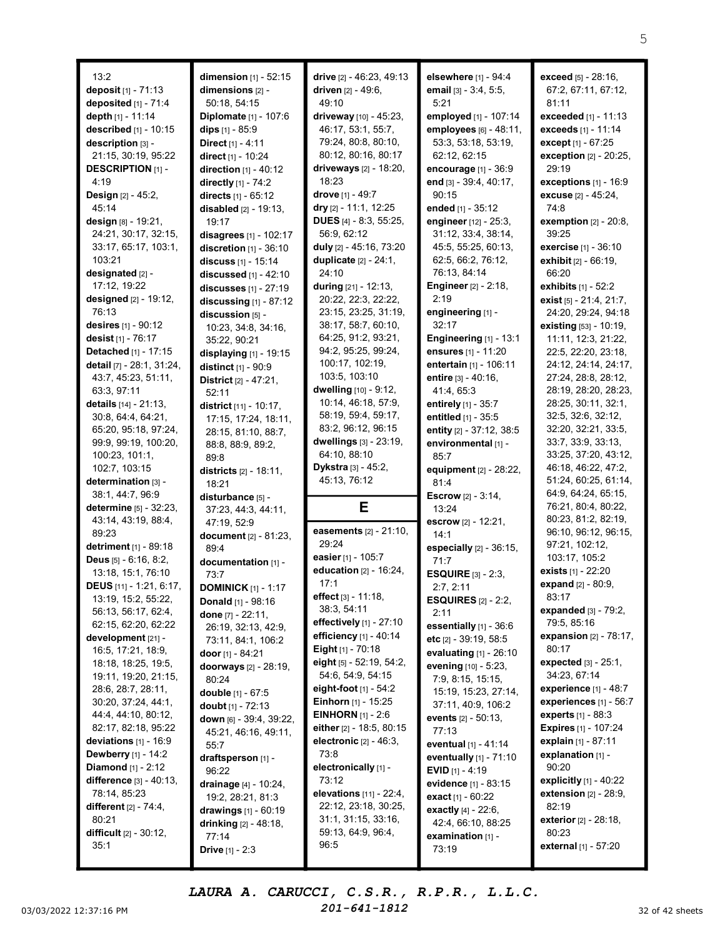| 13:2                              | dimension $[1]$ - 52:15           | drive [2] - 46:23, 49:13     | elsewhere [1] - 94:4                             | exceed [5] - 28:16,              |
|-----------------------------------|-----------------------------------|------------------------------|--------------------------------------------------|----------------------------------|
| deposit [1] - 71:13               | dimensions [2] -                  | driven $[2] - 49:6$ ,        | email [3] - 3:4, 5:5,                            | 67:2, 67:11, 67:12,              |
|                                   |                                   | 49:10                        |                                                  | 81:11                            |
| deposited [1] - 71:4              | 50:18, 54:15                      |                              | 5:21                                             |                                  |
| depth [1] - 11:14                 | Diplomate [1] - 107:6             | driveway [10] - 45:23,       | employed [1] - 107:14                            | exceeded [1] - 11:13             |
| described $[1]$ - 10:15           | dips $[1] - 85:9$                 | 46:17, 53:1, 55:7,           | employees [6] - 48:11.                           | exceeds [1] - 11:14              |
| description [3] -                 | Direct [1] - 4:11                 | 79:24, 80:8, 80:10,          | 53:3, 53:18, 53:19,                              | except [1] - 67:25               |
| 21:15, 30:19, 95:22               | direct [1] - 10:24                | 80:12, 80:16, 80:17          | 62:12, 62:15                                     | exception [2] - 20:25,           |
| <b>DESCRIPTION</b> [1] -          | direction $[1] - 40:12$           | driveways [2] - 18:20,       | encourage [1] - 36:9                             | 29:19                            |
| 4:19                              | directly [1] - 74:2               | 18:23                        | end [3] - 39:4, 40:17,                           | exceptions $[1]$ - $16:9$        |
| Design [2] - 45:2,                | directs [1] - 65:12               | drove [1] - 49:7             | 90:15                                            | excuse [2] - 45:24,              |
| 45:14                             |                                   |                              | ended [1] - 35:12                                |                                  |
|                                   | <b>disabled</b> $[2] - 19:13$ ,   | dry $[2] - 11:1, 12:25$      |                                                  | 74:8                             |
| design [8] - 19:21,               | 19:17                             | DUES [4] - 8:3, 55:25,       | engineer [12] - 25:3,                            | <b>exemption</b> [2] - 20:8,     |
| 24:21, 30:17, 32:15,              | disagrees [1] - 102:17            | 56:9, 62:12                  | 31:12, 33:4, 38:14,                              | 39:25                            |
| 33:17, 65:17, 103:1,              | discretion [1] - 36:10            | duly [2] - 45:16, 73:20      | 45:5, 55:25, 60:13,                              | exercise [1] - 36:10             |
| 103:21                            | discuss [1] - 15:14               | duplicate [2] - 24:1,        | 62:5, 66:2, 76:12,                               | exhibit [2] - 66:19,             |
| designated [2] -                  | discussed [1] - 42:10             | 24:10                        | 76:13, 84:14                                     | 66:20                            |
| 17:12, 19:22                      | discusses $[1] - 27:19$           | <b>during</b> [21] - 12:13,  | <b>Engineer</b> [2] - 2:18,                      | exhibits $[1] - 52:2$            |
| designed [2] - 19:12,             | discussing $[1]$ - 87:12          | 20:22, 22:3, 22:22,          | 2:19                                             | exist [5] - 21:4, 21:7,          |
| 76:13                             |                                   | 23:15, 23:25, 31:19,         | engineering [1] -                                | 24:20, 29:24, 94:18              |
| desires [1] - 90:12               | discussion [5] -                  | 38:17, 58:7, 60:10,          | 32:17                                            |                                  |
|                                   | 10:23, 34:8, 34:16,               |                              |                                                  | existing [53] - 10:19,           |
| desist [1] - 76:17                | 35:22, 90:21                      | 64:25, 91:2, 93:21,          | Engineering [1] - 13:1                           | 11:11, 12:3, 21:22,              |
| Detached [1] - 17:15              | displaying [1] - 19:15            | 94:2, 95:25, 99:24,          | ensures [1] - 11:20                              | 22:5, 22:20, 23:18,              |
| detail [7] - 28:1, 31:24,         | distinct [1] - 90:9               | 100:17, 102:19,              | entertain [1] - 106:11                           | 24:12, 24:14, 24:17,             |
| 43:7, 45:23, 51:11,               | District [2] - 47:21,             | 103:5, 103:10                | entire $[3] - 40:16$ ,                           | 27:24, 28:8, 28:12,              |
| 63:3, 97:11                       | 52:11                             | dwelling [10] - 9:12,        | 41:4, 65:3                                       | 28:19, 28:20, 28:23,             |
| details $[14] - 21:13$ ,          | district [11] - 10:17,            | 10:14, 46:18, 57:9,          | entirely [1] - 35:7                              | 28:25, 30:11, 32:1,              |
| 30:8, 64:4, 64:21,                | 17:15, 17:24, 18:11,              | 58:19, 59:4, 59:17,          | entitled [1] - 35:5                              | 32:5, 32:6, 32:12,               |
| 65:20, 95:18, 97:24,              | 28:15, 81:10, 88:7,               | 83:2, 96:12, 96:15           | entity [2] - 37:12, 38:5                         | 32:20, 32:21, 33:5,              |
| 99:9, 99:19, 100:20,              | 88:8, 88:9, 89:2,                 | dwellings [3] - 23:19,       | environmental [1] -                              | 33:7, 33:9, 33:13,               |
| 100:23, 101:1,                    | 89:8                              | 64:10, 88:10                 | 85:7                                             | 33:25, 37:20, 43:12,             |
| 102:7, 103:15                     |                                   | Dykstra [3] - 45:2,          | equipment [2] - 28:22,                           | 46:18, 46:22, 47:2,              |
| determination [3] -               | <b>districts</b> [2] - 18:11,     | 45:13, 76:12                 | 81:4                                             | 51:24, 60:25, 61:14,             |
| 38:1, 44:7, 96:9                  | 18:21                             |                              |                                                  | 64:9, 64:24, 65:15,              |
|                                   | disturbance [5] -                 |                              | <b>Escrow</b> $[2] - 3:14$ ,                     | 76:21, 80:4, 80:22,              |
| <b>determine</b> [5] - 32:23,     | 37:23, 44:3, 44:11,               | Е                            | 13:24                                            | 80:23, 81:2, 82:19,              |
| 43:14, 43:19, 88:4,               | 47:19, 52:9                       | easements [2] - 21:10,       | escrow [2] - 12:21,                              |                                  |
| 89:23                             | document [2] - 81:23,             |                              | 14:1                                             | 96:10, 96:12, 96:15,             |
| detriment [1] - 89:18             | 89:4                              | 29:24                        | especially $[2]$ - 36:15,                        | 97:21, 102:12,                   |
| Deus [5] - 6:16, 8:2,             | documentation [1] -               | easier [1] - 105:7           | 71:7                                             | 103:17, 105:2                    |
| 13:18, 15:1, 76:10                | 73:7                              | education [2] - 16:24,       | <b>ESQUIRE</b> $[3] - 2:3$                       | exists [1] - 22:20               |
| DEUS [11] - 1:21, 6:17,           | <b>DOMINICK</b> [1] - 1:17        | 17:1                         | 2:7, 2:11                                        | expand [2] - 80:9,               |
| 13:19, 15:2, 55:22,               | Donald [1] - 98:16                | effect [3] - 11:18,          | <b>ESQUIRES</b> $[2] - 2:2$ ,                    | 83:17                            |
| 56:13, 56:17, 62:4,               | done [7] - 22:11,                 | 38:3, 54:11                  | 2:11                                             | expanded [3] - 79:2,             |
| 62:15, 62:20, 62:22               | 26:19, 32:13, 42:9,               | effectively $[1]$ - 27:10    | essentially [1] - 36:6                           | 79:5, 85:16                      |
| development [21] -                | 73:11, 84:1, 106:2                | efficiency $[1] - 40:14$     | etc [2] - 39:19, 58:5                            | <b>expansion</b> $[2] - 78:17$ , |
| 16:5, 17:21, 18:9,                |                                   | <b>Eight</b> $[1]$ - 70:18   |                                                  | 80:17                            |
| 18:18, 18:25, 19:5,               | door $[1] - 84:21$                | eight $[5]$ - 52:19, 54:2,   | evaluating $[1]$ - 26:10<br>evening [10] - 5:23, | <b>expected</b> $[3] - 25:1$ ,   |
| 19:11, 19:20, 21:15,              | doorways [2] - 28:19,             | 54:6, 54:9, 54:15            |                                                  | 34:23, 67:14                     |
|                                   | 80:24                             | eight-foot $[1]$ - 54:2      | 7:9, 8:15, 15:15,                                | experience $[1]$ - 48:7          |
| 28:6, 28:7, 28:11,                | double [1] - 67:5                 |                              | 15:19, 15:23, 27:14,                             |                                  |
| 30:20, 37:24, 44:1,               | doubt [1] - 72:13                 | <b>Einhorn</b> $[1]$ - 15:25 | 37:11, 40:9, 106:2                               | experiences [1] - 56:7           |
| 44:4, 44:10, 80:12,               | down [6] - 39:4, 39:22,           | <b>EINHORN</b> $[1] - 2:6$   | events [2] - 50:13.                              | <b>experts</b> $[1] - 88:3$      |
| 82:17, 82:18, 95:22               | 45:21, 46:16, 49:11,              | either [2] - 18:5, 80:15     | 77:13                                            | <b>Expires</b> [1] - 107:24      |
| deviations $[1]$ - 16:9           | 55:7                              | electronic [2] - 46:3,       | eventual [1] - 41:14                             | explain [1] - 87:11              |
| <b>Dewberry</b> $[1]$ - 14:2      | draftsperson [1] -                | 73:8                         | eventually [1] - 71:10                           | explanation [1] -                |
| <b>Diamond</b> $[1] - 2:12$       | 96:22                             | electronically [1] -         | <b>EVID</b> $[1] - 4:19$                         | 90:20                            |
| difference [3] - 40:13,           | drainage [4] - 10:24,             | 73:12                        | evidence [1] - 83:15                             | explicitly $[1]$ - 40:22         |
| 78:14, 85:23                      |                                   | elevations [11] - 22:4,      | <b>exact</b> $[1] - 60:22$                       | extension $[2] - 28:9$ ,         |
|                                   |                                   |                              |                                                  |                                  |
| <b>different</b> $[2] - 74:4,$    | 19:2, 28:21, 81:3                 | 22:12, 23:18, 30:25,         |                                                  | 82:19                            |
| 80:21                             | drawings $[1] - 60:19$            | 31:1, 31:15, 33:16,          | exactly [4] - 22:6,                              |                                  |
|                                   | <b>drinking</b> [2] - 48:18,      | 59:13, 64:9, 96:4,           | 42:4, 66:10, 88:25                               | exterior [2] - 28:18,<br>80:23   |
| difficult $[2] - 30:12$ ,<br>35:1 | 77:14<br><b>Drive</b> $[1] - 2:3$ | 96:5                         | examination [1] -<br>73:19                       | external [1] - 57:20             |

03/03/2022 12:37:16 PM  $201-641-1812$  32 of 42 sheets LAURA A. CARUCCI, C.S.R., R.P.R., L.L.C. 201-641-1812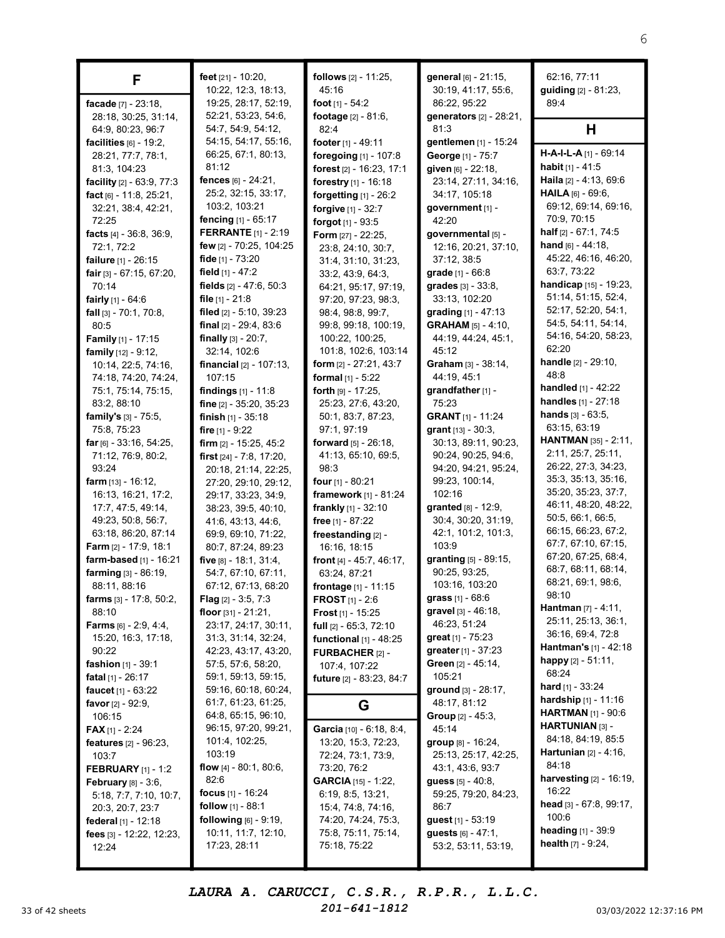| F                                                       | feet [21] - 10:20,<br>10:22, 12:3, 18:13,              | <b>follows</b> $[2] - 11:25$ ,<br>45:16        | general [6] - 21:15,<br>30:19, 41:17, 55:6,                | 62:16, 77:11<br>guiding [2] - 81:23,                |
|---------------------------------------------------------|--------------------------------------------------------|------------------------------------------------|------------------------------------------------------------|-----------------------------------------------------|
| facade [7] - 23:18,                                     | 19:25, 28:17, 52:19,                                   | foot $[1] - 54:2$                              | 86:22, 95:22                                               | 89:4                                                |
| 28:18, 30:25, 31:14,                                    | 52:21, 53:23, 54:6,                                    | footage [2] - 81:6,                            | generators [2] - 28:21,                                    |                                                     |
| 64:9, 80:23, 96:7                                       | 54:7, 54:9, 54:12,                                     | 82:4                                           | 81:3                                                       | Н                                                   |
| facilities $[6] - 19:2$ ,                               | 54:15, 54:17, 55:16,                                   | footer [1] - 49:11                             | gentlemen [1] - 15:24                                      |                                                     |
| 28:21, 77:7, 78:1,                                      | 66:25, 67:1, 80:13,                                    | foregoing [1] - 107:8                          | George [1] - 75:7                                          | $H-A-I-L-A$ [1] - 69:14                             |
| 81:3, 104:23                                            | 81:12                                                  | forest [2] - 16:23, 17:1                       | given [6] - 22:18,                                         | <b>habit</b> $[1] - 41:5$<br>Haila [2] - 4:13, 69:6 |
| facility [2] - 63:9, 77:3                               | fences [6] - 24:21,<br>25:2, 32:15, 33:17,             | forestry [1] - 16:18                           | 23:14, 27:11, 34:16,<br>34:17, 105:18                      | HAILA [6] - 69:6.                                   |
| fact [6] - 11:8, 25:21,<br>32:21, 38:4, 42:21,          | 103:2, 103:21                                          | forgetting [1] - 26:2<br>forgive [1] - 32:7    | government [1] -                                           | 69:12, 69:14, 69:16,                                |
| 72:25                                                   | <b>fencing</b> $[1] - 65:17$                           | forgot [1] - 93:5                              | 42:20                                                      | 70:9, 70:15                                         |
| facts $[4] - 36:8, 36:9,$                               | <b>FERRANTE</b> [1] - 2:19                             | Form [27] - 22:25,                             | governmental [5] -                                         | half [2] - 67:1, 74:5                               |
| 72:1, 72:2                                              | few $[2] - 70:25, 104:25$                              | 23:8, 24:10, 30:7,                             | 12:16, 20:21, 37:10,                                       | hand $[6] - 44:18$ ,                                |
| failure [1] - 26:15                                     | fide [1] - 73:20                                       | 31:4, 31:10, 31:23,                            | 37:12, 38:5                                                | 45:22, 46:16, 46:20,                                |
| fair $[3] - 67:15, 67:20,$                              | field $[1] - 47:2$                                     | 33:2, 43:9, 64:3,                              | grade [1] - 66:8                                           | 63:7, 73:22                                         |
| 70:14                                                   | fields $[2] - 47:6, 50:3$                              | 64:21, 95:17, 97:19,                           | <b>grades</b> $[3] - 33:8$ ,                               | handicap [15] - 19:23,                              |
| fairly $[1] - 64:6$                                     | file $[1] - 21:8$                                      | 97:20, 97:23, 98:3,                            | 33:13, 102:20                                              | 51:14, 51:15, 52:4,                                 |
| fall $[3] - 70:1, 70:8,$                                | filed $[2] - 5:10$ , 39:23                             | 98:4, 98:8, 99:7,                              | grading $[1] - 47:13$                                      | 52:17, 52:20, 54:1,                                 |
| 80:5                                                    | final $[2] - 29:4, 83:6$                               | 99:8, 99:18, 100:19,                           | <b>GRAHAM</b> $[5] - 4:10$ ,                               | 54:5, 54:11, 54:14,                                 |
| Family [1] - 17:15                                      | finally $[3] - 20:7$ ,                                 | 100:22, 100:25,                                | 44:19, 44:24, 45:1,                                        | 54:16, 54:20, 58:23,<br>62:20                       |
| <b>family</b> $[12] - 9:12$ ,<br>10:14, 22:5, 74:16,    | 32:14, 102:6<br><b>financial</b> $[2] - 107:13$ ,      | 101:8, 102:6, 103:14<br>form [2] - 27:21, 43:7 | 45:12<br>Graham [3] - 38:14,                               | handle [2] - 29:10,                                 |
| 74:18, 74:20, 74:24,                                    | 107:15                                                 | formal [1] - 5:22                              | 44:19, 45:1                                                | 48:8                                                |
| 75:1, 75:14, 75:15,                                     | findings $[1] - 11:8$                                  | forth $[9] - 17:25$ ,                          | grandfather [1] -                                          | handled [1] - 42:22                                 |
| 83:2, 88:10                                             | fine $[2] - 35:20, 35:23$                              | 25:23, 27:6, 43:20,                            | 75:23                                                      | <b>handles</b> [1] - 27:18                          |
| family's $[3] - 75:5$ ,                                 | finish $[1]$ - 35:18                                   | 50:1, 83:7, 87:23,                             | <b>GRANT</b> [1] - 11:24                                   | <b>hands</b> $[3] - 63:5$ ,                         |
| 75:8, 75:23                                             | fire $[1] - 9:22$                                      | 97:1, 97:19                                    | grant $[13] - 30:3$ ,                                      | 63:15, 63:19                                        |
| far $[6] - 33:16, 54:25,$                               | firm $[2] - 15:25, 45:2$                               | <b>forward</b> $[5] - 26:18$ ,                 | 30:13, 89:11, 90:23,                                       | HANTMAN [35] - 2:11,                                |
| 71:12, 76:9, 80:2,                                      | first [24] - 7:8, 17:20,                               | 41:13, 65:10, 69:5,                            | 90:24, 90:25, 94:6,                                        | 2:11, 25:7, 25:11,                                  |
| 93:24                                                   | 20:18, 21:14, 22:25,                                   | 98:3                                           | 94:20, 94:21, 95:24,                                       | 26:22, 27:3, 34:23,                                 |
| <b>farm</b> $[13] - 16:12$ ,                            | 27:20, 29:10, 29:12,                                   | <b>four</b> $[1]$ - 80:21                      | 99:23, 100:14,                                             | 35:3, 35:13, 35:16,                                 |
| 16:13, 16:21, 17:2,                                     | 29:17, 33:23, 34:9,                                    | framework [1] - 81:24                          | 102:16                                                     | 35:20, 35:23, 37:7,<br>46:11, 48:20, 48:22,         |
| 17:7, 47:5, 49:14,                                      | 38:23, 39:5, 40:10,                                    | frankly [1] - 32:10                            | granted [8] - 12:9,<br>30:4, 30:20, 31:19,                 | 50:5, 66:1, 66:5,                                   |
| 49:23, 50:8, 56:7,<br>63:18, 86:20, 87:14               | 41:6, 43:13, 44:6,<br>69:9, 69:10, 71:22,              | free [1] - 87:22<br>freestanding [2] -         | 42:1, 101:2, 101:3,                                        | 66:15, 66:23, 67:2,                                 |
| Farm [2] - 17:9, 18:1                                   | 80:7, 87:24, 89:23                                     | 16:16, 18:15                                   | 103:9                                                      | 67:7, 67:10, 67:15,                                 |
| farm-based [1] - 16:21                                  | five [8] - 18:1, 31:4,                                 | front $[4] - 45:7, 46:17$ ,                    | granting [5] - 89:15,                                      | 67:20, 67:25, 68:4,                                 |
| farming [3] - 86:19,                                    | 54:7, 67:10, 67:11,                                    | 63:24, 87:21                                   | 90:25, 93:25,                                              | 68:7, 68:11, 68:14,                                 |
| 88:11, 88:16                                            | 67:12, 67:13, 68:20                                    | frontage [1] - 11:15                           | 103:16, 103:20                                             | 68:21, 69:1, 98:6,                                  |
| <b>farms</b> $[3] - 17:8, 50:2,$                        | <b>Flag</b> $[2] - 3:5, 7:3$                           | <b>FROST</b> $[1] - 2:6$                       | grass $[1] - 68:6$                                         | 98:10                                               |
| 88:10                                                   | floor $[31] - 21:21$ ,                                 | <b>Frost</b> $[1]$ - 15:25                     | gravel [3] - 46:18,                                        | <b>Hantman</b> $[7] - 4:11$ ,                       |
| <b>Farms</b> $[6] - 2.9, 4.4,$                          | 23:17, 24:17, 30:11,                                   | full $[2] - 65:3, 72:10$                       | 46:23, 51:24                                               | 25:11, 25:13, 36:1,<br>36:16, 69:4, 72:8            |
| 15:20, 16:3, 17:18,                                     | 31:3, 31:14, 32:24,                                    | functional [1] - 48:25                         | qreat $[1] - 75:23$                                        | <b>Hantman's</b> $[1]$ - 42:18                      |
| 90:22                                                   | 42:23, 43:17, 43:20,                                   | FURBACHER [2] -                                | <b>greater</b> $[1] - 37:23$                               | happy $[2] - 51:11$ ,                               |
| <b>fashion</b> $[1] - 39:1$<br><b>fatal</b> [1] - 26:17 | 57:5, 57:6, 58:20,<br>59:1, 59:13, 59:15,              | 107:4, 107:22                                  | Green [2] - 45:14,<br>105:21                               | 68:24                                               |
| <b>faucet</b> $[1] - 63:22$                             | 59:16, 60:18, 60:24,                                   | future [2] - 83:23, 84:7                       | ground [3] - 28:17,                                        | <b>hard</b> [1] - $33:24$                           |
| <b>favor</b> $[2] - 92:9$ ,                             | 61:7, 61:23, 61:25,                                    | G                                              | 48:17, 81:12                                               | hardship [1] - 11:16                                |
| 106:15                                                  | 64:8, 65:15, 96:10,                                    |                                                | <b>Group</b> $[2] - 45:3$                                  | <b>HARTMAN</b> [1] - 90:6                           |
| <b>FAX</b> [1] - 2:24                                   | 96:15, 97:20, 99:21,                                   | Garcia [10] - 6:18, 8:4,                       | 45:14                                                      | HARTUNIAN [3] -                                     |
| features [2] - 96:23,                                   | 101:4, 102:25,                                         | 13:20, 15:3, 72:23,                            | group [8] - 16:24,                                         | 84:18, 84:19, 85:5                                  |
| 103:7                                                   | 103:19                                                 | 72:24, 73:1, 73:9,                             | 25:13, 25:17, 42:25,                                       | <b>Hartunian</b> $[2] - 4:16$ ,                     |
| <b>FEBRUARY</b> $[1] - 1:2$                             | flow $[4] - 80:1, 80:6,$                               | 73:20, 76:2                                    | 43:1, 43:6, 93:7                                           | 84:18                                               |
| <b>February</b> [8] - 3:6,                              | 82:6                                                   | <b>GARCIA</b> [15] - 1:22,                     | <b>guess</b> $[5] - 40:8$ ,                                | harvesting [2] - 16:19,                             |
| 5:18, 7:7, 7:10, 10:7,                                  | focus $[1] - 16:24$                                    | 6:19, 8:5, 13:21,                              | 59:25, 79:20, 84:23,                                       | 16:22<br>head $[3] - 67:8, 99:17$ ,                 |
| 20:3, 20:7, 23:7                                        | follow [1] - 88:1                                      | 15:4, 74:8, 74:16,                             | 86:7                                                       | 100:6                                               |
| federal $[1] - 12:18$                                   | <b>following</b> $[6] - 9:19$ ,<br>10:11, 11:7, 12:10, | 74:20, 74:24, 75:3,<br>75:8, 75:11, 75:14,     | <b>guest</b> $[1] - 53:19$<br><b>guests</b> $[6] - 47:1$ , | <b>heading</b> $[1]$ - 39:9                         |
| fees [3] - 12:22, 12:23,<br>12:24                       | 17:23, 28:11                                           | 75:18, 75:22                                   | 53:2, 53:11, 53:19,                                        | <b>health</b> $[7] - 9:24$ ,                        |
|                                                         |                                                        |                                                |                                                            |                                                     |

LAURA A. CARUCCI, C.S.R., R.P.R., L.L.C.

201-641-1812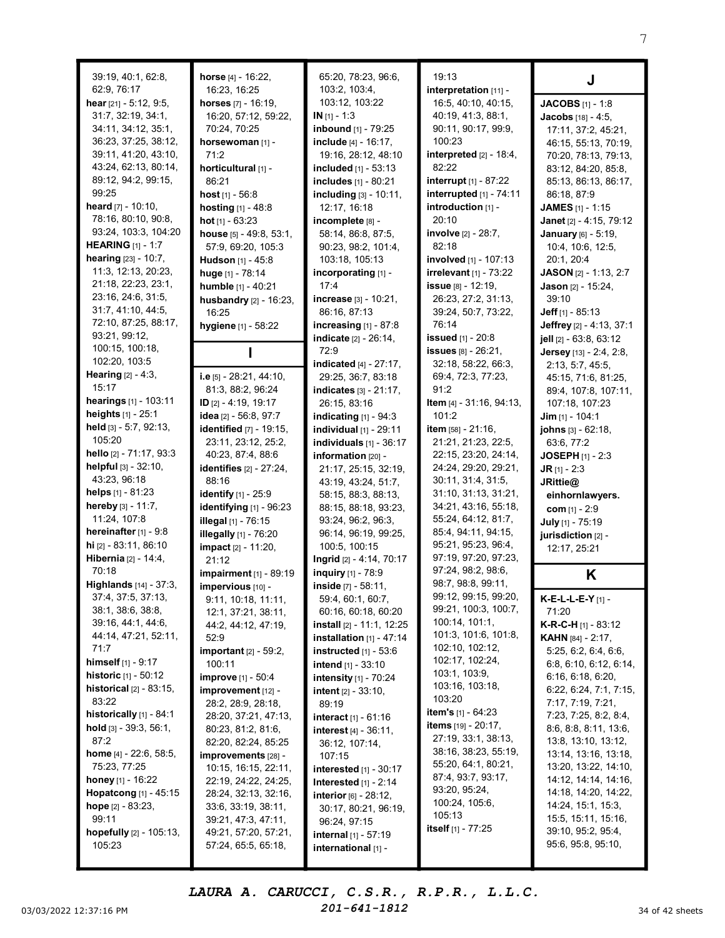|                                                   |                                              | 65:20, 78:23, 96:6,                       | 19:13                                       |                                              |
|---------------------------------------------------|----------------------------------------------|-------------------------------------------|---------------------------------------------|----------------------------------------------|
| 39:19, 40:1, 62:8,<br>62:9, 76:17                 | horse $[4] - 16:22$ ,<br>16:23, 16:25        | 103:2, 103:4,                             | interpretation [11] -                       |                                              |
| hear [21] - 5:12, 9:5,                            | horses [7] - 16:19,                          | 103:12, 103:22                            | 16:5, 40:10, 40:15,                         |                                              |
| 31:7, 32:19, 34:1,                                | 16:20, 57:12, 59:22,                         | $IN [1] - 1:3$                            | 40:19, 41:3, 88:1,                          | <b>JACOBS</b> [1] - 1:8                      |
| 34:11, 34:12, 35:1,                               | 70:24, 70:25                                 | inbound [1] - 79:25                       | 90:11, 90:17, 99:9,                         | <b>Jacobs</b> [18] - 4:5,                    |
| 36:23, 37:25, 38:12,                              | horsewoman [1] -                             | include [4] - 16:17,                      | 100:23                                      | 17:11, 37:2, 45:21,                          |
| 39:11, 41:20, 43:10,                              | 71:2                                         | 19:16, 28:12, 48:10                       | interpreted $[2]$ - 18:4,                   | 46:15, 55:13, 70:19,<br>70:20, 78:13, 79:13, |
| 43:24, 62:13, 80:14,                              | horticultural [1] -                          | included [1] - 53:13                      | 82:22                                       | 83:12, 84:20, 85:8,                          |
| 89:12, 94:2, 99:15,                               | 86:21                                        | includes [1] - 80:21                      | interrupt [1] - 87:22                       | 85:13, 86:13, 86:17,                         |
| 99:25                                             | host $[1] - 56:8$                            | including [3] - 10:11,                    | interrupted [1] - 74:11                     | 86:18, 87:9                                  |
| <b>heard</b> $[7] - 10:10$ ,                      | <b>hosting</b> $[1] - 48:8$                  | 12:17, 16:18                              | introduction [1] -                          | JAMES [1] - 1:15                             |
| 78:16, 80:10, 90:8,                               | hot $[1] - 63:23$                            | incomplete [8] -                          | 20:10                                       | Janet [2] - 4:15, 79:12                      |
| 93:24, 103:3, 104:20                              | house [5] - 49:8, 53:1,                      | 58:14, 86:8, 87:5,                        | involve [2] - 28:7,                         | January [6] - 5:19,                          |
| <b>HEARING</b> $[1] - 1:7$                        | 57:9, 69:20, 105:3                           | 90:23, 98:2, 101:4,                       | 82:18                                       | 10:4, 10:6, 12:5,                            |
| hearing [23] - 10:7,                              | Hudson [1] - 45:8                            | 103:18, 105:13                            | involved [1] - 107:13                       | 20:1, 20:4                                   |
| 11:3, 12:13, 20:23,                               | huge [1] - 78:14                             | incorporating [1] -                       | irrelevant $[1]$ - 73:22                    | JASON [2] - 1:13, 2:7                        |
| 21:18, 22:23, 23:1,                               | humble [1] - 40:21                           | 17:4                                      | issue [8] - 12:19,                          | <b>Jason</b> $[2] - 15:24$ ,                 |
| 23:16, 24:6, 31:5,                                | husbandry [2] - 16:23,                       | increase [3] - 10:21,                     | 26:23, 27:2, 31:13,                         | 39:10                                        |
| 31:7, 41:10, 44:5,                                | 16:25                                        | 86:16, 87:13                              | 39:24, 50:7, 73:22,                         | Jeff $[1] - 85:13$                           |
| 72:10, 87:25, 88:17,                              | hygiene [1] - 58:22                          | increasing $[1]$ - 87:8                   | 76:14                                       | Jeffrey [2] - 4:13, 37:1                     |
| 93:21, 99:12,                                     |                                              | indicate [2] - 26:14,                     | <b>issued</b> [1] - 20:8                    | jell [2] - 63:8, 63:12                       |
| 100:15, 100:18,                                   |                                              | 72:9                                      | <b>issues</b> [8] - 26:21,                  | Jersey [13] - 2:4, 2:8,                      |
| 102:20, 103:5                                     |                                              | indicated [4] - 27:17,                    | 32:18, 58:22, 66:3,                         | 2:13, 5:7, 45:5,                             |
| <b>Hearing</b> $[2] - 4:3$ ,                      | i.e $[5]$ - 28:21, 44:10,                    | 29:25, 36:7, 83:18                        | 69:4, 72:3, 77:23,                          | 45:15, 71:6, 81:25,                          |
| 15:17                                             | 81:3, 88:2, 96:24                            | indicates [3] - 21:17,                    | 91:2                                        | 89:4, 107:8, 107:11,                         |
| hearings [1] - 103:11                             | ID $[2] - 4:19, 19:17$                       | 26:15, 83:16                              | Item [4] - 31:16, 94:13,                    | 107:18, 107:23                               |
| heights $[1] - 25:1$                              | idea [2] - 56:8, 97:7                        | indicating $[1]$ - $94:3$                 | 101:2                                       | Jim $[1] - 104:1$                            |
| held [3] - 5:7, 92:13,                            | identified [7] - 19:15,                      | <b>individual</b> $[1]$ - 29:11           | item [58] - 21:16,                          | johns [3] - 62:18,                           |
| 105:20                                            | 23:11, 23:12, 25:2,                          | individuals $[1]$ - 36:17                 | 21:21, 21:23, 22:5,                         | 63:6, 77:2                                   |
| hello [2] - 71:17, 93:3                           | 40:23, 87:4, 88:6                            | information [20] -                        | 22:15, 23:20, 24:14,                        | <b>JOSEPH</b> $[1] - 2:3$                    |
| helpful [3] - 32:10,                              | identifies [2] - 27:24,                      | 21:17, 25:15, 32:19,                      | 24:24, 29:20, 29:21,                        | $JR$ [1] - 2:3                               |
| 43:23, 96:18                                      | 88:16                                        | 43:19, 43:24, 51:7,                       | 30:11, 31:4, 31:5,                          | JRittie@                                     |
| helps $[1] - 81:23$                               | identify [1] - 25:9                          | 58:15, 88:3, 88:13,                       | 31:10, 31:13, 31:21,                        | einhornlawyers.                              |
| hereby $[3] - 11:7$ ,<br>11:24, 107:8             | identifying [1] - 96:23                      | 88:15, 88:18, 93:23,                      | 34:21, 43:16, 55:18,<br>55:24, 64:12, 81:7, | com $[1] - 2:9$                              |
| hereinafter [1] - 9:8                             | <b>illegal</b> [1] - 76:15                   | 93:24, 96:2, 96:3,                        | 85:4, 94:11, 94:15,                         | July [1] - 75:19                             |
| hi [2] - 83:11, 86:10                             | illegally [1] - 76:20                        | 96:14, 96:19, 99:25,                      | 95:21, 95:23, 96:4,                         | jurisdiction [2] -                           |
| Hibernia [2] - 14:4,                              | impact [2] - 11:20,<br>21:12                 | 100:5, 100:15<br>Ingrid [2] - 4:14, 70:17 | 97:19, 97:20, 97:23,                        | 12:17, 25:21                                 |
| 70:18                                             | impairment [1] - 89:19                       | <b>inquiry</b> [1] - 78:9                 | 97:24, 98:2, 98:6,                          |                                              |
| <b>Highlands</b> [14] - 37:3,                     | impervious [10] -                            | inside [7] - 58:11,                       | 98:7, 98:8, 99:11,                          | K                                            |
| 37:4, 37:5, 37:13,                                | 9:11, 10:18, 11:11,                          | 59:4, 60:1, 60:7,                         | 99:12, 99:15, 99:20,                        | $K$ -E-L-L-E-Y[1] -                          |
| 38:1, 38:6, 38:8,                                 | 12:1, 37:21, 38:11,                          | 60:16, 60:18, 60:20                       | 99:21, 100:3, 100:7,                        | 71:20                                        |
| 39:16, 44:1, 44:6,                                | 44:2, 44:12, 47:19,                          | <b>install</b> [2] - 11:1, 12:25          | 100:14, 101:1,                              | <b>K-R-C-H</b> $[1]$ - 83:12                 |
| 44:14, 47:21, 52:11,                              | 52:9                                         | installation $[1]$ - 47:14                | 101:3, 101:6, 101:8,                        | <b>KAHN</b> [84] - 2:17,                     |
| 71:7                                              | important $[2] - 59:2$ ,                     | instructed [1] - 53:6                     | 102:10, 102:12,                             | 5:25, 6:2, 6:4, 6:6,                         |
| <b>himself</b> $[1]$ - 9:17                       | 100:11                                       | intend [1] - 33:10                        | 102:17, 102:24,                             | 6:8, 6:10, 6:12, 6:14,                       |
| historic [1] - 50:12                              | <b>improve</b> [1] - 50:4                    | intensity [1] - 70:24                     | 103:1, 103:9,                               | 6:16, 6:18, 6:20,                            |
| historical [2] - 83:15,                           | improvement [12] -                           | <b>intent</b> $[2] - 33:10$ ,             | 103:16, 103:18,                             | 6:22, 6:24, 7:1, 7:15,                       |
| 83:22                                             | 28:2, 28:9, 28:18,                           | 89:19                                     | 103:20                                      | 7:17, 7:19, 7:21,                            |
| historically $[1]$ - 84:1                         | 28:20, 37:21, 47:13,                         | <b>interact</b> $[1] - 61:16$             | item's [1] - 64:23                          | 7:23, 7:25, 8:2, 8:4,                        |
| hold $[3] - 39:3, 56:1,$                          | 80:23, 81:2, 81:6,                           | interest [4] - 36:11,                     | <b>items</b> [19] - 20:17,                  | 8:6, 8:8, 8:11, 13:6,                        |
| 87:2                                              | 82:20, 82:24, 85:25                          | 36:12, 107:14,                            | 27:19, 33:1, 38:13,<br>38:16, 38:23, 55:19, | 13:8, 13:10, 13:12,                          |
| <b>home</b> $[4]$ - 22:6, 58:5,                   | improvements [28] -                          | 107:15                                    | 55:20, 64:1, 80:21,                         | 13:14, 13:16, 13:18,                         |
| 75:23, 77:25                                      | 10:15, 16:15, 22:11,                         | interested $[1]$ - 30:17                  | 87:4, 93:7, 93:17,                          | 13:20, 13:22, 14:10,<br>14:12, 14:14, 14:16, |
| <b>honey</b> [1] - 16:22<br>Hopatcong [1] - 45:15 | 22:19, 24:22, 24:25,<br>28:24, 32:13, 32:16, | Interested $[1]$ - 2:14                   | 93:20, 95:24,                               | 14:18, 14:20, 14:22,                         |
| <b>hope</b> $[2] - 83:23$ ,                       | 33:6, 33:19, 38:11,                          | interior [6] - 28:12,                     | 100:24, 105:6,                              | 14:24, 15:1, 15:3,                           |
| 99:11                                             | 39:21, 47:3, 47:11,                          | 30:17, 80:21, 96:19,<br>96:24, 97:15      | 105:13                                      | 15:5, 15:11, 15:16,                          |
| hopefully [2] - 105:13,                           | 49:21, 57:20, 57:21,                         | internal [1] - 57:19                      | itself $[1]$ - $77:25$                      | 39:10, 95:2, 95:4,                           |
| 105:23                                            | 57:24, 65:5, 65:18,                          | international [1] -                       |                                             | 95:6, 95:8, 95:10,                           |
|                                                   |                                              |                                           |                                             |                                              |

03/03/2022 12:37:16 PM  $201-641-1812$  34 of 42 sheets LAURA A. CARUCCI, C.S.R., R.P.R., L.L.C. 201-641-1812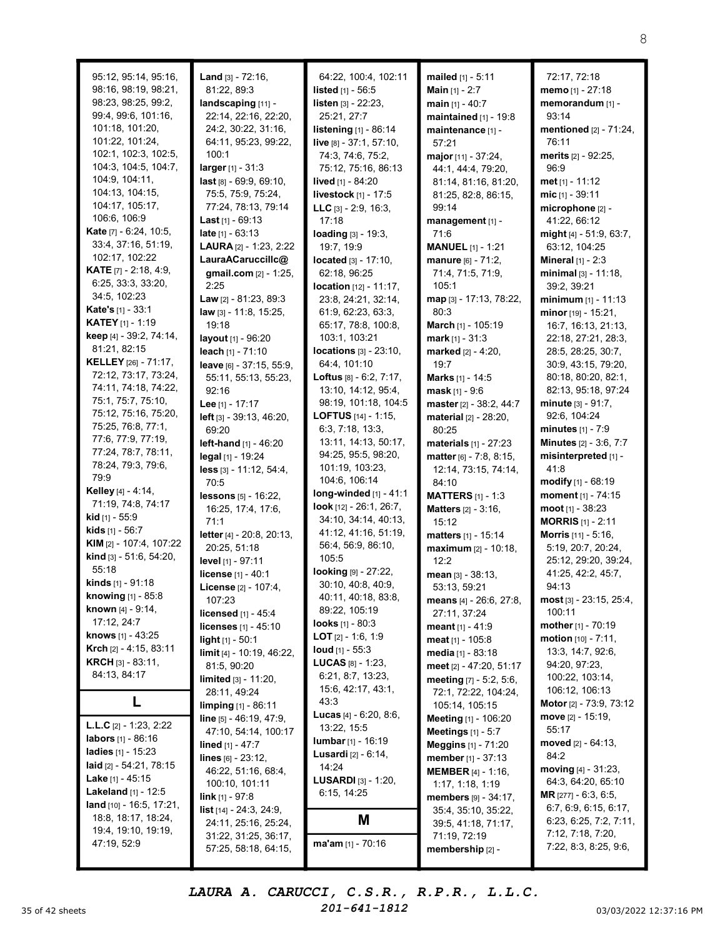| 95:12, 95:14, 95:16,             | Land [3] - 72:16,                | 64:22, 100:4, 102:11             | mailed [1] - 5:11             | 72:17, 72:18                  |
|----------------------------------|----------------------------------|----------------------------------|-------------------------------|-------------------------------|
| 98:16, 98:19, 98:21,             | 81:22, 89:3                      | listed [1] - 56:5                | <b>Main</b> $[1] - 2:7$       | memo [1] - 27:18              |
| 98:23, 98:25, 99:2,              | landscaping [11] -               | listen [3] - 22:23,              | main $[1] - 40:7$             | memorandum [1] -              |
|                                  |                                  |                                  |                               |                               |
| 99:4, 99:6, 101:16,              | 22:14, 22:16, 22:20,             | 25:21, 27:7                      | maintained [1] - 19:8         | 93:14                         |
| 101:18, 101:20,                  | 24:2, 30:22, 31:16,              | listening [1] - 86:14            | maintenance [1] -             | mentioned [2] - 71:24,        |
| 101:22, 101:24,                  | 64:11, 95:23, 99:22,             | live [8] - 37:1, 57:10,          | 57:21                         | 76:11                         |
| 102:1, 102:3, 102:5,             | 100:1                            | 74:3, 74:6, 75:2,                | major [11] - 37:24,           | merits [2] - 92:25,           |
| 104:3, 104:5, 104:7,             | larger [1] - 31:3                | 75:12, 75:16, 86:13              | 44:1, 44:4, 79:20,            | 96:9                          |
| 104:9, 104:11,                   | $last$ [8] - 69:9, 69:10,        | lived [1] - 84:20                | 81:14, 81:16, 81:20,          | met <sub>[1]</sub> - 11:12    |
| 104:13, 104:15,                  | 75:5, 75:9, 75:24,               | livestock [1] - 17:5             | 81:25, 82:8, 86:15,           | $mic_{[1]} - 39:11$           |
| 104:17, 105:17,                  | 77:24, 78:13, 79:14              | <b>LLC</b> $[3] - 2:9, 16:3,$    | 99:14                         | microphone [2] -              |
| 106:6, 106:9                     | <b>Last</b> $[1] - 69:13$        | 17:18                            | management [1] -              | 41:22, 66:12                  |
| Kate [7] - 6:24, 10:5,           | late $[1] - 63:13$               | loading [3] - 19:3,              | 71:6                          | might [4] - 51:9, 63:7,       |
| 33:4, 37:16, 51:19,              | LAURA [2] - 1:23, 2:22           | 19:7, 19:9                       | <b>MANUEL</b> [1] - 1:21      | 63:12, 104:25                 |
| 102:17, 102:22                   | LauraACaruccillc@                |                                  |                               |                               |
| <b>KATE</b> $[7] - 2:18, 4:9,$   |                                  | located [3] - 17:10,             | manure $[6] - 71:2$ ,         | <b>Mineral</b> $[1] - 2:3$    |
| 6:25, 33:3, 33:20,               | gmail.com [2] - 1:25,            | 62:18, 96:25                     | 71:4, 71:5, 71:9,             | $minimal [3] - 11:18,$        |
| 34:5, 102:23                     | 2:25                             | <b>location</b> $[12] - 11:17$ , | 105:1                         | 39:2, 39:21                   |
|                                  | Law [2] - 81:23, 89:3            | 23:8, 24:21, 32:14,              | map [3] - 17:13, 78:22,       | minimum $[1] - 11:13$         |
| Kate's [1] - 33:1                | law [3] - 11:8, 15:25,           | 61:9, 62:23, 63:3,               | 80:3                          | minor [19] - 15:21,           |
| <b>KATEY</b> [1] - 1:19          | 19:18                            | 65:17, 78:8, 100:8,              | March [1] - 105:19            | 16:7, 16:13, 21:13,           |
| keep [4] - 39:2, 74:14,          | layout [1] - 96:20               | 103:1, 103:21                    | mark $[1] - 31:3$             | 22:18, 27:21, 28:3,           |
| 81:21, 82:15                     | leach [1] - 71:10                | locations [3] - 23:10,           | marked [2] - 4:20,            | 28:5, 28:25, 30:7,            |
| <b>KELLEY</b> [26] - 71:17,      | leave [6] - 37:15, 55:9,         | 64:4, 101:10                     | 19:7                          | 30:9, 43:15, 79:20,           |
| 72:12, 73:17, 73:24,             | 55:11, 55:13, 55:23,             | <b>Loftus</b> $[8] - 6:2, 7:17,$ | Marks [1] - 14:5              | 80:18, 80:20, 82:1,           |
| 74:11, 74:18, 74:22,             | 92:16                            | 13:10, 14:12, 95:4,              | <b>mask</b> $[1] - 9:6$       | 82:13, 95:18, 97:24           |
| 75:1, 75:7, 75:10,               | Lee [1] - 17:17                  | 98:19, 101:18, 104:5             |                               | minute [3] - 91:7,            |
| 75:12, 75:16, 75:20,             |                                  | <b>LOFTUS</b> $[14] - 1:15$ ,    | master [2] - 38:2, 44:7       | 92:6, 104:24                  |
| 75:25, 76:8, 77:1,               | left [3] - 39:13, 46:20,         |                                  | <b>material</b> [2] - 28:20,  |                               |
| 77:6, 77:9, 77:19,               | 69:20                            | 6:3, 7:18, 13:3,                 | 80:25                         | minutes $[1] - 7:9$           |
| 77:24, 78:7, 78:11,              | left-hand [1] - 46:20            | 13:11, 14:13, 50:17,             | materials $[1] - 27:23$       | <b>Minutes</b> [2] - 3:6, 7:7 |
|                                  | legal [1] - 19:24                | 94:25, 95:5, 98:20,              | matter [6] - 7:8, 8:15,       | misinterpreted [1] -          |
| 78:24, 79:3, 79:6,               | $less$ [3] - 11:12, 54:4,        | 101:19, 103:23,                  | 12:14, 73:15, 74:14,          | 41:8                          |
| 79:9                             | 70:5                             | 104:6, 106:14                    | 84:10                         | modify $[1]$ - 68:19          |
| Kelley [4] - 4:14,               | <b>lessons</b> $[5] - 16:22$ ,   | long-winded [1] - 41:1           | <b>MATTERS</b> [1] - 1:3      | moment [1] - 74:15            |
| 71:19, 74:8, 74:17               | 16:25, 17:4, 17:6,               | <b>look</b> $[12] - 26:1, 26:7,$ | <b>Matters</b> $[2] - 3:16$ , | moot $[1]$ - 38:23            |
| kid [1] - 55:9                   | 71:1                             | 34:10, 34:14, 40:13,             | 15:12                         | <b>MORRIS</b> $[1] - 2:11$    |
| <b>kids</b> [1] - 56:7           | letter [4] - 20:8, 20:13,        | 41:12, 41:16, 51:19,             | matters [1] - 15:14           | Morris [11] - 5:16,           |
| KIM [2] - 107:4, 107:22          | 20:25, 51:18                     | 56:4, 56:9, 86:10,               | maximum [2] - 10:18,          | 5:19, 20:7, 20:24,            |
| kind [3] - 51:6, 54:20,          | level [1] - 97:11                | 105:5                            | 12:2                          | 25:12, 29:20, 39:24,          |
| 55:18                            |                                  | looking [9] - 27:22,             |                               |                               |
| kinds [1] - 91:18                | license [1] - 40:1               | 30:10, 40:8, 40:9,               | mean $[3] - 38:13$ ,          | 41:25, 42:2, 45:7,<br>94:13   |
| knowing [1] - 85:8               | License [2] - 107:4,             | 40:11, 40:18, 83:8,              | 53:13, 59:21                  |                               |
| <b>known</b> $[4] - 9:14$ ,      | 107:23                           | 89:22, 105:19                    | means [4] - 26:6, 27:8,       | $most$ [3] - 23:15, 25:4,     |
| 17:12, 24:7                      | <b>licensed</b> $[1] - 45:4$     |                                  | 27:11, 37:24                  | 100:11                        |
|                                  | licenses [1] - 45:10             | <b>looks</b> $[1]$ - 80:3        | <b>meant</b> $[1] - 41:9$     | mother [1] - 70:19            |
| knows [1] - 43:25                | light $[1] - 50:1$               | <b>LOT</b> $[2] - 1:6, 1:9$      | <b>meat</b> $[1]$ - 105:8     | motion [10] - 7:11,           |
| <b>Krch</b> $[2] - 4:15, 83:11$  | limit [4] - 10:19, 46:22,        | <b>loud</b> $[1]$ - 55:3         | media [1] - 83:18             | 13:3, 14:7, 92:6,             |
| <b>KRCH</b> $[3] - 83:11$ ,      | 81:5, 90:20                      | <b>LUCAS</b> $[8] - 1:23$        | meet [2] - 47:20, 51:17       | 94:20, 97:23,                 |
| 84:13, 84:17                     | limited [3] - 11:20,             | 6:21, 8:7, 13:23,                | meeting [7] - 5:2, 5:6,       | 100:22, 103:14,               |
|                                  | 28:11, 49:24                     | 15:6, 42:17, 43:1,               | 72:1, 72:22, 104:24,          | 106:12, 106:13                |
| L                                | limping [1] - 86:11              | 43:3                             | 105:14, 105:15                | Motor [2] - 73:9, 73:12       |
|                                  | $line_{[5] - 46:19, 47:9,}$      | <b>Lucas</b> $[4] - 6:20, 8:6,$  | <b>Meeting</b> [1] - 106:20   | move $[2] - 15:19$ ,          |
| <b>L.L.C</b> $[2] - 1:23, 2:22$  |                                  | 13:22, 15:5                      | Meetings $[1] - 5:7$          | 55:17                         |
| labors [1] - 86:16               | 47:10, 54:14, 100:17             | $lumbar_{[1]} - 16:19$           |                               | moved $[2] - 64:13$ ,         |
| <b>ladies</b> $[1]$ - 15:23      | <b>lined</b> [1] - 47:7          | <b>Lusardi</b> [2] - 6:14,       | <b>Meggins</b> [1] - 71:20    | 84:2                          |
| <b>laid</b> $[2] - 54:21, 78:15$ | lines $[6] - 23:12$ ,            | 14:24                            | member [1] - 37:13            |                               |
| <b>Lake</b> [1] - $45:15$        | 46:22, 51:16, 68:4,              | LUSARDI [3] - 1:20,              | <b>MEMBER</b> $[4] - 1:16$ ,  | moving $[4] - 31:23$ ,        |
| <b>Lakeland</b> $[1]$ - 12:5     | 100:10, 101:11                   |                                  | 1:17, 1:18, 1:19              | 64:3, 64:20, 65:10            |
|                                  | link [1] - 97:8                  | 6:15, 14:25                      | <b>members</b> [9] - 34:17,   | <b>MR</b> [277] - 6:3, 6:5,   |
| land $[10] - 16:5, 17:21,$       | <b>list</b> $[14] - 24:3, 24:9,$ |                                  | 35:4, 35:10, 35:22,           | 6:7, 6:9, 6:15, 6:17,         |
| 18:8, 18:17, 18:24,              | 24:11, 25:16, 25:24,             | M                                | 39:5, 41:18, 71:17,           | 6:23, 6:25, 7:2, 7:11,        |
| 19:4, 19:10, 19:19,              | 31:22, 31:25, 36:17,             |                                  | 71:19, 72:19                  | 7:12, 7:18, 7:20,             |
| 47:19, 52:9                      | 57:25, 58:18, 64:15,             | $ma'am_{[1]} - 70:16$            | membership [2] -              | 7:22, 8:3, 8:25, 9:6,         |

35 of 42 sheets  $201-641-1812$   $201-641-1812$   $03/03/2022$  12:37:16 PM LAURA A. CARUCCI, C.S.R., R.P.R., L.L.C. 201-641-1812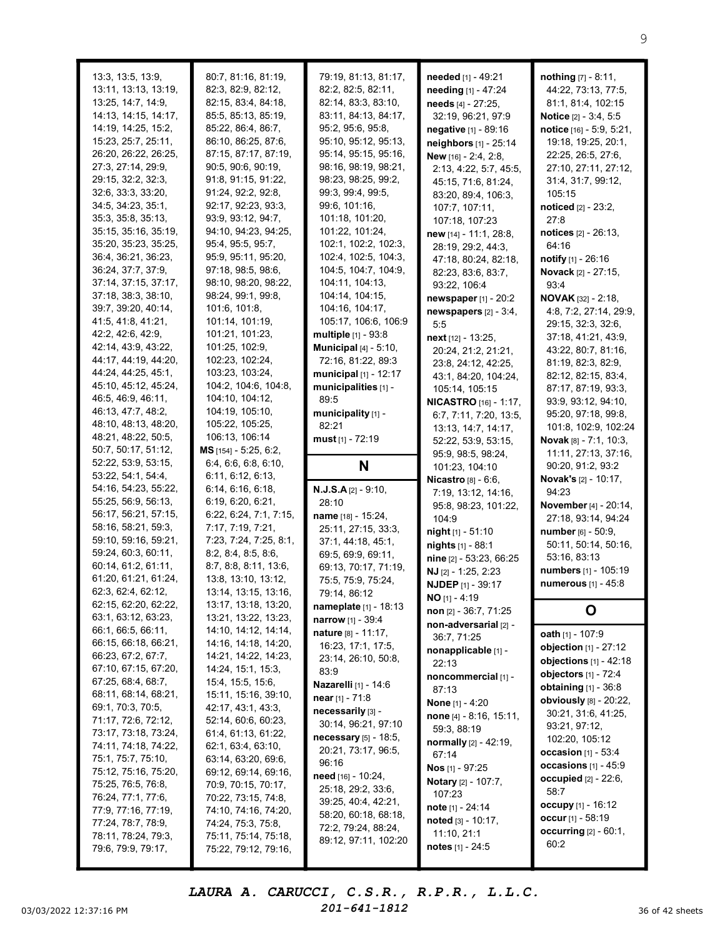| 13:3, 13:5, 13:9,                           | 80:7, 81:16, 81:19,                          | 79:19, 81:13, 81:17,                            | needed [1] - 49:21                         | <b>nothing</b> $[7] - 8:11$ ,                  |
|---------------------------------------------|----------------------------------------------|-------------------------------------------------|--------------------------------------------|------------------------------------------------|
| 13:11, 13:13, 13:19,                        | 82:3, 82:9, 82:12,                           | 82:2, 82:5, 82:11,                              | needing [1] - 47:24                        | 44:22, 73:13, 77:5,                            |
| 13:25, 14:7, 14:9,                          | 82:15, 83:4, 84:18,                          | 82:14, 83:3, 83:10,                             | needs [4] - 27:25,                         | 81:1, 81:4, 102:15                             |
| 14:13, 14:15, 14:17,                        | 85:5, 85:13, 85:19,                          | 83:11, 84:13, 84:17,                            | 32:19, 96:21, 97:9                         | Notice [2] - 3:4, 5:5                          |
| 14:19, 14:25, 15:2,                         | 85:22, 86:4, 86:7,                           | 95:2, 95:6, 95:8,                               | negative [1] - 89:16                       | notice [16] - 5:9, 5:21,                       |
| 15:23, 25:7, 25:11,                         | 86:10, 86:25, 87:6,                          | 95:10, 95:12, 95:13,                            | neighbors [1] - 25:14                      | 19:18, 19:25, 20:1,                            |
| 26:20, 26:22, 26:25,                        | 87:15, 87:17, 87:19,                         | 95:14, 95:15, 95:16,                            | New [16] - 2:4, 2:8,                       | 22:25, 26:5, 27:6,                             |
| 27:3, 27:14, 29:9,                          | 90:5, 90:6, 90:19,                           | 98:16, 98:19, 98:21,                            | 2:13, 4:22, 5:7, 45:5,                     | 27:10, 27:11, 27:12,                           |
| 29:15, 32:2, 32:3,                          | 91:8, 91:15, 91:22,                          | 98:23, 98:25, 99:2,                             | 45:15, 71:6, 81:24,                        | 31:4, 31:7, 99:12,                             |
| 32:6, 33:3, 33:20,                          | 91:24, 92:2, 92:8,                           | 99:3, 99:4, 99:5,                               | 83:20, 89:4, 106:3,                        | 105:15                                         |
| 34:5, 34:23, 35:1,                          | 92:17, 92:23, 93:3,                          | 99:6, 101:16,                                   | 107:7, 107:11,                             | noticed [2] - 23:2,                            |
| 35:3, 35:8, 35:13,                          | 93:9, 93:12, 94:7,                           | 101:18, 101:20,                                 | 107:18, 107:23                             | 27:8                                           |
| 35:15, 35:16, 35:19,                        | 94:10, 94:23, 94:25,                         | 101:22, 101:24,                                 | new [14] - 11:1, 28:8,                     | notices [2] - 26:13,                           |
| 35:20, 35:23, 35:25,<br>36:4, 36:21, 36:23, | 95:4, 95:5, 95:7,<br>95:9, 95:11, 95:20,     | 102:1, 102:2, 102:3,<br>102:4, 102:5, 104:3,    | 28:19, 29:2, 44:3,                         | 64:16                                          |
| 36:24, 37:7, 37:9,                          | 97:18, 98:5, 98:6,                           | 104:5, 104:7, 104:9,                            | 47:18, 80:24, 82:18,                       | <b>notify</b> $[1]$ - 26:16                    |
| 37:14, 37:15, 37:17,                        | 98:10, 98:20, 98:22,                         | 104:11, 104:13,                                 | 82:23, 83:6, 83:7,                         | <b>Novack</b> [2] - 27:15,                     |
| 37:18, 38:3, 38:10,                         | 98:24, 99:1, 99:8,                           | 104:14, 104:15,                                 | 93:22, 106:4                               | 93:4                                           |
| 39:7, 39:20, 40:14,                         | 101:6, 101:8,                                | 104:16, 104:17,                                 | newspaper $[1]$ - $20:2$                   | <b>NOVAK</b> $[32] - 2:18$                     |
| 41:5, 41:8, 41:21,                          | 101:14, 101:19,                              | 105:17, 106:6, 106:9                            | newspapers [2] - 3:4,                      | 4:8, 7:2, 27:14, 29:9,                         |
| 42:2, 42:6, 42:9,                           | 101:21, 101:23,                              | multiple [1] - 93:8                             | 5:5                                        | 29:15, 32:3, 32:6,                             |
| 42:14, 43:9, 43:22,                         | 101:25, 102:9,                               | <b>Municipal</b> $[4] - 5:10$ ,                 | next [12] - 13:25,                         | 37:18, 41:21, 43:9,<br>43:22, 80:7, 81:16,     |
| 44:17, 44:19, 44:20,                        | 102:23, 102:24,                              | 72:16, 81:22, 89:3                              | 20:24, 21:2, 21:21,<br>23:8, 24:12, 42:25, | 81:19, 82:3, 82:9,                             |
| 44:24, 44:25, 45:1,                         | 103:23, 103:24,                              | municipal [1] - 12:17                           | 43:1, 84:20, 104:24,                       | 82:12, 82:15, 83:4,                            |
| 45:10, 45:12, 45:24,                        | 104:2, 104:6, 104:8,                         | municipalities [1] -                            | 105:14, 105:15                             | 87:17, 87:19, 93:3,                            |
| 46:5, 46:9, 46:11,                          | 104:10, 104:12,                              | 89:5                                            | <b>NICASTRO</b> [16] - 1:17,               | 93:9, 93:12, 94:10,                            |
| 46:13, 47:7, 48:2,                          | 104:19, 105:10,                              | municipality [1] -                              | 6:7, 7:11, 7:20, 13:5,                     | 95:20, 97:18, 99:8,                            |
| 48:10, 48:13, 48:20,                        | 105:22, 105:25,                              | 82:21                                           | 13:13, 14:7, 14:17,                        | 101:8, 102:9, 102:24                           |
| 48:21, 48:22, 50:5,                         | 106:13, 106:14                               | must $[1]$ - 72:19                              | 52:22, 53:9, 53:15,                        | <b>Novak</b> $[8] - 7:1, 10:3,$                |
| 50:7, 50:17, 51:12,                         | MS [154] - 5:25, 6:2,                        |                                                 | 95:9, 98:5, 98:24,                         | 11:11, 27:13, 37:16,                           |
| 52:22, 53:9, 53:15,                         | 6:4, 6:6, 6:8, 6:10,                         | N                                               | 101:23, 104:10                             | 90:20, 91:2, 93:2                              |
| 53:22, 54:1, 54:4,                          | 6:11, 6:12, 6:13,                            |                                                 |                                            |                                                |
|                                             |                                              |                                                 | Nicastro [8] - 6:6,                        | <b>Novak's</b> [2] - 10:17,                    |
| 54:16, 54:23, 55:22,                        | 6:14, 6:16, 6:18,                            | $N.J.S.A[2] - 9:10,$                            | 7:19, 13:12, 14:16,                        | 94:23                                          |
| 55:25, 56:9, 56:13,                         | 6:19, 6:20, 6:21,                            | 28:10                                           | 95:8, 98:23, 101:22,                       | November [4] - 20:14,                          |
| 56:17, 56:21, 57:15,                        | 6:22, 6:24, 7:1, 7:15,                       | name [18] - 15:24,                              | 104:9                                      | 27:18, 93:14, 94:24                            |
| 58:16, 58:21, 59:3,                         | 7:17, 7:19, 7:21,                            | 25:11, 27:15, 33:3,                             | night [1] - 51:10                          | number [6] - 50:9,                             |
| 59:10, 59:16, 59:21,                        | 7:23, 7:24, 7:25, 8:1,                       | 37:1, 44:18, 45:1,                              | nights [1] - 88:1                          | 50:11, 50:14, 50:16,                           |
| 59:24, 60:3, 60:11,                         | 8:2, 8:4, 8:5, 8:6,                          | 69:5, 69:9, 69:11,                              | nine [2] - 53:23, 66:25                    | 53:16, 83:13                                   |
| 60:14, 61:2, 61:11,                         | 8:7, 8:8, 8:11, 13:6,                        | 69:13, 70:17, 71:19,                            | NJ [2] - 1:25, 2:23                        | numbers [1] - 105:19                           |
| 61:20, 61:21, 61:24,                        | 13:8, 13:10, 13:12,                          | 75:5, 75:9, 75:24,                              | <b>NJDEP</b> [1] - 39:17                   | numerous [1] - 45:8                            |
| 62:3, 62:4, 62:12,<br>62:15, 62:20, 62:22,  | 13:14, 13:15, 13:16,<br>13:17, 13:18, 13:20, | 79:14, 86:12                                    | $NO$ [1] - 4:19                            |                                                |
| 63:1, 63:12, 63:23,                         | 13:21, 13:22, 13:23,                         | <b>nameplate</b> [1] - 18:13                    | non [2] - 36:7, 71:25                      | O                                              |
| 66:1, 66:5, 66:11,                          | 14:10, 14:12, 14:14,                         | <b>narrow</b> [1] - 39:4<br>nature [8] - 11:17, | non-adversarial [2] -                      |                                                |
| 66:15, 66:18, 66:21,                        | 14:16, 14:18, 14:20,                         | 16:23, 17:1, 17:5,                              | 36:7, 71:25                                | oath [1] - 107:9                               |
| 66:23, 67:2, 67:7,                          | 14:21, 14:22, 14:23,                         | 23:14, 26:10, 50:8,                             | nonapplicable [1] -                        | objection $[1]$ - 27:12                        |
| 67:10, 67:15, 67:20,                        | 14:24, 15:1, 15:3,                           | 83:9                                            | 22:13                                      | objections $[1] - 42:18$                       |
| 67:25, 68:4, 68:7,                          | 15:4, 15:5, 15:6,                            | Nazarelli [1] - 14:6                            | noncommercial [1] -                        | objectors [1] - 72:4                           |
| 68:11, 68:14, 68:21,                        | 15:11, 15:16, 39:10,                         | near $[1] - 71:8$                               | 87:13                                      | obtaining [1] - 36:8<br>obviously [8] - 20:22, |
| 69:1, 70:3, 70:5,                           | 42:17, 43:1, 43:3,                           | necessarily [3] -                               | <b>None</b> [1] - 4:20                     | 30:21, 31:6, 41:25,                            |
| 71:17, 72:6, 72:12,                         | 52:14, 60:6, 60:23,                          | 30:14, 96:21, 97:10                             | none [4] - 8:16, 15:11,<br>59:3, 88:19     | 93:21, 97:12,                                  |
| 73:17, 73:18, 73:24,                        | 61:4, 61:13, 61:22,                          | necessary [5] - 18:5,                           | normally [2] - 42:19,                      | 102:20, 105:12                                 |
| 74:11, 74:18, 74:22,                        | 62:1, 63:4, 63:10,                           | 20:21, 73:17, 96:5,                             | 67:14                                      | <b>occasion</b> $[1] - 53:4$                   |
| 75:1, 75:7, 75:10,                          | 63:14, 63:20, 69:6,                          | 96:16                                           | Nos [1] - 97:25                            | occasions $[1] - 45:9$                         |
| 75:12, 75:16, 75:20,                        | 69:12, 69:14, 69:16,                         | need [16] - 10:24,                              | <b>Notary</b> [2] - 107:7,                 | <b>occupied</b> $[2] - 22:6$ ,                 |
| 75:25, 76:5, 76:8,<br>76:24, 77:1, 77:6,    | 70:9, 70:15, 70:17,                          | 25:18, 29:2, 33:6,                              | 107:23                                     | 58:7                                           |
| 77:9, 77:16, 77:19,                         | 70:22, 73:15, 74:8,<br>74:10, 74:16, 74:20,  | 39:25, 40:4, 42:21,                             | note [1] - 24:14                           | occupy [1] - 16:12                             |
| 77:24, 78:7, 78:9,                          | 74:24, 75:3, 75:8,                           | 58:20, 60:18, 68:18,                            | noted [3] - 10:17,                         | occur $[1] - 58:19$                            |
| 78:11, 78:24, 79:3,                         | 75:11, 75:14, 75:18,                         | 72:2, 79:24, 88:24,                             | 11:10, 21:1                                | <b>occurring</b> $[2] - 60:1$ ,                |
| 79:6, 79:9, 79:17,                          | 75:22, 79:12, 79:16,                         | 89:12, 97:11, 102:20                            | notes $[1] - 24:5$                         | 60:2                                           |

03/03/2022 12:37:16 PM  $201-641-1812$  36 of 42 sheets LAURA A. CARUCCI, C.S.R., R.P.R., L.L.C. 201-641-1812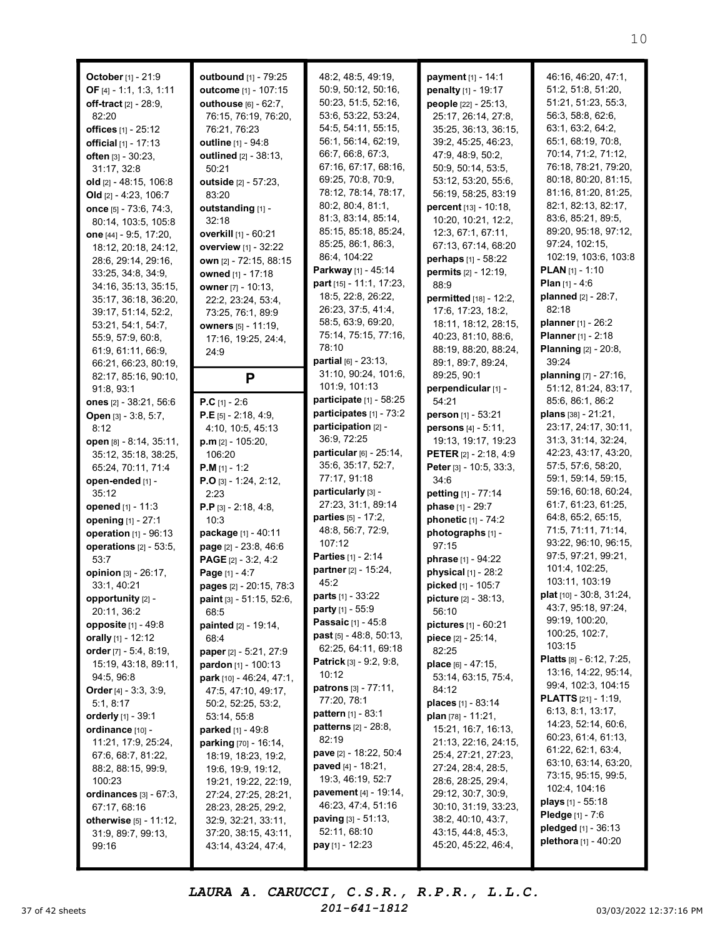| October [1] - 21:9<br>OF [4] - 1:1, 1:3, 1:11<br>off-tract [2] - 28:9,<br>82:20<br>offices [1] - 25:12<br>official [1] - 17:13<br>often [3] - 30:23,<br>31:17, 32:8<br>old $[2] - 48:15, 106:8$<br>Old $[2] - 4:23, 106:7$<br>once [5] - 73:6, 74:3,<br>80:14, 103:5, 105:8<br>one [44] - 9:5, 17:20,<br>18:12, 20:18, 24:12,<br>28:6, 29:14, 29:16,<br>33:25, 34:8, 34:9,<br>34:16, 35:13, 35:15,<br>35:17, 36:18, 36:20,<br>39:17, 51:14, 52:2,<br>53:21, 54:1, 54:7,<br>55:9, 57:9, 60:8, | outbound [1] - 79:25<br>outcome [1] - 107:15<br>outhouse [6] - 62:7,<br>76:15, 76:19, 76:20,<br>76:21, 76:23<br><b>outline</b> [1] - 94:8<br>outlined [2] - 38:13,<br>50:21<br>outside [2] - 57:23,<br>83:20<br>outstanding [1] -<br>32:18<br>overkill [1] - 60:21<br><b>overview</b> [1] - 32:22<br>own [2] - 72:15, 88:15<br>owned [1] - 17:18<br>owner [7] - 10:13,<br>22:2, 23:24, 53:4,<br>73:25, 76:1, 89:9<br><b>owners</b> [5] - 11:19,<br>17:16, 19:25, 24:4, | 48:2, 48:5, 49:19,<br>50:9, 50:12, 50:16,<br>50:23, 51:5, 52:16,<br>53:6, 53:22, 53:24,<br>54:5, 54:11, 55:15,<br>56:1, 56:14, 62:19,<br>66:7, 66:8, 67:3,<br>67:16, 67:17, 68:16,<br>69:25, 70:8, 70:9,<br>78:12, 78:14, 78:17,<br>80:2, 80:4, 81:1,<br>81:3, 83:14, 85:14,<br>85:15, 85:18, 85:24,<br>85:25, 86:1, 86:3,<br>86:4, 104:22<br>Parkway [1] - 45:14<br>part [15] - 11:1, 17:23,<br>18:5, 22:8, 26:22,<br>26:23, 37:5, 41:4,<br>58:5, 63:9, 69:20,<br>75:14, 75:15, 77:16, | payment [1] - 14:1<br>penalty [1] - 19:17<br>people [22] - 25:13,<br>25:17, 26:14, 27:8,<br>35:25, 36:13, 36:15,<br>39:2, 45:25, 46:23,<br>47:9, 48:9, 50:2,<br>50:9, 50:14, 53:5,<br>53:12, 53:20, 55:6,<br>56:19, 58:25, 83:19<br>percent [13] - 10:18,<br>10:20, 10:21, 12:2,<br>12:3, 67:1, 67:11,<br>67:13, 67:14, 68:20<br>perhaps [1] - 58:22<br><b>permits</b> [2] - 12:19,<br>88:9<br>permitted [18] - 12:2,<br>17:6, 17:23, 18:2,<br>18:11, 18:12, 28:15,<br>40:23, 81:10, 88:6, | 46:16, 46:20, 47:1,<br>51:2, 51:8, 51:20,<br>51:21, 51:23, 55:3,<br>56:3, 58:8, 62:6,<br>63:1, 63:2, 64:2,<br>65:1, 68:19, 70:8,<br>70:14, 71:2, 71:12,<br>76:18, 78:21, 79:20,<br>80:18, 80:20, 81:15,<br>81:16, 81:20, 81:25,<br>82:1, 82:13, 82:17,<br>83:6, 85:21, 89:5,<br>89:20, 95:18, 97:12,<br>97:24, 102:15,<br>102:19, 103:6, 103:8<br><b>PLAN</b> $[1] - 1:10$<br><b>Plan</b> $[1] - 4:6$<br>planned [2] - 28:7,<br>82:18<br><b>planner</b> [1] - 26:2<br>Planner [1] - 2:18 |
|----------------------------------------------------------------------------------------------------------------------------------------------------------------------------------------------------------------------------------------------------------------------------------------------------------------------------------------------------------------------------------------------------------------------------------------------------------------------------------------------|------------------------------------------------------------------------------------------------------------------------------------------------------------------------------------------------------------------------------------------------------------------------------------------------------------------------------------------------------------------------------------------------------------------------------------------------------------------------|-----------------------------------------------------------------------------------------------------------------------------------------------------------------------------------------------------------------------------------------------------------------------------------------------------------------------------------------------------------------------------------------------------------------------------------------------------------------------------------------|--------------------------------------------------------------------------------------------------------------------------------------------------------------------------------------------------------------------------------------------------------------------------------------------------------------------------------------------------------------------------------------------------------------------------------------------------------------------------------------------|------------------------------------------------------------------------------------------------------------------------------------------------------------------------------------------------------------------------------------------------------------------------------------------------------------------------------------------------------------------------------------------------------------------------------------------------------------------------------------------|
| 61:9, 61:11, 66:9,<br>66:21, 66:23, 80:19,<br>82:17, 85:16, 90:10,<br>91:8,93:1<br>ones [2] - 38:21, 56:6<br>Open [3] - 3:8, 5:7,                                                                                                                                                                                                                                                                                                                                                            | 24:9<br>P<br>$P.C$ [1] - 2:6<br><b>P.E</b> [5] - 2:18, 4:9,                                                                                                                                                                                                                                                                                                                                                                                                            | 78:10<br><b>partial</b> $[6] - 23:13$ ,<br>31:10, 90:24, 101:6,<br>101:9, 101:13<br>participate [1] - 58:25<br>participates [1] - 73:2                                                                                                                                                                                                                                                                                                                                                  | 88:19, 88:20, 88:24,<br>89:1, 89:7, 89:24,<br>89:25, 90:1<br>perpendicular [1] -<br>54:21<br>person [1] - 53:21                                                                                                                                                                                                                                                                                                                                                                            | <b>Planning</b> [2] - 20:8,<br>39:24<br>planning [7] - 27:16,<br>51:12, 81:24, 83:17,<br>85:6, 86:1, 86:2<br>plans [38] - 21:21,                                                                                                                                                                                                                                                                                                                                                         |
| 8:12<br>open [8] - 8:14, 35:11,<br>35:12, 35:18, 38:25,<br>65:24, 70:11, 71:4<br>open-ended [1] -<br>35:12                                                                                                                                                                                                                                                                                                                                                                                   | 4:10, 10:5, 45:13<br>$p.m$ [2] - 105:20,<br>106:20<br><b>P.M</b> $[1] - 1:2$<br>$P.O$ [3] - 1:24, 2:12,<br>2:23                                                                                                                                                                                                                                                                                                                                                        | participation [2] -<br>36:9, 72:25<br>particular $[6]$ - 25:14,<br>35:6, 35:17, 52:7,<br>77:17, 91:18<br>particularly [3] -                                                                                                                                                                                                                                                                                                                                                             | persons [4] - 5:11,<br>19:13, 19:17, 19:23<br><b>PETER</b> $[2] - 2:18, 4:9$<br>Peter [3] - $10:5, 33:3,$<br>34:6<br>petting [1] - 77:14                                                                                                                                                                                                                                                                                                                                                   | 23:17, 24:17, 30:11,<br>31:3, 31:14, 32:24,<br>42:23, 43:17, 43:20,<br>57:5, 57:6, 58:20,<br>59:1, 59:14, 59:15,<br>59:16, 60:18, 60:24,                                                                                                                                                                                                                                                                                                                                                 |
| opened [1] - 11:3<br>opening [1] - 27:1<br>operation [1] - 96:13<br>operations $[2]$ - 53:5,<br>53:7                                                                                                                                                                                                                                                                                                                                                                                         | <b>P.P</b> [3] $- 2:18, 4:8,$<br>10:3<br>package [1] - 40:11<br>page [2] - 23:8, 46:6<br><b>PAGE</b> $[2] - 3:2, 4:2$                                                                                                                                                                                                                                                                                                                                                  | 27:23, 31:1, 89:14<br>parties [5] - 17:2,<br>48:8, 56:7, 72:9,<br>107:12<br><b>Parties</b> [1] - 2:14<br>partner [2] - 15:24,                                                                                                                                                                                                                                                                                                                                                           | phase [1] - 29:7<br>phonetic [1] - 74:2<br>photographs [1] -<br>97:15<br>phrase [1] - 94:22<br>physical [1] - 28:2                                                                                                                                                                                                                                                                                                                                                                         | 61:7, 61:23, 61:25,<br>64:8, 65:2, 65:15,<br>71:5, 71:11, 71:14,<br>93:22, 96:10, 96:15,<br>97:5, 97:21, 99:21,<br>101:4, 102:25,                                                                                                                                                                                                                                                                                                                                                        |
| opinion [3] - 26:17,<br>33:1, 40:21<br>opportunity [2] -<br>20:11, 36:2<br>opposite [1] - 49:8<br>orally [1] - 12:12<br>order $[7] - 5.4, 8.19$                                                                                                                                                                                                                                                                                                                                              | Page [1] - 4:7<br>pages [2] - 20:15, 78:3<br>paint [3] - 51:15, 52:6,<br>68:5<br>painted [2] - 19:14,<br>68:4<br>paper $[2] - 5:21, 27:9$                                                                                                                                                                                                                                                                                                                              | 45:2<br><b>parts</b> $[1]$ - 33:22<br><b>party</b> [1] - 55:9<br><b>Passaic</b> [1] - 45:8<br>past [5] - 48:8, 50:13,<br>62:25, 64:11, 69:18                                                                                                                                                                                                                                                                                                                                            | picked [1] - 105:7<br><b>picture</b> $[2] - 38:13$ ,<br>56:10<br>pictures [1] - 60:21<br><b>piece</b> $[2] - 25:14$ ,<br>82:25                                                                                                                                                                                                                                                                                                                                                             | 103:11, 103:19<br>plat [10] - 30:8, 31:24,<br>43:7, 95:18, 97:24,<br>99:19, 100:20,<br>100:25, 102:7,<br>103:15                                                                                                                                                                                                                                                                                                                                                                          |
| 15:19, 43:18, 89:11,<br>94:5, 96:8<br>Order $[4] - 3:3, 3:9,$<br>5:1, 8:17<br><b>orderly</b> [1] - 39:1<br>ordinance [10] -                                                                                                                                                                                                                                                                                                                                                                  | pardon [1] - 100:13<br>park [10] - 46:24, 47:1,<br>47:5, 47:10, 49:17,<br>50:2, 52:25, 53:2,<br>53:14, 55:8<br><b>parked</b> [1] - 49:8                                                                                                                                                                                                                                                                                                                                | <b>Patrick</b> $[3] - 9:2, 9:8,$<br>10:12<br><b>patrons</b> $[3] - 77:11$ ,<br>77:20, 78:1<br><b>pattern</b> [1] - 83:1<br><b>patterns</b> [2] - 28:8,                                                                                                                                                                                                                                                                                                                                  | <b>place</b> [6] - 47:15,<br>53:14, 63:15, 75:4,<br>84:12<br>places [1] - 83:14<br>plan [78] - 11:21,<br>15:21, 16:7, 16:13,                                                                                                                                                                                                                                                                                                                                                               | <b>Platts</b> $[8] - 6:12, 7:25,$<br>13:16, 14:22, 95:14,<br>99:4, 102:3, 104:15<br><b>PLATTS</b> $[21] - 1:19$ ,<br>6:13, 8:1, 13:17,<br>14:23, 52:14, 60:6,<br>60:23, 61:4, 61:13,                                                                                                                                                                                                                                                                                                     |
| 11:21, 17:9, 25:24,<br>67:6, 68:7, 81:22,<br>88:2, 88:15, 99:9,<br>100:23<br>ordinances $[3] - 67:3$ ,<br>67:17, 68:16<br><b>otherwise</b> [5] - 11:12,<br>31:9, 89:7, 99:13,<br>99:16                                                                                                                                                                                                                                                                                                       | parking [70] - 16:14,<br>18:19, 18:23, 19:2,<br>19:6, 19:9, 19:12,<br>19:21, 19:22, 22:19,<br>27:24, 27:25, 28:21,<br>28:23, 28:25, 29:2,<br>32:9, 32:21, 33:11,<br>37:20, 38:15, 43:11,<br>43:14, 43:24, 47:4,                                                                                                                                                                                                                                                        | 82:19<br>pave [2] - 18:22, 50:4<br><b>paved</b> [4] - $18:21$ ,<br>19:3, 46:19, 52:7<br>pavement [4] - 19:14,<br>46:23, 47:4, 51:16<br><b>paving</b> $[3] - 51:13$ ,<br>52:11, 68:10<br>pay [1] - 12:23                                                                                                                                                                                                                                                                                 | 21:13, 22:16, 24:15,<br>25:4, 27:21, 27:23,<br>27:24, 28:4, 28:5,<br>28:6, 28:25, 29:4,<br>29:12, 30:7, 30:9,<br>30:10, 31:19, 33:23,<br>38:2, 40:10, 43:7,<br>43:15, 44:8, 45:3,<br>45:20, 45:22, 46:4,                                                                                                                                                                                                                                                                                   | 61:22, 62:1, 63:4,<br>63:10, 63:14, 63:20,<br>73:15, 95:15, 99:5,<br>102:4, 104:16<br><b>plays</b> [1] - 55:18<br>Pledge [1] - 7:6<br>pledged [1] - 36:13<br>plethora [1] - 40:20                                                                                                                                                                                                                                                                                                        |

37 of 42 sheets 201-641-1812 201-641-1812 03/03/2022 12:37:16 PM LAURA A. CARUCCI, C.S.R., R.P.R., L.L.C. 201-641-1812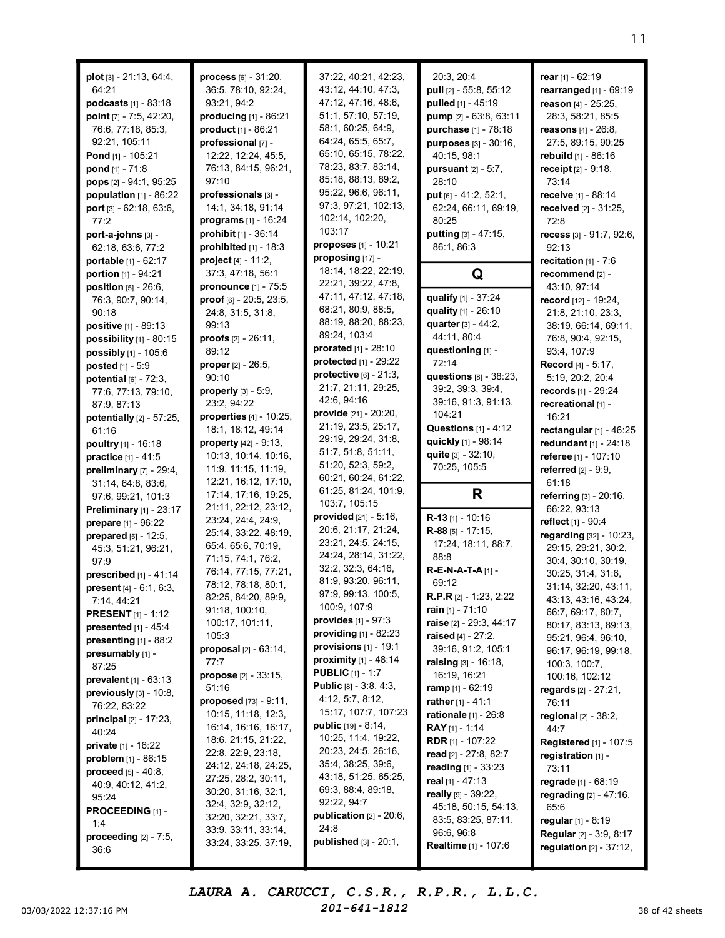| $plot [3] - 21:13, 64:4,$        | process [6] - 31:20,                        | 37:22, 40:21, 42:23,               | 20:3, 20:4                                | rear [1] - 62:19                                      |
|----------------------------------|---------------------------------------------|------------------------------------|-------------------------------------------|-------------------------------------------------------|
| 64:21                            | 36:5, 78:10, 92:24,                         | 43:12, 44:10, 47:3,                | pull [2] - 55:8, 55:12                    | rearranged [1] - 69:19                                |
| podcasts [1] - 83:18             | 93:21, 94:2                                 | 47:12, 47:16, 48:6,                | pulled [1] - 45:19                        | reason [4] - 25:25,                                   |
| point [7] - 7:5, 42:20,          | producing [1] - 86:21                       | 51:1, 57:10, 57:19,                | <b>pump</b> [2] - 63:8, 63:11             | 28:3, 58:21, 85:5                                     |
| 76:6, 77:18, 85:3,               | product [1] - 86:21                         | 58:1, 60:25, 64:9,                 | purchase [1] - 78:18                      | reasons [4] - 26:8,                                   |
| 92:21, 105:11                    | professional [7] -                          | 64:24, 65:5, 65:7,                 | purposes [3] - 30:16,                     | 27:5, 89:15, 90:25                                    |
| Pond [1] - 105:21                | 12:22, 12:24, 45:5,                         | 65:10, 65:15, 78:22,               | 40:15, 98:1                               | rebuild [1] - 86:16                                   |
| pond [1] - 71:8                  | 76:13, 84:15, 96:21,                        | 78:23, 83:7, 83:14,                | <b>pursuant</b> $[2] - 5:7$ ,             | receipt [2] - 9:18,                                   |
| pops [2] - 94:1, 95:25           | 97:10                                       | 85:18, 88:13, 89:2,                | 28:10                                     | 73:14                                                 |
| population $[1]$ - 86:22         | professionals [3] -                         | 95:22, 96:6, 96:11,                | put $[6] - 41:2, 52:1,$                   | receive [1] - 88:14                                   |
| port [3] - 62:18, 63:6,          | 14:1, 34:18, 91:14                          | 97:3, 97:21, 102:13,               | 62:24, 66:11, 69:19,                      | received [2] - 31:25,                                 |
| 77:2                             | programs [1] - 16:24                        | 102:14, 102:20,                    | 80:25                                     | 72:8                                                  |
| port-a-johns [3] -               | prohibit $[1] - 36:14$                      | 103:17                             | putting [3] - 47:15,                      | recess [3] - 91:7, 92:6,                              |
| 62:18, 63:6, 77:2                | prohibited $[1]$ - 18:3                     | proposes [1] - 10:21               | 86:1, 86:3                                | 92:13                                                 |
| portable [1] - 62:17             | project [4] - 11:2,                         | proposing [17] -                   |                                           | recitation $[1] - 7:6$                                |
| portion $[1] - 94:21$            | 37:3, 47:18, 56:1                           | 18:14, 18:22, 22:19,               | Q                                         | recommend [2] -                                       |
| position [5] - 26:6,             | pronounce [1] - 75:5                        | 22:21, 39:22, 47:8,                |                                           | 43:10, 97:14                                          |
| 76:3, 90:7, 90:14,               | proof [6] - 20:5, 23:5,                     | 47:11, 47:12, 47:18,               | qualify [1] - 37:24                       | record [12] - 19:24,                                  |
| 90:18                            | 24:8, 31:5, 31:8,                           | 68:21, 80:9, 88:5,                 | quality [1] - 26:10                       | 21:8, 21:10, 23:3,                                    |
| positive [1] - 89:13             | 99:13                                       | 88:19, 88:20, 88:23,               | quarter [3] - 44:2,                       | 38:19, 66:14, 69:11,                                  |
| possibility $[1]$ - 80:15        | proofs $[2] - 26:11$ ,                      | 89:24, 103:4                       | 44:11, 80:4                               | 76:8, 90:4, 92:15,                                    |
| possibly [1] - 105:6             | 89:12                                       | prorated [1] - 28:10               | questioning [1] -                         | 93:4, 107:9                                           |
| posted [1] - 5:9                 | <b>proper</b> $[2] - 26:5$ ,                | protected [1] - 29:22              | 72:14                                     | <b>Record</b> [4] - 5:17,                             |
| potential $[6]$ - $72:3$ ,       | 90:10                                       | protective $[6] - 21:3$ ,          | <b>questions</b> [8] - 38:23,             | 5:19, 20:2, 20:4                                      |
|                                  | properly [3] - 5:9,                         | 21:7, 21:11, 29:25,                | 39:2, 39:3, 39:4,                         | records [1] - 29:24                                   |
| 77:6, 77:13, 79:10,              | 23:2, 94:22                                 | 42:6, 94:16                        | 39:16, 91:3, 91:13,                       | recreational [1] -                                    |
| 87:9, 87:13                      | properties [4] - 10:25,                     | provide [21] - 20:20,              | 104:21                                    | 16:21                                                 |
| potentially [2] - 57:25,         | 18:1, 18:12, 49:14                          | 21:19, 23:5, 25:17,                | Questions $[1] - 4:12$                    | rectangular $[1]$ - 46:25                             |
| 61:16                            | property [42] - 9:13,                       | 29:19, 29:24, 31:8,                | quickly [1] - 98:14                       | redundant $[1] - 24:18$                               |
| <b>poultry</b> [1] - 16:18       | 10:13, 10:14, 10:16,                        | 51:7, 51:8, 51:11,                 | quite [3] - 32:10,                        |                                                       |
| practice [1] - 41:5              | 11:9, 11:15, 11:19,                         | 51:20, 52:3, 59:2,                 | 70:25, 105:5                              | referee [1] - 107:10<br>referred [2] - 9:9,           |
| preliminary [7] - 29:4,          | 12:21, 16:12, 17:10,                        | 60:21, 60:24, 61:22,               |                                           | 61:18                                                 |
| 31:14, 64:8, 83:6,               | 17:14, 17:16, 19:25,                        | 61:25, 81:24, 101:9,               | R                                         |                                                       |
| 97:6, 99:21, 101:3               | 21:11, 22:12, 23:12,                        | 103:7, 105:15                      |                                           | referring [3] - 20:16,                                |
| Preliminary [1] - 23:17          | 23:24, 24:4, 24:9,                          | provided [21] - 5:16,              | $R-13$ [1] - 10:16                        | 66:22, 93:13                                          |
| prepare [1] - 96:22              | 25:14, 33:22, 48:19,                        | 20:6, 21:17, 21:24,                | $R-88$ [5] - 17:15,                       | reflect [1] - 90:4                                    |
| <b>prepared</b> $[5] - 12:5$ ,   | 65:4, 65:6, 70:19,                          | 23:21, 24:5, 24:15,                | 17:24, 18:11, 88:7,                       | regarding [32] - 10:23,                               |
| 45:3, 51:21, 96:21,              | 71:15, 74:1, 76:2,                          | 24:24, 28:14, 31:22,               | 88:8                                      | 29:15, 29:21, 30:2,                                   |
| 97:9                             | 76:14, 77:15, 77:21,                        | 32:2, 32:3, 64:16,                 | $R$ -E-N-A-T-A $[1]$ -                    | 30:4, 30:10, 30:19,                                   |
| <b>prescribed</b> $[1] - 41:14$  | 78:12, 78:18, 80:1,                         | 81:9, 93:20, 96:11,                | 69:12                                     | 30:25, 31:4, 31:6,                                    |
| present [4] - 6:1, 6:3,          | 82:25, 84:20, 89:9,                         | 97:9, 99:13, 100:5,                | <b>R.P.R</b> $[2] - 1:23, 2:22$           | 31:14, 32:20, 43:11,                                  |
| 7:14, 44:21                      | 91:18, 100:10,                              | 100:9, 107:9                       | rain [1] - 71:10                          | 43:13, 43:16, 43:24,                                  |
| <b>PRESENT</b> $[1] - 1:12$      | 100:17, 101:11,                             | provides [1] - 97:3                | raise [2] - 29:3, 44:17                   | 66:7, 69:17, 80:7,                                    |
| <b>presented</b> $[1] - 45:4$    | 105:3                                       | <b>providing</b> $[1] - 82:23$     | raised [4] - 27:2.                        | 80:17, 83:13, 89:13,<br>95:21, 96:4, 96:10,           |
| presenting $[1]$ - 88:2          | proposal [2] - 63:14,                       | provisions $[1]$ - 19:1            | 39:16, 91:2, 105:1                        | 96:17, 96:19, 99:18,                                  |
| presumably [1] -                 | 77:7                                        | <b>proximity</b> $[1] - 48:14$     | raising [3] - 16:18,                      | 100:3, 100:7,                                         |
| 87:25                            | <b>propose</b> $[2] - 33:15$ ,              | <b>PUBLIC</b> $[1] - 1:7$          | 16:19, 16:21                              |                                                       |
| prevalent [1] - 63:13            | 51:16                                       | Public [8] - 3:8, 4:3,             | <b>ramp</b> [1] - 62:19                   | 100:16, 102:12                                        |
| previously $[3]$ - 10:8,         | proposed [73] - 9:11,                       | 4:12, 5:7, 8:12,                   | rather $[1] - 41:1$                       | regards [2] - 27:21,<br>76:11                         |
| 76:22, 83:22                     | 10:15, 11:18, 12:3,                         | 15:17, 107:7, 107:23               | rationale [1] - 26:8                      |                                                       |
| <b>principal</b> $[2] - 17:23$ , | 16:14, 16:16, 16:17,                        | public [19] - 8:14,                | RAY [1] - 1:14                            | regional [2] - 38:2,                                  |
| 40:24                            | 18:6, 21:15, 21:22,                         | 10:25, 11:4, 19:22,                | <b>RDR</b> [1] - 107:22                   | 44:7                                                  |
| <b>private</b> [1] - 16:22       | 22:8, 22:9, 23:18,                          | 20:23, 24:5, 26:16,                |                                           | Registered [1] - 107:5                                |
| <b>problem</b> $[1]$ - 86:15     | 24:12, 24:18, 24:25,                        | 35:4, 38:25, 39:6,                 | read [2] - 27:8, 82:7                     | registration [1] -                                    |
| <b>proceed</b> $[5] - 40:8$ ,    | 27:25, 28:2, 30:11,                         | 43:18, 51:25, 65:25,               | reading [1] - 33:23                       | 73:11                                                 |
| 40:9, 40:12, 41:2,               |                                             | 69:3, 88:4, 89:18,                 | real [1] - 47:13                          | regrade $[1] - 68:19$                                 |
| 95:24                            |                                             |                                    | really $[9] - 39:22$ ,                    | regrading [2] - 47:16,                                |
|                                  | 30:20, 31:16, 32:1,                         |                                    |                                           |                                                       |
| <b>PROCEEDING</b> $[1]$ -        | 32:4, 32:9, 32:12,                          | 92:22, 94:7                        | 45:18, 50:15, 54:13,                      | 65:6                                                  |
| 1:4                              | 32:20, 32:21, 33:7,                         | publication $[2]$ - 20:6,          | 83:5, 83:25, 87:11,                       | regular [1] - 8:19                                    |
| proceeding [2] - 7:5,            | 33:9, 33:11, 33:14,<br>33:24, 33:25, 37:19, | 24:8<br>published $[3]$ - $20:1$ , | 96:6, 96:8<br><b>Realtime</b> [1] - 107:6 | Regular [2] - 3:9, 8:17<br>regulation $[2] - 37:12$ , |

03/03/2022 12:37:16 PM  $201-641-1812$  38 of 42 sheets LAURA A. CARUCCI, C.S.R., R.P.R., L.L.C. 201-641-1812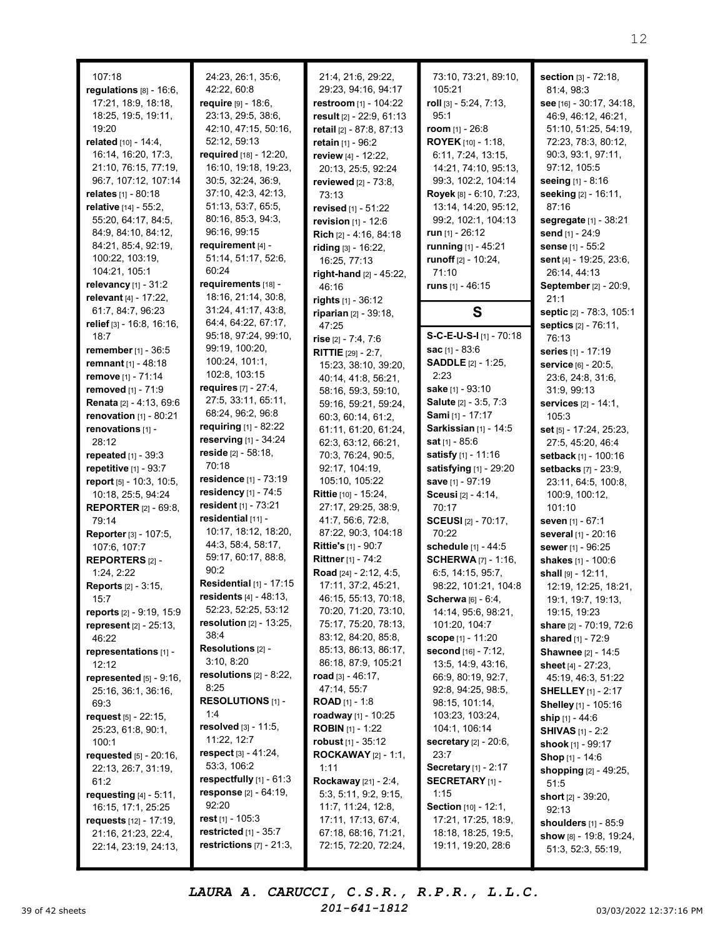| 107:18                           | 24:23, 26:1, 35:6,               | 21:4, 21:6, 29:22,               | 73:10, 73:21, 89:10,         | section [3] - 72:18,         |
|----------------------------------|----------------------------------|----------------------------------|------------------------------|------------------------------|
| regulations $[8] - 16:6$ ,       | 42:22, 60:8                      | 29:23, 94:16, 94:17              | 105:21                       | 81:4, 98:3                   |
| 17:21, 18:9, 18:18,              | require [9] - 18:6,              | restroom [1] - 104:22            | roll [3] - 5:24, 7:13,       | see [16] - 30:17, 34:18,     |
| 18:25, 19:5, 19:11,              | 23:13, 29:5, 38:6,               | result [2] - 22:9, 61:13         | 95:1                         | 46:9, 46:12, 46:21,          |
| 19:20                            | 42:10, 47:15, 50:16,             | retail [2] - 87:8, 87:13         | room $[1] - 26:8$            | 51:10, 51:25, 54:19,         |
| related [10] - 14:4,             | 52:12, 59:13                     | retain [1] - 96:2                | <b>ROYEK</b> [10] - 1:18,    | 72:23, 78:3, 80:12,          |
| 16:14, 16:20, 17:3,              | required [18] - 12:20,           | review [4] - 12:22,              | 6:11, 7:24, 13:15,           | 90:3, 93:1, 97:11,           |
| 21:10, 76:15, 77:19,             | 16:10, 19:18, 19:23,             | 20:13, 25:5, 92:24               | 14:21, 74:10, 95:13,         | 97:12, 105:5                 |
| 96:7, 107:12, 107:14             | 30:5, 32:24, 36:9,               | reviewed [2] - 73:8.             | 99:3, 102:2, 104:14          | seeing [1] - 8:16            |
| relates [1] - 80:18              | 37:10, 42:3, 42:13,              | 73:13                            | Royek [8] - 6:10, 7:23,      | seeking [2] - 16:11,         |
| relative [14] - 55:2,            | 51:13, 53:7, 65:5,               | revised [1] - 51:22              | 13:14, 14:20, 95:12,         | 87:16                        |
| 55:20, 64:17, 84:5,              | 80:16, 85:3, 94:3,               | revision $[1] - 12:6$            | 99:2, 102:1, 104:13          | segregate [1] - 38:21        |
| 84:9, 84:10, 84:12,              | 96:16, 99:15                     | Rich [2] - 4:16, 84:18           | run $[1]$ - 26:12            | send [1] - 24:9              |
| 84:21, 85:4, 92:19,              | requirement [4] -                | riding [3] - 16:22,              | running [1] - 45:21          | sense [1] - 55:2             |
| 100:22, 103:19,                  | 51:14, 51:17, 52:6,              | 16:25, 77:13                     | runoff $[2] - 10:24$ ,       | sent [4] - 19:25, 23:6,      |
| 104:21, 105:1                    | 60:24                            |                                  | 71:10                        | 26:14, 44:13                 |
| relevancy [1] - 31:2             | requirements [18] -              | right-hand [2] - 45:22,<br>46:16 | runs $[1] - 46:15$           | September [2] - 20:9,        |
| relevant [4] - 17:22,            | 18:16, 21:14, 30:8,              |                                  |                              | 21:1                         |
| 61:7, 84:7, 96:23                | 31:24, 41:17, 43:8,              | rights $[1] - 36:12$             |                              |                              |
| relief [3] - 16:8, 16:16,        | 64:4, 64:22, 67:17,              | riparian [2] - 39:18,            | S                            | septic [2] - 78:3, 105:1     |
| 18:7                             | 95:18, 97:24, 99:10,             | 47:25                            | S-C-E-U-S-I [1] - 70:18      | septics [2] - 76:11,         |
|                                  | 99:19, 100:20,                   | rise $[2] - 7:4, 7:6$            | sac [1] - 83:6               | 76:13                        |
| remember [1] - 36:5              | 100:24, 101:1,                   | <b>RITTIE</b> $[29] - 2:7$ ,     |                              | series [1] - 17:19           |
| <b>remnant</b> $[1] - 48:18$     | 102:8, 103:15                    | 15:23, 38:10, 39:20,             | <b>SADDLE</b> [2] - 1:25,    | service [6] - 20:5,          |
| remove [1] - 71:14               | requires [7] - 27:4,             | 40:14, 41:8, 56:21,              | 2:23                         | 23:6, 24:8, 31:6,            |
| removed [1] - 71:9               | 27:5, 33:11, 65:11,              | 58:16, 59:3, 59:10,              | sake [1] - 93:10             | 31:9, 99:13                  |
| <b>Renata</b> [2] - 4:13, 69:6   |                                  | 59:16, 59:21, 59:24,             | Salute [2] - 3:5, 7:3        | services [2] - 14:1,         |
| renovation [1] - 80:21           | 68:24, 96:2, 96:8                | 60:3, 60:14, 61:2,               | Sami [1] - 17:17             | 105:3                        |
| renovations [1] -                | requiring [1] - 82:22            | 61:11, 61:20, 61:24,             | Sarkissian [1] - 14:5        | set [5] - 17:24, 25:23,      |
| 28:12                            | reserving [1] - 34:24            | 62:3, 63:12, 66:21,              | <b>sat</b> $[1] - 85:6$      | 27:5, 45:20, 46:4            |
| repeated [1] - 39:3              | reside [2] - 58:18,              | 70:3, 76:24, 90:5,               | satisfy [1] - 11:16          | setback [1] - 100:16         |
| repetitive [1] - 93:7            | 70:18                            | 92:17, 104:19,                   | satisfying [1] - 29:20       | setbacks [7] - 23:9,         |
| report [5] - 10:3, 10:5,         | residence [1] - 73:19            | 105:10, 105:22                   | save [1] - 97:19             | 23:11, 64:5, 100:8,          |
| 10:18, 25:5, 94:24               | residency [1] - 74:5             | Rittie [10] - 15:24,             | <b>Sceusi</b> [2] - 4:14,    | 100:9, 100:12,               |
| <b>REPORTER</b> [2] - 69:8,      | resident $[1]$ - 73:21           | 27:17, 29:25, 38:9,              | 70:17                        | 101:10                       |
| 79:14                            | residential [11] -               | 41:7, 56:6, 72:8,                | <b>SCEUSI</b> [2] - 70:17,   | seven [1] - 67:1             |
| Reporter [3] - 107:5,            | 10:17, 18:12, 18:20,             | 87:22, 90:3, 104:18              | 70:22                        | several [1] - 20:16          |
| 107:6, 107:7                     | 44:3, 58:4, 58:17,               | <b>Rittie's [1] - 90:7</b>       | schedule [1] - 44:5          | sewer [1] - 96:25            |
| <b>REPORTERS [2] -</b>           | 59:17, 60:17, 88:8,              | Rittner [1] - 74:2               | <b>SCHERWA</b> [7] - 1:16,   | shakes [1] - 100:6           |
| 1:24, 2:22                       | 90:2                             | Road [24] - 2:12, 4:5,           | 6:5, 14:15, 95:7,            | shall [9] - 12:11,           |
| <b>Reports</b> [2] - 3:15,       | Residential [1] - 17:15          | 17:11, 37:2, 45:21,              | 98:22, 101:21, 104:8         | 12:19, 12:25, 18:21,         |
| 15:7                             | <b>residents</b> $[4] - 48:13$ , | 46:15, 55:13, 70:18,             | Scherwa [6] - 6:4,           | 19:1, 19:7, 19:13,           |
| reports [2] - 9:19, 15:9         | 52:23, 52:25, 53:12              | 70:20, 71:20, 73:10,             | 14:14, 95:6, 98:21,          | 19:15, 19:23                 |
| represent [2] - 25:13,           | resolution $[2] - 13:25$ ,       | 75:17, 75:20, 78:13,             | 101:20, 104:7                | share [2] - 70:19, 72:6      |
| 46:22                            | 38:4                             | 83:12, 84:20, 85:8,              | <b>scope</b> $[1]$ - 11:20   | <b>shared</b> [1] - 72:9     |
| representations [1] -            | Resolutions [2] -                | 85:13, 86:13, 86:17,             | second [16] - 7:12,          | Shawnee [2] - 14:5           |
| 12:12                            | 3:10, 8:20                       | 86:18, 87:9, 105:21              | 13:5, 14:9, 43:16,           | <b>sheet</b> [4] - 27:23,    |
| represented $[5]$ - $9:16$ ,     | resolutions $[2] - 8:22$ ,       | road $[3] - 46:17$ ,             | 66:9, 80:19, 92:7,           | 45:19, 46:3, 51:22           |
| 25:16, 36:1, 36:16,              | 8:25                             | 47:14, 55:7                      | 92:8, 94:25, 98:5,           | <b>SHELLEY</b> $[1]$ - 2:17  |
| 69:3                             | RESOLUTIONS [1] -                | <b>ROAD</b> $[1] - 1:8$          | 98:15, 101:14,               | Shelley [1] - 105:16         |
| request $[5] - 22:15$ ,          | 1:4                              | roadway [1] - 10:25              | 103:23, 103:24,              | ship [1] - 44:6              |
| 25:23, 61:8, 90:1,               | resolved [3] - 11:5,             | <b>ROBIN</b> $[1]$ - 1:22        | 104:1, 106:14                | <b>SHIVAS</b> [1] - 2:2      |
| 100:1                            | 11:22, 12:7                      | robust $[1]$ - 35:12             | <b>secretary</b> [2] - 20:6, | <b>shook</b> [1] - 99:17     |
| requested [5] - 20:16,           | respect [3] - 41:24,             | <b>ROCKAWAY</b> [2] - 1:1,       | 23:7                         | Shop [1] - 14:6              |
| 22:13, 26:7, 31:19,              | 53:3, 106:2                      | 1:11                             | Secretary [1] - 2:17         | shopping [2] - 49:25,        |
| 61:2                             | respectfully [1] - 61:3          | Rockaway [21] - 2:4,             | <b>SECRETARY</b> [1] -       | 51:5                         |
| requesting $[4] - 5:11$ ,        | <b>response</b> $[2] - 64:19$ ,  | 5:3, 5:11, 9:2, 9:15,            | 1:15                         | <b>short</b> $[2] - 39:20$ , |
| 16:15, 17:1, 25:25               | 92:20                            | 11:7, 11:24, 12:8,               | Section [10] - 12:1,         | 92:13                        |
| <b>requests</b> $[12] - 17:19$ , | rest $[1]$ - 105:3               | 17:11, 17:13, 67:4,              | 17:21, 17:25, 18:9,          | shoulders [1] - 85:9         |
| 21:16, 21:23, 22:4,              | restricted $[1]$ - 35:7          | 67:18, 68:16, 71:21,             | 18:18, 18:25, 19:5,          | show $[8]$ - 19:8, 19:24,    |
| 22:14, 23:19, 24:13,             | restrictions $[7]$ - 21:3,       | 72:15, 72:20, 72:24,             | 19:11, 19:20, 28:6           | 51:3, 52:3, 55:19,           |
|                                  |                                  |                                  |                              |                              |

39 of 42 sheets  $201-641-1812$  03/03/2022 12:37:16 PM LAURA A. CARUCCI, C.S.R., R.P.R., L.L.C. 201-641-1812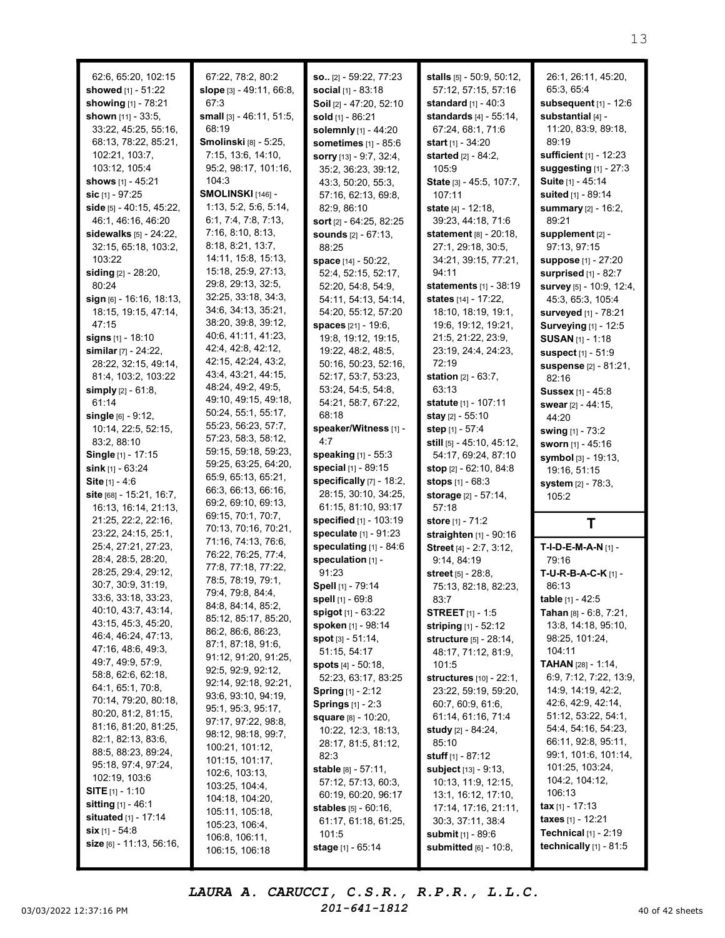| 62:6, 65:20, 102:15                       | 67:22, 78:2, 80:2                | so [2] - 59:22, 77:23                      | stalls [5] - 50:9, 50:12,                          | 26:1, 26:11, 45:20,                      |
|-------------------------------------------|----------------------------------|--------------------------------------------|----------------------------------------------------|------------------------------------------|
| showed [1] - 51:22                        | slope [3] - 49:11, 66:8,         | social [1] - 83:18                         | 57:12, 57:15, 57:16                                | 65:3, 65:4                               |
| showing [1] - 78:21                       | 67:3                             | Soil [2] - 47:20, 52:10                    | <b>standard</b> $[1] - 40:3$                       | subsequent [1] - 12:6                    |
| shown [11] - 33:5,                        | small [3] - 46:11, 51:5,         | sold [1] - 86:21                           | <b>standards</b> $[4] - 55:14$ ,                   | substantial [4] -                        |
| 33:22, 45:25, 55:16,                      | 68:19                            | solemnly [1] - 44:20                       | 67:24, 68:1, 71:6                                  | 11:20, 83:9, 89:18,                      |
| 68:13, 78:22, 85:21,                      | Smolinski [8] - 5:25,            | sometimes [1] - 85:6                       | start $[1] - 34:20$                                | 89:19                                    |
| 102:21, 103:7,                            | 7:15, 13:6, 14:10,               | sorry [13] - 9:7, 32:4,                    | <b>started</b> $[2] - 84:2$ ,                      | sufficient [1] - 12:23                   |
| 103:12, 105:4                             | 95:2, 98:17, 101:16,             | 35:2, 36:23, 39:12,                        | 105:9                                              | suggesting [1] - 27:3                    |
| shows [1] - 45:21                         | 104:3                            | 43:3, 50:20, 55:3,                         | State [3] - 45:5, 107:7,                           | Suite [1] - 45:14                        |
| sic [1] - 97:25                           | SMOLINSKI [146] -                | 57:16, 62:13, 69:8,                        | 107:11                                             | suited [1] - 89:14                       |
| side [5] - 40:15, 45:22,                  | 1:13, 5:2, 5:6, 5:14,            | 82:9, 86:10                                | state [4] - 12:18,                                 | summary [2] - 16:2,                      |
| 46:1, 46:16, 46:20                        | 6:1, 7:4, 7:8, 7:13,             | sort [2] - 64:25, 82:25                    | 39:23, 44:18, 71:6                                 | 89:21                                    |
| sidewalks $[5] - 24:22$ ,                 | 7:16, 8:10, 8:13,                | <b>sounds</b> [2] - 67:13.                 | statement $[8] - 20:18$ ,                          | supplement [2] -                         |
| 32:15, 65:18, 103:2,                      | 8:18, 8:21, 13:7,                | 88:25                                      | 27:1, 29:18, 30:5,                                 | 97:13, 97:15                             |
| 103:22                                    | 14:11, 15:8, 15:13,              | space [14] - 50:22,                        | 34:21, 39:15, 77:21,                               | suppose [1] - 27:20                      |
| siding [2] - 28:20,                       | 15:18, 25:9, 27:13,              | 52:4, 52:15, 52:17,                        | 94:11                                              | surprised [1] - 82:7                     |
| 80:24                                     | 29:8, 29:13, 32:5,               | 52:20, 54:8, 54:9,                         | statements [1] - 38:19                             | survey [5] - 10:9, 12:4,                 |
| sign [6] - 16:16, 18:13,                  | 32:25, 33:18, 34:3,              | 54:11, 54:13, 54:14,                       | states [14] - 17:22,                               | 45:3, 65:3, 105:4                        |
| 18:15, 19:15, 47:14,                      | 34:6, 34:13, 35:21,              | 54:20, 55:12, 57:20                        | 18:10, 18:19, 19:1,                                | surveyed [1] - 78:21                     |
| 47:15                                     | 38:20, 39:8, 39:12,              | spaces [21] - 19:6,                        | 19:6, 19:12, 19:21,                                | Surveying [1] - 12:5                     |
| signs [1] - 18:10                         | 40:6, 41:11, 41:23,              | 19:8, 19:12, 19:15,                        | 21:5, 21:22, 23:9,                                 | <b>SUSAN [1] - 1:18</b>                  |
| similar [7] - 24:22,                      | 42:4, 42:8, 42:12,               | 19:22, 48:2, 48:5,                         | 23:19, 24:4, 24:23,                                | suspect [1] - 51:9                       |
| 28:22, 32:15, 49:14,                      | 42:15, 42:24, 43:2,              | 50:16, 50:23, 52:16,                       | 72:19                                              | suspense [2] - 81:21,                    |
| 81:4, 103:2, 103:22                       | 43:4, 43:21, 44:15,              | 52:17, 53:7, 53:23,                        | <b>station</b> $[2] - 63:7$ ,                      | 82:16                                    |
| simply $[2] - 61:8$ ,                     | 48:24, 49:2, 49:5,               | 53:24, 54:5, 54:8,                         | 63:13                                              | <b>Sussex</b> [1] - 45:8                 |
| 61:14                                     | 49:10, 49:15, 49:18,             | 54:21, 58:7, 67:22,                        | statute [1] - 107:11                               | swear [2] - 44:15,                       |
| single $[6] - 9:12$ ,                     | 50:24, 55:1, 55:17,              | 68:18                                      | stay [2] - 55:10                                   | 44:20                                    |
| 10:14, 22:5, 52:15,                       | 55:23, 56:23, 57:7,              | speaker/Witness [1] -                      | step $[1] - 57:4$                                  | swing [1] - 73:2                         |
| 83:2, 88:10                               | 57:23, 58:3, 58:12,              | 4:7                                        | still [5] - 45:10, 45:12,                          | sworn [1] - 45:16                        |
| Single [1] - 17:15                        | 59:15, 59:18, 59:23,             | speaking [1] - 55:3                        | 54:17, 69:24, 87:10                                | symbol [3] - 19:13,                      |
| sink $[1] - 63:24$                        | 59:25, 63:25, 64:20,             | special [1] - 89:15                        | stop $[2] - 62:10, 84:8$                           | 19:16, 51:15                             |
|                                           |                                  |                                            |                                                    |                                          |
|                                           | 65:9, 65:13, 65:21,              |                                            |                                                    |                                          |
| Site $[1] - 4:6$                          | 66:3, 66:13, 66:16,              | specifically [7] - 18:2,                   | stops [1] - 68:3                                   | system [2] - 78:3,                       |
| site [68] - 15:21, 16:7,                  | 69:2, 69:10, 69:13,              | 28:15, 30:10, 34:25,                       | storage [2] - 57:14,                               | 105:2                                    |
| 16:13, 16:14, 21:13,                      | 69:15, 70:1, 70:7,               | 61:15, 81:10, 93:17                        | 57:18                                              |                                          |
| 21:25, 22:2, 22:16,                       | 70:13, 70:16, 70:21,             | specified [1] - 103:19                     | store [1] - 71:2                                   | Т                                        |
| 23:22, 24:15, 25:1,                       | 71:16, 74:13, 76:6,              | speculate [1] - 91:23                      | straighten [1] - 90:16                             |                                          |
| 25:4, 27:21, 27:23,                       | 76:22, 76:25, 77:4,              | speculating $[1]$ - 84:6                   | Street [4] - 2:7, 3:12,                            | T-I-D-E-M-A-N [1] -                      |
| 28:4, 28:5, 28:20,                        | 77:8, 77:18, 77:22,              | speculation [1] -<br>91:23                 | 9:14, 84:19                                        | 79:16                                    |
| 28:25, 29:4, 29:12,<br>30:7, 30:9, 31:19, | 78:5, 78:19, 79:1,               |                                            | street [5] - 28:8,                                 | T-U-R-B-A-C-K $[1]$ -                    |
| 33:6, 33:18, 33:23,                       | 79:4, 79:8, 84:4,                | Spell [1] - 79:14                          | 75:13, 82:18, 82:23,                               | 86:13                                    |
| 40:10, 43:7, 43:14,                       | 84:8, 84:14, 85:2,               | spell [1] - 69:8                           | 83:7                                               | table [1] - 42:5                         |
| 43:15, 45:3, 45:20,                       | 85:12, 85:17, 85:20,             | spigot [1] - 63:22                         | <b>STREET</b> [1] - 1:5                            | <b>Tahan</b> $[8] - 6:8, 7:21,$          |
| 46:4, 46:24, 47:13,                       | 86:2, 86:6, 86:23,               | spoken [1] - 98:14                         | <b>striping</b> $[1]$ - 52:12                      | 13:8, 14:18, 95:10,                      |
| 47:16, 48:6, 49:3,                        | 87:1, 87:18, 91:6,               | spot $[3] - 51:14$ ,                       | structure [5] - 28:14,                             | 98:25, 101:24,<br>104:11                 |
| 49:7, 49:9, 57:9,                         | 91:12, 91:20, 91:25,             | 51:15, 54:17                               | 48:17, 71:12, 81:9,                                |                                          |
| 58:8, 62:6, 62:18,                        | 92:5, 92:9, 92:12,               | <b>spots</b> $[4] - 50:18$ ,               | 101:5                                              | <b>TAHAN</b> [28] - 1:14,                |
| 64:1, 65:1, 70:8,                         | 92:14, 92:18, 92:21,             | 52:23, 63:17, 83:25                        | <b>structures</b> [10] - 22:1,                     | 6:9, 7:12, 7:22, 13:9,                   |
| 70:14, 79:20, 80:18,                      | 93:6, 93:10, 94:19,              | <b>Spring</b> $[1]$ - 2:12                 | 23:22, 59:19, 59:20,                               | 14:9, 14:19, 42:2,<br>42:6, 42:9, 42:14, |
| 80:20, 81:2, 81:15,                       | 95:1, 95:3, 95:17,               | <b>Springs</b> $[1] - 2:3$                 | 60:7, 60:9, 61:6,                                  | 51:12, 53:22, 54:1,                      |
| 81:16, 81:20, 81:25,                      | 97:17, 97:22, 98:8,              | square [8] - 10:20,                        | 61:14, 61:16, 71:4<br><b>study</b> $[2] - 84:24$ , | 54:4, 54:16, 54:23,                      |
| 82:1, 82:13, 83:6,                        | 98:12, 98:18, 99:7,              | 10:22, 12:3, 18:13,                        | 85:10                                              | 66:11, 92:8, 95:11,                      |
| 88:5, 88:23, 89:24,                       | 100:21, 101:12,                  | 28:17, 81:5, 81:12,<br>82:3                | <b>stuff</b> $[1]$ - 87:12                         | 99:1, 101:6, 101:14,                     |
| 95:18, 97:4, 97:24,                       | 101:15, 101:17,                  |                                            |                                                    | 101:25, 103:24,                          |
| 102:19, 103:6                             | 102:6, 103:13,                   | stable [8] - 57:11,                        | subject [13] - 9:13,                               | 104:2, 104:12,                           |
| <b>SITE</b> $[1]$ - 1:10                  | 103:25, 104:4,                   | 57:12, 57:13, 60:3,<br>60:19, 60:20, 96:17 | 10:13, 11:9, 12:15,<br>13:1, 16:12, 17:10,         | 106:13                                   |
| <b>sitting</b> $[1] - 46:1$               | 104:18, 104:20,                  | <b>stables</b> [5] - 60:16,                | 17:14, 17:16, 21:11,                               | <b>tax</b> $[1]$ - 17:13                 |
| <b>situated</b> $[1] - 17:14$             | 105:11, 105:18,                  | 61:17, 61:18, 61:25,                       | 30:3, 37:11, 38:4                                  | <b>taxes</b> $[1]$ - 12:21               |
| $\sin$ [1] - 54:8                         | 105:23, 106:4,                   | 101:5                                      | submit [1] - 89:6                                  | Technical $[1]$ - 2:19                   |
| size [6] - 11:13, 56:16,                  | 106:8, 106:11,<br>106:15, 106:18 | stage [1] - 65:14                          | submitted $[6]$ - 10:8,                            | technically [1] - 81:5                   |

03/03/2022 12:37:16 PM  $201-641-1812$  40 of 42 sheets LAURA A. CARUCCI, C.S.R., R.P.R., L.L.C. 201-641-1812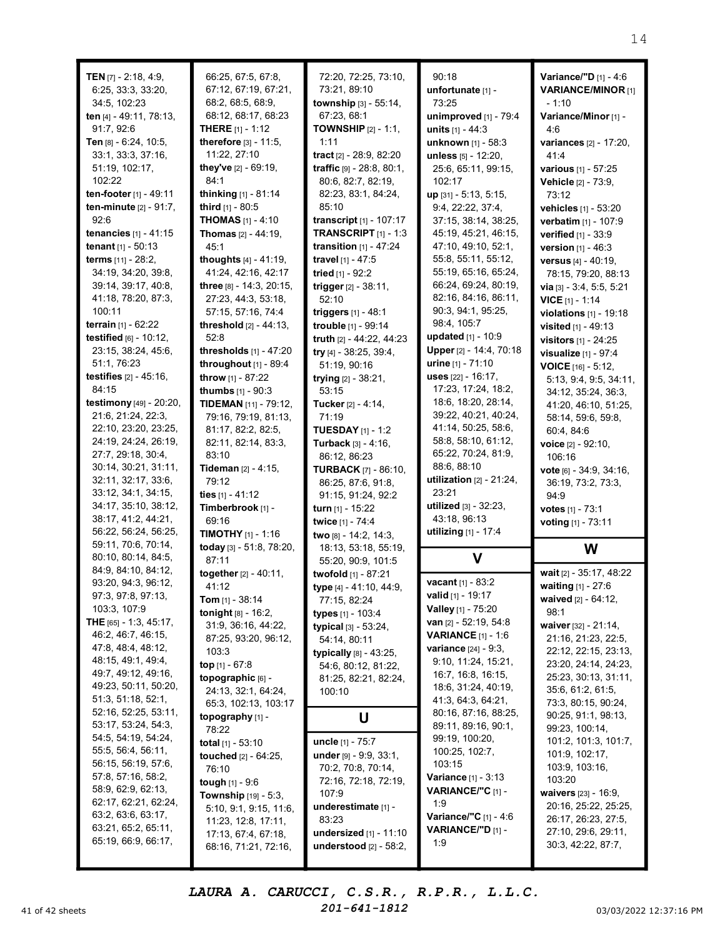| TEN $[7]$ - 2:18, 4:9,<br>6:25, 33:3, 33:20,<br>34:5, 102:23<br>ten [4] - 49:11, 78:13,<br>91:7, 92:6<br>Ten [8] - 6:24, 10:5,<br>33:1, 33:3, 37:16,<br>51:19, 102:17,<br>102:22<br>ten-footer [1] - 49:11<br>ten-minute [2] - 91:7,<br>92:6<br><b>tenancies</b> $[1] - 41:15$<br>tenant [1] - 50:13<br>terms [11] - 28:2,<br>34:19, 34:20, 39:8,<br>39:14, 39:17, 40:8,<br>41:18, 78:20, 87:3,<br>100:11<br>terrain [1] - 62:22<br>testified $[6] - 10:12$ ,<br>23:15, 38:24, 45:6,<br>51:1, 76:23<br><b>testifies</b> $[2] - 45:16$ ,<br>84:15<br>testimony [49] - 20:20,<br>21:6, 21:24, 22:3,<br>22:10, 23:20, 23:25,<br>24:19, 24:24, 26:19,<br>27:7, 29:18, 30:4, | 66:25, 67:5, 67:8,<br>67:12, 67:19, 67:21,<br>68:2, 68:5, 68:9,<br>68:12, 68:17, 68:23<br>THERE [1] - 1:12<br>therefore [3] - 11:5,<br>11:22, 27:10<br>they've [2] - 69:19,<br>84:1<br>thinking [1] - 81:14<br>third [1] - 80:5<br><b>THOMAS</b> $[1] - 4:10$<br><b>Thomas</b> $[2] - 44:19$ ,<br>45:1<br>thoughts $[4] - 41:19$ ,<br>41:24, 42:16, 42:17<br>three [8] - 14:3, 20:15,<br>27:23, 44:3, 53:18,<br>57:15, 57:16, 74:4<br><b>threshold</b> $[2] - 44:13$ ,<br>52:8<br><b>thresholds</b> $[1] - 47:20$<br>throughout $[1]$ - 89:4<br>throw [1] - 87:22<br>thumbs [1] - 90:3<br>TIDEMAN [11] - 79:12,<br>79:16, 79:19, 81:13,<br>81:17, 82:2, 82:5,<br>82:11, 82:14, 83:3,<br>83:10 | 72:20, 72:25, 73:10,<br>73:21, 89:10<br>township [3] - 55:14,<br>67:23, 68:1<br><b>TOWNSHIP</b> $[2] - 1:1$ ,<br>1:11<br>tract [2] - 28:9, 82:20<br>traffic $[9] - 28:8, 80:1,$<br>80:6, 82:7, 82:19,<br>82:23, 83:1, 84:24,<br>85:10<br>transcript [1] - 107:17<br><b>TRANSCRIPT</b> [1] - 1:3<br>transition $[1]$ - 47:24<br>travel [1] - 47:5<br>tried [1] - 92:2<br>trigger [2] - 38:11,<br>52:10<br><b>triggers</b> $[1] - 48:1$<br>trouble [1] - 99:14<br>truth [2] - 44:22, 44:23<br>try [4] - 38:25, 39:4,<br>51:19, 90:16<br>trying $[2] - 38:21$ ,<br>53:15<br>Tucker [2] - 4:14,<br>71:19<br><b>TUESDAY</b> [1] - 1:2<br>Turback [3] - 4:16,<br>86:12, 86:23 | 90:18<br>unfortunate [1] -<br>73:25<br>unimproved [1] - 79:4<br>units $[1] - 44:3$<br>unknown [1] - 58:3<br>unless [5] - 12:20,<br>25:6, 65:11, 99:15,<br>102:17<br>up [31] - 5:13, 5:15,<br>9:4, 22:22, 37:4,<br>37:15, 38:14, 38:25,<br>45:19, 45:21, 46:15,<br>47:10, 49:10, 52:1,<br>55:8, 55:11, 55:12,<br>55:19, 65:16, 65:24,<br>66:24, 69:24, 80:19,<br>82:16, 84:16, 86:11,<br>90:3, 94:1, 95:25,<br>98:4, 105:7<br>updated [1] - 10:9<br>Upper [2] - 14:4, 70:18<br>urine [1] - 71:10<br>uses [22] - 16:17.<br>17:23, 17:24, 18:2,<br>18:6, 18:20, 28:14,<br>39:22, 40:21, 40:24,<br>41:14, 50:25, 58:6,<br>58:8, 58:10, 61:12,<br>65:22, 70:24, 81:9, | Variance/"D [1] - 4:6<br><b>VARIANCE/MINOR [1]</b><br>- 1:10<br>Variance/Minor [1] -<br>4:6<br>variances [2] - 17:20,<br>41:4<br>various [1] - 57:25<br>Vehicle [2] - 73:9,<br>73:12<br>vehicles [1] - 53:20<br>verbatim [1] - 107:9<br>verified [1] - 33:9<br>version [1] - 46:3<br>versus [4] - 40:19,<br>78:15, 79:20, 88:13<br>via $[3] - 3:4, 5:5, 5:21$<br><b>VICE</b> $[1]$ - 1:14<br>violations [1] - 19:18<br><b>visited</b> $[1] - 49:13$<br>visitors [1] - 24:25<br>visualize [1] - 97:4<br><b>VOICE</b> $[16] - 5:12$ ,<br>5:13, 9:4, 9:5, 34:11,<br>34:12, 35:24, 36:3,<br>41:20, 46:10, 51:25,<br>58:14, 59:6, 59:8,<br>60:4, 84:6<br>voice [2] - 92:10,<br>106:16 |
|-------------------------------------------------------------------------------------------------------------------------------------------------------------------------------------------------------------------------------------------------------------------------------------------------------------------------------------------------------------------------------------------------------------------------------------------------------------------------------------------------------------------------------------------------------------------------------------------------------------------------------------------------------------------------|-----------------------------------------------------------------------------------------------------------------------------------------------------------------------------------------------------------------------------------------------------------------------------------------------------------------------------------------------------------------------------------------------------------------------------------------------------------------------------------------------------------------------------------------------------------------------------------------------------------------------------------------------------------------------------------------------|-------------------------------------------------------------------------------------------------------------------------------------------------------------------------------------------------------------------------------------------------------------------------------------------------------------------------------------------------------------------------------------------------------------------------------------------------------------------------------------------------------------------------------------------------------------------------------------------------------------------------------------------------------------------------|------------------------------------------------------------------------------------------------------------------------------------------------------------------------------------------------------------------------------------------------------------------------------------------------------------------------------------------------------------------------------------------------------------------------------------------------------------------------------------------------------------------------------------------------------------------------------------------------------------------------------------------------------------------|----------------------------------------------------------------------------------------------------------------------------------------------------------------------------------------------------------------------------------------------------------------------------------------------------------------------------------------------------------------------------------------------------------------------------------------------------------------------------------------------------------------------------------------------------------------------------------------------------------------------------------------------------------------------------------|
| 30:14, 30:21, 31:11,<br>32:11, 32:17, 33:6,<br>33:12, 34:1, 34:15,<br>34:17, 35:10, 38:12,<br>38:17, 41:2, 44:21,<br>56:22, 56:24, 56:25,<br>59:11, 70:6, 70:14,<br>80:10, 80:14, 84:5,                                                                                                                                                                                                                                                                                                                                                                                                                                                                                 | <b>Tideman</b> $[2] - 4:15$ ,<br>79:12<br>ties $[1] - 41:12$<br>Timberbrook [1] -<br>69:16<br><b>TIMOTHY</b> $[1]$ - 1:16<br>today [3] - 51:8, 78:20,<br>87:11                                                                                                                                                                                                                                                                                                                                                                                                                                                                                                                                | <b>TURBACK</b> [7] - 86:10,<br>86:25, 87:6, 91:8,<br>91:15, 91:24, 92:2<br>turn [1] - 15:22<br>twice [1] - 74:4<br>two [8] - 14:2, 14:3,<br>18:13, 53:18, 55:19,                                                                                                                                                                                                                                                                                                                                                                                                                                                                                                        | 88:6, 88:10<br>utilization $[2] - 21:24$ ,<br>23:21<br>utilized [3] - 32:23,<br>43:18, 96:13<br>utilizing [1] - 17:4<br>$\mathbf v$                                                                                                                                                                                                                                                                                                                                                                                                                                                                                                                              | vote $[6] - 34:9, 34:16,$<br>36:19, 73:2, 73:3,<br>94:9<br>votes $[1] - 73:1$<br>voting [1] - 73:11<br>W                                                                                                                                                                                                                                                                                                                                                                                                                                                                                                                                                                         |
| 84:9, 84:10, 84:12,<br>93:20, 94:3, 96:12,<br>97:3, 97:8, 97:13,<br>103:3, 107:9<br>THE [65] - 1:3, 45:17,<br>46:2, 46:7, 46:15,<br>47:8, 48:4, 48:12,<br>48:15, 49:1, 49:4,<br>49:7, 49:12, 49:16,<br>49:23, 50:11, 50:20,<br>51:3, 51:18, 52:1,                                                                                                                                                                                                                                                                                                                                                                                                                       | together [2] - 40:11,<br>41:12<br><b>Tom</b> $[1] - 38:14$<br>tonight [8] - 16:2,<br>31:9, 36:16, 44:22,<br>87:25, 93:20, 96:12,<br>103:3<br>top [1] - 67:8<br>topographic [6] -<br>24:13, 32:1, 64:24,<br>65:3, 102:13, 103:17                                                                                                                                                                                                                                                                                                                                                                                                                                                               | 55:20, 90:9, 101:5<br>twofold [1] - 87:21<br>type [4] - 41:10, 44:9,<br>77:15, 82:24<br>types [1] - 103:4<br>typical [3] - 53:24,<br>54:14, 80:11<br>typically [8] - 43:25,<br>54:6, 80:12, 81:22,<br>81:25, 82:21, 82:24,<br>100:10                                                                                                                                                                                                                                                                                                                                                                                                                                    | vacant [1] - 83:2<br><b>valid</b> [1] - 19:17<br>Valley [1] - 75:20<br>van $[2] - 52:19, 54:8$<br><b>VARIANCE</b> [1] - 1:6<br><b>variance</b> [24] - 9:3,<br>9:10, 11:24, 15:21,<br>16:7, 16:8, 16:15,<br>18:6, 31:24, 40:19,<br>41:3, 64:3, 64:21,                                                                                                                                                                                                                                                                                                                                                                                                             | wait [2] - 35:17, 48:22<br>waiting [1] - 27:6<br>waived $[2] - 64:12$ ,<br>98:1<br>waiver $[32] - 21:14$ ,<br>21:16, 21:23, 22:5,<br>22:12, 22:15, 23:13,<br>23:20, 24:14, 24:23,<br>25:23, 30:13, 31:11,<br>35:6, 61:2, 61:5,<br>73:3, 80:15, 90:24,                                                                                                                                                                                                                                                                                                                                                                                                                            |
| 52:16, 52:25, 53:11,<br>53:17, 53:24, 54:3,<br>54:5, 54:19, 54:24,<br>55:5, 56:4, 56:11,<br>56:15, 56:19, 57:6,<br>57:8, 57:16, 58:2,<br>58:9, 62:9, 62:13,<br>62:17, 62:21, 62:24,<br>63:2, 63:6, 63:17,<br>63:21, 65:2, 65:11,<br>65:19, 66:9, 66:17,                                                                                                                                                                                                                                                                                                                                                                                                                 | topography [1] -<br>78:22<br>total $[1] - 53:10$<br>touched [2] - 64:25,<br>76:10<br>tough $[1] - 9:6$<br>Township [19] - 5:3,<br>5:10, 9:1, 9:15, 11:6,<br>11:23, 12:8, 17:11,<br>17:13, 67:4, 67:18,<br>68:16, 71:21, 72:16,                                                                                                                                                                                                                                                                                                                                                                                                                                                                | U<br>uncle [1] - 75:7<br>under [9] - 9:9, 33:1,<br>70:2, 70:8, 70:14,<br>72:16, 72:18, 72:19,<br>107:9<br>underestimate [1] -<br>83:23<br>undersized $[1]$ - 11:10<br>understood [2] - 58:2,                                                                                                                                                                                                                                                                                                                                                                                                                                                                            | 80:16, 87:16, 88:25,<br>89:11, 89:16, 90:1,<br>99:19, 100:20,<br>100:25, 102:7,<br>103:15<br><b>Variance</b> $[1] - 3:13$<br>VARIANCE/"C [1] -<br>1:9<br>Variance/"C [1] - 4:6<br>VARIANCE/"D [1] -<br>1:9                                                                                                                                                                                                                                                                                                                                                                                                                                                       | 90:25, 91:1, 98:13,<br>99:23, 100:14,<br>101:2, 101:3, 101:7,<br>101:9, 102:17,<br>103:9, 103:16,<br>103:20<br>waivers [23] - 16:9,<br>20:16, 25:22, 25:25,<br>26:17, 26:23, 27:5,<br>27:10, 29:6, 29:11,<br>30:3, 42:22, 87:7,                                                                                                                                                                                                                                                                                                                                                                                                                                                  |

41 of 42 sheets  $201-641-1812$   $201-641-1812$   $03/03/2022$  12:37:16 PM LAURA A. CARUCCI, C.S.R., R.P.R., L.L.C. 201-641-1812